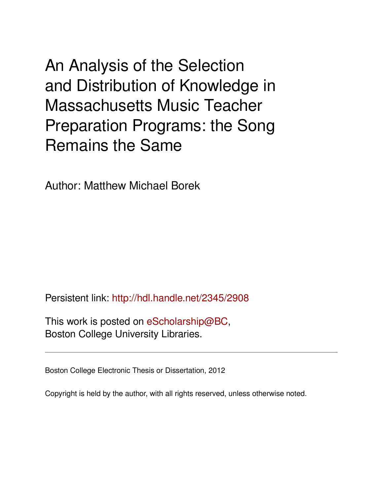An Analysis of the Selection and Distribution of Knowledge in Massachusetts Music Teacher Preparation Programs: the Song Remains the Same

Author: Matthew Michael Borek

Persistent link: <http://hdl.handle.net/2345/2908>

This work is posted on [eScholarship@BC](http://escholarship.bc.edu), Boston College University Libraries.

Boston College Electronic Thesis or Dissertation, 2012

Copyright is held by the author, with all rights reserved, unless otherwise noted.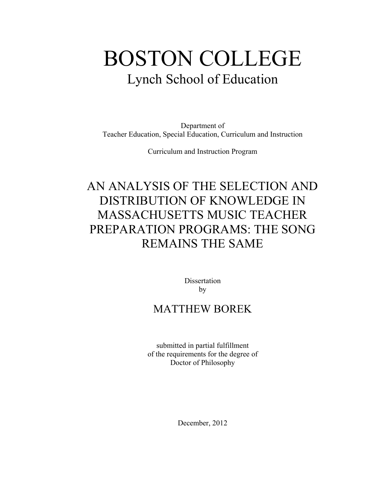# BOSTON COLLEGE Lynch School of Education

Department of Teacher Education, Special Education, Curriculum and Instruction

Curriculum and Instruction Program

# AN ANALYSIS OF THE SELECTION AND DISTRIBUTION OF KNOWLEDGE IN MASSACHUSETTS MUSIC TEACHER PREPARATION PROGRAMS: THE SONG REMAINS THE SAME

**Dissertation** by

### MATTHEW BOREK

submitted in partial fulfillment of the requirements for the degree of Doctor of Philosophy

December, 2012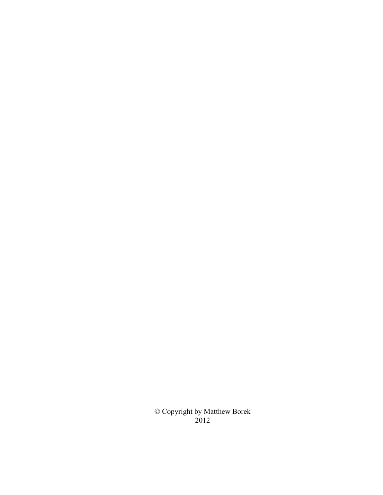© Copyright by Matthew Borek 2012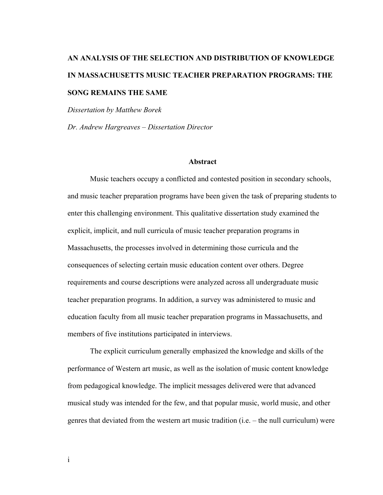## **AN ANALYSIS OF THE SELECTION AND DISTRIBUTION OF KNOWLEDGE IN MASSACHUSETTS MUSIC TEACHER PREPARATION PROGRAMS: THE SONG REMAINS THE SAME**

*Dissertation by Matthew Borek* 

*Dr. Andrew Hargreaves – Dissertation Director* 

#### **Abstract**

Music teachers occupy a conflicted and contested position in secondary schools, and music teacher preparation programs have been given the task of preparing students to enter this challenging environment. This qualitative dissertation study examined the explicit, implicit, and null curricula of music teacher preparation programs in Massachusetts, the processes involved in determining those curricula and the consequences of selecting certain music education content over others. Degree requirements and course descriptions were analyzed across all undergraduate music teacher preparation programs. In addition, a survey was administered to music and education faculty from all music teacher preparation programs in Massachusetts, and members of five institutions participated in interviews.

The explicit curriculum generally emphasized the knowledge and skills of the performance of Western art music, as well as the isolation of music content knowledge from pedagogical knowledge. The implicit messages delivered were that advanced musical study was intended for the few, and that popular music, world music, and other genres that deviated from the western art music tradition (i.e. – the null curriculum) were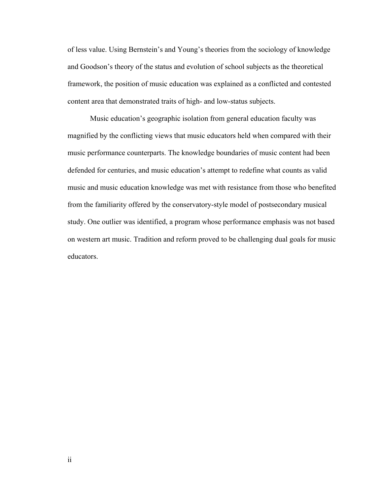of less value. Using Bernstein's and Young's theories from the sociology of knowledge and Goodson's theory of the status and evolution of school subjects as the theoretical framework, the position of music education was explained as a conflicted and contested content area that demonstrated traits of high- and low-status subjects.

Music education's geographic isolation from general education faculty was magnified by the conflicting views that music educators held when compared with their music performance counterparts. The knowledge boundaries of music content had been defended for centuries, and music education's attempt to redefine what counts as valid music and music education knowledge was met with resistance from those who benefited from the familiarity offered by the conservatory-style model of postsecondary musical study. One outlier was identified, a program whose performance emphasis was not based on western art music. Tradition and reform proved to be challenging dual goals for music educators.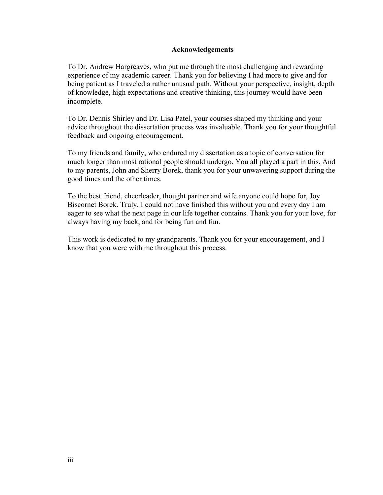#### **Acknowledgements**

To Dr. Andrew Hargreaves, who put me through the most challenging and rewarding experience of my academic career. Thank you for believing I had more to give and for being patient as I traveled a rather unusual path. Without your perspective, insight, depth of knowledge, high expectations and creative thinking, this journey would have been incomplete.

To Dr. Dennis Shirley and Dr. Lisa Patel, your courses shaped my thinking and your advice throughout the dissertation process was invaluable. Thank you for your thoughtful feedback and ongoing encouragement.

To my friends and family, who endured my dissertation as a topic of conversation for much longer than most rational people should undergo. You all played a part in this. And to my parents, John and Sherry Borek, thank you for your unwavering support during the good times and the other times.

To the best friend, cheerleader, thought partner and wife anyone could hope for, Joy Biscornet Borek. Truly, I could not have finished this without you and every day I am eager to see what the next page in our life together contains. Thank you for your love, for always having my back, and for being fun and fun.

This work is dedicated to my grandparents. Thank you for your encouragement, and I know that you were with me throughout this process.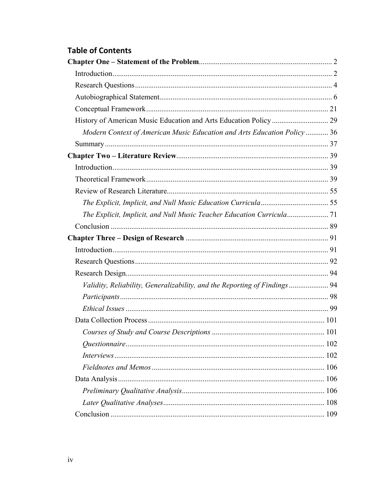### **Table of Contents**

| Modern Context of American Music Education and Arts Education Policy  36   |  |
|----------------------------------------------------------------------------|--|
|                                                                            |  |
|                                                                            |  |
|                                                                            |  |
|                                                                            |  |
|                                                                            |  |
|                                                                            |  |
| The Explicit, Implicit, and Null Music Teacher Education Curricula 71      |  |
|                                                                            |  |
|                                                                            |  |
|                                                                            |  |
|                                                                            |  |
|                                                                            |  |
| Validity, Reliability, Generalizability, and the Reporting of Findings  94 |  |
|                                                                            |  |
|                                                                            |  |
|                                                                            |  |
|                                                                            |  |
|                                                                            |  |
|                                                                            |  |
|                                                                            |  |
|                                                                            |  |
|                                                                            |  |
|                                                                            |  |
|                                                                            |  |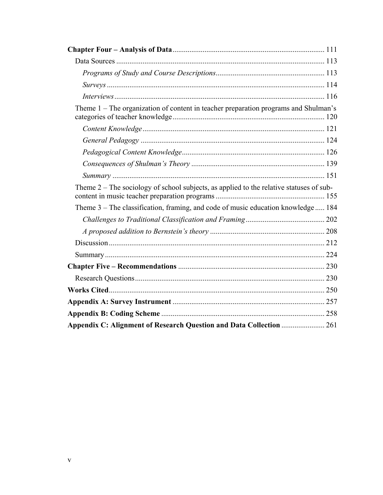| Theme 1 – The organization of content in teacher preparation programs and Shulman's       |  |
|-------------------------------------------------------------------------------------------|--|
|                                                                                           |  |
|                                                                                           |  |
|                                                                                           |  |
|                                                                                           |  |
|                                                                                           |  |
| Theme $2$ – The sociology of school subjects, as applied to the relative statuses of sub- |  |
| Theme 3 - The classification, framing, and code of music education knowledge  184         |  |
|                                                                                           |  |
|                                                                                           |  |
|                                                                                           |  |
|                                                                                           |  |
|                                                                                           |  |
|                                                                                           |  |
|                                                                                           |  |
|                                                                                           |  |
|                                                                                           |  |
| Appendix C: Alignment of Research Question and Data Collection  261                       |  |
|                                                                                           |  |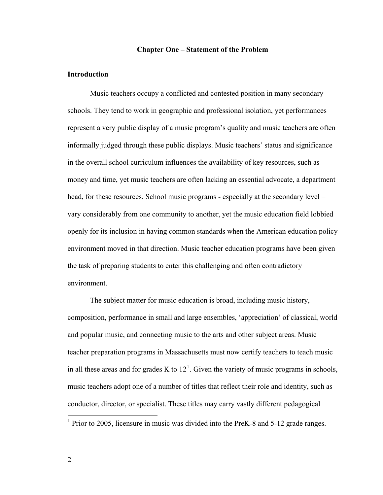#### **Chapter One – Statement of the Problem**

#### <span id="page-8-0"></span>**Introduction**

 Music teachers occupy a conflicted and contested position in many secondary schools. They tend to work in geographic and professional isolation, yet performances represent a very public display of a music program's quality and music teachers are often informally judged through these public displays. Music teachers' status and significance in the overall school curriculum influences the availability of key resources, such as money and time, yet music teachers are often lacking an essential advocate, a department head, for these resources. School music programs - especially at the secondary level – vary considerably from one community to another, yet the music education field lobbied openly for its inclusion in having common standards when the American education policy environment moved in that direction. Music teacher education programs have been given the task of preparing students to enter this challenging and often contradictory environment.

The subject matter for music education is broad, including music history, composition, performance in small and large ensembles, 'appreciation' of classical, world and popular music, and connecting music to the arts and other subject areas. Music teacher preparation programs in Massachusetts must now certify teachers to teach music in all these areas and for grades K to  $12<sup>1</sup>$  $12<sup>1</sup>$ . Given the variety of music programs in schools, music teachers adopt one of a number of titles that reflect their role and identity, such as conductor, director, or specialist. These titles may carry vastly different pedagogical

<span id="page-8-1"></span><sup>&</sup>lt;sup>1</sup> Prior to 2005, licensure in music was divided into the PreK-8 and 5-12 grade ranges.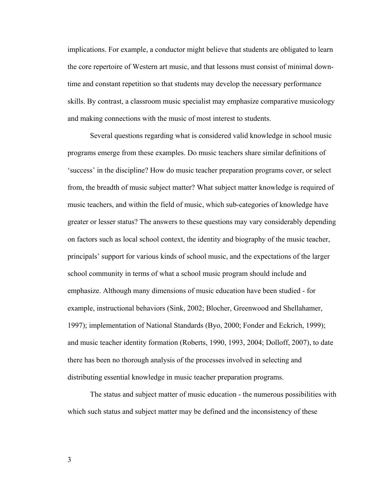implications. For example, a conductor might believe that students are obligated to learn the core repertoire of Western art music, and that lessons must consist of minimal downtime and constant repetition so that students may develop the necessary performance skills. By contrast, a classroom music specialist may emphasize comparative musicology and making connections with the music of most interest to students.

Several questions regarding what is considered valid knowledge in school music programs emerge from these examples. Do music teachers share similar definitions of 'success' in the discipline? How do music teacher preparation programs cover, or select from, the breadth of music subject matter? What subject matter knowledge is required of music teachers, and within the field of music, which sub-categories of knowledge have greater or lesser status? The answers to these questions may vary considerably depending on factors such as local school context, the identity and biography of the music teacher, principals' support for various kinds of school music, and the expectations of the larger school community in terms of what a school music program should include and emphasize. Although many dimensions of music education have been studied - for example, instructional behaviors (Sink, 2002; Blocher, Greenwood and Shellahamer, 1997); implementation of National Standards (Byo, 2000; Fonder and Eckrich, 1999); and music teacher identity formation (Roberts, 1990, 1993, 2004; Dolloff, 2007), to date there has been no thorough analysis of the processes involved in selecting and distributing essential knowledge in music teacher preparation programs.

The status and subject matter of music education - the numerous possibilities with which such status and subject matter may be defined and the inconsistency of these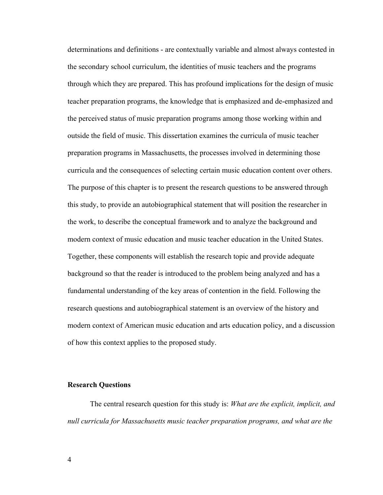<span id="page-10-0"></span>determinations and definitions - are contextually variable and almost always contested in the secondary school curriculum, the identities of music teachers and the programs through which they are prepared. This has profound implications for the design of music teacher preparation programs, the knowledge that is emphasized and de-emphasized and the perceived status of music preparation programs among those working within and outside the field of music. This dissertation examines the curricula of music teacher preparation programs in Massachusetts, the processes involved in determining those curricula and the consequences of selecting certain music education content over others. The purpose of this chapter is to present the research questions to be answered through this study, to provide an autobiographical statement that will position the researcher in the work, to describe the conceptual framework and to analyze the background and modern context of music education and music teacher education in the United States. Together, these components will establish the research topic and provide adequate background so that the reader is introduced to the problem being analyzed and has a fundamental understanding of the key areas of contention in the field. Following the research questions and autobiographical statement is an overview of the history and modern context of American music education and arts education policy, and a discussion of how this context applies to the proposed study.

#### **Research Questions**

The central research question for this study is: *What are the explicit, implicit, and null curricula for Massachusetts music teacher preparation programs, and what are the*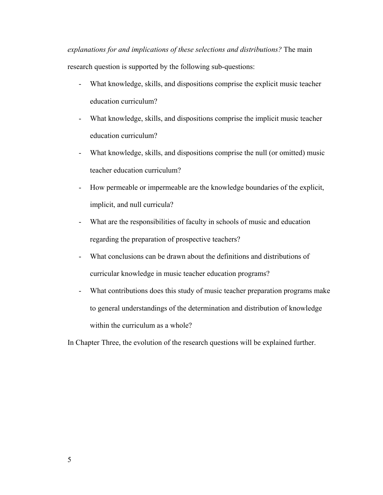*explanations for and implications of these selections and distributions?* The main research question is supported by the following sub-questions:

- What knowledge, skills, and dispositions comprise the explicit music teacher education curriculum?
- What knowledge, skills, and dispositions comprise the implicit music teacher education curriculum?
- What knowledge, skills, and dispositions comprise the null (or omitted) music teacher education curriculum?
- How permeable or impermeable are the knowledge boundaries of the explicit, implicit, and null curricula?
- What are the responsibilities of faculty in schools of music and education regarding the preparation of prospective teachers?
- What conclusions can be drawn about the definitions and distributions of curricular knowledge in music teacher education programs?
- What contributions does this study of music teacher preparation programs make to general understandings of the determination and distribution of knowledge within the curriculum as a whole?

In Chapter Three, the evolution of the research questions will be explained further.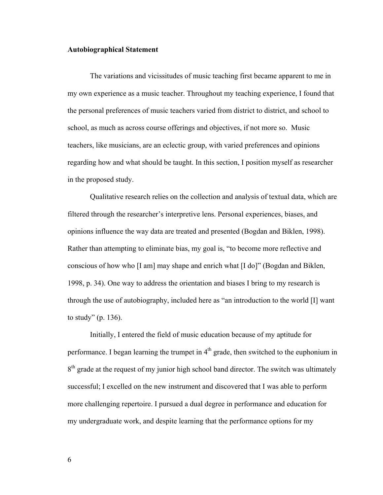#### <span id="page-12-0"></span>**Autobiographical Statement**

The variations and vicissitudes of music teaching first became apparent to me in my own experience as a music teacher. Throughout my teaching experience, I found that the personal preferences of music teachers varied from district to district, and school to school, as much as across course offerings and objectives, if not more so. Music teachers, like musicians, are an eclectic group, with varied preferences and opinions regarding how and what should be taught. In this section, I position myself as researcher in the proposed study.

Qualitative research relies on the collection and analysis of textual data, which are filtered through the researcher's interpretive lens. Personal experiences, biases, and opinions influence the way data are treated and presented (Bogdan and Biklen, 1998). Rather than attempting to eliminate bias, my goal is, "to become more reflective and conscious of how who [I am] may shape and enrich what [I do]" (Bogdan and Biklen, 1998, p. 34). One way to address the orientation and biases I bring to my research is through the use of autobiography, included here as "an introduction to the world [I] want to study" (p. 136).

Initially, I entered the field of music education because of my aptitude for performance. I began learning the trumpet in  $4<sup>th</sup>$  grade, then switched to the euphonium in  $8<sup>th</sup>$  grade at the request of my junior high school band director. The switch was ultimately successful; I excelled on the new instrument and discovered that I was able to perform more challenging repertoire. I pursued a dual degree in performance and education for my undergraduate work, and despite learning that the performance options for my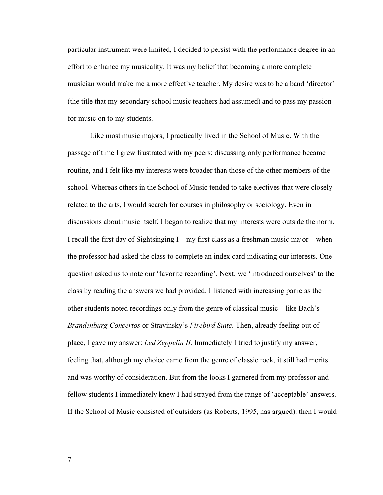particular instrument were limited, I decided to persist with the performance degree in an effort to enhance my musicality. It was my belief that becoming a more complete musician would make me a more effective teacher. My desire was to be a band 'director' (the title that my secondary school music teachers had assumed) and to pass my passion for music on to my students.

Like most music majors, I practically lived in the School of Music. With the passage of time I grew frustrated with my peers; discussing only performance became routine, and I felt like my interests were broader than those of the other members of the school. Whereas others in the School of Music tended to take electives that were closely related to the arts, I would search for courses in philosophy or sociology. Even in discussions about music itself, I began to realize that my interests were outside the norm. I recall the first day of Sightsinging I – my first class as a freshman music major – when the professor had asked the class to complete an index card indicating our interests. One question asked us to note our 'favorite recording'. Next, we 'introduced ourselves' to the class by reading the answers we had provided. I listened with increasing panic as the other students noted recordings only from the genre of classical music – like Bach's *Brandenburg Concertos* or Stravinsky's *Firebird Suite*. Then, already feeling out of place, I gave my answer: *Led Zeppelin II*. Immediately I tried to justify my answer, feeling that, although my choice came from the genre of classic rock, it still had merits and was worthy of consideration. But from the looks I garnered from my professor and fellow students I immediately knew I had strayed from the range of 'acceptable' answers. If the School of Music consisted of outsiders (as Roberts, 1995, has argued), then I would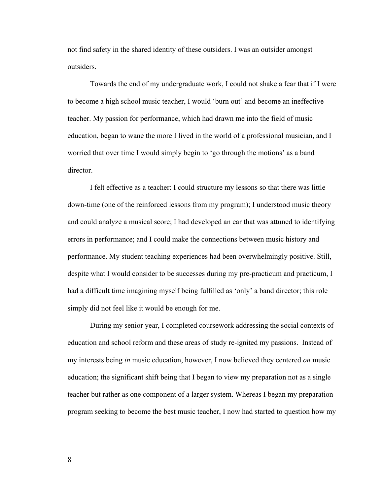not find safety in the shared identity of these outsiders. I was an outsider amongst outsiders.

Towards the end of my undergraduate work, I could not shake a fear that if I were to become a high school music teacher, I would 'burn out' and become an ineffective teacher. My passion for performance, which had drawn me into the field of music education, began to wane the more I lived in the world of a professional musician, and I worried that over time I would simply begin to 'go through the motions' as a band director.

I felt effective as a teacher: I could structure my lessons so that there was little down-time (one of the reinforced lessons from my program); I understood music theory and could analyze a musical score; I had developed an ear that was attuned to identifying errors in performance; and I could make the connections between music history and performance. My student teaching experiences had been overwhelmingly positive. Still, despite what I would consider to be successes during my pre-practicum and practicum, I had a difficult time imagining myself being fulfilled as 'only' a band director; this role simply did not feel like it would be enough for me.

During my senior year, I completed coursework addressing the social contexts of education and school reform and these areas of study re-ignited my passions. Instead of my interests being *in* music education, however, I now believed they centered *on* music education; the significant shift being that I began to view my preparation not as a single teacher but rather as one component of a larger system. Whereas I began my preparation program seeking to become the best music teacher, I now had started to question how my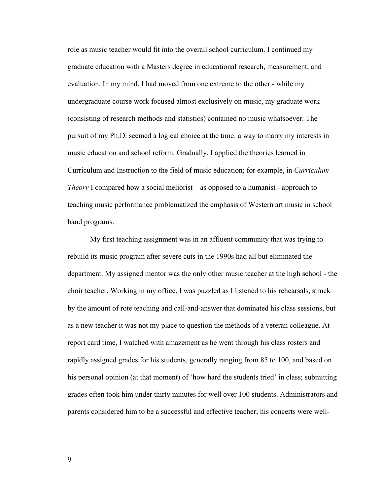role as music teacher would fit into the overall school curriculum. I continued my graduate education with a Masters degree in educational research, measurement, and evaluation. In my mind, I had moved from one extreme to the other - while my undergraduate course work focused almost exclusively on music, my graduate work (consisting of research methods and statistics) contained no music whatsoever. The pursuit of my Ph.D. seemed a logical choice at the time: a way to marry my interests in music education and school reform. Gradually, I applied the theories learned in Curriculum and Instruction to the field of music education; for example, in *Curriculum Theory* I compared how a social meliorist – as opposed to a humanist - approach to teaching music performance problematized the emphasis of Western art music in school band programs.

My first teaching assignment was in an affluent community that was trying to rebuild its music program after severe cuts in the 1990s had all but eliminated the department. My assigned mentor was the only other music teacher at the high school - the choir teacher. Working in my office, I was puzzled as I listened to his rehearsals, struck by the amount of rote teaching and call-and-answer that dominated his class sessions, but as a new teacher it was not my place to question the methods of a veteran colleague. At report card time, I watched with amazement as he went through his class rosters and rapidly assigned grades for his students, generally ranging from 85 to 100, and based on his personal opinion (at that moment) of 'how hard the students tried' in class; submitting grades often took him under thirty minutes for well over 100 students. Administrators and parents considered him to be a successful and effective teacher; his concerts were well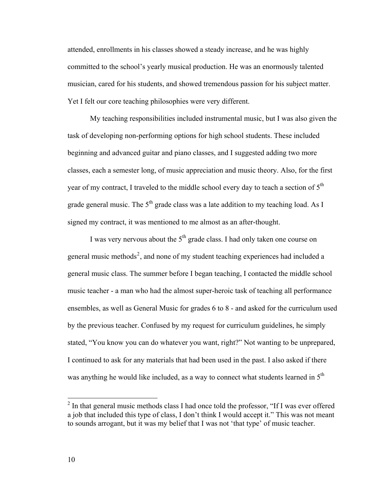attended, enrollments in his classes showed a steady increase, and he was highly committed to the school's yearly musical production. He was an enormously talented musician, cared for his students, and showed tremendous passion for his subject matter. Yet I felt our core teaching philosophies were very different.

My teaching responsibilities included instrumental music, but I was also given the task of developing non-performing options for high school students. These included beginning and advanced guitar and piano classes, and I suggested adding two more classes, each a semester long, of music appreciation and music theory. Also, for the first year of my contract, I traveled to the middle school every day to teach a section of 5<sup>th</sup> grade general music. The  $5<sup>th</sup>$  grade class was a late addition to my teaching load. As I signed my contract, it was mentioned to me almost as an after-thought.

I was very nervous about the  $5<sup>th</sup>$  grade class. I had only taken one course on general music methods<sup>[2](#page-16-0)</sup>, and none of my student teaching experiences had included a general music class. The summer before I began teaching, I contacted the middle school music teacher - a man who had the almost super-heroic task of teaching all performance ensembles, as well as General Music for grades 6 to 8 - and asked for the curriculum used by the previous teacher. Confused by my request for curriculum guidelines, he simply stated, "You know you can do whatever you want, right?" Not wanting to be unprepared, I continued to ask for any materials that had been used in the past. I also asked if there was anything he would like included, as a way to connect what students learned in  $5<sup>th</sup>$ 

 $\overline{a}$ 

<span id="page-16-0"></span> $2$  In that general music methods class I had once told the professor, "If I was ever offered a job that included this type of class, I don't think I would accept it." This was not meant to sounds arrogant, but it was my belief that I was not 'that type' of music teacher.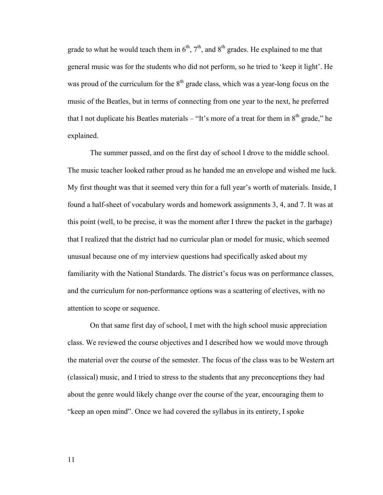grade to what he would teach them in  $6<sup>th</sup>$ ,  $7<sup>th</sup>$ , and  $8<sup>th</sup>$  grades. He explained to me that general music was for the students who did not perform, so he tried to 'keep it light'. He was proud of the curriculum for the  $8<sup>th</sup>$  grade class, which was a year-long focus on the music of the Beatles, but in terms of connecting from one year to the next, he preferred that I not duplicate his Beatles materials – "It's more of a treat for them in  $8<sup>th</sup>$  grade," he explained.

The summer passed, and on the first day of school I drove to the middle school. The music teacher looked rather proud as he handed me an envelope and wished me luck. My first thought was that it seemed very thin for a full year's worth of materials. Inside, I found a half-sheet of vocabulary words and homework assignments 3, 4, and 7. It was at this point (well, to be precise, it was the moment after I threw the packet in the garbage) that I realized that the district had no curricular plan or model for music, which seemed unusual because one of my interview questions had specifically asked about my familiarity with the National Standards. The district's focus was on performance classes, and the curriculum for non-performance options was a scattering of electives, with no attention to scope or sequence.

 On that same first day of school, I met with the high school music appreciation class. We reviewed the course objectives and I described how we would move through the material over the course of the semester. The focus of the class was to be Western art (classical) music, and I tried to stress to the students that any preconceptions they had about the genre would likely change over the course of the year, encouraging them to "keep an open mind". Once we had covered the syllabus in its entirety, I spoke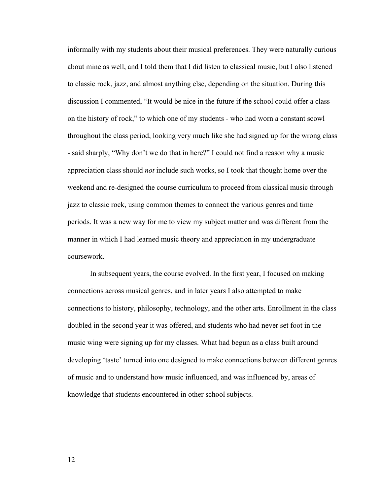informally with my students about their musical preferences. They were naturally curious about mine as well, and I told them that I did listen to classical music, but I also listened to classic rock, jazz, and almost anything else, depending on the situation. During this discussion I commented, "It would be nice in the future if the school could offer a class on the history of rock," to which one of my students - who had worn a constant scowl throughout the class period, looking very much like she had signed up for the wrong class - said sharply, "Why don't we do that in here?" I could not find a reason why a music appreciation class should *not* include such works, so I took that thought home over the weekend and re-designed the course curriculum to proceed from classical music through jazz to classic rock, using common themes to connect the various genres and time periods. It was a new way for me to view my subject matter and was different from the manner in which I had learned music theory and appreciation in my undergraduate coursework.

In subsequent years, the course evolved. In the first year, I focused on making connections across musical genres, and in later years I also attempted to make connections to history, philosophy, technology, and the other arts. Enrollment in the class doubled in the second year it was offered, and students who had never set foot in the music wing were signing up for my classes. What had begun as a class built around developing 'taste' turned into one designed to make connections between different genres of music and to understand how music influenced, and was influenced by, areas of knowledge that students encountered in other school subjects.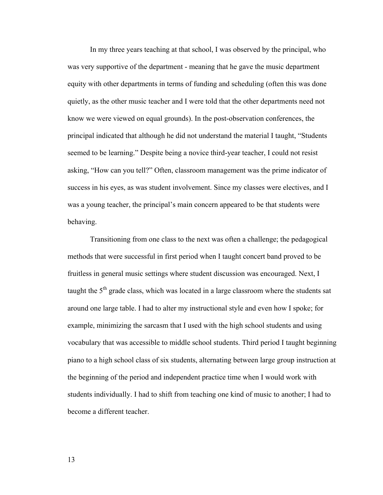In my three years teaching at that school, I was observed by the principal, who was very supportive of the department - meaning that he gave the music department equity with other departments in terms of funding and scheduling (often this was done quietly, as the other music teacher and I were told that the other departments need not know we were viewed on equal grounds). In the post-observation conferences, the principal indicated that although he did not understand the material I taught, "Students seemed to be learning." Despite being a novice third-year teacher, I could not resist asking, "How can you tell?" Often, classroom management was the prime indicator of success in his eyes, as was student involvement. Since my classes were electives, and I was a young teacher, the principal's main concern appeared to be that students were behaving.

 Transitioning from one class to the next was often a challenge; the pedagogical methods that were successful in first period when I taught concert band proved to be fruitless in general music settings where student discussion was encouraged. Next, I taught the  $5<sup>th</sup>$  grade class, which was located in a large classroom where the students sat around one large table. I had to alter my instructional style and even how I spoke; for example, minimizing the sarcasm that I used with the high school students and using vocabulary that was accessible to middle school students. Third period I taught beginning piano to a high school class of six students, alternating between large group instruction at the beginning of the period and independent practice time when I would work with students individually. I had to shift from teaching one kind of music to another; I had to become a different teacher.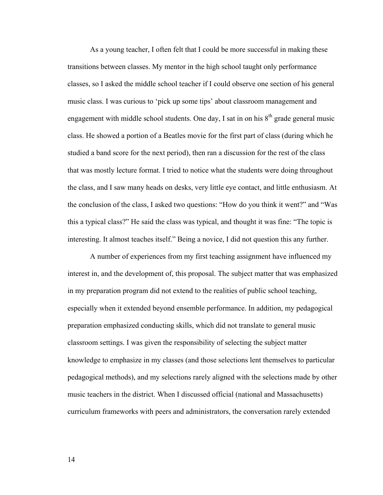As a young teacher, I often felt that I could be more successful in making these transitions between classes. My mentor in the high school taught only performance classes, so I asked the middle school teacher if I could observe one section of his general music class. I was curious to 'pick up some tips' about classroom management and engagement with middle school students. One day, I sat in on his  $8<sup>th</sup>$  grade general music class. He showed a portion of a Beatles movie for the first part of class (during which he studied a band score for the next period), then ran a discussion for the rest of the class that was mostly lecture format. I tried to notice what the students were doing throughout the class, and I saw many heads on desks, very little eye contact, and little enthusiasm. At the conclusion of the class, I asked two questions: "How do you think it went?" and "Was this a typical class?" He said the class was typical, and thought it was fine: "The topic is interesting. It almost teaches itself." Being a novice, I did not question this any further.

A number of experiences from my first teaching assignment have influenced my interest in, and the development of, this proposal. The subject matter that was emphasized in my preparation program did not extend to the realities of public school teaching, especially when it extended beyond ensemble performance. In addition, my pedagogical preparation emphasized conducting skills, which did not translate to general music classroom settings. I was given the responsibility of selecting the subject matter knowledge to emphasize in my classes (and those selections lent themselves to particular pedagogical methods), and my selections rarely aligned with the selections made by other music teachers in the district. When I discussed official (national and Massachusetts) curriculum frameworks with peers and administrators, the conversation rarely extended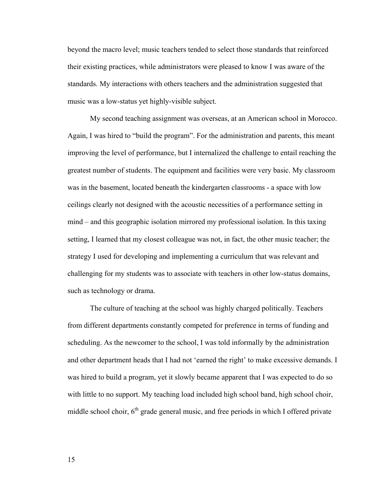beyond the macro level; music teachers tended to select those standards that reinforced their existing practices, while administrators were pleased to know I was aware of the standards. My interactions with others teachers and the administration suggested that music was a low-status yet highly-visible subject.

 My second teaching assignment was overseas, at an American school in Morocco. Again, I was hired to "build the program". For the administration and parents, this meant improving the level of performance, but I internalized the challenge to entail reaching the greatest number of students. The equipment and facilities were very basic. My classroom was in the basement, located beneath the kindergarten classrooms - a space with low ceilings clearly not designed with the acoustic necessities of a performance setting in mind – and this geographic isolation mirrored my professional isolation. In this taxing setting, I learned that my closest colleague was not, in fact, the other music teacher; the strategy I used for developing and implementing a curriculum that was relevant and challenging for my students was to associate with teachers in other low-status domains, such as technology or drama.

 The culture of teaching at the school was highly charged politically. Teachers from different departments constantly competed for preference in terms of funding and scheduling. As the newcomer to the school, I was told informally by the administration and other department heads that I had not 'earned the right' to make excessive demands. I was hired to build a program, yet it slowly became apparent that I was expected to do so with little to no support. My teaching load included high school band, high school choir, middle school choir,  $6<sup>th</sup>$  grade general music, and free periods in which I offered private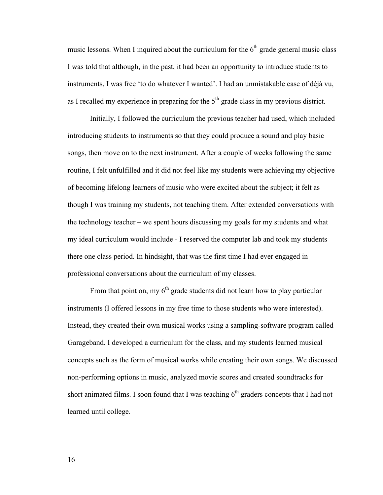music lessons. When I inquired about the curriculum for the  $6<sup>th</sup>$  grade general music class I was told that although, in the past, it had been an opportunity to introduce students to instruments, I was free 'to do whatever I wanted'. I had an unmistakable case of déjà vu, as I recalled my experience in preparing for the  $5<sup>th</sup>$  grade class in my previous district.

 Initially, I followed the curriculum the previous teacher had used, which included introducing students to instruments so that they could produce a sound and play basic songs, then move on to the next instrument. After a couple of weeks following the same routine, I felt unfulfilled and it did not feel like my students were achieving my objective of becoming lifelong learners of music who were excited about the subject; it felt as though I was training my students, not teaching them. After extended conversations with the technology teacher – we spent hours discussing my goals for my students and what my ideal curriculum would include - I reserved the computer lab and took my students there one class period. In hindsight, that was the first time I had ever engaged in professional conversations about the curriculum of my classes.

From that point on, my  $6<sup>th</sup>$  grade students did not learn how to play particular instruments (I offered lessons in my free time to those students who were interested). Instead, they created their own musical works using a sampling-software program called Garageband. I developed a curriculum for the class, and my students learned musical concepts such as the form of musical works while creating their own songs. We discussed non-performing options in music, analyzed movie scores and created soundtracks for short animated films. I soon found that I was teaching  $6<sup>th</sup>$  graders concepts that I had not learned until college.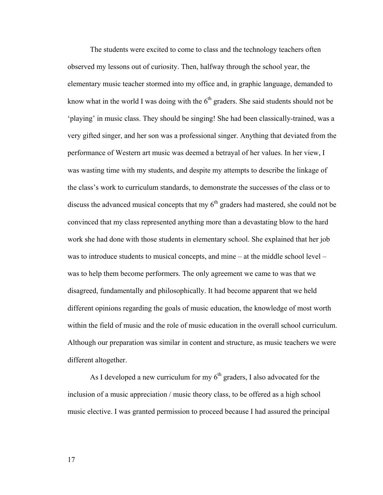The students were excited to come to class and the technology teachers often observed my lessons out of curiosity. Then, halfway through the school year, the elementary music teacher stormed into my office and, in graphic language, demanded to know what in the world I was doing with the  $6<sup>th</sup>$  graders. She said students should not be 'playing' in music class. They should be singing! She had been classically-trained, was a very gifted singer, and her son was a professional singer. Anything that deviated from the performance of Western art music was deemed a betrayal of her values. In her view, I was wasting time with my students, and despite my attempts to describe the linkage of the class's work to curriculum standards, to demonstrate the successes of the class or to discuss the advanced musical concepts that my  $6<sup>th</sup>$  graders had mastered, she could not be convinced that my class represented anything more than a devastating blow to the hard work she had done with those students in elementary school. She explained that her job was to introduce students to musical concepts, and mine – at the middle school level – was to help them become performers. The only agreement we came to was that we disagreed, fundamentally and philosophically. It had become apparent that we held different opinions regarding the goals of music education, the knowledge of most worth within the field of music and the role of music education in the overall school curriculum. Although our preparation was similar in content and structure, as music teachers we were different altogether.

As I developed a new curriculum for my  $6<sup>th</sup>$  graders, I also advocated for the inclusion of a music appreciation / music theory class, to be offered as a high school music elective. I was granted permission to proceed because I had assured the principal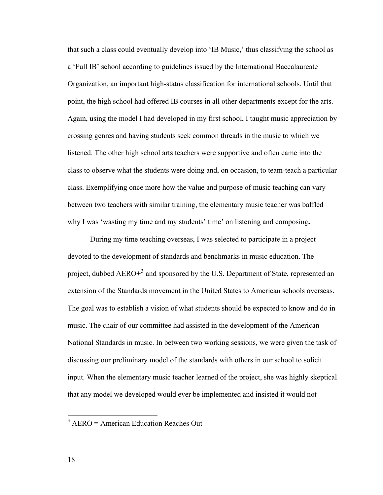that such a class could eventually develop into 'IB Music,' thus classifying the school as a 'Full IB' school according to guidelines issued by the International Baccalaureate Organization, an important high-status classification for international schools. Until that point, the high school had offered IB courses in all other departments except for the arts. Again, using the model I had developed in my first school, I taught music appreciation by crossing genres and having students seek common threads in the music to which we listened. The other high school arts teachers were supportive and often came into the class to observe what the students were doing and, on occasion, to team-teach a particular class. Exemplifying once more how the value and purpose of music teaching can vary between two teachers with similar training, the elementary music teacher was baffled why I was 'wasting my time and my students' time' on listening and composing**.** 

During my time teaching overseas, I was selected to participate in a project devoted to the development of standards and benchmarks in music education. The project, dubbed  $AERO+<sup>3</sup>$  $AERO+<sup>3</sup>$  $AERO+<sup>3</sup>$  and sponsored by the U.S. Department of State, represented an extension of the Standards movement in the United States to American schools overseas. The goal was to establish a vision of what students should be expected to know and do in music. The chair of our committee had assisted in the development of the American National Standards in music. In between two working sessions, we were given the task of discussing our preliminary model of the standards with others in our school to solicit input. When the elementary music teacher learned of the project, she was highly skeptical that any model we developed would ever be implemented and insisted it would not

<span id="page-24-0"></span><sup>&</sup>lt;sup>3</sup> AERO = American Education Reaches Out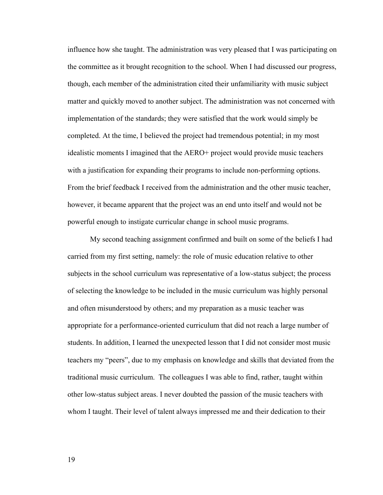influence how she taught. The administration was very pleased that I was participating on the committee as it brought recognition to the school. When I had discussed our progress, though, each member of the administration cited their unfamiliarity with music subject matter and quickly moved to another subject. The administration was not concerned with implementation of the standards; they were satisfied that the work would simply be completed. At the time, I believed the project had tremendous potential; in my most idealistic moments I imagined that the AERO+ project would provide music teachers with a justification for expanding their programs to include non-performing options. From the brief feedback I received from the administration and the other music teacher, however, it became apparent that the project was an end unto itself and would not be powerful enough to instigate curricular change in school music programs.

 My second teaching assignment confirmed and built on some of the beliefs I had carried from my first setting, namely: the role of music education relative to other subjects in the school curriculum was representative of a low-status subject; the process of selecting the knowledge to be included in the music curriculum was highly personal and often misunderstood by others; and my preparation as a music teacher was appropriate for a performance-oriented curriculum that did not reach a large number of students. In addition, I learned the unexpected lesson that I did not consider most music teachers my "peers", due to my emphasis on knowledge and skills that deviated from the traditional music curriculum. The colleagues I was able to find, rather, taught within other low-status subject areas. I never doubted the passion of the music teachers with whom I taught. Their level of talent always impressed me and their dedication to their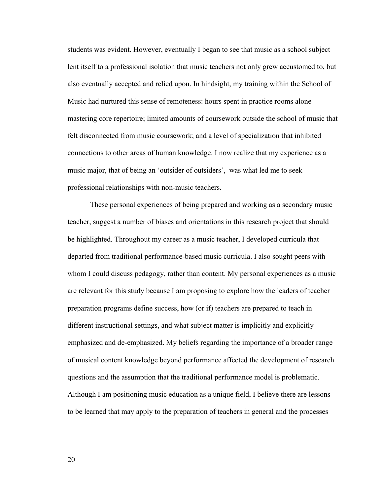students was evident. However, eventually I began to see that music as a school subject lent itself to a professional isolation that music teachers not only grew accustomed to, but also eventually accepted and relied upon. In hindsight, my training within the School of Music had nurtured this sense of remoteness: hours spent in practice rooms alone mastering core repertoire; limited amounts of coursework outside the school of music that felt disconnected from music coursework; and a level of specialization that inhibited connections to other areas of human knowledge. I now realize that my experience as a music major, that of being an 'outsider of outsiders', was what led me to seek professional relationships with non-music teachers.

 These personal experiences of being prepared and working as a secondary music teacher, suggest a number of biases and orientations in this research project that should be highlighted. Throughout my career as a music teacher, I developed curricula that departed from traditional performance-based music curricula. I also sought peers with whom I could discuss pedagogy, rather than content. My personal experiences as a music are relevant for this study because I am proposing to explore how the leaders of teacher preparation programs define success, how (or if) teachers are prepared to teach in different instructional settings, and what subject matter is implicitly and explicitly emphasized and de-emphasized. My beliefs regarding the importance of a broader range of musical content knowledge beyond performance affected the development of research questions and the assumption that the traditional performance model is problematic. Although I am positioning music education as a unique field, I believe there are lessons to be learned that may apply to the preparation of teachers in general and the processes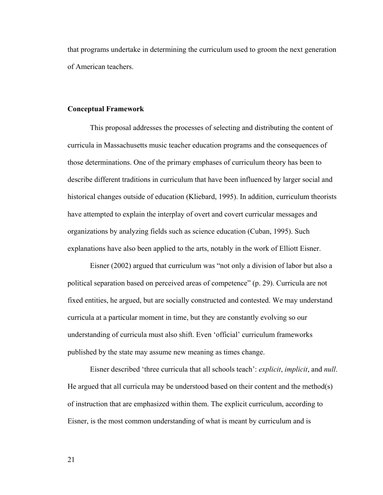<span id="page-27-0"></span>that programs undertake in determining the curriculum used to groom the next generation of American teachers.

#### **Conceptual Framework**

 This proposal addresses the processes of selecting and distributing the content of curricula in Massachusetts music teacher education programs and the consequences of those determinations. One of the primary emphases of curriculum theory has been to describe different traditions in curriculum that have been influenced by larger social and historical changes outside of education (Kliebard, 1995). In addition, curriculum theorists have attempted to explain the interplay of overt and covert curricular messages and organizations by analyzing fields such as science education (Cuban, 1995). Such explanations have also been applied to the arts, notably in the work of Elliott Eisner.

 Eisner (2002) argued that curriculum was "not only a division of labor but also a political separation based on perceived areas of competence" (p. 29). Curricula are not fixed entities, he argued, but are socially constructed and contested. We may understand curricula at a particular moment in time, but they are constantly evolving so our understanding of curricula must also shift. Even 'official' curriculum frameworks published by the state may assume new meaning as times change.

Eisner described 'three curricula that all schools teach': *explicit*, *implicit*, and *null*. He argued that all curricula may be understood based on their content and the method(s) of instruction that are emphasized within them. The explicit curriculum, according to Eisner, is the most common understanding of what is meant by curriculum and is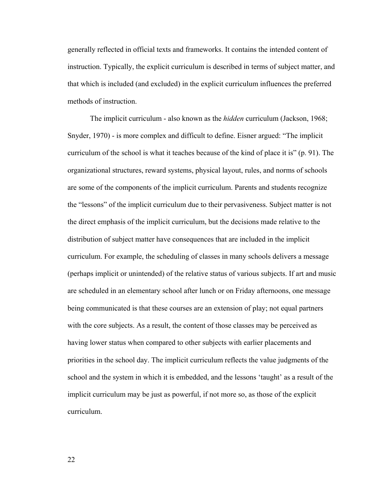generally reflected in official texts and frameworks. It contains the intended content of instruction. Typically, the explicit curriculum is described in terms of subject matter, and that which is included (and excluded) in the explicit curriculum influences the preferred methods of instruction.

The implicit curriculum - also known as the *hidden* curriculum (Jackson, 1968; Snyder, 1970) - is more complex and difficult to define. Eisner argued: "The implicit curriculum of the school is what it teaches because of the kind of place it is" (p. 91). The organizational structures, reward systems, physical layout, rules, and norms of schools are some of the components of the implicit curriculum. Parents and students recognize the "lessons" of the implicit curriculum due to their pervasiveness. Subject matter is not the direct emphasis of the implicit curriculum, but the decisions made relative to the distribution of subject matter have consequences that are included in the implicit curriculum. For example, the scheduling of classes in many schools delivers a message (perhaps implicit or unintended) of the relative status of various subjects. If art and music are scheduled in an elementary school after lunch or on Friday afternoons, one message being communicated is that these courses are an extension of play; not equal partners with the core subjects. As a result, the content of those classes may be perceived as having lower status when compared to other subjects with earlier placements and priorities in the school day. The implicit curriculum reflects the value judgments of the school and the system in which it is embedded, and the lessons 'taught' as a result of the implicit curriculum may be just as powerful, if not more so, as those of the explicit curriculum.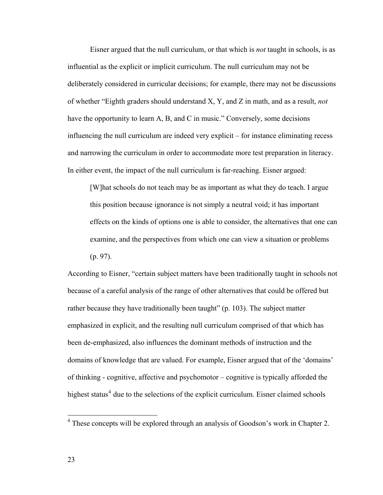Eisner argued that the null curriculum, or that which is *not* taught in schools, is as influential as the explicit or implicit curriculum. The null curriculum may not be deliberately considered in curricular decisions; for example, there may not be discussions of whether "Eighth graders should understand X, Y, and Z in math, and as a result, *not* have the opportunity to learn A, B, and C in music." Conversely, some decisions influencing the null curriculum are indeed very explicit – for instance eliminating recess and narrowing the curriculum in order to accommodate more test preparation in literacy. In either event, the impact of the null curriculum is far-reaching. Eisner argued:

[W]hat schools do not teach may be as important as what they do teach. I argue this position because ignorance is not simply a neutral void; it has important effects on the kinds of options one is able to consider, the alternatives that one can examine, and the perspectives from which one can view a situation or problems (p. 97).

According to Eisner, "certain subject matters have been traditionally taught in schools not because of a careful analysis of the range of other alternatives that could be offered but rather because they have traditionally been taught" (p. 103). The subject matter emphasized in explicit, and the resulting null curriculum comprised of that which has been de-emphasized, also influences the dominant methods of instruction and the domains of knowledge that are valued. For example, Eisner argued that of the 'domains' of thinking - cognitive, affective and psychomotor – cognitive is typically afforded the highest status<sup>[4](#page-29-0)</sup> due to the selections of the explicit curriculum. Eisner claimed schools

 $\overline{a}$ 

<span id="page-29-0"></span><sup>&</sup>lt;sup>4</sup> These concepts will be explored through an analysis of Goodson's work in Chapter 2.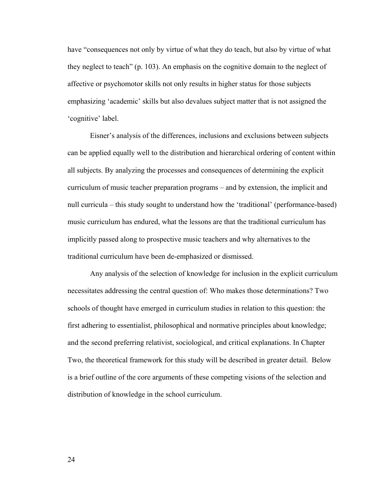have "consequences not only by virtue of what they do teach, but also by virtue of what they neglect to teach" (p. 103). An emphasis on the cognitive domain to the neglect of affective or psychomotor skills not only results in higher status for those subjects emphasizing 'academic' skills but also devalues subject matter that is not assigned the 'cognitive' label.

 Eisner's analysis of the differences, inclusions and exclusions between subjects can be applied equally well to the distribution and hierarchical ordering of content within all subjects. By analyzing the processes and consequences of determining the explicit curriculum of music teacher preparation programs – and by extension, the implicit and null curricula – this study sought to understand how the 'traditional' (performance-based) music curriculum has endured, what the lessons are that the traditional curriculum has implicitly passed along to prospective music teachers and why alternatives to the traditional curriculum have been de-emphasized or dismissed.

 Any analysis of the selection of knowledge for inclusion in the explicit curriculum necessitates addressing the central question of: Who makes those determinations? Two schools of thought have emerged in curriculum studies in relation to this question: the first adhering to essentialist, philosophical and normative principles about knowledge; and the second preferring relativist, sociological, and critical explanations. In Chapter Two, the theoretical framework for this study will be described in greater detail. Below is a brief outline of the core arguments of these competing visions of the selection and distribution of knowledge in the school curriculum.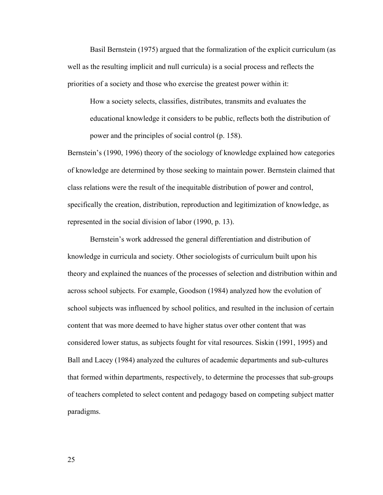Basil Bernstein (1975) argued that the formalization of the explicit curriculum (as well as the resulting implicit and null curricula) is a social process and reflects the priorities of a society and those who exercise the greatest power within it:

How a society selects, classifies, distributes, transmits and evaluates the educational knowledge it considers to be public, reflects both the distribution of power and the principles of social control (p. 158).

Bernstein's (1990, 1996) theory of the sociology of knowledge explained how categories of knowledge are determined by those seeking to maintain power. Bernstein claimed that class relations were the result of the inequitable distribution of power and control, specifically the creation, distribution, reproduction and legitimization of knowledge, as represented in the social division of labor (1990, p. 13).

Bernstein's work addressed the general differentiation and distribution of knowledge in curricula and society. Other sociologists of curriculum built upon his theory and explained the nuances of the processes of selection and distribution within and across school subjects. For example, Goodson (1984) analyzed how the evolution of school subjects was influenced by school politics, and resulted in the inclusion of certain content that was more deemed to have higher status over other content that was considered lower status, as subjects fought for vital resources. Siskin (1991, 1995) and Ball and Lacey (1984) analyzed the cultures of academic departments and sub-cultures that formed within departments, respectively, to determine the processes that sub-groups of teachers completed to select content and pedagogy based on competing subject matter paradigms.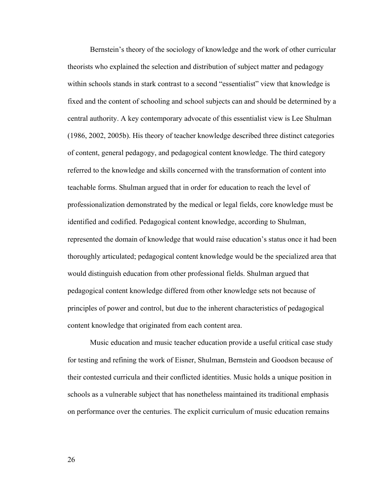Bernstein's theory of the sociology of knowledge and the work of other curricular theorists who explained the selection and distribution of subject matter and pedagogy within schools stands in stark contrast to a second "essentialist" view that knowledge is fixed and the content of schooling and school subjects can and should be determined by a central authority. A key contemporary advocate of this essentialist view is Lee Shulman (1986, 2002, 2005b). His theory of teacher knowledge described three distinct categories of content, general pedagogy, and pedagogical content knowledge. The third category referred to the knowledge and skills concerned with the transformation of content into teachable forms. Shulman argued that in order for education to reach the level of professionalization demonstrated by the medical or legal fields, core knowledge must be identified and codified. Pedagogical content knowledge, according to Shulman, represented the domain of knowledge that would raise education's status once it had been thoroughly articulated; pedagogical content knowledge would be the specialized area that would distinguish education from other professional fields. Shulman argued that pedagogical content knowledge differed from other knowledge sets not because of principles of power and control, but due to the inherent characteristics of pedagogical content knowledge that originated from each content area.

 Music education and music teacher education provide a useful critical case study for testing and refining the work of Eisner, Shulman, Bernstein and Goodson because of their contested curricula and their conflicted identities. Music holds a unique position in schools as a vulnerable subject that has nonetheless maintained its traditional emphasis on performance over the centuries. The explicit curriculum of music education remains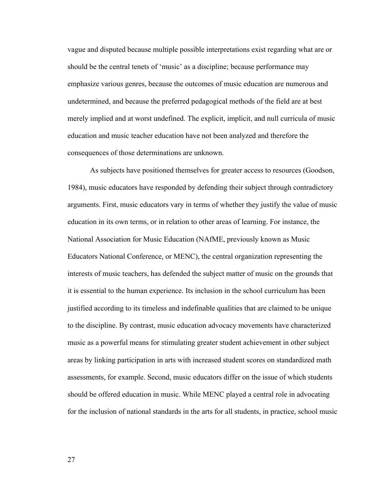vague and disputed because multiple possible interpretations exist regarding what are or should be the central tenets of 'music' as a discipline; because performance may emphasize various genres, because the outcomes of music education are numerous and undetermined, and because the preferred pedagogical methods of the field are at best merely implied and at worst undefined. The explicit, implicit, and null curricula of music education and music teacher education have not been analyzed and therefore the consequences of those determinations are unknown.

As subjects have positioned themselves for greater access to resources (Goodson, 1984), music educators have responded by defending their subject through contradictory arguments. First, music educators vary in terms of whether they justify the value of music education in its own terms, or in relation to other areas of learning. For instance, the National Association for Music Education (NAfME, previously known as Music Educators National Conference, or MENC), the central organization representing the interests of music teachers, has defended the subject matter of music on the grounds that it is essential to the human experience. Its inclusion in the school curriculum has been justified according to its timeless and indefinable qualities that are claimed to be unique to the discipline. By contrast, music education advocacy movements have characterized music as a powerful means for stimulating greater student achievement in other subject areas by linking participation in arts with increased student scores on standardized math assessments, for example. Second, music educators differ on the issue of which students should be offered education in music. While MENC played a central role in advocating for the inclusion of national standards in the arts for all students, in practice, school music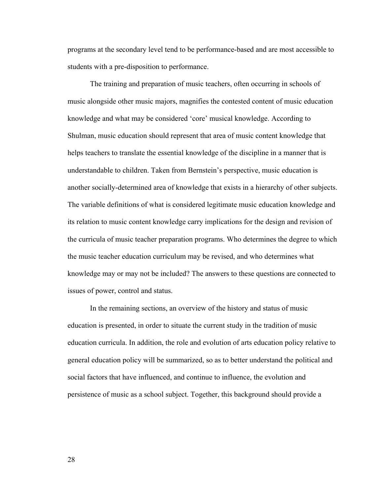programs at the secondary level tend to be performance-based and are most accessible to students with a pre-disposition to performance.

The training and preparation of music teachers, often occurring in schools of music alongside other music majors, magnifies the contested content of music education knowledge and what may be considered 'core' musical knowledge. According to Shulman, music education should represent that area of music content knowledge that helps teachers to translate the essential knowledge of the discipline in a manner that is understandable to children. Taken from Bernstein's perspective, music education is another socially-determined area of knowledge that exists in a hierarchy of other subjects. The variable definitions of what is considered legitimate music education knowledge and its relation to music content knowledge carry implications for the design and revision of the curricula of music teacher preparation programs. Who determines the degree to which the music teacher education curriculum may be revised, and who determines what knowledge may or may not be included? The answers to these questions are connected to issues of power, control and status.

 In the remaining sections, an overview of the history and status of music education is presented, in order to situate the current study in the tradition of music education curricula. In addition, the role and evolution of arts education policy relative to general education policy will be summarized, so as to better understand the political and social factors that have influenced, and continue to influence, the evolution and persistence of music as a school subject. Together, this background should provide a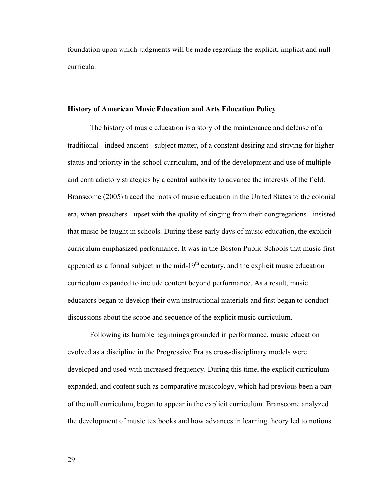<span id="page-35-0"></span>foundation upon which judgments will be made regarding the explicit, implicit and null curricula.

#### **History of American Music Education and Arts Education Policy**

 The history of music education is a story of the maintenance and defense of a traditional - indeed ancient - subject matter, of a constant desiring and striving for higher status and priority in the school curriculum, and of the development and use of multiple and contradictory strategies by a central authority to advance the interests of the field. Branscome (2005) traced the roots of music education in the United States to the colonial era, when preachers - upset with the quality of singing from their congregations - insisted that music be taught in schools. During these early days of music education, the explicit curriculum emphasized performance. It was in the Boston Public Schools that music first appeared as a formal subject in the mid- $19<sup>th</sup>$  century, and the explicit music education curriculum expanded to include content beyond performance. As a result, music educators began to develop their own instructional materials and first began to conduct discussions about the scope and sequence of the explicit music curriculum.

Following its humble beginnings grounded in performance, music education evolved as a discipline in the Progressive Era as cross-disciplinary models were developed and used with increased frequency. During this time, the explicit curriculum expanded, and content such as comparative musicology, which had previous been a part of the null curriculum, began to appear in the explicit curriculum. Branscome analyzed the development of music textbooks and how advances in learning theory led to notions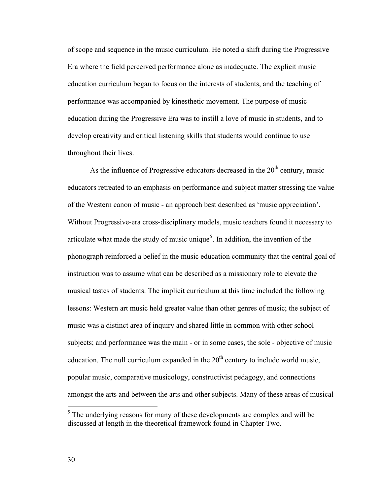of scope and sequence in the music curriculum. He noted a shift during the Progressive Era where the field perceived performance alone as inadequate. The explicit music education curriculum began to focus on the interests of students, and the teaching of performance was accompanied by kinesthetic movement. The purpose of music education during the Progressive Era was to instill a love of music in students, and to develop creativity and critical listening skills that students would continue to use throughout their lives.

As the influence of Progressive educators decreased in the  $20<sup>th</sup>$  century, music educators retreated to an emphasis on performance and subject matter stressing the value of the Western canon of music - an approach best described as 'music appreciation'. Without Progressive-era cross-disciplinary models, music teachers found it necessary to articulate what made the study of music unique<sup>[5](#page-36-0)</sup>. In addition, the invention of the phonograph reinforced a belief in the music education community that the central goal of instruction was to assume what can be described as a missionary role to elevate the musical tastes of students. The implicit curriculum at this time included the following lessons: Western art music held greater value than other genres of music; the subject of music was a distinct area of inquiry and shared little in common with other school subjects; and performance was the main - or in some cases, the sole - objective of music education. The null curriculum expanded in the  $20<sup>th</sup>$  century to include world music, popular music, comparative musicology, constructivist pedagogy, and connections amongst the arts and between the arts and other subjects. Many of these areas of musical

<span id="page-36-0"></span> $<sup>5</sup>$  The underlying reasons for many of these developments are complex and will be</sup> discussed at length in the theoretical framework found in Chapter Two.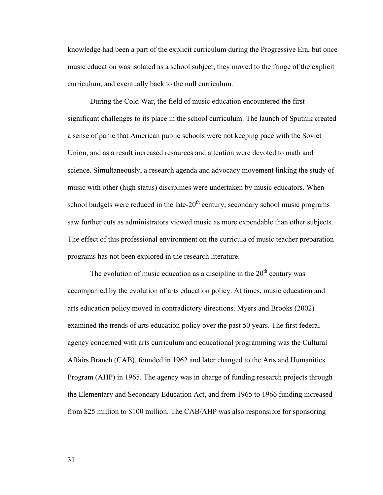knowledge had been a part of the explicit curriculum during the Progressive Era, but once music education was isolated as a school subject, they moved to the fringe of the explicit curriculum, and eventually back to the null curriculum.

During the Cold War, the field of music education encountered the first significant challenges to its place in the school curriculum. The launch of Sputnik created a sense of panic that American public schools were not keeping pace with the Soviet Union, and as a result increased resources and attention were devoted to math and science. Simultaneously, a research agenda and advocacy movement linking the study of music with other (high status) disciplines were undertaken by music educators. When school budgets were reduced in the late- $20<sup>th</sup>$  century, secondary school music programs saw further cuts as administrators viewed music as more expendable than other subjects. The effect of this professional environment on the curricula of music teacher preparation programs has not been explored in the research literature.

The evolution of music education as a discipline in the  $20<sup>th</sup>$  century was accompanied by the evolution of arts education policy. At times, music education and arts education policy moved in contradictory directions. Myers and Brooks (2002) examined the trends of arts education policy over the past 50 years. The first federal agency concerned with arts curriculum and educational programming was the Cultural Affairs Branch (CAB), founded in 1962 and later changed to the Arts and Humanities Program (AHP) in 1965. The agency was in charge of funding research projects through the Elementary and Secondary Education Act, and from 1965 to 1966 funding increased from \$25 million to \$100 million. The CAB/AHP was also responsible for sponsoring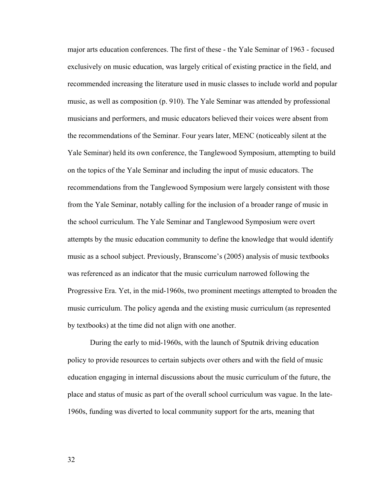major arts education conferences. The first of these - the Yale Seminar of 1963 - focused exclusively on music education, was largely critical of existing practice in the field, and recommended increasing the literature used in music classes to include world and popular music, as well as composition (p. 910). The Yale Seminar was attended by professional musicians and performers, and music educators believed their voices were absent from the recommendations of the Seminar. Four years later, MENC (noticeably silent at the Yale Seminar) held its own conference, the Tanglewood Symposium, attempting to build on the topics of the Yale Seminar and including the input of music educators. The recommendations from the Tanglewood Symposium were largely consistent with those from the Yale Seminar, notably calling for the inclusion of a broader range of music in the school curriculum. The Yale Seminar and Tanglewood Symposium were overt attempts by the music education community to define the knowledge that would identify music as a school subject. Previously, Branscome's (2005) analysis of music textbooks was referenced as an indicator that the music curriculum narrowed following the Progressive Era. Yet, in the mid-1960s, two prominent meetings attempted to broaden the music curriculum. The policy agenda and the existing music curriculum (as represented by textbooks) at the time did not align with one another.

During the early to mid-1960s, with the launch of Sputnik driving education policy to provide resources to certain subjects over others and with the field of music education engaging in internal discussions about the music curriculum of the future, the place and status of music as part of the overall school curriculum was vague. In the late-1960s, funding was diverted to local community support for the arts, meaning that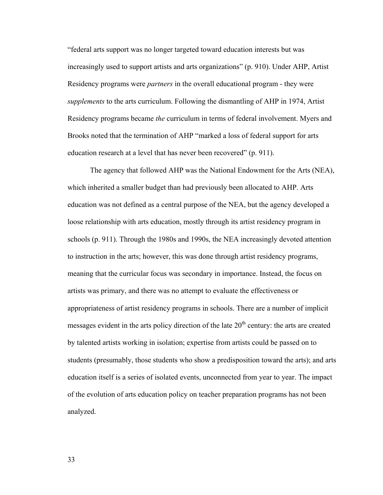"federal arts support was no longer targeted toward education interests but was increasingly used to support artists and arts organizations" (p. 910). Under AHP, Artist Residency programs were *partners* in the overall educational program - they were *supplements* to the arts curriculum. Following the dismantling of AHP in 1974, Artist Residency programs became *the* curriculum in terms of federal involvement. Myers and Brooks noted that the termination of AHP "marked a loss of federal support for arts education research at a level that has never been recovered" (p. 911).

The agency that followed AHP was the National Endowment for the Arts (NEA), which inherited a smaller budget than had previously been allocated to AHP. Arts education was not defined as a central purpose of the NEA, but the agency developed a loose relationship with arts education, mostly through its artist residency program in schools (p. 911). Through the 1980s and 1990s, the NEA increasingly devoted attention to instruction in the arts; however, this was done through artist residency programs, meaning that the curricular focus was secondary in importance. Instead, the focus on artists was primary, and there was no attempt to evaluate the effectiveness or appropriateness of artist residency programs in schools. There are a number of implicit messages evident in the arts policy direction of the late  $20<sup>th</sup>$  century: the arts are created by talented artists working in isolation; expertise from artists could be passed on to students (presumably, those students who show a predisposition toward the arts); and arts education itself is a series of isolated events, unconnected from year to year. The impact of the evolution of arts education policy on teacher preparation programs has not been analyzed.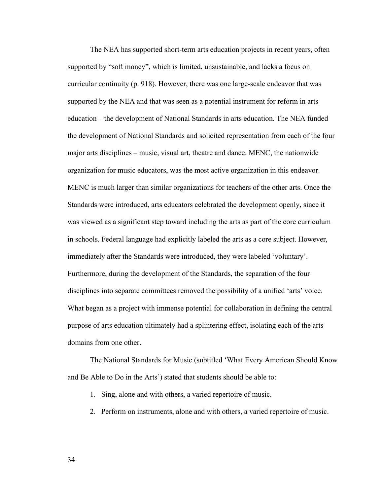The NEA has supported short-term arts education projects in recent years, often supported by "soft money", which is limited, unsustainable, and lacks a focus on curricular continuity (p. 918). However, there was one large-scale endeavor that was supported by the NEA and that was seen as a potential instrument for reform in arts education – the development of National Standards in arts education. The NEA funded the development of National Standards and solicited representation from each of the four major arts disciplines – music, visual art, theatre and dance. MENC, the nationwide organization for music educators, was the most active organization in this endeavor. MENC is much larger than similar organizations for teachers of the other arts. Once the Standards were introduced, arts educators celebrated the development openly, since it was viewed as a significant step toward including the arts as part of the core curriculum in schools. Federal language had explicitly labeled the arts as a core subject. However, immediately after the Standards were introduced, they were labeled 'voluntary'. Furthermore, during the development of the Standards, the separation of the four disciplines into separate committees removed the possibility of a unified 'arts' voice. What began as a project with immense potential for collaboration in defining the central purpose of arts education ultimately had a splintering effect, isolating each of the arts domains from one other.

The National Standards for Music (subtitled 'What Every American Should Know and Be Able to Do in the Arts') stated that students should be able to:

- 1. Sing, alone and with others, a varied repertoire of music.
- 2. Perform on instruments, alone and with others, a varied repertoire of music.
- 34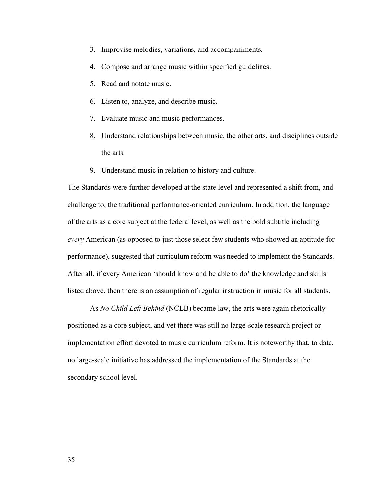- 3. Improvise melodies, variations, and accompaniments.
- 4. Compose and arrange music within specified guidelines.
- 5. Read and notate music.
- 6. Listen to, analyze, and describe music.
- 7. Evaluate music and music performances.
- 8. Understand relationships between music, the other arts, and disciplines outside the arts.
- 9. Understand music in relation to history and culture.

The Standards were further developed at the state level and represented a shift from, and challenge to, the traditional performance-oriented curriculum. In addition, the language of the arts as a core subject at the federal level, as well as the bold subtitle including *every* American (as opposed to just those select few students who showed an aptitude for performance), suggested that curriculum reform was needed to implement the Standards. After all, if every American 'should know and be able to do' the knowledge and skills listed above, then there is an assumption of regular instruction in music for all students.

 As *No Child Left Behind* (NCLB) became law, the arts were again rhetorically positioned as a core subject, and yet there was still no large-scale research project or implementation effort devoted to music curriculum reform. It is noteworthy that, to date, no large-scale initiative has addressed the implementation of the Standards at the secondary school level.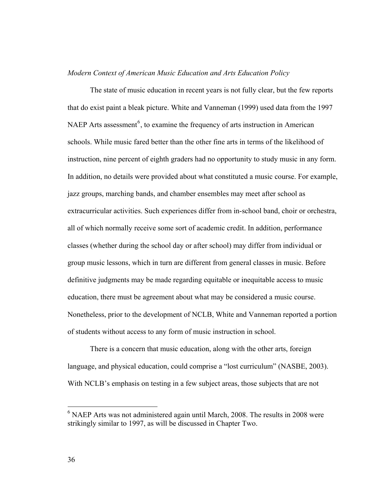## *Modern Context of American Music Education and Arts Education Policy*

 The state of music education in recent years is not fully clear, but the few reports that do exist paint a bleak picture. White and Vanneman (1999) used data from the 1997 NAEP Arts assessment<sup>[6](#page-42-0)</sup>, to examine the frequency of arts instruction in American schools. While music fared better than the other fine arts in terms of the likelihood of instruction, nine percent of eighth graders had no opportunity to study music in any form. In addition, no details were provided about what constituted a music course. For example, jazz groups, marching bands, and chamber ensembles may meet after school as extracurricular activities. Such experiences differ from in-school band, choir or orchestra, all of which normally receive some sort of academic credit. In addition, performance classes (whether during the school day or after school) may differ from individual or group music lessons, which in turn are different from general classes in music. Before definitive judgments may be made regarding equitable or inequitable access to music education, there must be agreement about what may be considered a music course. Nonetheless, prior to the development of NCLB, White and Vanneman reported a portion of students without access to any form of music instruction in school.

There is a concern that music education, along with the other arts, foreign language, and physical education, could comprise a "lost curriculum" (NASBE, 2003). With NCLB's emphasis on testing in a few subject areas, those subjects that are not

 $\overline{a}$ 

<span id="page-42-0"></span> $6$  NAEP Arts was not administered again until March, 2008. The results in 2008 were strikingly similar to 1997, as will be discussed in Chapter Two.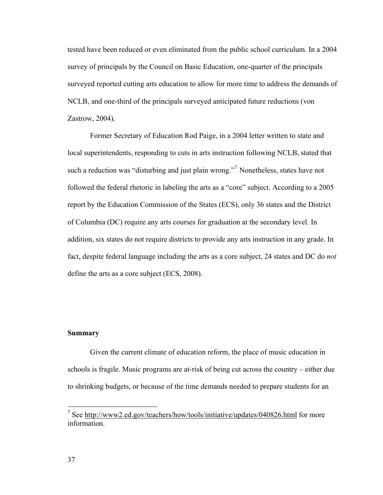tested have been reduced or even eliminated from the public school curriculum. In a 2004 survey of principals by the Council on Basic Education, one-quarter of the principals surveyed reported cutting arts education to allow for more time to address the demands of NCLB, and one-third of the principals surveyed anticipated future reductions (von Zastrow, 2004).

Former Secretary of Education Rod Paige, in a 2004 letter written to state and local superintendents, responding to cuts in arts instruction following NCLB, stated that such a reduction was "disturbing and just plain wrong."<sup>[7](#page-43-0)</sup> Nonetheless, states have not followed the federal rhetoric in labeling the arts as a "core" subject. According to a 2005 report by the Education Commission of the States (ECS), only 36 states and the District of Columbia (DC) require any arts courses for graduation at the secondary level. In addition, six states do not require districts to provide any arts instruction in any grade. In fact, despite federal language including the arts as a core subject, 24 states and DC do *not* define the arts as a core subject (ECS, 2008).

# **Summary**

Given the current climate of education reform, the place of music education in schools is fragile. Music programs are at-risk of being cut across the country – either due to shrinking budgets, or because of the time demands needed to prepare students for an

<span id="page-43-0"></span><sup>&</sup>lt;sup>7</sup> See<http://www2.ed.gov/teachers/how/tools/initiative/updates/040826.html>for more information.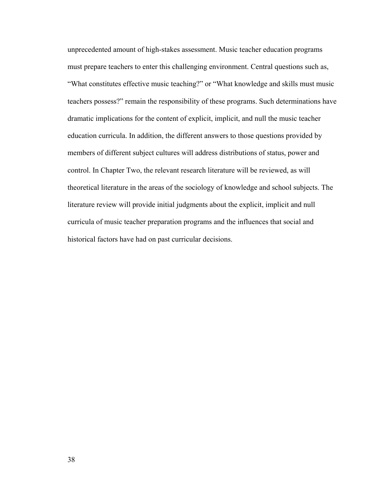unprecedented amount of high-stakes assessment. Music teacher education programs must prepare teachers to enter this challenging environment. Central questions such as, "What constitutes effective music teaching?" or "What knowledge and skills must music teachers possess?" remain the responsibility of these programs. Such determinations have dramatic implications for the content of explicit, implicit, and null the music teacher education curricula. In addition, the different answers to those questions provided by members of different subject cultures will address distributions of status, power and control. In Chapter Two, the relevant research literature will be reviewed, as will theoretical literature in the areas of the sociology of knowledge and school subjects. The literature review will provide initial judgments about the explicit, implicit and null curricula of music teacher preparation programs and the influences that social and historical factors have had on past curricular decisions.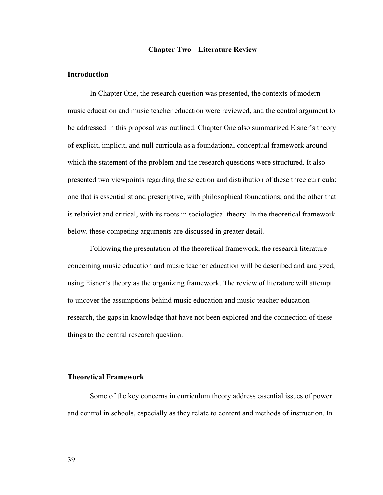## **Chapter Two – Literature Review**

### **Introduction**

 In Chapter One, the research question was presented, the contexts of modern music education and music teacher education were reviewed, and the central argument to be addressed in this proposal was outlined. Chapter One also summarized Eisner's theory of explicit, implicit, and null curricula as a foundational conceptual framework around which the statement of the problem and the research questions were structured. It also presented two viewpoints regarding the selection and distribution of these three curricula: one that is essentialist and prescriptive, with philosophical foundations; and the other that is relativist and critical, with its roots in sociological theory. In the theoretical framework below, these competing arguments are discussed in greater detail.

Following the presentation of the theoretical framework, the research literature concerning music education and music teacher education will be described and analyzed, using Eisner's theory as the organizing framework. The review of literature will attempt to uncover the assumptions behind music education and music teacher education research, the gaps in knowledge that have not been explored and the connection of these things to the central research question.

### **Theoretical Framework**

Some of the key concerns in curriculum theory address essential issues of power and control in schools, especially as they relate to content and methods of instruction. In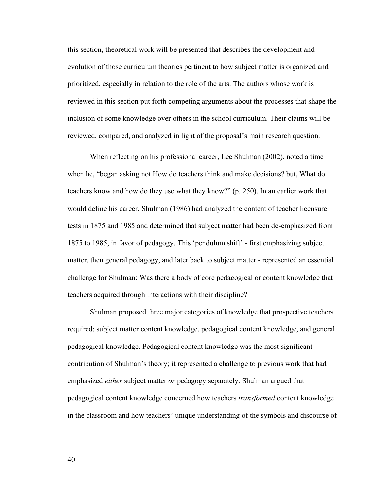this section, theoretical work will be presented that describes the development and evolution of those curriculum theories pertinent to how subject matter is organized and prioritized, especially in relation to the role of the arts. The authors whose work is reviewed in this section put forth competing arguments about the processes that shape the inclusion of some knowledge over others in the school curriculum. Their claims will be reviewed, compared, and analyzed in light of the proposal's main research question.

When reflecting on his professional career, Lee Shulman (2002), noted a time when he, "began asking not How do teachers think and make decisions? but, What do teachers know and how do they use what they know?" (p. 250). In an earlier work that would define his career, Shulman (1986) had analyzed the content of teacher licensure tests in 1875 and 1985 and determined that subject matter had been de-emphasized from 1875 to 1985, in favor of pedagogy. This 'pendulum shift' - first emphasizing subject matter, then general pedagogy, and later back to subject matter - represented an essential challenge for Shulman: Was there a body of core pedagogical or content knowledge that teachers acquired through interactions with their discipline?

Shulman proposed three major categories of knowledge that prospective teachers required: subject matter content knowledge, pedagogical content knowledge, and general pedagogical knowledge. Pedagogical content knowledge was the most significant contribution of Shulman's theory; it represented a challenge to previous work that had emphasized *either* subject matter *or* pedagogy separately. Shulman argued that pedagogical content knowledge concerned how teachers *transformed* content knowledge in the classroom and how teachers' unique understanding of the symbols and discourse of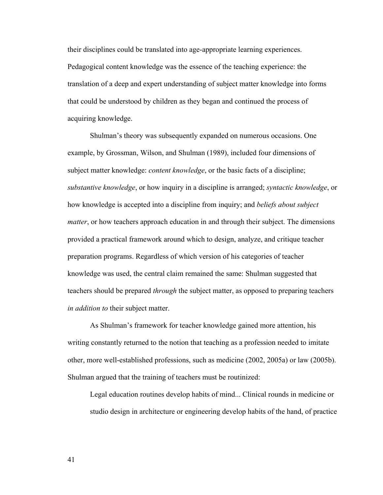their disciplines could be translated into age-appropriate learning experiences. Pedagogical content knowledge was the essence of the teaching experience: the translation of a deep and expert understanding of subject matter knowledge into forms that could be understood by children as they began and continued the process of acquiring knowledge.

Shulman's theory was subsequently expanded on numerous occasions. One example, by Grossman, Wilson, and Shulman (1989), included four dimensions of subject matter knowledge: *content knowledge*, or the basic facts of a discipline; *substantive knowledge*, or how inquiry in a discipline is arranged; *syntactic knowledge*, or how knowledge is accepted into a discipline from inquiry; and *beliefs about subject matter*, or how teachers approach education in and through their subject. The dimensions provided a practical framework around which to design, analyze, and critique teacher preparation programs. Regardless of which version of his categories of teacher knowledge was used, the central claim remained the same: Shulman suggested that teachers should be prepared *through* the subject matter, as opposed to preparing teachers *in addition to* their subject matter.

 As Shulman's framework for teacher knowledge gained more attention, his writing constantly returned to the notion that teaching as a profession needed to imitate other, more well-established professions, such as medicine (2002, 2005a) or law (2005b). Shulman argued that the training of teachers must be routinized:

Legal education routines develop habits of mind... Clinical rounds in medicine or studio design in architecture or engineering develop habits of the hand, of practice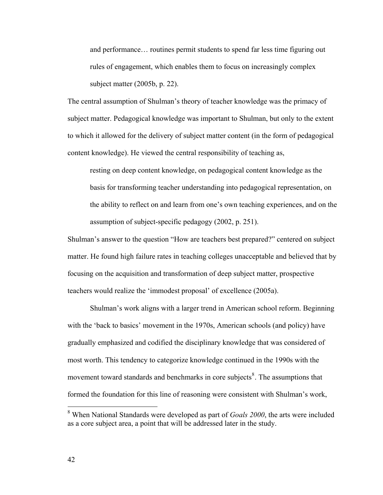and performance… routines permit students to spend far less time figuring out rules of engagement, which enables them to focus on increasingly complex subject matter (2005b, p. 22).

The central assumption of Shulman's theory of teacher knowledge was the primacy of subject matter. Pedagogical knowledge was important to Shulman, but only to the extent to which it allowed for the delivery of subject matter content (in the form of pedagogical content knowledge). He viewed the central responsibility of teaching as,

resting on deep content knowledge, on pedagogical content knowledge as the basis for transforming teacher understanding into pedagogical representation, on the ability to reflect on and learn from one's own teaching experiences, and on the assumption of subject-specific pedagogy (2002, p. 251).

Shulman's answer to the question "How are teachers best prepared?" centered on subject matter. He found high failure rates in teaching colleges unacceptable and believed that by focusing on the acquisition and transformation of deep subject matter, prospective teachers would realize the 'immodest proposal' of excellence (2005a).

 Shulman's work aligns with a larger trend in American school reform. Beginning with the 'back to basics' movement in the 1970s, American schools (and policy) have gradually emphasized and codified the disciplinary knowledge that was considered of most worth. This tendency to categorize knowledge continued in the 1990s with the movement toward standards and benchmarks in core subjects<sup>[8](#page-48-0)</sup>. The assumptions that formed the foundation for this line of reasoning were consistent with Shulman's work,

<span id="page-48-0"></span> 8 When National Standards were developed as part of *Goals 2000*, the arts were included as a core subject area, a point that will be addressed later in the study.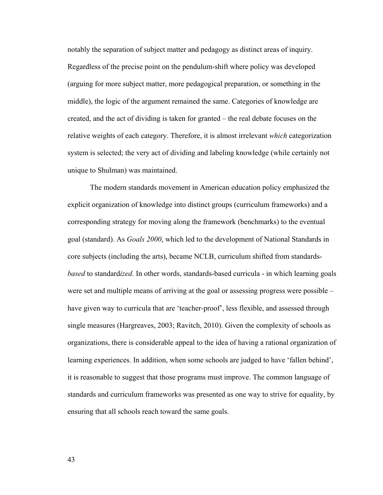notably the separation of subject matter and pedagogy as distinct areas of inquiry. Regardless of the precise point on the pendulum-shift where policy was developed (arguing for more subject matter, more pedagogical preparation, or something in the middle), the logic of the argument remained the same. Categories of knowledge are created, and the act of dividing is taken for granted – the real debate focuses on the relative weights of each category. Therefore, it is almost irrelevant *which* categorization system is selected; the very act of dividing and labeling knowledge (while certainly not unique to Shulman) was maintained.

 The modern standards movement in American education policy emphasized the explicit organization of knowledge into distinct groups (curriculum frameworks) and a corresponding strategy for moving along the framework (benchmarks) to the eventual goal (standard). As *Goals 2000*, which led to the development of National Standards in core subjects (including the arts), became NCLB, curriculum shifted from standards*based* to standard*ized*. In other words, standards-based curricula - in which learning goals were set and multiple means of arriving at the goal or assessing progress were possible – have given way to curricula that are 'teacher-proof', less flexible, and assessed through single measures (Hargreaves, 2003; Ravitch, 2010). Given the complexity of schools as organizations, there is considerable appeal to the idea of having a rational organization of learning experiences. In addition, when some schools are judged to have 'fallen behind', it is reasonable to suggest that those programs must improve. The common language of standards and curriculum frameworks was presented as one way to strive for equality, by ensuring that all schools reach toward the same goals.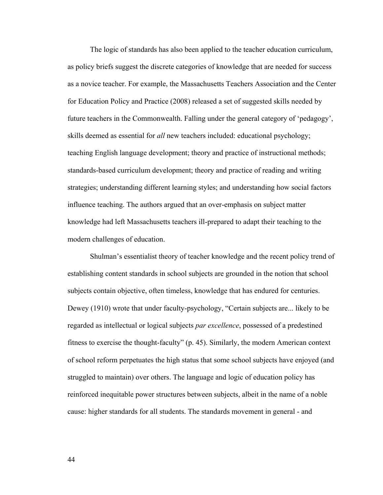The logic of standards has also been applied to the teacher education curriculum, as policy briefs suggest the discrete categories of knowledge that are needed for success as a novice teacher. For example, the Massachusetts Teachers Association and the Center for Education Policy and Practice (2008) released a set of suggested skills needed by future teachers in the Commonwealth. Falling under the general category of 'pedagogy', skills deemed as essential for *all* new teachers included: educational psychology; teaching English language development; theory and practice of instructional methods; standards-based curriculum development; theory and practice of reading and writing strategies; understanding different learning styles; and understanding how social factors influence teaching. The authors argued that an over-emphasis on subject matter knowledge had left Massachusetts teachers ill-prepared to adapt their teaching to the modern challenges of education.

Shulman's essentialist theory of teacher knowledge and the recent policy trend of establishing content standards in school subjects are grounded in the notion that school subjects contain objective, often timeless, knowledge that has endured for centuries. Dewey (1910) wrote that under faculty-psychology, "Certain subjects are... likely to be regarded as intellectual or logical subjects *par excellence*, possessed of a predestined fitness to exercise the thought-faculty" (p. 45). Similarly, the modern American context of school reform perpetuates the high status that some school subjects have enjoyed (and struggled to maintain) over others. The language and logic of education policy has reinforced inequitable power structures between subjects, albeit in the name of a noble cause: higher standards for all students. The standards movement in general - and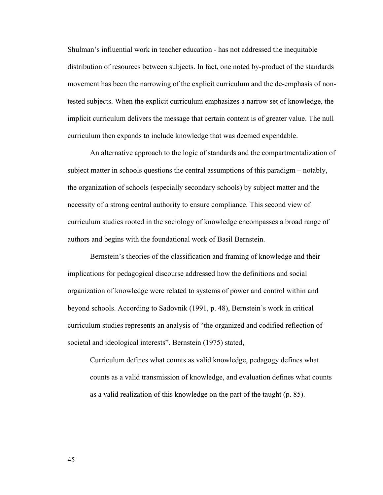Shulman's influential work in teacher education - has not addressed the inequitable distribution of resources between subjects. In fact, one noted by-product of the standards movement has been the narrowing of the explicit curriculum and the de-emphasis of nontested subjects. When the explicit curriculum emphasizes a narrow set of knowledge, the implicit curriculum delivers the message that certain content is of greater value. The null curriculum then expands to include knowledge that was deemed expendable.

An alternative approach to the logic of standards and the compartmentalization of subject matter in schools questions the central assumptions of this paradigm – notably, the organization of schools (especially secondary schools) by subject matter and the necessity of a strong central authority to ensure compliance. This second view of curriculum studies rooted in the sociology of knowledge encompasses a broad range of authors and begins with the foundational work of Basil Bernstein.

Bernstein's theories of the classification and framing of knowledge and their implications for pedagogical discourse addressed how the definitions and social organization of knowledge were related to systems of power and control within and beyond schools. According to Sadovnik (1991, p. 48), Bernstein's work in critical curriculum studies represents an analysis of "the organized and codified reflection of societal and ideological interests". Bernstein (1975) stated,

Curriculum defines what counts as valid knowledge, pedagogy defines what counts as a valid transmission of knowledge, and evaluation defines what counts as a valid realization of this knowledge on the part of the taught (p. 85).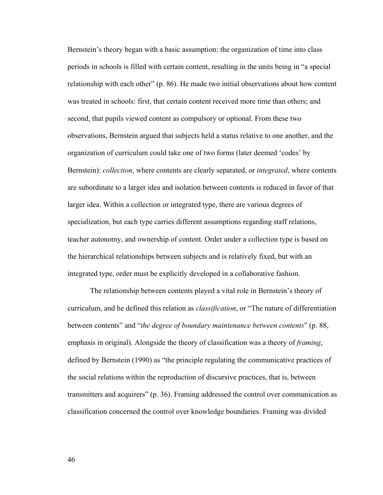Bernstein's theory began with a basic assumption: the organization of time into class periods in schools is filled with certain content, resulting in the units being in "a special relationship with each other" (p. 86). He made two initial observations about how content was treated in schools: first, that certain content received more time than others; and second, that pupils viewed content as compulsory or optional. From these two observations, Bernstein argued that subjects held a status relative to one another, and the organization of curriculum could take one of two forms (later deemed 'codes' by Bernstein): *collection*, where contents are clearly separated, or *integrated*, where contents are subordinate to a larger idea and isolation between contents is reduced in favor of that larger idea. Within a collection or integrated type, there are various degrees of specialization, but each type carries different assumptions regarding staff relations, teacher autonomy, and ownership of content. Order under a collection type is based on the hierarchical relationships between subjects and is relatively fixed, but with an integrated type, order must be explicitly developed in a collaborative fashion.

The relationship between contents played a vital role in Bernstein's theory of curriculum, and he defined this relation as *classification*, or "The nature of differentiation between contents" and "*the degree of boundary maintenance between contents*" (p. 88, emphasis in original). Alongside the theory of classification was a theory of *framing*, defined by Bernstein (1990) as "the principle regulating the communicative practices of the social relations within the reproduction of discursive practices, that is, between transmitters and acquirers" (p. 36). Framing addressed the control over communication as classification concerned the control over knowledge boundaries. Framing was divided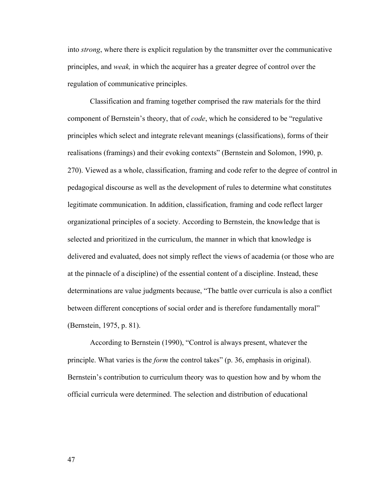into *strong*, where there is explicit regulation by the transmitter over the communicative principles, and *weak,* in which the acquirer has a greater degree of control over the regulation of communicative principles.

Classification and framing together comprised the raw materials for the third component of Bernstein's theory, that of *code*, which he considered to be "regulative principles which select and integrate relevant meanings (classifications), forms of their realisations (framings) and their evoking contexts" (Bernstein and Solomon, 1990, p. 270). Viewed as a whole, classification, framing and code refer to the degree of control in pedagogical discourse as well as the development of rules to determine what constitutes legitimate communication. In addition, classification, framing and code reflect larger organizational principles of a society. According to Bernstein, the knowledge that is selected and prioritized in the curriculum, the manner in which that knowledge is delivered and evaluated, does not simply reflect the views of academia (or those who are at the pinnacle of a discipline) of the essential content of a discipline. Instead, these determinations are value judgments because, "The battle over curricula is also a conflict between different conceptions of social order and is therefore fundamentally moral" (Bernstein, 1975, p. 81).

According to Bernstein (1990), "Control is always present, whatever the principle. What varies is the *form* the control takes" (p. 36, emphasis in original). Bernstein's contribution to curriculum theory was to question how and by whom the official curricula were determined. The selection and distribution of educational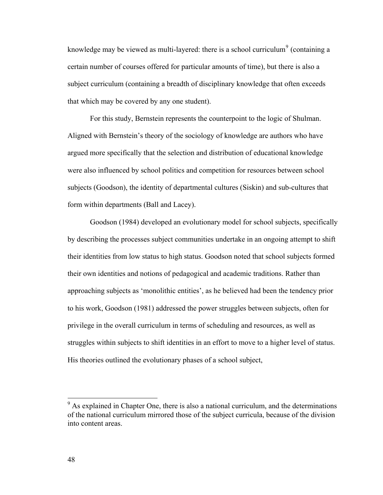knowledge may be viewed as multi-layered: there is a school curriculum<sup>[9](#page-54-0)</sup> (containing a certain number of courses offered for particular amounts of time), but there is also a subject curriculum (containing a breadth of disciplinary knowledge that often exceeds that which may be covered by any one student).

For this study, Bernstein represents the counterpoint to the logic of Shulman. Aligned with Bernstein's theory of the sociology of knowledge are authors who have argued more specifically that the selection and distribution of educational knowledge were also influenced by school politics and competition for resources between school subjects (Goodson), the identity of departmental cultures (Siskin) and sub-cultures that form within departments (Ball and Lacey).

Goodson (1984) developed an evolutionary model for school subjects, specifically by describing the processes subject communities undertake in an ongoing attempt to shift their identities from low status to high status. Goodson noted that school subjects formed their own identities and notions of pedagogical and academic traditions. Rather than approaching subjects as 'monolithic entities', as he believed had been the tendency prior to his work, Goodson (1981) addressed the power struggles between subjects, often for privilege in the overall curriculum in terms of scheduling and resources, as well as struggles within subjects to shift identities in an effort to move to a higher level of status. His theories outlined the evolutionary phases of a school subject,

 $\overline{a}$ 

<span id="page-54-0"></span> $9<sup>9</sup>$  As explained in Chapter One, there is also a national curriculum, and the determinations of the national curriculum mirrored those of the subject curricula, because of the division into content areas.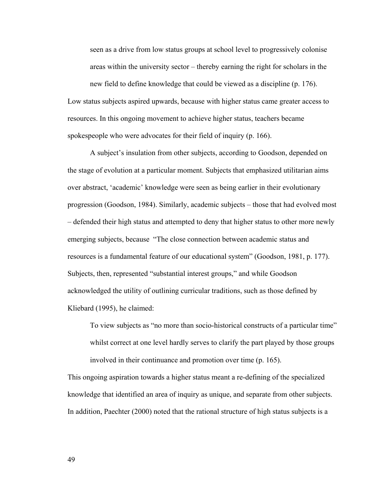seen as a drive from low status groups at school level to progressively colonise areas within the university sector – thereby earning the right for scholars in the

new field to define knowledge that could be viewed as a discipline (p. 176). Low status subjects aspired upwards, because with higher status came greater access to resources. In this ongoing movement to achieve higher status, teachers became spokespeople who were advocates for their field of inquiry (p. 166).

A subject's insulation from other subjects, according to Goodson, depended on the stage of evolution at a particular moment. Subjects that emphasized utilitarian aims over abstract, 'academic' knowledge were seen as being earlier in their evolutionary progression (Goodson, 1984). Similarly, academic subjects – those that had evolved most – defended their high status and attempted to deny that higher status to other more newly emerging subjects, because "The close connection between academic status and resources is a fundamental feature of our educational system" (Goodson, 1981, p. 177). Subjects, then, represented "substantial interest groups," and while Goodson acknowledged the utility of outlining curricular traditions, such as those defined by Kliebard (1995), he claimed:

To view subjects as "no more than socio-historical constructs of a particular time" whilst correct at one level hardly serves to clarify the part played by those groups involved in their continuance and promotion over time (p. 165).

This ongoing aspiration towards a higher status meant a re-defining of the specialized knowledge that identified an area of inquiry as unique, and separate from other subjects. In addition, Paechter (2000) noted that the rational structure of high status subjects is a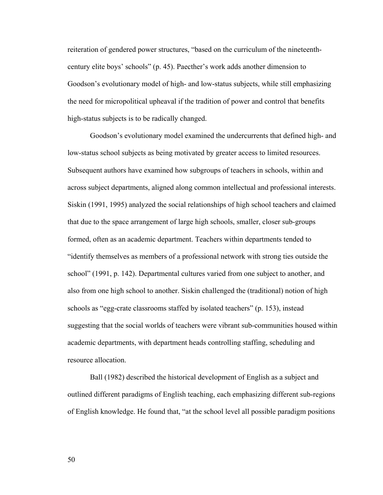reiteration of gendered power structures, "based on the curriculum of the nineteenthcentury elite boys' schools" (p. 45). Paecther's work adds another dimension to Goodson's evolutionary model of high- and low-status subjects, while still emphasizing the need for micropolitical upheaval if the tradition of power and control that benefits high-status subjects is to be radically changed.

 Goodson's evolutionary model examined the undercurrents that defined high- and low-status school subjects as being motivated by greater access to limited resources. Subsequent authors have examined how subgroups of teachers in schools, within and across subject departments, aligned along common intellectual and professional interests. Siskin (1991, 1995) analyzed the social relationships of high school teachers and claimed that due to the space arrangement of large high schools, smaller, closer sub-groups formed, often as an academic department. Teachers within departments tended to "identify themselves as members of a professional network with strong ties outside the school" (1991, p. 142). Departmental cultures varied from one subject to another, and also from one high school to another. Siskin challenged the (traditional) notion of high schools as "egg-crate classrooms staffed by isolated teachers" (p. 153), instead suggesting that the social worlds of teachers were vibrant sub-communities housed within academic departments, with department heads controlling staffing, scheduling and resource allocation.

Ball (1982) described the historical development of English as a subject and outlined different paradigms of English teaching, each emphasizing different sub-regions of English knowledge. He found that, "at the school level all possible paradigm positions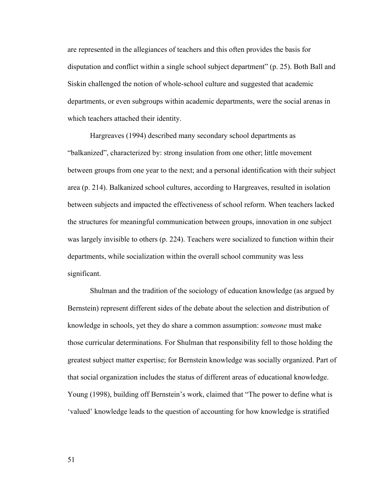are represented in the allegiances of teachers and this often provides the basis for disputation and conflict within a single school subject department" (p. 25). Both Ball and Siskin challenged the notion of whole-school culture and suggested that academic departments, or even subgroups within academic departments, were the social arenas in which teachers attached their identity.

Hargreaves (1994) described many secondary school departments as "balkanized", characterized by: strong insulation from one other; little movement between groups from one year to the next; and a personal identification with their subject area (p. 214). Balkanized school cultures, according to Hargreaves, resulted in isolation between subjects and impacted the effectiveness of school reform. When teachers lacked the structures for meaningful communication between groups, innovation in one subject was largely invisible to others (p. 224). Teachers were socialized to function within their departments, while socialization within the overall school community was less significant.

 Shulman and the tradition of the sociology of education knowledge (as argued by Bernstein) represent different sides of the debate about the selection and distribution of knowledge in schools, yet they do share a common assumption: *someone* must make those curricular determinations. For Shulman that responsibility fell to those holding the greatest subject matter expertise; for Bernstein knowledge was socially organized. Part of that social organization includes the status of different areas of educational knowledge. Young (1998), building off Bernstein's work, claimed that "The power to define what is 'valued' knowledge leads to the question of accounting for how knowledge is stratified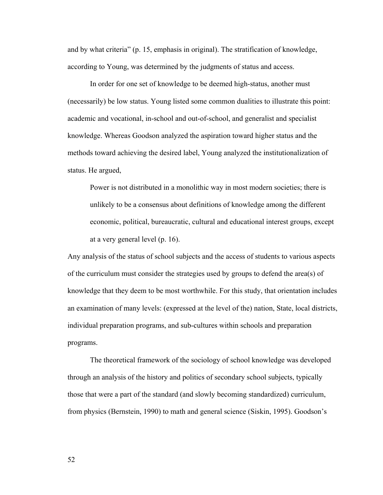and by what criteria" (p. 15, emphasis in original). The stratification of knowledge, according to Young, was determined by the judgments of status and access.

 In order for one set of knowledge to be deemed high-status, another must (necessarily) be low status. Young listed some common dualities to illustrate this point: academic and vocational, in-school and out-of-school, and generalist and specialist knowledge. Whereas Goodson analyzed the aspiration toward higher status and the methods toward achieving the desired label, Young analyzed the institutionalization of status. He argued,

Power is not distributed in a monolithic way in most modern societies; there is unlikely to be a consensus about definitions of knowledge among the different economic, political, bureaucratic, cultural and educational interest groups, except at a very general level (p. 16).

Any analysis of the status of school subjects and the access of students to various aspects of the curriculum must consider the strategies used by groups to defend the area(s) of knowledge that they deem to be most worthwhile. For this study, that orientation includes an examination of many levels: (expressed at the level of the) nation, State, local districts, individual preparation programs, and sub-cultures within schools and preparation programs.

The theoretical framework of the sociology of school knowledge was developed through an analysis of the history and politics of secondary school subjects, typically those that were a part of the standard (and slowly becoming standardized) curriculum, from physics (Bernstein, 1990) to math and general science (Siskin, 1995). Goodson's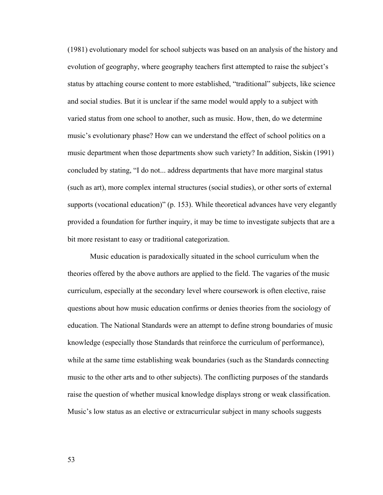(1981) evolutionary model for school subjects was based on an analysis of the history and evolution of geography, where geography teachers first attempted to raise the subject's status by attaching course content to more established, "traditional" subjects, like science and social studies. But it is unclear if the same model would apply to a subject with varied status from one school to another, such as music. How, then, do we determine music's evolutionary phase? How can we understand the effect of school politics on a music department when those departments show such variety? In addition, Siskin (1991) concluded by stating, "I do not... address departments that have more marginal status (such as art), more complex internal structures (social studies), or other sorts of external supports (vocational education)" (p. 153). While theoretical advances have very elegantly provided a foundation for further inquiry, it may be time to investigate subjects that are a bit more resistant to easy or traditional categorization.

 Music education is paradoxically situated in the school curriculum when the theories offered by the above authors are applied to the field. The vagaries of the music curriculum, especially at the secondary level where coursework is often elective, raise questions about how music education confirms or denies theories from the sociology of education. The National Standards were an attempt to define strong boundaries of music knowledge (especially those Standards that reinforce the curriculum of performance), while at the same time establishing weak boundaries (such as the Standards connecting music to the other arts and to other subjects). The conflicting purposes of the standards raise the question of whether musical knowledge displays strong or weak classification. Music's low status as an elective or extracurricular subject in many schools suggests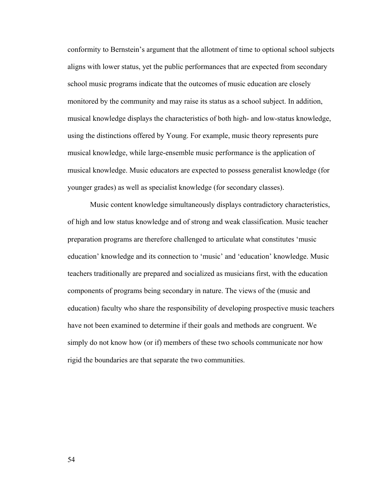conformity to Bernstein's argument that the allotment of time to optional school subjects aligns with lower status, yet the public performances that are expected from secondary school music programs indicate that the outcomes of music education are closely monitored by the community and may raise its status as a school subject. In addition, musical knowledge displays the characteristics of both high- and low-status knowledge, using the distinctions offered by Young. For example, music theory represents pure musical knowledge, while large-ensemble music performance is the application of musical knowledge. Music educators are expected to possess generalist knowledge (for younger grades) as well as specialist knowledge (for secondary classes).

 Music content knowledge simultaneously displays contradictory characteristics, of high and low status knowledge and of strong and weak classification. Music teacher preparation programs are therefore challenged to articulate what constitutes 'music education' knowledge and its connection to 'music' and 'education' knowledge. Music teachers traditionally are prepared and socialized as musicians first, with the education components of programs being secondary in nature. The views of the (music and education) faculty who share the responsibility of developing prospective music teachers have not been examined to determine if their goals and methods are congruent. We simply do not know how (or if) members of these two schools communicate nor how rigid the boundaries are that separate the two communities.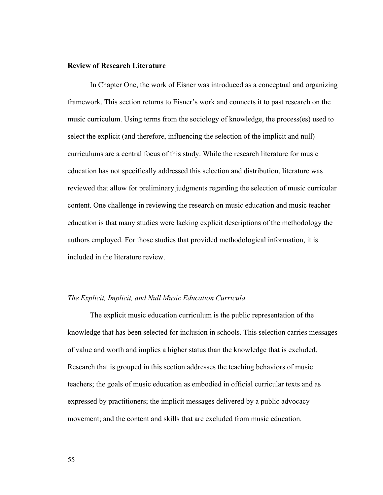#### **Review of Research Literature**

 In Chapter One, the work of Eisner was introduced as a conceptual and organizing framework. This section returns to Eisner's work and connects it to past research on the music curriculum. Using terms from the sociology of knowledge, the process(es) used to select the explicit (and therefore, influencing the selection of the implicit and null) curriculums are a central focus of this study. While the research literature for music education has not specifically addressed this selection and distribution, literature was reviewed that allow for preliminary judgments regarding the selection of music curricular content. One challenge in reviewing the research on music education and music teacher education is that many studies were lacking explicit descriptions of the methodology the authors employed. For those studies that provided methodological information, it is included in the literature review.

#### *The Explicit, Implicit, and Null Music Education Curricula*

 The explicit music education curriculum is the public representation of the knowledge that has been selected for inclusion in schools. This selection carries messages of value and worth and implies a higher status than the knowledge that is excluded. Research that is grouped in this section addresses the teaching behaviors of music teachers; the goals of music education as embodied in official curricular texts and as expressed by practitioners; the implicit messages delivered by a public advocacy movement; and the content and skills that are excluded from music education.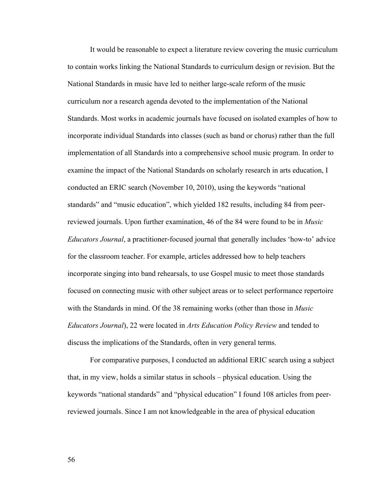It would be reasonable to expect a literature review covering the music curriculum to contain works linking the National Standards to curriculum design or revision. But the National Standards in music have led to neither large-scale reform of the music curriculum nor a research agenda devoted to the implementation of the National Standards. Most works in academic journals have focused on isolated examples of how to incorporate individual Standards into classes (such as band or chorus) rather than the full implementation of all Standards into a comprehensive school music program. In order to examine the impact of the National Standards on scholarly research in arts education, I conducted an ERIC search (November 10, 2010), using the keywords "national standards" and "music education", which yielded 182 results, including 84 from peerreviewed journals. Upon further examination, 46 of the 84 were found to be in *Music Educators Journal*, a practitioner-focused journal that generally includes 'how-to' advice for the classroom teacher. For example, articles addressed how to help teachers incorporate singing into band rehearsals, to use Gospel music to meet those standards focused on connecting music with other subject areas or to select performance repertoire with the Standards in mind. Of the 38 remaining works (other than those in *Music Educators Journal*), 22 were located in *Arts Education Policy Review* and tended to discuss the implications of the Standards, often in very general terms.

 For comparative purposes, I conducted an additional ERIC search using a subject that, in my view, holds a similar status in schools – physical education. Using the keywords "national standards" and "physical education" I found 108 articles from peerreviewed journals. Since I am not knowledgeable in the area of physical education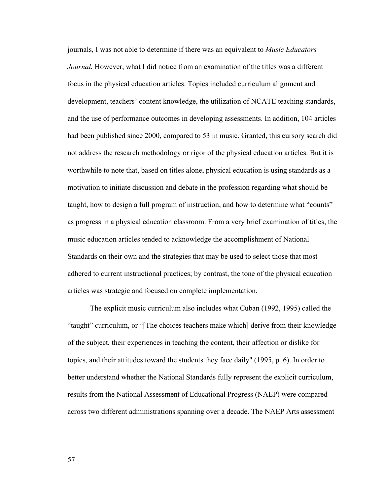journals, I was not able to determine if there was an equivalent to *Music Educators Journal.* However, what I did notice from an examination of the titles was a different focus in the physical education articles. Topics included curriculum alignment and development, teachers' content knowledge, the utilization of NCATE teaching standards, and the use of performance outcomes in developing assessments. In addition, 104 articles had been published since 2000, compared to 53 in music. Granted, this cursory search did not address the research methodology or rigor of the physical education articles. But it is worthwhile to note that, based on titles alone, physical education is using standards as a motivation to initiate discussion and debate in the profession regarding what should be taught, how to design a full program of instruction, and how to determine what "counts" as progress in a physical education classroom. From a very brief examination of titles, the music education articles tended to acknowledge the accomplishment of National Standards on their own and the strategies that may be used to select those that most adhered to current instructional practices; by contrast, the tone of the physical education articles was strategic and focused on complete implementation.

 The explicit music curriculum also includes what Cuban (1992, 1995) called the "taught" curriculum, or "[The choices teachers make which] derive from their knowledge of the subject, their experiences in teaching the content, their affection or dislike for topics, and their attitudes toward the students they face daily" (1995, p. 6). In order to better understand whether the National Standards fully represent the explicit curriculum, results from the National Assessment of Educational Progress (NAEP) were compared across two different administrations spanning over a decade. The NAEP Arts assessment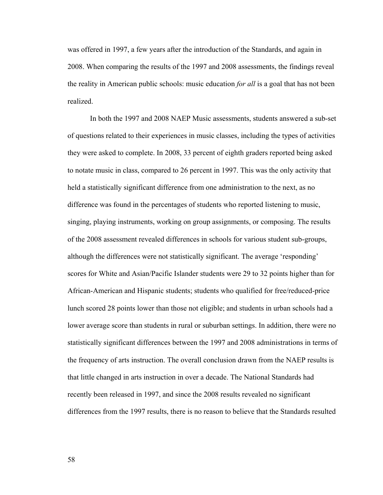was offered in 1997, a few years after the introduction of the Standards, and again in 2008. When comparing the results of the 1997 and 2008 assessments, the findings reveal the reality in American public schools: music education *for all* is a goal that has not been realized.

 In both the 1997 and 2008 NAEP Music assessments, students answered a sub-set of questions related to their experiences in music classes, including the types of activities they were asked to complete. In 2008, 33 percent of eighth graders reported being asked to notate music in class, compared to 26 percent in 1997. This was the only activity that held a statistically significant difference from one administration to the next, as no difference was found in the percentages of students who reported listening to music, singing, playing instruments, working on group assignments, or composing. The results of the 2008 assessment revealed differences in schools for various student sub-groups, although the differences were not statistically significant. The average 'responding' scores for White and Asian/Pacific Islander students were 29 to 32 points higher than for African-American and Hispanic students; students who qualified for free/reduced-price lunch scored 28 points lower than those not eligible; and students in urban schools had a lower average score than students in rural or suburban settings. In addition, there were no statistically significant differences between the 1997 and 2008 administrations in terms of the frequency of arts instruction. The overall conclusion drawn from the NAEP results is that little changed in arts instruction in over a decade. The National Standards had recently been released in 1997, and since the 2008 results revealed no significant differences from the 1997 results, there is no reason to believe that the Standards resulted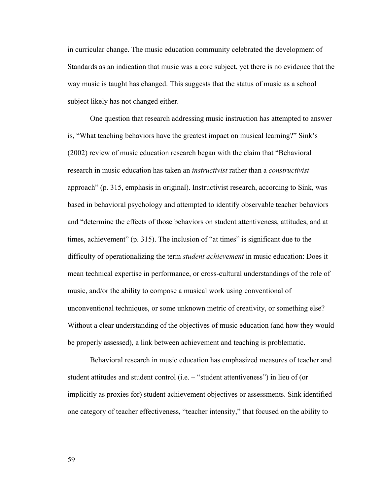in curricular change. The music education community celebrated the development of Standards as an indication that music was a core subject, yet there is no evidence that the way music is taught has changed. This suggests that the status of music as a school subject likely has not changed either.

 One question that research addressing music instruction has attempted to answer is, "What teaching behaviors have the greatest impact on musical learning?" Sink's (2002) review of music education research began with the claim that "Behavioral research in music education has taken an *instructivist* rather than a *constructivist* approach" (p. 315, emphasis in original). Instructivist research, according to Sink, was based in behavioral psychology and attempted to identify observable teacher behaviors and "determine the effects of those behaviors on student attentiveness, attitudes, and at times, achievement" (p. 315). The inclusion of "at times" is significant due to the difficulty of operationalizing the term *student achievement* in music education: Does it mean technical expertise in performance, or cross-cultural understandings of the role of music, and/or the ability to compose a musical work using conventional of unconventional techniques, or some unknown metric of creativity, or something else? Without a clear understanding of the objectives of music education (and how they would be properly assessed), a link between achievement and teaching is problematic.

Behavioral research in music education has emphasized measures of teacher and student attitudes and student control (i.e. – "student attentiveness") in lieu of (or implicitly as proxies for) student achievement objectives or assessments. Sink identified one category of teacher effectiveness, "teacher intensity," that focused on the ability to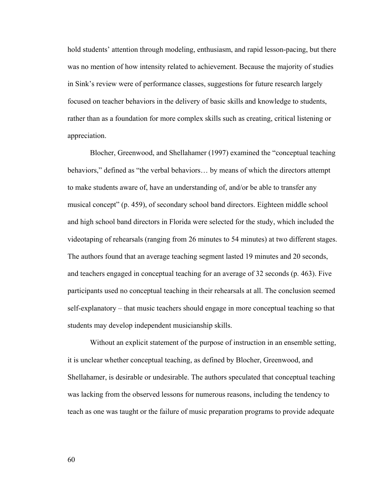hold students' attention through modeling, enthusiasm, and rapid lesson-pacing, but there was no mention of how intensity related to achievement. Because the majority of studies in Sink's review were of performance classes, suggestions for future research largely focused on teacher behaviors in the delivery of basic skills and knowledge to students, rather than as a foundation for more complex skills such as creating, critical listening or appreciation.

Blocher, Greenwood, and Shellahamer (1997) examined the "conceptual teaching behaviors," defined as "the verbal behaviors… by means of which the directors attempt to make students aware of, have an understanding of, and/or be able to transfer any musical concept" (p. 459), of secondary school band directors. Eighteen middle school and high school band directors in Florida were selected for the study, which included the videotaping of rehearsals (ranging from 26 minutes to 54 minutes) at two different stages. The authors found that an average teaching segment lasted 19 minutes and 20 seconds, and teachers engaged in conceptual teaching for an average of 32 seconds (p. 463). Five participants used no conceptual teaching in their rehearsals at all. The conclusion seemed self-explanatory – that music teachers should engage in more conceptual teaching so that students may develop independent musicianship skills.

Without an explicit statement of the purpose of instruction in an ensemble setting, it is unclear whether conceptual teaching, as defined by Blocher, Greenwood, and Shellahamer, is desirable or undesirable. The authors speculated that conceptual teaching was lacking from the observed lessons for numerous reasons, including the tendency to teach as one was taught or the failure of music preparation programs to provide adequate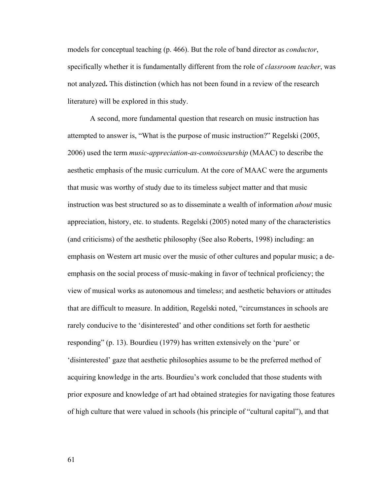models for conceptual teaching (p. 466). But the role of band director as *conductor*, specifically whether it is fundamentally different from the role of *classroom teacher*, was not analyzed**.** This distinction (which has not been found in a review of the research literature) will be explored in this study.

A second, more fundamental question that research on music instruction has attempted to answer is, "What is the purpose of music instruction?" Regelski (2005, 2006) used the term *music-appreciation-as-connoisseurship* (MAAC) to describe the aesthetic emphasis of the music curriculum. At the core of MAAC were the arguments that music was worthy of study due to its timeless subject matter and that music instruction was best structured so as to disseminate a wealth of information *about* music appreciation, history, etc. to students. Regelski (2005) noted many of the characteristics (and criticisms) of the aesthetic philosophy (See also Roberts, 1998) including: an emphasis on Western art music over the music of other cultures and popular music; a deemphasis on the social process of music-making in favor of technical proficiency; the view of musical works as autonomous and timeles*s*; and aesthetic behaviors or attitudes that are difficult to measure. In addition, Regelski noted, "circumstances in schools are rarely conducive to the 'disinterested' and other conditions set forth for aesthetic responding" (p. 13). Bourdieu (1979) has written extensively on the 'pure' or 'disinterested' gaze that aesthetic philosophies assume to be the preferred method of acquiring knowledge in the arts. Bourdieu's work concluded that those students with prior exposure and knowledge of art had obtained strategies for navigating those features of high culture that were valued in schools (his principle of "cultural capital"), and that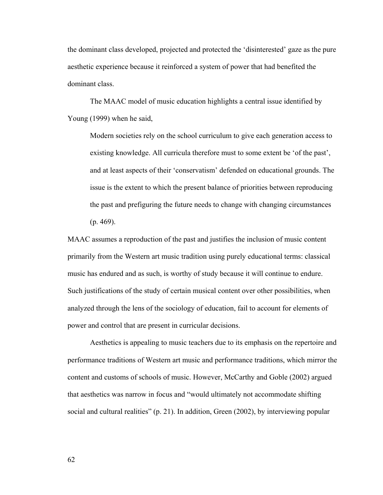the dominant class developed, projected and protected the 'disinterested' gaze as the pure aesthetic experience because it reinforced a system of power that had benefited the dominant class.

The MAAC model of music education highlights a central issue identified by Young (1999) when he said,

Modern societies rely on the school curriculum to give each generation access to existing knowledge. All curricula therefore must to some extent be 'of the past', and at least aspects of their 'conservatism' defended on educational grounds. The issue is the extent to which the present balance of priorities between reproducing the past and prefiguring the future needs to change with changing circumstances  $(p. 469)$ .

MAAC assumes a reproduction of the past and justifies the inclusion of music content primarily from the Western art music tradition using purely educational terms: classical music has endured and as such, is worthy of study because it will continue to endure. Such justifications of the study of certain musical content over other possibilities, when analyzed through the lens of the sociology of education, fail to account for elements of power and control that are present in curricular decisions.

Aesthetics is appealing to music teachers due to its emphasis on the repertoire and performance traditions of Western art music and performance traditions, which mirror the content and customs of schools of music. However, McCarthy and Goble (2002) argued that aesthetics was narrow in focus and "would ultimately not accommodate shifting social and cultural realities" (p. 21). In addition, Green (2002), by interviewing popular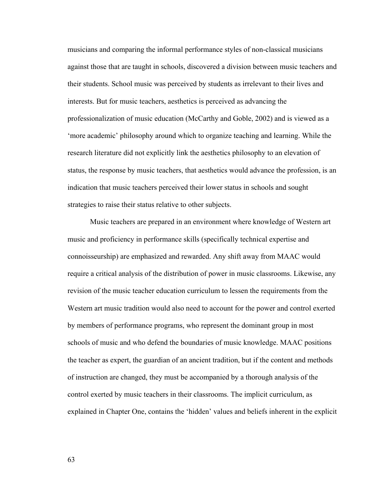musicians and comparing the informal performance styles of non-classical musicians against those that are taught in schools, discovered a division between music teachers and their students. School music was perceived by students as irrelevant to their lives and interests. But for music teachers, aesthetics is perceived as advancing the professionalization of music education (McCarthy and Goble, 2002) and is viewed as a 'more academic' philosophy around which to organize teaching and learning. While the research literature did not explicitly link the aesthetics philosophy to an elevation of status, the response by music teachers, that aesthetics would advance the profession, is an indication that music teachers perceived their lower status in schools and sought strategies to raise their status relative to other subjects.

Music teachers are prepared in an environment where knowledge of Western art music and proficiency in performance skills (specifically technical expertise and connoisseurship) are emphasized and rewarded. Any shift away from MAAC would require a critical analysis of the distribution of power in music classrooms. Likewise, any revision of the music teacher education curriculum to lessen the requirements from the Western art music tradition would also need to account for the power and control exerted by members of performance programs, who represent the dominant group in most schools of music and who defend the boundaries of music knowledge. MAAC positions the teacher as expert, the guardian of an ancient tradition, but if the content and methods of instruction are changed, they must be accompanied by a thorough analysis of the control exerted by music teachers in their classrooms. The implicit curriculum, as explained in Chapter One, contains the 'hidden' values and beliefs inherent in the explicit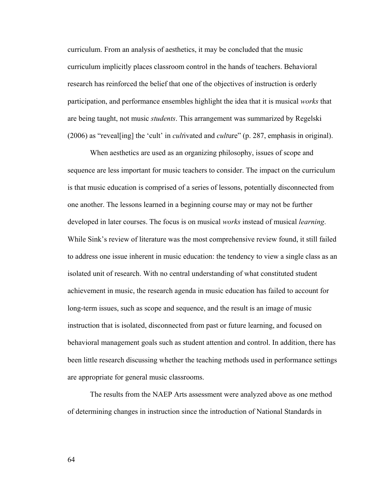curriculum. From an analysis of aesthetics, it may be concluded that the music curriculum implicitly places classroom control in the hands of teachers. Behavioral research has reinforced the belief that one of the objectives of instruction is orderly participation, and performance ensembles highlight the idea that it is musical *works* that are being taught, not music *students*. This arrangement was summarized by Regelski (2006) as "reveal[ing] the 'cult' in *cult*ivated and *cult*ure" (p. 287, emphasis in original).

When aesthetics are used as an organizing philosophy, issues of scope and sequence are less important for music teachers to consider. The impact on the curriculum is that music education is comprised of a series of lessons, potentially disconnected from one another. The lessons learned in a beginning course may or may not be further developed in later courses. The focus is on musical *works* instead of musical *learning*. While Sink's review of literature was the most comprehensive review found, it still failed to address one issue inherent in music education: the tendency to view a single class as an isolated unit of research. With no central understanding of what constituted student achievement in music, the research agenda in music education has failed to account for long-term issues, such as scope and sequence, and the result is an image of music instruction that is isolated, disconnected from past or future learning, and focused on behavioral management goals such as student attention and control. In addition, there has been little research discussing whether the teaching methods used in performance settings are appropriate for general music classrooms.

The results from the NAEP Arts assessment were analyzed above as one method of determining changes in instruction since the introduction of National Standards in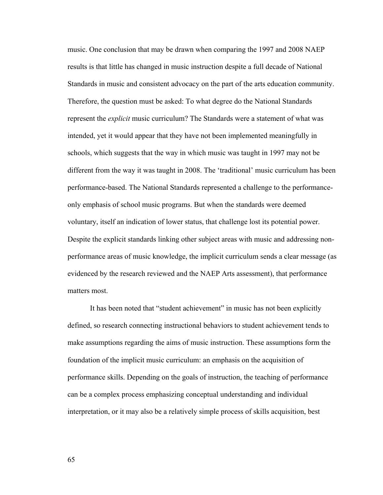music. One conclusion that may be drawn when comparing the 1997 and 2008 NAEP results is that little has changed in music instruction despite a full decade of National Standards in music and consistent advocacy on the part of the arts education community. Therefore, the question must be asked: To what degree do the National Standards represent the *explicit* music curriculum? The Standards were a statement of what was intended, yet it would appear that they have not been implemented meaningfully in schools, which suggests that the way in which music was taught in 1997 may not be different from the way it was taught in 2008. The 'traditional' music curriculum has been performance-based. The National Standards represented a challenge to the performanceonly emphasis of school music programs. But when the standards were deemed voluntary, itself an indication of lower status, that challenge lost its potential power. Despite the explicit standards linking other subject areas with music and addressing nonperformance areas of music knowledge, the implicit curriculum sends a clear message (as evidenced by the research reviewed and the NAEP Arts assessment), that performance matters most.

 It has been noted that "student achievement" in music has not been explicitly defined, so research connecting instructional behaviors to student achievement tends to make assumptions regarding the aims of music instruction. These assumptions form the foundation of the implicit music curriculum: an emphasis on the acquisition of performance skills. Depending on the goals of instruction, the teaching of performance can be a complex process emphasizing conceptual understanding and individual interpretation, or it may also be a relatively simple process of skills acquisition, best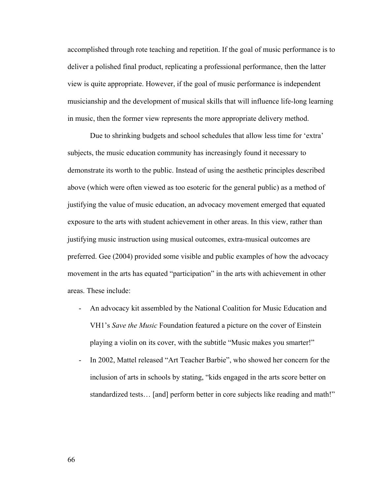accomplished through rote teaching and repetition. If the goal of music performance is to deliver a polished final product, replicating a professional performance, then the latter view is quite appropriate. However, if the goal of music performance is independent musicianship and the development of musical skills that will influence life-long learning in music, then the former view represents the more appropriate delivery method.

Due to shrinking budgets and school schedules that allow less time for 'extra' subjects, the music education community has increasingly found it necessary to demonstrate its worth to the public. Instead of using the aesthetic principles described above (which were often viewed as too esoteric for the general public) as a method of justifying the value of music education, an advocacy movement emerged that equated exposure to the arts with student achievement in other areas. In this view, rather than justifying music instruction using musical outcomes, extra-musical outcomes are preferred. Gee (2004) provided some visible and public examples of how the advocacy movement in the arts has equated "participation" in the arts with achievement in other areas. These include:

- An advocacy kit assembled by the National Coalition for Music Education and VH1's *Save the Music* Foundation featured a picture on the cover of Einstein playing a violin on its cover, with the subtitle "Music makes you smarter!"
- In 2002, Mattel released "Art Teacher Barbie", who showed her concern for the inclusion of arts in schools by stating, "kids engaged in the arts score better on standardized tests… [and] perform better in core subjects like reading and math!"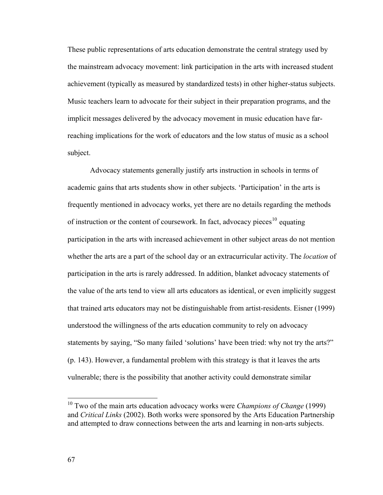These public representations of arts education demonstrate the central strategy used by the mainstream advocacy movement: link participation in the arts with increased student achievement (typically as measured by standardized tests) in other higher-status subjects. Music teachers learn to advocate for their subject in their preparation programs, and the implicit messages delivered by the advocacy movement in music education have farreaching implications for the work of educators and the low status of music as a school subject.

Advocacy statements generally justify arts instruction in schools in terms of academic gains that arts students show in other subjects. 'Participation' in the arts is frequently mentioned in advocacy works, yet there are no details regarding the methods of instruction or the content of coursework. In fact, advocacy pieces<sup>[10](#page-73-0)</sup> equating participation in the arts with increased achievement in other subject areas do not mention whether the arts are a part of the school day or an extracurricular activity. The *location* of participation in the arts is rarely addressed. In addition, blanket advocacy statements of the value of the arts tend to view all arts educators as identical, or even implicitly suggest that trained arts educators may not be distinguishable from artist-residents. Eisner (1999) understood the willingness of the arts education community to rely on advocacy statements by saying, "So many failed 'solutions' have been tried: why not try the arts?" (p. 143). However, a fundamental problem with this strategy is that it leaves the arts vulnerable; there is the possibility that another activity could demonstrate similar

<span id="page-73-0"></span><sup>&</sup>lt;sup>10</sup> Two of the main arts education advocacy works were *Champions of Change* (1999) and *Critical Links* (2002). Both works were sponsored by the Arts Education Partnership and attempted to draw connections between the arts and learning in non-arts subjects.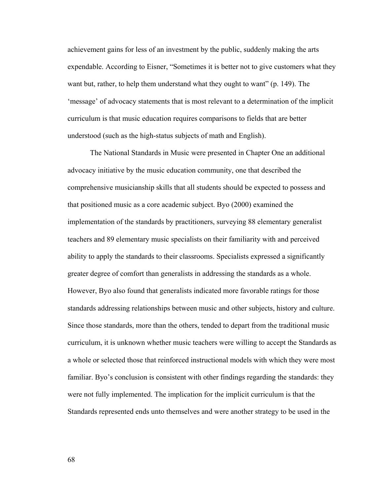achievement gains for less of an investment by the public, suddenly making the arts expendable. According to Eisner, "Sometimes it is better not to give customers what they want but, rather, to help them understand what they ought to want" (p. 149). The 'message' of advocacy statements that is most relevant to a determination of the implicit curriculum is that music education requires comparisons to fields that are better understood (such as the high-status subjects of math and English).

The National Standards in Music were presented in Chapter One an additional advocacy initiative by the music education community, one that described the comprehensive musicianship skills that all students should be expected to possess and that positioned music as a core academic subject. Byo (2000) examined the implementation of the standards by practitioners, surveying 88 elementary generalist teachers and 89 elementary music specialists on their familiarity with and perceived ability to apply the standards to their classrooms. Specialists expressed a significantly greater degree of comfort than generalists in addressing the standards as a whole. However, Byo also found that generalists indicated more favorable ratings for those standards addressing relationships between music and other subjects, history and culture. Since those standards, more than the others, tended to depart from the traditional music curriculum, it is unknown whether music teachers were willing to accept the Standards as a whole or selected those that reinforced instructional models with which they were most familiar. Byo's conclusion is consistent with other findings regarding the standards: they were not fully implemented. The implication for the implicit curriculum is that the Standards represented ends unto themselves and were another strategy to be used in the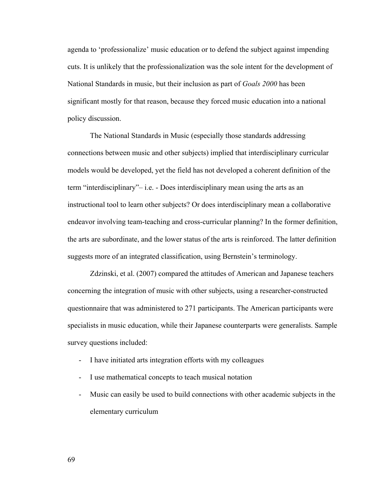agenda to 'professionalize' music education or to defend the subject against impending cuts. It is unlikely that the professionalization was the sole intent for the development of National Standards in music, but their inclusion as part of *Goals 2000* has been significant mostly for that reason, because they forced music education into a national policy discussion.

The National Standards in Music (especially those standards addressing connections between music and other subjects) implied that interdisciplinary curricular models would be developed, yet the field has not developed a coherent definition of the term "interdisciplinary"– i.e. - Does interdisciplinary mean using the arts as an instructional tool to learn other subjects? Or does interdisciplinary mean a collaborative endeavor involving team-teaching and cross-curricular planning? In the former definition, the arts are subordinate, and the lower status of the arts is reinforced. The latter definition suggests more of an integrated classification, using Bernstein's terminology.

Zdzinski, et al. (2007) compared the attitudes of American and Japanese teachers concerning the integration of music with other subjects, using a researcher-constructed questionnaire that was administered to 271 participants. The American participants were specialists in music education, while their Japanese counterparts were generalists. Sample survey questions included:

- I have initiated arts integration efforts with my colleagues
- I use mathematical concepts to teach musical notation
- Music can easily be used to build connections with other academic subjects in the elementary curriculum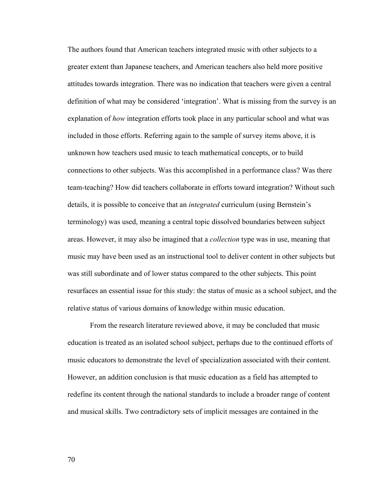The authors found that American teachers integrated music with other subjects to a greater extent than Japanese teachers, and American teachers also held more positive attitudes towards integration. There was no indication that teachers were given a central definition of what may be considered 'integration'. What is missing from the survey is an explanation of *how* integration efforts took place in any particular school and what was included in those efforts. Referring again to the sample of survey items above, it is unknown how teachers used music to teach mathematical concepts, or to build connections to other subjects. Was this accomplished in a performance class? Was there team-teaching? How did teachers collaborate in efforts toward integration? Without such details, it is possible to conceive that an *integrated* curriculum (using Bernstein's terminology) was used, meaning a central topic dissolved boundaries between subject areas. However, it may also be imagined that a *collection* type was in use, meaning that music may have been used as an instructional tool to deliver content in other subjects but was still subordinate and of lower status compared to the other subjects. This point resurfaces an essential issue for this study: the status of music as a school subject, and the relative status of various domains of knowledge within music education.

 From the research literature reviewed above, it may be concluded that music education is treated as an isolated school subject, perhaps due to the continued efforts of music educators to demonstrate the level of specialization associated with their content. However, an addition conclusion is that music education as a field has attempted to redefine its content through the national standards to include a broader range of content and musical skills. Two contradictory sets of implicit messages are contained in the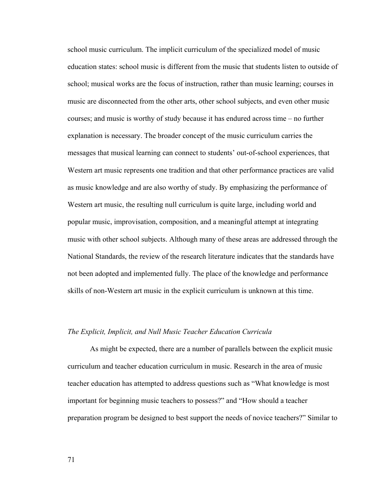school music curriculum. The implicit curriculum of the specialized model of music education states: school music is different from the music that students listen to outside of school; musical works are the focus of instruction, rather than music learning; courses in music are disconnected from the other arts, other school subjects, and even other music courses; and music is worthy of study because it has endured across time – no further explanation is necessary. The broader concept of the music curriculum carries the messages that musical learning can connect to students' out-of-school experiences, that Western art music represents one tradition and that other performance practices are valid as music knowledge and are also worthy of study. By emphasizing the performance of Western art music, the resulting null curriculum is quite large, including world and popular music, improvisation, composition, and a meaningful attempt at integrating music with other school subjects. Although many of these areas are addressed through the National Standards, the review of the research literature indicates that the standards have not been adopted and implemented fully. The place of the knowledge and performance skills of non-Western art music in the explicit curriculum is unknown at this time.

#### *The Explicit, Implicit, and Null Music Teacher Education Curricula*

As might be expected, there are a number of parallels between the explicit music curriculum and teacher education curriculum in music. Research in the area of music teacher education has attempted to address questions such as "What knowledge is most important for beginning music teachers to possess?" and "How should a teacher preparation program be designed to best support the needs of novice teachers?" Similar to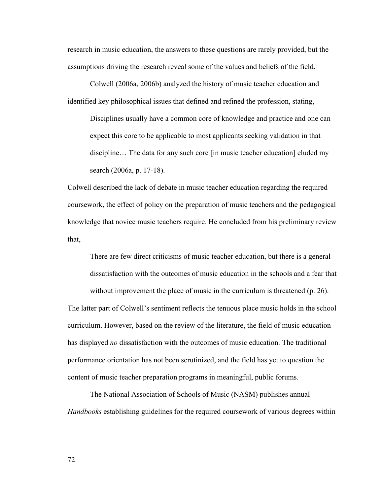research in music education, the answers to these questions are rarely provided, but the assumptions driving the research reveal some of the values and beliefs of the field.

Colwell (2006a, 2006b) analyzed the history of music teacher education and identified key philosophical issues that defined and refined the profession, stating,

Disciplines usually have a common core of knowledge and practice and one can expect this core to be applicable to most applicants seeking validation in that discipline… The data for any such core [in music teacher education] eluded my search (2006a, p. 17-18).

Colwell described the lack of debate in music teacher education regarding the required coursework, the effect of policy on the preparation of music teachers and the pedagogical knowledge that novice music teachers require. He concluded from his preliminary review that,

There are few direct criticisms of music teacher education, but there is a general dissatisfaction with the outcomes of music education in the schools and a fear that

without improvement the place of music in the curriculum is threatened (p. 26). The latter part of Colwell's sentiment reflects the tenuous place music holds in the school curriculum. However, based on the review of the literature, the field of music education has displayed *no* dissatisfaction with the outcomes of music education. The traditional performance orientation has not been scrutinized, and the field has yet to question the content of music teacher preparation programs in meaningful, public forums.

The National Association of Schools of Music (NASM) publishes annual *Handbooks* establishing guidelines for the required coursework of various degrees within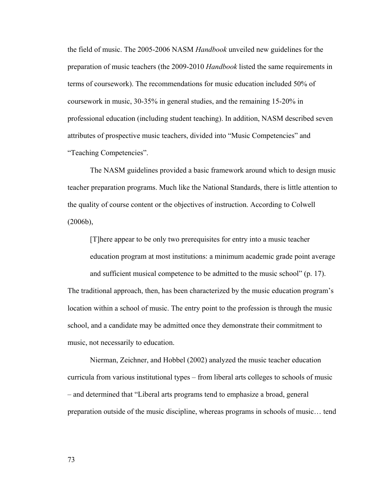the field of music. The 2005-2006 NASM *Handbook* unveiled new guidelines for the preparation of music teachers (the 2009-2010 *Handbook* listed the same requirements in terms of coursework). The recommendations for music education included 50% of coursework in music, 30-35% in general studies, and the remaining 15-20% in professional education (including student teaching). In addition, NASM described seven attributes of prospective music teachers, divided into "Music Competencies" and "Teaching Competencies".

The NASM guidelines provided a basic framework around which to design music teacher preparation programs. Much like the National Standards, there is little attention to the quality of course content or the objectives of instruction. According to Colwell (2006b),

[T]here appear to be only two prerequisites for entry into a music teacher education program at most institutions: a minimum academic grade point average and sufficient musical competence to be admitted to the music school" (p. 17). The traditional approach, then, has been characterized by the music education program's location within a school of music. The entry point to the profession is through the music school, and a candidate may be admitted once they demonstrate their commitment to music, not necessarily to education.

Nierman, Zeichner, and Hobbel (2002) analyzed the music teacher education curricula from various institutional types – from liberal arts colleges to schools of music – and determined that "Liberal arts programs tend to emphasize a broad, general preparation outside of the music discipline, whereas programs in schools of music… tend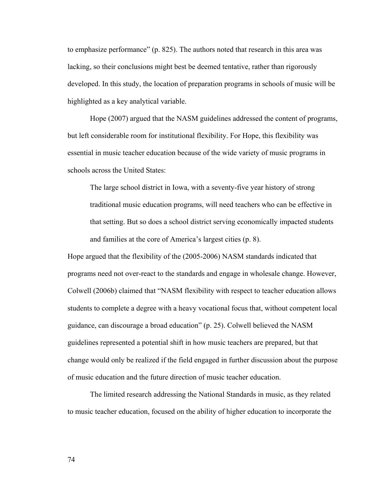to emphasize performance" (p. 825). The authors noted that research in this area was lacking, so their conclusions might best be deemed tentative, rather than rigorously developed. In this study, the location of preparation programs in schools of music will be highlighted as a key analytical variable.

Hope (2007) argued that the NASM guidelines addressed the content of programs, but left considerable room for institutional flexibility. For Hope, this flexibility was essential in music teacher education because of the wide variety of music programs in schools across the United States:

The large school district in Iowa, with a seventy-five year history of strong traditional music education programs, will need teachers who can be effective in that setting. But so does a school district serving economically impacted students and families at the core of America's largest cities (p. 8).

Hope argued that the flexibility of the (2005-2006) NASM standards indicated that programs need not over-react to the standards and engage in wholesale change. However, Colwell (2006b) claimed that "NASM flexibility with respect to teacher education allows students to complete a degree with a heavy vocational focus that, without competent local guidance, can discourage a broad education" (p. 25). Colwell believed the NASM guidelines represented a potential shift in how music teachers are prepared, but that change would only be realized if the field engaged in further discussion about the purpose of music education and the future direction of music teacher education.

The limited research addressing the National Standards in music, as they related to music teacher education, focused on the ability of higher education to incorporate the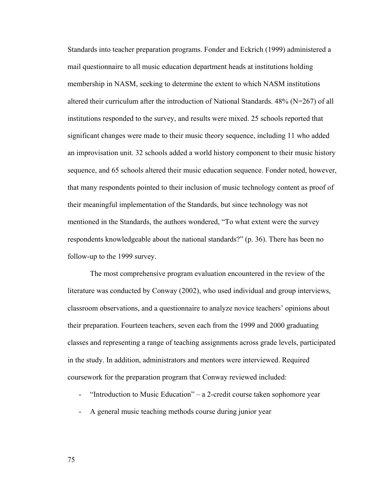Standards into teacher preparation programs. Fonder and Eckrich (1999) administered a mail questionnaire to all music education department heads at institutions holding membership in NASM, seeking to determine the extent to which NASM institutions altered their curriculum after the introduction of National Standards. 48% (N=267) of all institutions responded to the survey, and results were mixed. 25 schools reported that significant changes were made to their music theory sequence, including 11 who added an improvisation unit. 32 schools added a world history component to their music history sequence, and 65 schools altered their music education sequence. Fonder noted, however, that many respondents pointed to their inclusion of music technology content as proof of their meaningful implementation of the Standards, but since technology was not mentioned in the Standards, the authors wondered, "To what extent were the survey respondents knowledgeable about the national standards?" (p. 36). There has been no follow-up to the 1999 survey.

The most comprehensive program evaluation encountered in the review of the literature was conducted by Conway (2002), who used individual and group interviews, classroom observations, and a questionnaire to analyze novice teachers' opinions about their preparation. Fourteen teachers, seven each from the 1999 and 2000 graduating classes and representing a range of teaching assignments across grade levels, participated in the study. In addition, administrators and mentors were interviewed. Required coursework for the preparation program that Conway reviewed included:

- "Introduction to Music Education" a 2-credit course taken sophomore year
- A general music teaching methods course during junior year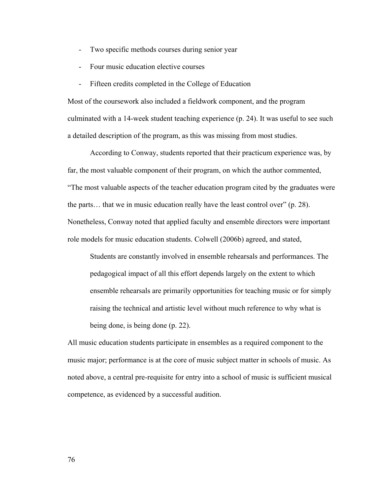- Two specific methods courses during senior year
- Four music education elective courses
- Fifteen credits completed in the College of Education

Most of the coursework also included a fieldwork component, and the program culminated with a 14-week student teaching experience (p. 24). It was useful to see such a detailed description of the program, as this was missing from most studies.

 According to Conway, students reported that their practicum experience was, by far, the most valuable component of their program, on which the author commented, "The most valuable aspects of the teacher education program cited by the graduates were the parts… that we in music education really have the least control over" (p. 28). Nonetheless, Conway noted that applied faculty and ensemble directors were important role models for music education students. Colwell (2006b) agreed, and stated,

Students are constantly involved in ensemble rehearsals and performances. The pedagogical impact of all this effort depends largely on the extent to which ensemble rehearsals are primarily opportunities for teaching music or for simply raising the technical and artistic level without much reference to why what is being done, is being done (p. 22).

All music education students participate in ensembles as a required component to the music major; performance is at the core of music subject matter in schools of music. As noted above, a central pre-requisite for entry into a school of music is sufficient musical competence, as evidenced by a successful audition.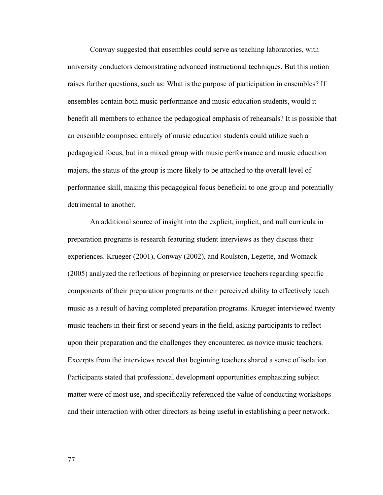Conway suggested that ensembles could serve as teaching laboratories, with university conductors demonstrating advanced instructional techniques. But this notion raises further questions, such as: What is the purpose of participation in ensembles? If ensembles contain both music performance and music education students, would it benefit all members to enhance the pedagogical emphasis of rehearsals? It is possible that an ensemble comprised entirely of music education students could utilize such a pedagogical focus, but in a mixed group with music performance and music education majors, the status of the group is more likely to be attached to the overall level of performance skill, making this pedagogical focus beneficial to one group and potentially detrimental to another.

An additional source of insight into the explicit, implicit, and null curricula in preparation programs is research featuring student interviews as they discuss their experiences. Krueger (2001), Conway (2002), and Roulston, Legette, and Womack (2005) analyzed the reflections of beginning or preservice teachers regarding specific components of their preparation programs or their perceived ability to effectively teach music as a result of having completed preparation programs. Krueger interviewed twenty music teachers in their first or second years in the field, asking participants to reflect upon their preparation and the challenges they encountered as novice music teachers. Excerpts from the interviews reveal that beginning teachers shared a sense of isolation. Participants stated that professional development opportunities emphasizing subject matter were of most use, and specifically referenced the value of conducting workshops and their interaction with other directors as being useful in establishing a peer network.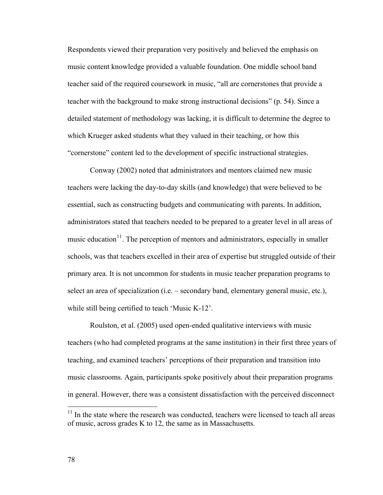Respondents viewed their preparation very positively and believed the emphasis on music content knowledge provided a valuable foundation. One middle school band teacher said of the required coursework in music, "all are cornerstones that provide a teacher with the background to make strong instructional decisions" (p. 54). Since a detailed statement of methodology was lacking, it is difficult to determine the degree to which Krueger asked students what they valued in their teaching, or how this "cornerstone" content led to the development of specific instructional strategies.

Conway (2002) noted that administrators and mentors claimed new music teachers were lacking the day-to-day skills (and knowledge) that were believed to be essential, such as constructing budgets and communicating with parents. In addition, administrators stated that teachers needed to be prepared to a greater level in all areas of music education $11$ . The perception of mentors and administrators, especially in smaller schools, was that teachers excelled in their area of expertise but struggled outside of their primary area. It is not uncommon for students in music teacher preparation programs to select an area of specialization (i.e. – secondary band, elementary general music, etc.), while still being certified to teach 'Music K-12'.

 Roulston, et al. (2005) used open-ended qualitative interviews with music teachers (who had completed programs at the same institution) in their first three years of teaching, and examined teachers' perceptions of their preparation and transition into music classrooms. Again, participants spoke positively about their preparation programs in general. However, there was a consistent dissatisfaction with the perceived disconnect

 $\overline{a}$ 

<span id="page-84-0"></span> $11$  In the state where the research was conducted, teachers were licensed to teach all areas of music, across grades K to 12, the same as in Massachusetts.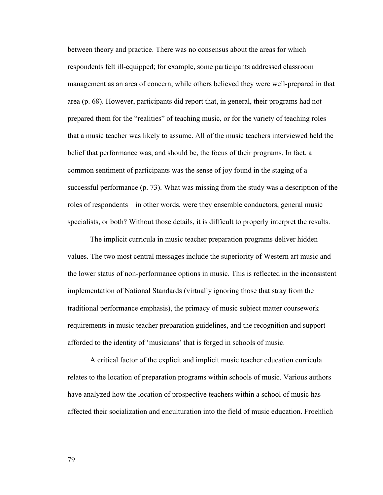between theory and practice. There was no consensus about the areas for which respondents felt ill-equipped; for example, some participants addressed classroom management as an area of concern, while others believed they were well-prepared in that area (p. 68). However, participants did report that, in general, their programs had not prepared them for the "realities" of teaching music, or for the variety of teaching roles that a music teacher was likely to assume. All of the music teachers interviewed held the belief that performance was, and should be, the focus of their programs. In fact, a common sentiment of participants was the sense of joy found in the staging of a successful performance (p. 73). What was missing from the study was a description of the roles of respondents – in other words, were they ensemble conductors, general music specialists, or both? Without those details, it is difficult to properly interpret the results.

The implicit curricula in music teacher preparation programs deliver hidden values. The two most central messages include the superiority of Western art music and the lower status of non-performance options in music. This is reflected in the inconsistent implementation of National Standards (virtually ignoring those that stray from the traditional performance emphasis), the primacy of music subject matter coursework requirements in music teacher preparation guidelines, and the recognition and support afforded to the identity of 'musicians' that is forged in schools of music.

 A critical factor of the explicit and implicit music teacher education curricula relates to the location of preparation programs within schools of music. Various authors have analyzed how the location of prospective teachers within a school of music has affected their socialization and enculturation into the field of music education. Froehlich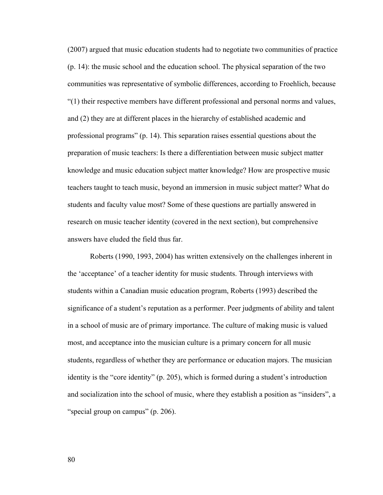(2007) argued that music education students had to negotiate two communities of practice (p. 14): the music school and the education school. The physical separation of the two communities was representative of symbolic differences, according to Froehlich, because "(1) their respective members have different professional and personal norms and values, and (2) they are at different places in the hierarchy of established academic and professional programs" (p. 14). This separation raises essential questions about the preparation of music teachers: Is there a differentiation between music subject matter knowledge and music education subject matter knowledge? How are prospective music teachers taught to teach music, beyond an immersion in music subject matter? What do students and faculty value most? Some of these questions are partially answered in research on music teacher identity (covered in the next section), but comprehensive answers have eluded the field thus far.

Roberts (1990, 1993, 2004) has written extensively on the challenges inherent in the 'acceptance' of a teacher identity for music students. Through interviews with students within a Canadian music education program, Roberts (1993) described the significance of a student's reputation as a performer. Peer judgments of ability and talent in a school of music are of primary importance. The culture of making music is valued most, and acceptance into the musician culture is a primary concern for all music students, regardless of whether they are performance or education majors. The musician identity is the "core identity" (p. 205), which is formed during a student's introduction and socialization into the school of music, where they establish a position as "insiders", a "special group on campus" (p. 206).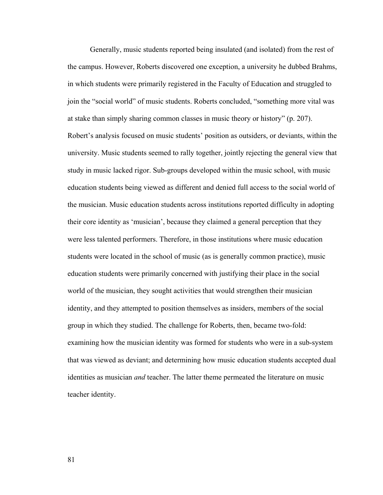Generally, music students reported being insulated (and isolated) from the rest of the campus. However, Roberts discovered one exception, a university he dubbed Brahms, in which students were primarily registered in the Faculty of Education and struggled to join the "social world" of music students. Roberts concluded, "something more vital was at stake than simply sharing common classes in music theory or history" (p. 207). Robert's analysis focused on music students' position as outsiders, or deviants, within the university. Music students seemed to rally together, jointly rejecting the general view that study in music lacked rigor. Sub-groups developed within the music school, with music education students being viewed as different and denied full access to the social world of the musician. Music education students across institutions reported difficulty in adopting their core identity as 'musician', because they claimed a general perception that they were less talented performers. Therefore, in those institutions where music education students were located in the school of music (as is generally common practice), music education students were primarily concerned with justifying their place in the social world of the musician, they sought activities that would strengthen their musician identity, and they attempted to position themselves as insiders, members of the social group in which they studied. The challenge for Roberts, then, became two-fold: examining how the musician identity was formed for students who were in a sub-system that was viewed as deviant; and determining how music education students accepted dual identities as musician *and* teacher. The latter theme permeated the literature on music teacher identity.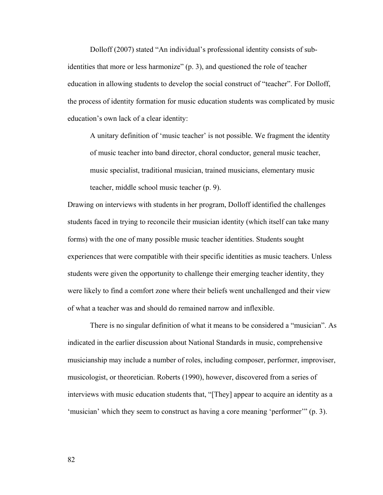Dolloff (2007) stated "An individual's professional identity consists of subidentities that more or less harmonize" (p. 3), and questioned the role of teacher education in allowing students to develop the social construct of "teacher". For Dolloff, the process of identity formation for music education students was complicated by music education's own lack of a clear identity:

A unitary definition of 'music teacher' is not possible. We fragment the identity of music teacher into band director, choral conductor, general music teacher, music specialist, traditional musician, trained musicians, elementary music teacher, middle school music teacher (p. 9).

Drawing on interviews with students in her program, Dolloff identified the challenges students faced in trying to reconcile their musician identity (which itself can take many forms) with the one of many possible music teacher identities. Students sought experiences that were compatible with their specific identities as music teachers. Unless students were given the opportunity to challenge their emerging teacher identity, they were likely to find a comfort zone where their beliefs went unchallenged and their view of what a teacher was and should do remained narrow and inflexible.

There is no singular definition of what it means to be considered a "musician". As indicated in the earlier discussion about National Standards in music, comprehensive musicianship may include a number of roles, including composer, performer, improviser, musicologist, or theoretician. Roberts (1990), however, discovered from a series of interviews with music education students that, "[They] appear to acquire an identity as a 'musician' which they seem to construct as having a core meaning 'performer'" (p. 3).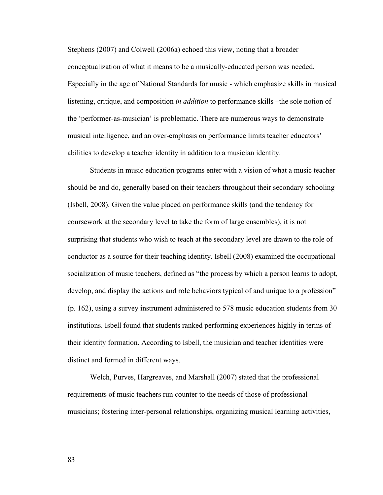Stephens (2007) and Colwell (2006a) echoed this view, noting that a broader conceptualization of what it means to be a musically-educated person was needed. Especially in the age of National Standards for music - which emphasize skills in musical listening, critique, and composition *in addition* to performance skills –the sole notion of the 'performer-as-musician' is problematic. There are numerous ways to demonstrate musical intelligence, and an over-emphasis on performance limits teacher educators' abilities to develop a teacher identity in addition to a musician identity.

 Students in music education programs enter with a vision of what a music teacher should be and do, generally based on their teachers throughout their secondary schooling (Isbell, 2008). Given the value placed on performance skills (and the tendency for coursework at the secondary level to take the form of large ensembles), it is not surprising that students who wish to teach at the secondary level are drawn to the role of conductor as a source for their teaching identity. Isbell (2008) examined the occupational socialization of music teachers, defined as "the process by which a person learns to adopt, develop, and display the actions and role behaviors typical of and unique to a profession" (p. 162), using a survey instrument administered to 578 music education students from 30 institutions. Isbell found that students ranked performing experiences highly in terms of their identity formation. According to Isbell, the musician and teacher identities were distinct and formed in different ways.

Welch, Purves, Hargreaves, and Marshall (2007) stated that the professional requirements of music teachers run counter to the needs of those of professional musicians; fostering inter-personal relationships, organizing musical learning activities,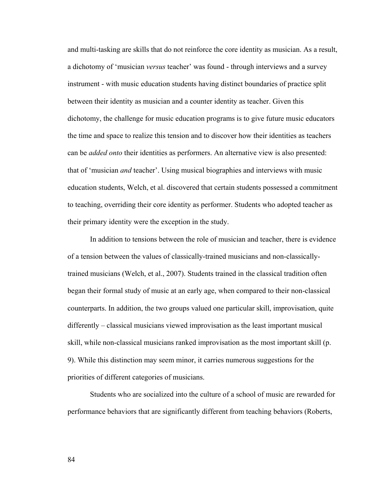and multi-tasking are skills that do not reinforce the core identity as musician. As a result, a dichotomy of 'musician *versus* teacher' was found - through interviews and a survey instrument - with music education students having distinct boundaries of practice split between their identity as musician and a counter identity as teacher. Given this dichotomy, the challenge for music education programs is to give future music educators the time and space to realize this tension and to discover how their identities as teachers can be *added onto* their identities as performers. An alternative view is also presented: that of 'musician *and* teacher'. Using musical biographies and interviews with music education students, Welch, et al. discovered that certain students possessed a commitment to teaching, overriding their core identity as performer. Students who adopted teacher as their primary identity were the exception in the study.

 In addition to tensions between the role of musician and teacher, there is evidence of a tension between the values of classically-trained musicians and non-classicallytrained musicians (Welch, et al., 2007). Students trained in the classical tradition often began their formal study of music at an early age, when compared to their non-classical counterparts. In addition, the two groups valued one particular skill, improvisation, quite differently – classical musicians viewed improvisation as the least important musical skill, while non-classical musicians ranked improvisation as the most important skill (p. 9). While this distinction may seem minor, it carries numerous suggestions for the priorities of different categories of musicians.

 Students who are socialized into the culture of a school of music are rewarded for performance behaviors that are significantly different from teaching behaviors (Roberts,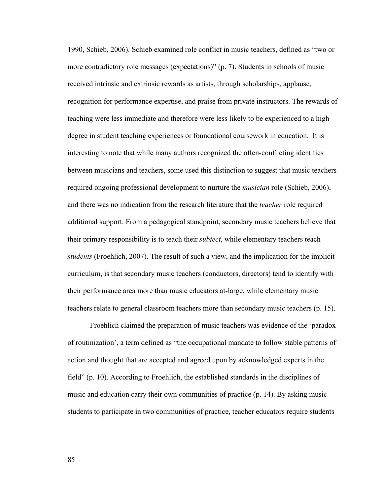1990, Schieb, 2006). Schieb examined role conflict in music teachers, defined as "two or more contradictory role messages (expectations)" (p. 7). Students in schools of music received intrinsic and extrinsic rewards as artists, through scholarships, applause, recognition for performance expertise, and praise from private instructors. The rewards of teaching were less immediate and therefore were less likely to be experienced to a high degree in student teaching experiences or foundational coursework in education. It is interesting to note that while many authors recognized the often-conflicting identities between musicians and teachers, some used this distinction to suggest that music teachers required ongoing professional development to nurture the *musician* role (Schieb, 2006), and there was no indication from the research literature that the *teacher* role required additional support. From a pedagogical standpoint, secondary music teachers believe that their primary responsibility is to teach their *subject*, while elementary teachers teach *students* (Froehlich, 2007). The result of such a view, and the implication for the implicit curriculum, is that secondary music teachers (conductors, directors) tend to identify with their performance area more than music educators at-large, while elementary music teachers relate to general classroom teachers more than secondary music teachers (p. 15).

 Froehlich claimed the preparation of music teachers was evidence of the 'paradox of routinization', a term defined as "the occupational mandate to follow stable patterns of action and thought that are accepted and agreed upon by acknowledged experts in the field" (p. 10). According to Froehlich, the established standards in the disciplines of music and education carry their own communities of practice (p. 14). By asking music students to participate in two communities of practice, teacher educators require students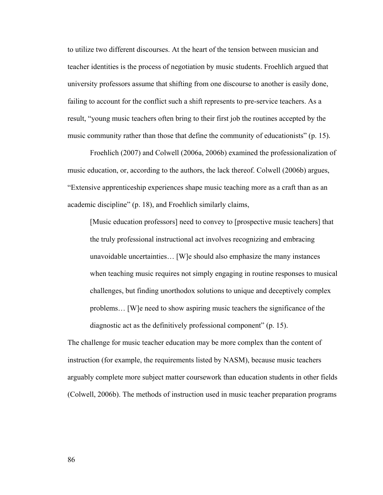to utilize two different discourses. At the heart of the tension between musician and teacher identities is the process of negotiation by music students. Froehlich argued that university professors assume that shifting from one discourse to another is easily done, failing to account for the conflict such a shift represents to pre-service teachers. As a result, "young music teachers often bring to their first job the routines accepted by the music community rather than those that define the community of educationists" (p. 15).

Froehlich (2007) and Colwell (2006a, 2006b) examined the professionalization of music education, or, according to the authors, the lack thereof. Colwell (2006b) argues, "Extensive apprenticeship experiences shape music teaching more as a craft than as an academic discipline" (p. 18), and Froehlich similarly claims,

[Music education professors] need to convey to [prospective music teachers] that the truly professional instructional act involves recognizing and embracing unavoidable uncertainties… [W]e should also emphasize the many instances when teaching music requires not simply engaging in routine responses to musical challenges, but finding unorthodox solutions to unique and deceptively complex problems… [W]e need to show aspiring music teachers the significance of the diagnostic act as the definitively professional component" (p. 15).

The challenge for music teacher education may be more complex than the content of instruction (for example, the requirements listed by NASM), because music teachers arguably complete more subject matter coursework than education students in other fields (Colwell, 2006b). The methods of instruction used in music teacher preparation programs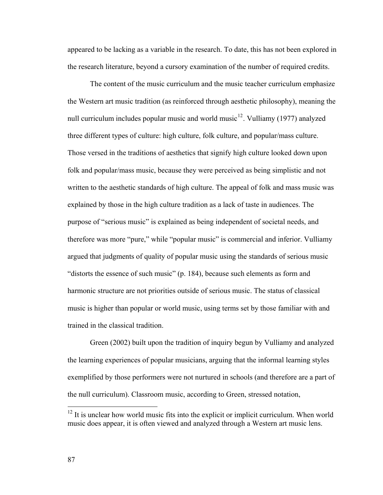appeared to be lacking as a variable in the research. To date, this has not been explored in the research literature, beyond a cursory examination of the number of required credits.

The content of the music curriculum and the music teacher curriculum emphasize the Western art music tradition (as reinforced through aesthetic philosophy), meaning the null curriculum includes popular music and world music<sup>[12](#page-93-0)</sup>. Vulliamy (1977) analyzed three different types of culture: high culture, folk culture, and popular/mass culture. Those versed in the traditions of aesthetics that signify high culture looked down upon folk and popular/mass music, because they were perceived as being simplistic and not written to the aesthetic standards of high culture. The appeal of folk and mass music was explained by those in the high culture tradition as a lack of taste in audiences. The purpose of "serious music" is explained as being independent of societal needs, and therefore was more "pure," while "popular music" is commercial and inferior. Vulliamy argued that judgments of quality of popular music using the standards of serious music "distorts the essence of such music" (p. 184), because such elements as form and harmonic structure are not priorities outside of serious music. The status of classical music is higher than popular or world music, using terms set by those familiar with and trained in the classical tradition.

Green (2002) built upon the tradition of inquiry begun by Vulliamy and analyzed the learning experiences of popular musicians, arguing that the informal learning styles exemplified by those performers were not nurtured in schools (and therefore are a part of the null curriculum). Classroom music, according to Green, stressed notation,

 $\overline{a}$ 

<span id="page-93-0"></span> $12$  It is unclear how world music fits into the explicit or implicit curriculum. When world music does appear, it is often viewed and analyzed through a Western art music lens.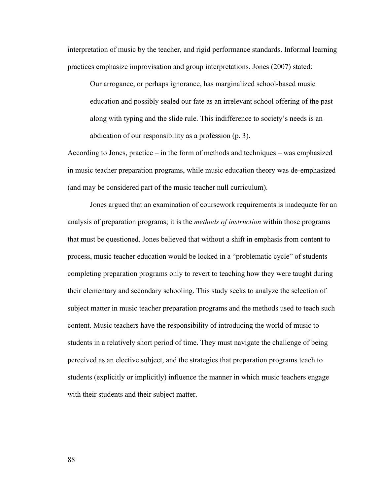interpretation of music by the teacher, and rigid performance standards. Informal learning practices emphasize improvisation and group interpretations. Jones (2007) stated:

Our arrogance, or perhaps ignorance, has marginalized school-based music education and possibly sealed our fate as an irrelevant school offering of the past along with typing and the slide rule. This indifference to society's needs is an abdication of our responsibility as a profession (p. 3).

According to Jones, practice – in the form of methods and techniques – was emphasized in music teacher preparation programs, while music education theory was de-emphasized (and may be considered part of the music teacher null curriculum).

 Jones argued that an examination of coursework requirements is inadequate for an analysis of preparation programs; it is the *methods of instruction* within those programs that must be questioned. Jones believed that without a shift in emphasis from content to process, music teacher education would be locked in a "problematic cycle" of students completing preparation programs only to revert to teaching how they were taught during their elementary and secondary schooling. This study seeks to analyze the selection of subject matter in music teacher preparation programs and the methods used to teach such content. Music teachers have the responsibility of introducing the world of music to students in a relatively short period of time. They must navigate the challenge of being perceived as an elective subject, and the strategies that preparation programs teach to students (explicitly or implicitly) influence the manner in which music teachers engage with their students and their subject matter.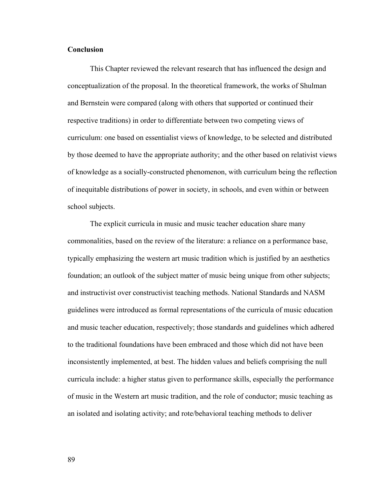# **Conclusion**

 This Chapter reviewed the relevant research that has influenced the design and conceptualization of the proposal. In the theoretical framework, the works of Shulman and Bernstein were compared (along with others that supported or continued their respective traditions) in order to differentiate between two competing views of curriculum: one based on essentialist views of knowledge, to be selected and distributed by those deemed to have the appropriate authority; and the other based on relativist views of knowledge as a socially-constructed phenomenon, with curriculum being the reflection of inequitable distributions of power in society, in schools, and even within or between school subjects.

 The explicit curricula in music and music teacher education share many commonalities, based on the review of the literature: a reliance on a performance base, typically emphasizing the western art music tradition which is justified by an aesthetics foundation; an outlook of the subject matter of music being unique from other subjects; and instructivist over constructivist teaching methods. National Standards and NASM guidelines were introduced as formal representations of the curricula of music education and music teacher education, respectively; those standards and guidelines which adhered to the traditional foundations have been embraced and those which did not have been inconsistently implemented, at best. The hidden values and beliefs comprising the null curricula include: a higher status given to performance skills, especially the performance of music in the Western art music tradition, and the role of conductor; music teaching as an isolated and isolating activity; and rote/behavioral teaching methods to deliver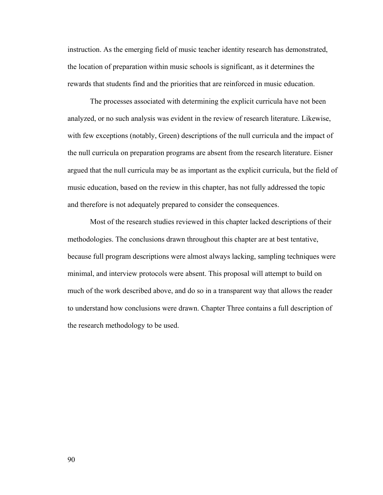instruction. As the emerging field of music teacher identity research has demonstrated, the location of preparation within music schools is significant, as it determines the rewards that students find and the priorities that are reinforced in music education.

 The processes associated with determining the explicit curricula have not been analyzed, or no such analysis was evident in the review of research literature. Likewise, with few exceptions (notably, Green) descriptions of the null curricula and the impact of the null curricula on preparation programs are absent from the research literature. Eisner argued that the null curricula may be as important as the explicit curricula, but the field of music education, based on the review in this chapter, has not fully addressed the topic and therefore is not adequately prepared to consider the consequences.

 Most of the research studies reviewed in this chapter lacked descriptions of their methodologies. The conclusions drawn throughout this chapter are at best tentative, because full program descriptions were almost always lacking, sampling techniques were minimal, and interview protocols were absent. This proposal will attempt to build on much of the work described above, and do so in a transparent way that allows the reader to understand how conclusions were drawn. Chapter Three contains a full description of the research methodology to be used.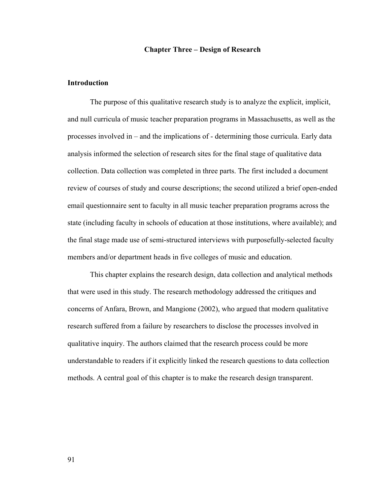#### **Chapter Three – Design of Research**

# **Introduction**

The purpose of this qualitative research study is to analyze the explicit, implicit, and null curricula of music teacher preparation programs in Massachusetts, as well as the processes involved in – and the implications of - determining those curricula. Early data analysis informed the selection of research sites for the final stage of qualitative data collection. Data collection was completed in three parts. The first included a document review of courses of study and course descriptions; the second utilized a brief open-ended email questionnaire sent to faculty in all music teacher preparation programs across the state (including faculty in schools of education at those institutions, where available); and the final stage made use of semi-structured interviews with purposefully-selected faculty members and/or department heads in five colleges of music and education.

This chapter explains the research design, data collection and analytical methods that were used in this study. The research methodology addressed the critiques and concerns of Anfara, Brown, and Mangione (2002), who argued that modern qualitative research suffered from a failure by researchers to disclose the processes involved in qualitative inquiry. The authors claimed that the research process could be more understandable to readers if it explicitly linked the research questions to data collection methods. A central goal of this chapter is to make the research design transparent.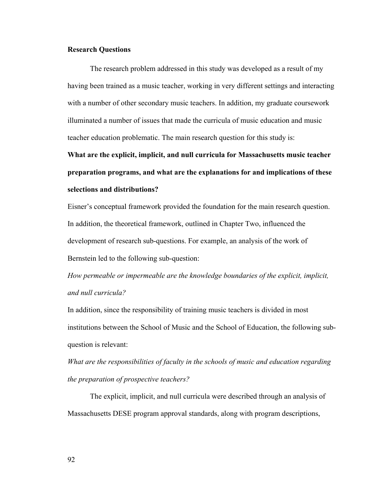# **Research Questions**

 The research problem addressed in this study was developed as a result of my having been trained as a music teacher, working in very different settings and interacting with a number of other secondary music teachers. In addition, my graduate coursework illuminated a number of issues that made the curricula of music education and music teacher education problematic. The main research question for this study is:

**What are the explicit, implicit, and null curricula for Massachusetts music teacher preparation programs, and what are the explanations for and implications of these selections and distributions?** 

Eisner's conceptual framework provided the foundation for the main research question. In addition, the theoretical framework, outlined in Chapter Two, influenced the development of research sub-questions. For example, an analysis of the work of Bernstein led to the following sub-question:

*How permeable or impermeable are the knowledge boundaries of the explicit, implicit, and null curricula?* 

In addition, since the responsibility of training music teachers is divided in most institutions between the School of Music and the School of Education, the following subquestion is relevant:

*What are the responsibilities of faculty in the schools of music and education regarding the preparation of prospective teachers?* 

 The explicit, implicit, and null curricula were described through an analysis of Massachusetts DESE program approval standards, along with program descriptions,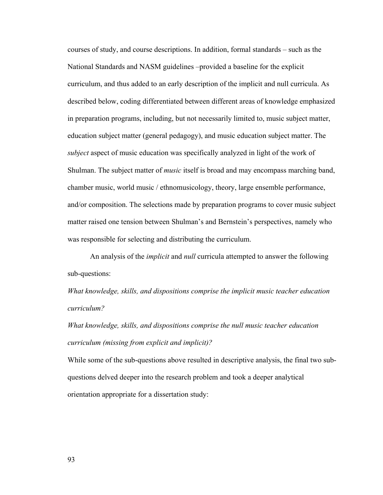courses of study, and course descriptions. In addition, formal standards – such as the National Standards and NASM guidelines –provided a baseline for the explicit curriculum, and thus added to an early description of the implicit and null curricula. As described below, coding differentiated between different areas of knowledge emphasized in preparation programs, including, but not necessarily limited to, music subject matter, education subject matter (general pedagogy), and music education subject matter. The *subject* aspect of music education was specifically analyzed in light of the work of Shulman. The subject matter of *music* itself is broad and may encompass marching band, chamber music, world music / ethnomusicology, theory, large ensemble performance, and/or composition. The selections made by preparation programs to cover music subject matter raised one tension between Shulman's and Bernstein's perspectives, namely who was responsible for selecting and distributing the curriculum.

An analysis of the *implicit* and *null* curricula attempted to answer the following sub-questions:

*What knowledge, skills, and dispositions comprise the implicit music teacher education curriculum?* 

*What knowledge, skills, and dispositions comprise the null music teacher education curriculum (missing from explicit and implicit)?* 

While some of the sub-questions above resulted in descriptive analysis, the final two subquestions delved deeper into the research problem and took a deeper analytical orientation appropriate for a dissertation study: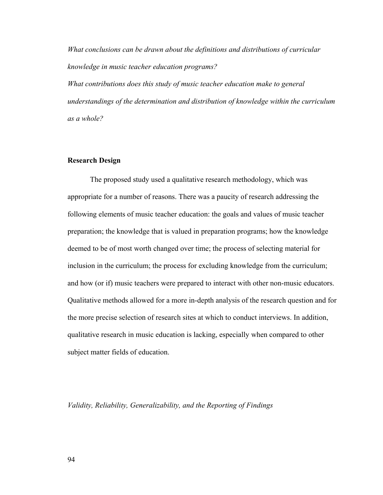*What conclusions can be drawn about the definitions and distributions of curricular knowledge in music teacher education programs?* 

*What contributions does this study of music teacher education make to general understandings of the determination and distribution of knowledge within the curriculum as a whole?* 

# **Research Design**

 The proposed study used a qualitative research methodology, which was appropriate for a number of reasons. There was a paucity of research addressing the following elements of music teacher education: the goals and values of music teacher preparation; the knowledge that is valued in preparation programs; how the knowledge deemed to be of most worth changed over time; the process of selecting material for inclusion in the curriculum; the process for excluding knowledge from the curriculum; and how (or if) music teachers were prepared to interact with other non-music educators. Qualitative methods allowed for a more in-depth analysis of the research question and for the more precise selection of research sites at which to conduct interviews. In addition, qualitative research in music education is lacking, especially when compared to other subject matter fields of education.

*Validity, Reliability, Generalizability, and the Reporting of Findings*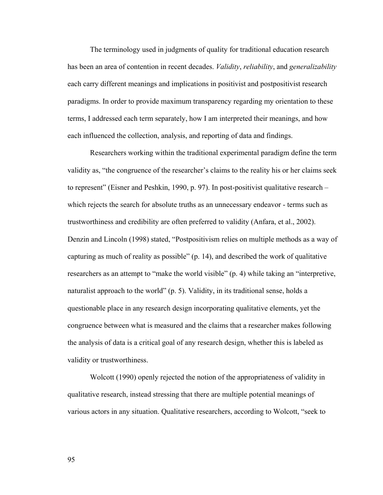The terminology used in judgments of quality for traditional education research has been an area of contention in recent decades. *Validity*, *reliability*, and *generalizability* each carry different meanings and implications in positivist and postpositivist research paradigms. In order to provide maximum transparency regarding my orientation to these terms, I addressed each term separately, how I am interpreted their meanings, and how each influenced the collection, analysis, and reporting of data and findings.

Researchers working within the traditional experimental paradigm define the term validity as, "the congruence of the researcher's claims to the reality his or her claims seek to represent" (Eisner and Peshkin, 1990, p. 97). In post-positivist qualitative research – which rejects the search for absolute truths as an unnecessary endeavor - terms such as trustworthiness and credibility are often preferred to validity (Anfara, et al., 2002). Denzin and Lincoln (1998) stated, "Postpositivism relies on multiple methods as a way of capturing as much of reality as possible" (p. 14), and described the work of qualitative researchers as an attempt to "make the world visible" (p. 4) while taking an "interpretive, naturalist approach to the world" (p. 5). Validity, in its traditional sense, holds a questionable place in any research design incorporating qualitative elements, yet the congruence between what is measured and the claims that a researcher makes following the analysis of data is a critical goal of any research design, whether this is labeled as validity or trustworthiness.

Wolcott (1990) openly rejected the notion of the appropriateness of validity in qualitative research, instead stressing that there are multiple potential meanings of various actors in any situation. Qualitative researchers, according to Wolcott, "seek to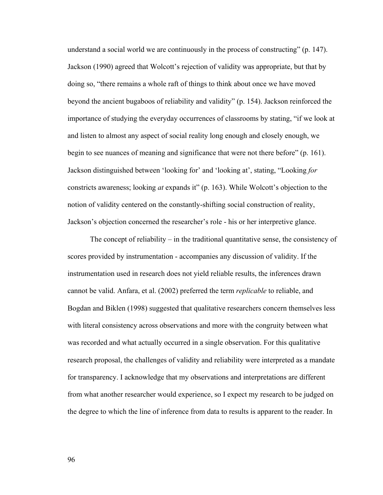understand a social world we are continuously in the process of constructing" (p. 147). Jackson (1990) agreed that Wolcott's rejection of validity was appropriate, but that by doing so, "there remains a whole raft of things to think about once we have moved beyond the ancient bugaboos of reliability and validity" (p. 154). Jackson reinforced the importance of studying the everyday occurrences of classrooms by stating, "if we look at and listen to almost any aspect of social reality long enough and closely enough, we begin to see nuances of meaning and significance that were not there before" (p. 161). Jackson distinguished between 'looking for' and 'looking at', stating, "Looking *for* constricts awareness; looking *at* expands it" (p. 163). While Wolcott's objection to the notion of validity centered on the constantly-shifting social construction of reality, Jackson's objection concerned the researcher's role - his or her interpretive glance.

The concept of reliability – in the traditional quantitative sense, the consistency of scores provided by instrumentation - accompanies any discussion of validity. If the instrumentation used in research does not yield reliable results, the inferences drawn cannot be valid. Anfara, et al. (2002) preferred the term *replicable* to reliable, and Bogdan and Biklen (1998) suggested that qualitative researchers concern themselves less with literal consistency across observations and more with the congruity between what was recorded and what actually occurred in a single observation. For this qualitative research proposal, the challenges of validity and reliability were interpreted as a mandate for transparency. I acknowledge that my observations and interpretations are different from what another researcher would experience, so I expect my research to be judged on the degree to which the line of inference from data to results is apparent to the reader. In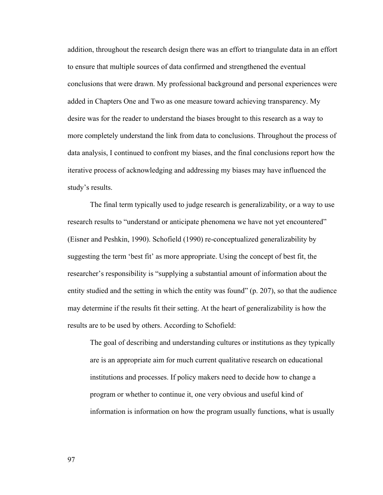addition, throughout the research design there was an effort to triangulate data in an effort to ensure that multiple sources of data confirmed and strengthened the eventual conclusions that were drawn. My professional background and personal experiences were added in Chapters One and Two as one measure toward achieving transparency. My desire was for the reader to understand the biases brought to this research as a way to more completely understand the link from data to conclusions. Throughout the process of data analysis, I continued to confront my biases, and the final conclusions report how the iterative process of acknowledging and addressing my biases may have influenced the study's results.

The final term typically used to judge research is generalizability, or a way to use research results to "understand or anticipate phenomena we have not yet encountered" (Eisner and Peshkin, 1990). Schofield (1990) re-conceptualized generalizability by suggesting the term 'best fit' as more appropriate. Using the concept of best fit, the researcher's responsibility is "supplying a substantial amount of information about the entity studied and the setting in which the entity was found" (p. 207), so that the audience may determine if the results fit their setting. At the heart of generalizability is how the results are to be used by others. According to Schofield:

The goal of describing and understanding cultures or institutions as they typically are is an appropriate aim for much current qualitative research on educational institutions and processes. If policy makers need to decide how to change a program or whether to continue it, one very obvious and useful kind of information is information on how the program usually functions, what is usually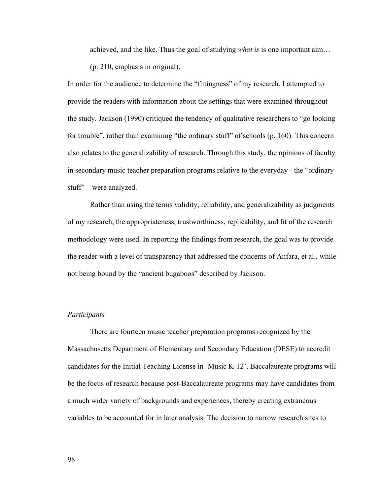achieved, and the like. Thus the goal of studying *what is* is one important aim…

(p. 210, emphasis in original).

In order for the audience to determine the "fittingness" of my research, I attempted to provide the readers with information about the settings that were examined throughout the study. Jackson (1990) critiqued the tendency of qualitative researchers to "go looking for trouble", rather than examining "the ordinary stuff" of schools (p. 160). This concern also relates to the generalizability of research. Through this study, the opinions of faculty in secondary music teacher preparation programs relative to the everyday - the "ordinary stuff" – were analyzed.

 Rather than using the terms validity, reliability, and generalizability as judgments of my research, the appropriateness, trustworthiness, replicability, and fit of the research methodology were used. In reporting the findings from research, the goal was to provide the reader with a level of transparency that addressed the concerns of Anfara, et al., while not being bound by the "ancient bugaboos" described by Jackson.

#### *Participants*

There are fourteen music teacher preparation programs recognized by the Massachusetts Department of Elementary and Secondary Education (DESE) to accredit candidates for the Initial Teaching License in 'Music K-12'. Baccalaureate programs will be the focus of research because post-Baccalaureate programs may have candidates from a much wider variety of backgrounds and experiences, thereby creating extraneous variables to be accounted for in later analysis. The decision to narrow research sites to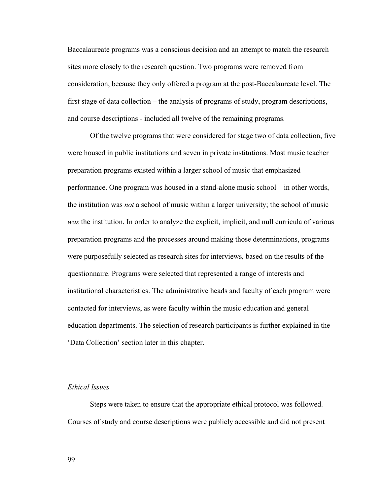Baccalaureate programs was a conscious decision and an attempt to match the research sites more closely to the research question. Two programs were removed from consideration, because they only offered a program at the post-Baccalaureate level. The first stage of data collection – the analysis of programs of study, program descriptions, and course descriptions - included all twelve of the remaining programs.

Of the twelve programs that were considered for stage two of data collection, five were housed in public institutions and seven in private institutions. Most music teacher preparation programs existed within a larger school of music that emphasized performance. One program was housed in a stand-alone music school – in other words, the institution was *not* a school of music within a larger university; the school of music *was* the institution. In order to analyze the explicit, implicit, and null curricula of various preparation programs and the processes around making those determinations, programs were purposefully selected as research sites for interviews, based on the results of the questionnaire. Programs were selected that represented a range of interests and institutional characteristics. The administrative heads and faculty of each program were contacted for interviews, as were faculty within the music education and general education departments. The selection of research participants is further explained in the 'Data Collection' section later in this chapter.

# *Ethical Issues*

 Steps were taken to ensure that the appropriate ethical protocol was followed. Courses of study and course descriptions were publicly accessible and did not present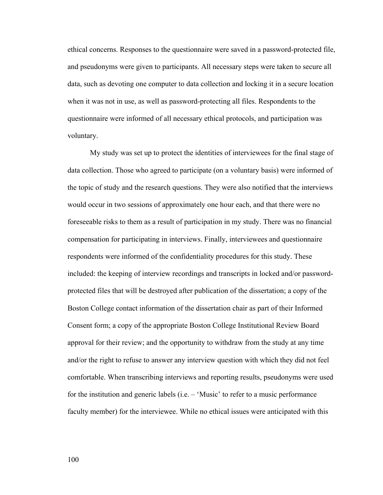ethical concerns. Responses to the questionnaire were saved in a password-protected file, and pseudonyms were given to participants. All necessary steps were taken to secure all data, such as devoting one computer to data collection and locking it in a secure location when it was not in use, as well as password-protecting all files. Respondents to the questionnaire were informed of all necessary ethical protocols, and participation was voluntary.

My study was set up to protect the identities of interviewees for the final stage of data collection. Those who agreed to participate (on a voluntary basis) were informed of the topic of study and the research questions. They were also notified that the interviews would occur in two sessions of approximately one hour each, and that there were no foreseeable risks to them as a result of participation in my study. There was no financial compensation for participating in interviews. Finally, interviewees and questionnaire respondents were informed of the confidentiality procedures for this study. These included: the keeping of interview recordings and transcripts in locked and/or passwordprotected files that will be destroyed after publication of the dissertation; a copy of the Boston College contact information of the dissertation chair as part of their Informed Consent form; a copy of the appropriate Boston College Institutional Review Board approval for their review; and the opportunity to withdraw from the study at any time and/or the right to refuse to answer any interview question with which they did not feel comfortable. When transcribing interviews and reporting results, pseudonyms were used for the institution and generic labels (i.e. – 'Music' to refer to a music performance faculty member) for the interviewee. While no ethical issues were anticipated with this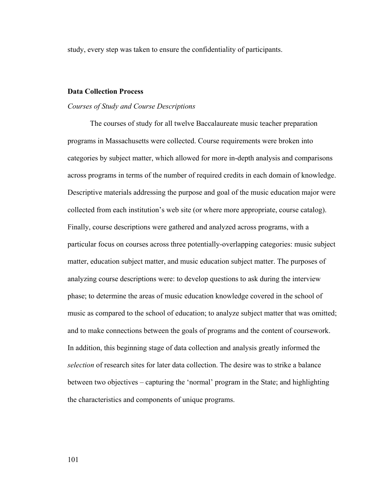study, every step was taken to ensure the confidentiality of participants.

## **Data Collection Process**

#### *Courses of Study and Course Descriptions*

The courses of study for all twelve Baccalaureate music teacher preparation programs in Massachusetts were collected. Course requirements were broken into categories by subject matter, which allowed for more in-depth analysis and comparisons across programs in terms of the number of required credits in each domain of knowledge. Descriptive materials addressing the purpose and goal of the music education major were collected from each institution's web site (or where more appropriate, course catalog). Finally, course descriptions were gathered and analyzed across programs, with a particular focus on courses across three potentially-overlapping categories: music subject matter, education subject matter, and music education subject matter. The purposes of analyzing course descriptions were: to develop questions to ask during the interview phase; to determine the areas of music education knowledge covered in the school of music as compared to the school of education; to analyze subject matter that was omitted; and to make connections between the goals of programs and the content of coursework. In addition, this beginning stage of data collection and analysis greatly informed the *selection* of research sites for later data collection. The desire was to strike a balance between two objectives – capturing the 'normal' program in the State; and highlighting the characteristics and components of unique programs.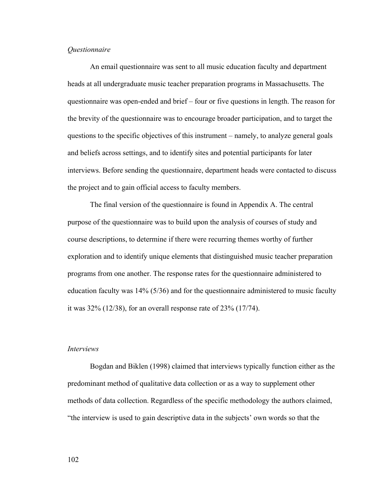#### *Questionnaire*

 An email questionnaire was sent to all music education faculty and department heads at all undergraduate music teacher preparation programs in Massachusetts. The questionnaire was open-ended and brief – four or five questions in length. The reason for the brevity of the questionnaire was to encourage broader participation, and to target the questions to the specific objectives of this instrument – namely, to analyze general goals and beliefs across settings, and to identify sites and potential participants for later interviews. Before sending the questionnaire, department heads were contacted to discuss the project and to gain official access to faculty members.

 The final version of the questionnaire is found in Appendix A. The central purpose of the questionnaire was to build upon the analysis of courses of study and course descriptions, to determine if there were recurring themes worthy of further exploration and to identify unique elements that distinguished music teacher preparation programs from one another. The response rates for the questionnaire administered to education faculty was 14% (5/36) and for the questionnaire administered to music faculty it was 32% (12/38), for an overall response rate of 23% (17/74).

#### *Interviews*

Bogdan and Biklen (1998) claimed that interviews typically function either as the predominant method of qualitative data collection or as a way to supplement other methods of data collection. Regardless of the specific methodology the authors claimed, "the interview is used to gain descriptive data in the subjects' own words so that the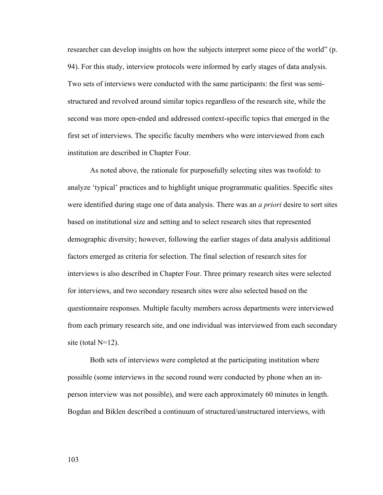researcher can develop insights on how the subjects interpret some piece of the world" (p. 94). For this study, interview protocols were informed by early stages of data analysis. Two sets of interviews were conducted with the same participants: the first was semistructured and revolved around similar topics regardless of the research site, while the second was more open-ended and addressed context-specific topics that emerged in the first set of interviews. The specific faculty members who were interviewed from each institution are described in Chapter Four.

As noted above, the rationale for purposefully selecting sites was twofold: to analyze 'typical' practices and to highlight unique programmatic qualities. Specific sites were identified during stage one of data analysis. There was an *a priori* desire to sort sites based on institutional size and setting and to select research sites that represented demographic diversity; however, following the earlier stages of data analysis additional factors emerged as criteria for selection. The final selection of research sites for interviews is also described in Chapter Four. Three primary research sites were selected for interviews, and two secondary research sites were also selected based on the questionnaire responses. Multiple faculty members across departments were interviewed from each primary research site, and one individual was interviewed from each secondary site (total  $N=12$ ).

Both sets of interviews were completed at the participating institution where possible (some interviews in the second round were conducted by phone when an inperson interview was not possible), and were each approximately 60 minutes in length. Bogdan and Biklen described a continuum of structured/unstructured interviews, with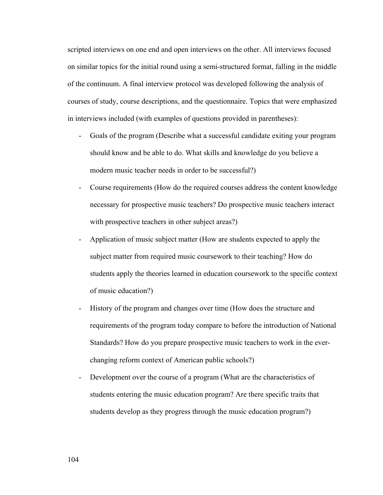scripted interviews on one end and open interviews on the other. All interviews focused on similar topics for the initial round using a semi-structured format, falling in the middle of the continuum. A final interview protocol was developed following the analysis of courses of study, course descriptions, and the questionnaire. Topics that were emphasized in interviews included (with examples of questions provided in parentheses):

- Goals of the program (Describe what a successful candidate exiting your program should know and be able to do. What skills and knowledge do you believe a modern music teacher needs in order to be successful?)
- Course requirements (How do the required courses address the content knowledge necessary for prospective music teachers? Do prospective music teachers interact with prospective teachers in other subject areas?)
- Application of music subject matter (How are students expected to apply the subject matter from required music coursework to their teaching? How do students apply the theories learned in education coursework to the specific context of music education?)
- History of the program and changes over time (How does the structure and requirements of the program today compare to before the introduction of National Standards? How do you prepare prospective music teachers to work in the everchanging reform context of American public schools?)
- Development over the course of a program (What are the characteristics of students entering the music education program? Are there specific traits that students develop as they progress through the music education program?)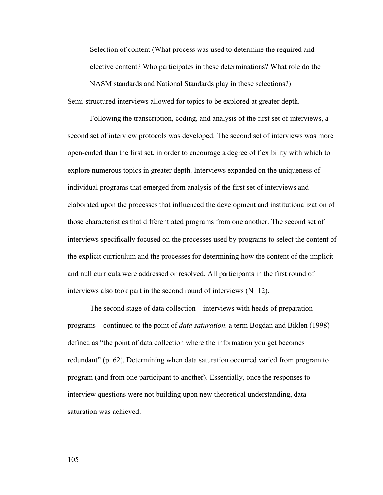- Selection of content (What process was used to determine the required and elective content? Who participates in these determinations? What role do the

NASM standards and National Standards play in these selections?) Semi-structured interviews allowed for topics to be explored at greater depth.

Following the transcription, coding, and analysis of the first set of interviews, a second set of interview protocols was developed. The second set of interviews was more open-ended than the first set, in order to encourage a degree of flexibility with which to explore numerous topics in greater depth. Interviews expanded on the uniqueness of individual programs that emerged from analysis of the first set of interviews and elaborated upon the processes that influenced the development and institutionalization of those characteristics that differentiated programs from one another. The second set of interviews specifically focused on the processes used by programs to select the content of the explicit curriculum and the processes for determining how the content of the implicit and null curricula were addressed or resolved. All participants in the first round of interviews also took part in the second round of interviews (N=12).

The second stage of data collection – interviews with heads of preparation programs – continued to the point of *data saturation*, a term Bogdan and Biklen (1998) defined as "the point of data collection where the information you get becomes redundant" (p. 62). Determining when data saturation occurred varied from program to program (and from one participant to another). Essentially, once the responses to interview questions were not building upon new theoretical understanding, data saturation was achieved.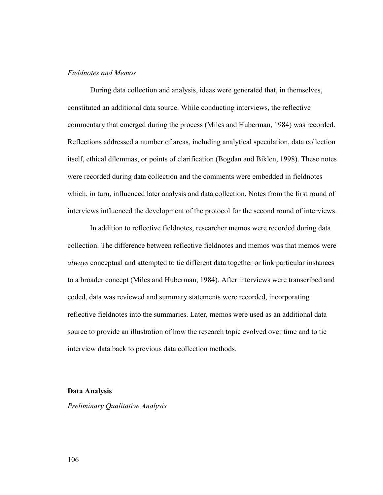### *Fieldnotes and Memos*

 During data collection and analysis, ideas were generated that, in themselves, constituted an additional data source. While conducting interviews, the reflective commentary that emerged during the process (Miles and Huberman, 1984) was recorded. Reflections addressed a number of areas, including analytical speculation, data collection itself, ethical dilemmas, or points of clarification (Bogdan and Biklen, 1998). These notes were recorded during data collection and the comments were embedded in fieldnotes which, in turn, influenced later analysis and data collection. Notes from the first round of interviews influenced the development of the protocol for the second round of interviews.

 In addition to reflective fieldnotes, researcher memos were recorded during data collection. The difference between reflective fieldnotes and memos was that memos were *always* conceptual and attempted to tie different data together or link particular instances to a broader concept (Miles and Huberman, 1984). After interviews were transcribed and coded, data was reviewed and summary statements were recorded, incorporating reflective fieldnotes into the summaries. Later, memos were used as an additional data source to provide an illustration of how the research topic evolved over time and to tie interview data back to previous data collection methods.

#### **Data Analysis**

*Preliminary Qualitative Analysis*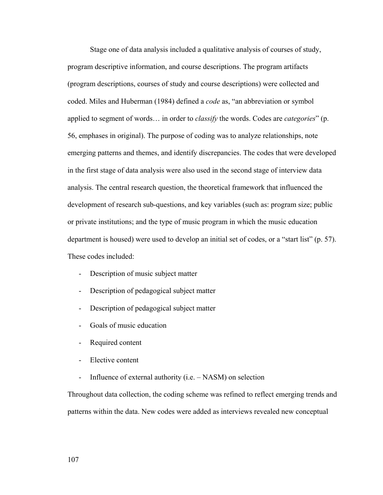Stage one of data analysis included a qualitative analysis of courses of study, program descriptive information, and course descriptions. The program artifacts (program descriptions, courses of study and course descriptions) were collected and coded. Miles and Huberman (1984) defined a *code* as, "an abbreviation or symbol applied to segment of words… in order to *classify* the words. Codes are *categories*" (p. 56, emphases in original). The purpose of coding was to analyze relationships, note emerging patterns and themes, and identify discrepancies. The codes that were developed in the first stage of data analysis were also used in the second stage of interview data analysis. The central research question, the theoretical framework that influenced the development of research sub-questions, and key variables (such as: program size; public or private institutions; and the type of music program in which the music education department is housed) were used to develop an initial set of codes, or a "start list" (p. 57). These codes included:

- Description of music subject matter
- Description of pedagogical subject matter
- Description of pedagogical subject matter
- Goals of music education
- Required content
- Elective content
- Influence of external authority (i.e. NASM) on selection

Throughout data collection, the coding scheme was refined to reflect emerging trends and patterns within the data. New codes were added as interviews revealed new conceptual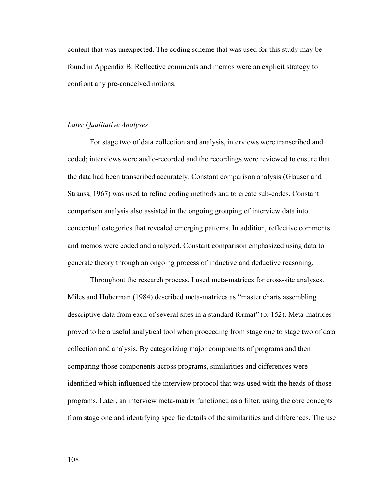content that was unexpected. The coding scheme that was used for this study may be found in Appendix B. Reflective comments and memos were an explicit strategy to confront any pre-conceived notions.

#### *Later Qualitative Analyses*

 For stage two of data collection and analysis, interviews were transcribed and coded; interviews were audio-recorded and the recordings were reviewed to ensure that the data had been transcribed accurately. Constant comparison analysis (Glauser and Strauss, 1967) was used to refine coding methods and to create sub-codes. Constant comparison analysis also assisted in the ongoing grouping of interview data into conceptual categories that revealed emerging patterns. In addition, reflective comments and memos were coded and analyzed. Constant comparison emphasized using data to generate theory through an ongoing process of inductive and deductive reasoning.

 Throughout the research process, I used meta-matrices for cross-site analyses. Miles and Huberman (1984) described meta-matrices as "master charts assembling descriptive data from each of several sites in a standard format" (p. 152). Meta-matrices proved to be a useful analytical tool when proceeding from stage one to stage two of data collection and analysis. By categorizing major components of programs and then comparing those components across programs, similarities and differences were identified which influenced the interview protocol that was used with the heads of those programs. Later, an interview meta-matrix functioned as a filter, using the core concepts from stage one and identifying specific details of the similarities and differences. The use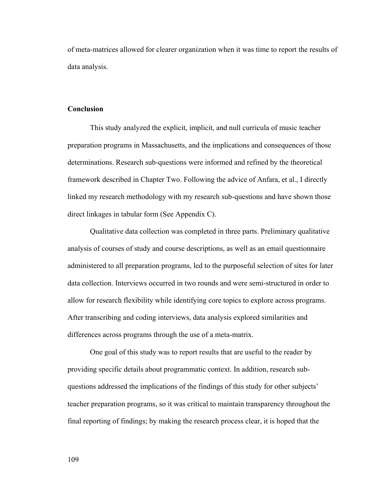of meta-matrices allowed for clearer organization when it was time to report the results of data analysis.

#### **Conclusion**

 This study analyzed the explicit, implicit, and null curricula of music teacher preparation programs in Massachusetts, and the implications and consequences of those determinations. Research sub-questions were informed and refined by the theoretical framework described in Chapter Two. Following the advice of Anfara, et al., I directly linked my research methodology with my research sub-questions and have shown those direct linkages in tabular form (See Appendix C).

 Qualitative data collection was completed in three parts. Preliminary qualitative analysis of courses of study and course descriptions, as well as an email questionnaire administered to all preparation programs, led to the purposeful selection of sites for later data collection. Interviews occurred in two rounds and were semi-structured in order to allow for research flexibility while identifying core topics to explore across programs. After transcribing and coding interviews, data analysis explored similarities and differences across programs through the use of a meta-matrix.

 One goal of this study was to report results that are useful to the reader by providing specific details about programmatic context. In addition, research subquestions addressed the implications of the findings of this study for other subjects' teacher preparation programs, so it was critical to maintain transparency throughout the final reporting of findings; by making the research process clear, it is hoped that the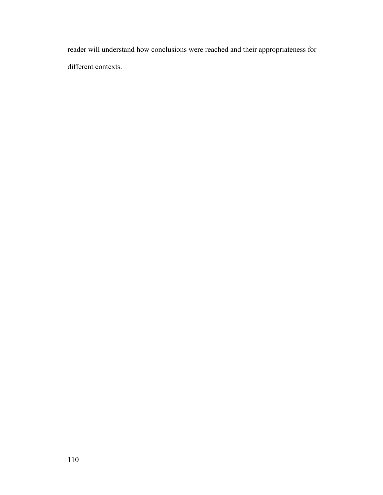reader will understand how conclusions were reached and their appropriateness for different contexts.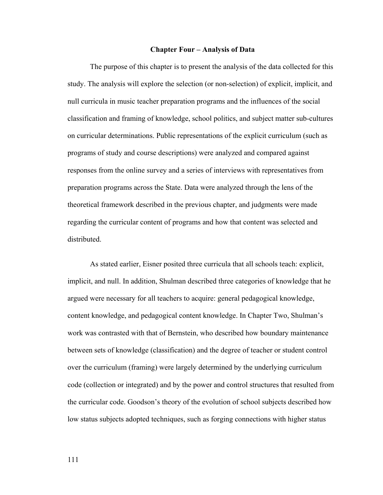#### **Chapter Four – Analysis of Data**

 The purpose of this chapter is to present the analysis of the data collected for this study. The analysis will explore the selection (or non-selection) of explicit, implicit, and null curricula in music teacher preparation programs and the influences of the social classification and framing of knowledge, school politics, and subject matter sub-cultures on curricular determinations. Public representations of the explicit curriculum (such as programs of study and course descriptions) were analyzed and compared against responses from the online survey and a series of interviews with representatives from preparation programs across the State. Data were analyzed through the lens of the theoretical framework described in the previous chapter, and judgments were made regarding the curricular content of programs and how that content was selected and distributed.

 As stated earlier, Eisner posited three curricula that all schools teach: explicit, implicit, and null. In addition, Shulman described three categories of knowledge that he argued were necessary for all teachers to acquire: general pedagogical knowledge, content knowledge, and pedagogical content knowledge. In Chapter Two, Shulman's work was contrasted with that of Bernstein, who described how boundary maintenance between sets of knowledge (classification) and the degree of teacher or student control over the curriculum (framing) were largely determined by the underlying curriculum code (collection or integrated) and by the power and control structures that resulted from the curricular code. Goodson's theory of the evolution of school subjects described how low status subjects adopted techniques, such as forging connections with higher status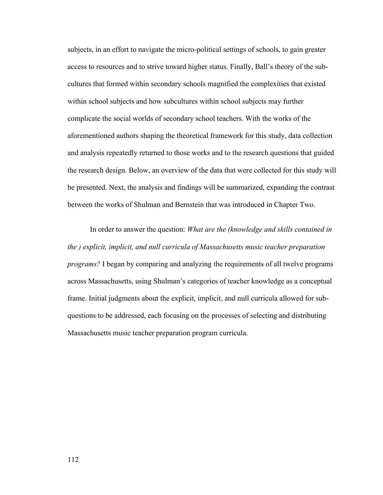subjects, in an effort to navigate the micro-political settings of schools, to gain greater access to resources and to strive toward higher status. Finally, Ball's theory of the subcultures that formed within secondary schools magnified the complexities that existed within school subjects and how subcultures within school subjects may further complicate the social worlds of secondary school teachers. With the works of the aforementioned authors shaping the theoretical framework for this study, data collection and analysis repeatedly returned to those works and to the research questions that guided the research design. Below, an overview of the data that were collected for this study will be presented. Next, the analysis and findings will be summarized, expanding the contrast between the works of Shulman and Bernstein that was introduced in Chapter Two.

 In order to answer the question: *What are the (knowledge and skills contained in the ) explicit, implicit, and null curricula of Massachusetts music teacher preparation programs?* I began by comparing and analyzing the requirements of all twelve programs across Massachusetts, using Shulman's categories of teacher knowledge as a conceptual frame. Initial judgments about the explicit, implicit, and null curricula allowed for subquestions to be addressed, each focusing on the processes of selecting and distributing Massachusetts music teacher preparation program curricula.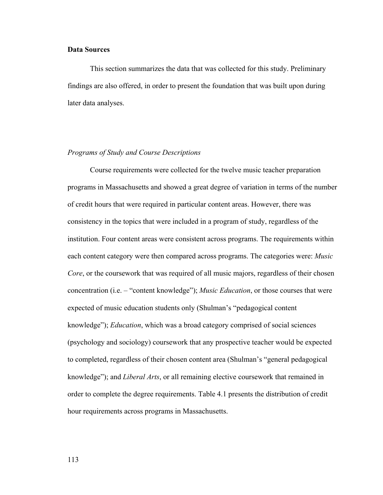#### **Data Sources**

 This section summarizes the data that was collected for this study. Preliminary findings are also offered, in order to present the foundation that was built upon during later data analyses.

#### *Programs of Study and Course Descriptions*

 Course requirements were collected for the twelve music teacher preparation programs in Massachusetts and showed a great degree of variation in terms of the number of credit hours that were required in particular content areas. However, there was consistency in the topics that were included in a program of study, regardless of the institution. Four content areas were consistent across programs. The requirements within each content category were then compared across programs. The categories were: *Music Core*, or the coursework that was required of all music majors, regardless of their chosen concentration (i.e. – "content knowledge"); *Music Education*, or those courses that were expected of music education students only (Shulman's "pedagogical content knowledge"); *Education*, which was a broad category comprised of social sciences (psychology and sociology) coursework that any prospective teacher would be expected to completed, regardless of their chosen content area (Shulman's "general pedagogical knowledge"); and *Liberal Arts*, or all remaining elective coursework that remained in order to complete the degree requirements. Table 4.1 presents the distribution of credit hour requirements across programs in Massachusetts.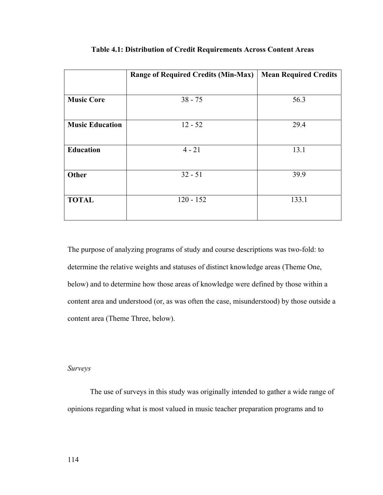|                        | <b>Range of Required Credits (Min-Max)</b> | <b>Mean Required Credits</b> |
|------------------------|--------------------------------------------|------------------------------|
|                        |                                            |                              |
| <b>Music Core</b>      | $38 - 75$                                  | 56.3                         |
|                        |                                            |                              |
| <b>Music Education</b> | $12 - 52$                                  | 29.4                         |
|                        |                                            |                              |
| <b>Education</b>       | $4 - 21$                                   | 13.1                         |
|                        |                                            |                              |
| Other                  | $32 - 51$                                  | 39.9                         |
|                        |                                            |                              |
| <b>TOTAL</b>           | $120 - 152$                                | 133.1                        |
|                        |                                            |                              |

#### **Table 4.1: Distribution of Credit Requirements Across Content Areas**

The purpose of analyzing programs of study and course descriptions was two-fold: to determine the relative weights and statuses of distinct knowledge areas (Theme One, below) and to determine how those areas of knowledge were defined by those within a content area and understood (or, as was often the case, misunderstood) by those outside a content area (Theme Three, below).

# *Surveys*

The use of surveys in this study was originally intended to gather a wide range of opinions regarding what is most valued in music teacher preparation programs and to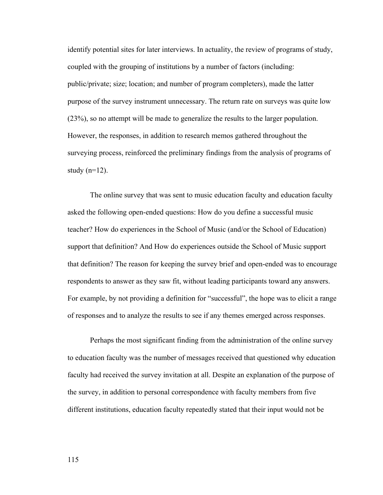identify potential sites for later interviews. In actuality, the review of programs of study, coupled with the grouping of institutions by a number of factors (including: public/private; size; location; and number of program completers), made the latter purpose of the survey instrument unnecessary. The return rate on surveys was quite low (23%), so no attempt will be made to generalize the results to the larger population. However, the responses, in addition to research memos gathered throughout the surveying process, reinforced the preliminary findings from the analysis of programs of study  $(n=12)$ .

 The online survey that was sent to music education faculty and education faculty asked the following open-ended questions: How do you define a successful music teacher? How do experiences in the School of Music (and/or the School of Education) support that definition? And How do experiences outside the School of Music support that definition? The reason for keeping the survey brief and open-ended was to encourage respondents to answer as they saw fit, without leading participants toward any answers. For example, by not providing a definition for "successful", the hope was to elicit a range of responses and to analyze the results to see if any themes emerged across responses.

 Perhaps the most significant finding from the administration of the online survey to education faculty was the number of messages received that questioned why education faculty had received the survey invitation at all. Despite an explanation of the purpose of the survey, in addition to personal correspondence with faculty members from five different institutions, education faculty repeatedly stated that their input would not be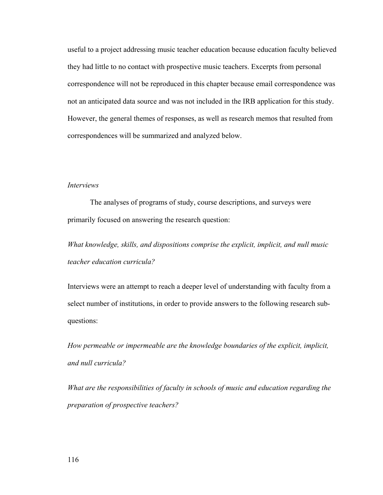useful to a project addressing music teacher education because education faculty believed they had little to no contact with prospective music teachers. Excerpts from personal correspondence will not be reproduced in this chapter because email correspondence was not an anticipated data source and was not included in the IRB application for this study. However, the general themes of responses, as well as research memos that resulted from correspondences will be summarized and analyzed below.

#### *Interviews*

 The analyses of programs of study, course descriptions, and surveys were primarily focused on answering the research question:

*What knowledge, skills, and dispositions comprise the explicit, implicit, and null music teacher education curricula?* 

Interviews were an attempt to reach a deeper level of understanding with faculty from a select number of institutions, in order to provide answers to the following research subquestions:

*How permeable or impermeable are the knowledge boundaries of the explicit, implicit, and null curricula?* 

*What are the responsibilities of faculty in schools of music and education regarding the preparation of prospective teachers?*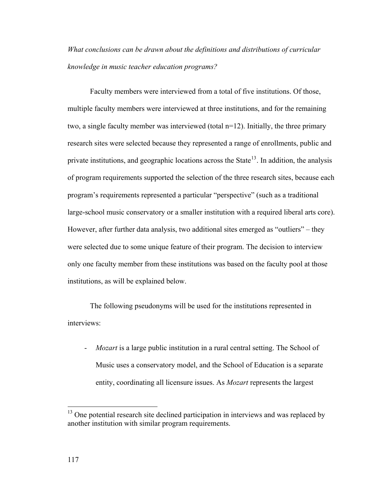*What conclusions can be drawn about the definitions and distributions of curricular knowledge in music teacher education programs?* 

 Faculty members were interviewed from a total of five institutions. Of those, multiple faculty members were interviewed at three institutions, and for the remaining two, a single faculty member was interviewed (total n=12). Initially, the three primary research sites were selected because they represented a range of enrollments, public and private institutions, and geographic locations across the State<sup>[13](#page-123-0)</sup>. In addition, the analysis of program requirements supported the selection of the three research sites, because each program's requirements represented a particular "perspective" (such as a traditional large-school music conservatory or a smaller institution with a required liberal arts core). However, after further data analysis, two additional sites emerged as "outliers" – they were selected due to some unique feature of their program. The decision to interview only one faculty member from these institutions was based on the faculty pool at those institutions, as will be explained below.

 The following pseudonyms will be used for the institutions represented in interviews:

*Mozart* is a large public institution in a rural central setting. The School of Music uses a conservatory model, and the School of Education is a separate entity, coordinating all licensure issues. As *Mozart* represents the largest

 $\overline{a}$ 

<span id="page-123-0"></span> $13$  One potential research site declined participation in interviews and was replaced by another institution with similar program requirements.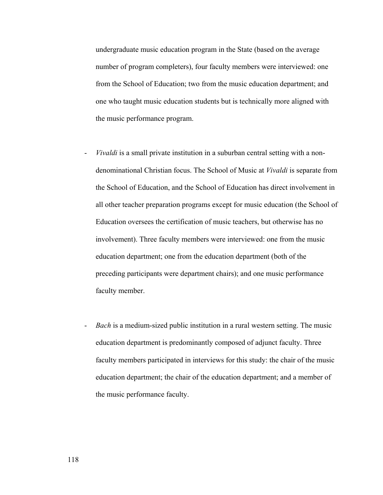undergraduate music education program in the State (based on the average number of program completers), four faculty members were interviewed: one from the School of Education; two from the music education department; and one who taught music education students but is technically more aligned with the music performance program.

- *Vivaldi* is a small private institution in a suburban central setting with a nondenominational Christian focus. The School of Music at *Vivaldi* is separate from the School of Education, and the School of Education has direct involvement in all other teacher preparation programs except for music education (the School of Education oversees the certification of music teachers, but otherwise has no involvement). Three faculty members were interviewed: one from the music education department; one from the education department (both of the preceding participants were department chairs); and one music performance faculty member.
- *Bach* is a medium-sized public institution in a rural western setting. The music education department is predominantly composed of adjunct faculty. Three faculty members participated in interviews for this study: the chair of the music education department; the chair of the education department; and a member of the music performance faculty.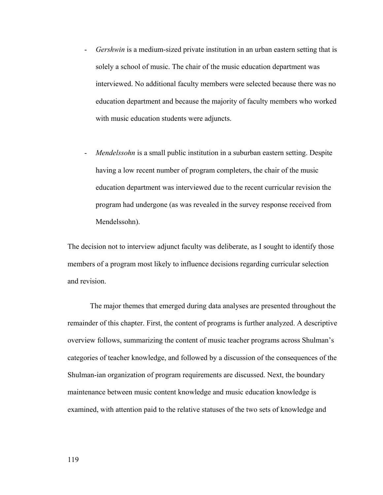- *Gershwin* is a medium-sized private institution in an urban eastern setting that is solely a school of music. The chair of the music education department was interviewed. No additional faculty members were selected because there was no education department and because the majority of faculty members who worked with music education students were adjuncts.
- *Mendelssohn* is a small public institution in a suburban eastern setting. Despite having a low recent number of program completers, the chair of the music education department was interviewed due to the recent curricular revision the program had undergone (as was revealed in the survey response received from Mendelssohn).

The decision not to interview adjunct faculty was deliberate, as I sought to identify those members of a program most likely to influence decisions regarding curricular selection and revision.

The major themes that emerged during data analyses are presented throughout the remainder of this chapter. First, the content of programs is further analyzed. A descriptive overview follows, summarizing the content of music teacher programs across Shulman's categories of teacher knowledge, and followed by a discussion of the consequences of the Shulman-ian organization of program requirements are discussed. Next, the boundary maintenance between music content knowledge and music education knowledge is examined, with attention paid to the relative statuses of the two sets of knowledge and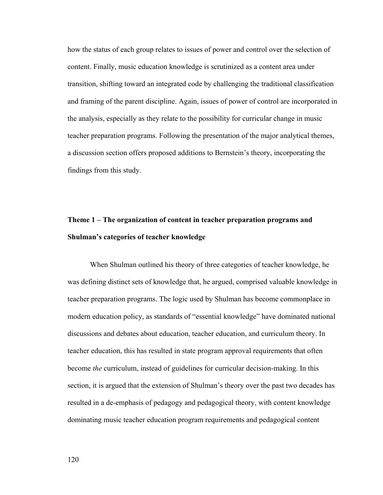how the status of each group relates to issues of power and control over the selection of content. Finally, music education knowledge is scrutinized as a content area under transition, shifting toward an integrated code by challenging the traditional classification and framing of the parent discipline. Again, issues of power of control are incorporated in the analysis, especially as they relate to the possibility for curricular change in music teacher preparation programs. Following the presentation of the major analytical themes, a discussion section offers proposed additions to Bernstein's theory, incorporating the findings from this study.

# **Theme 1 – The organization of content in teacher preparation programs and Shulman's categories of teacher knowledge**

 When Shulman outlined his theory of three categories of teacher knowledge, he was defining distinct sets of knowledge that, he argued, comprised valuable knowledge in teacher preparation programs. The logic used by Shulman has become commonplace in modern education policy, as standards of "essential knowledge" have dominated national discussions and debates about education, teacher education, and curriculum theory. In teacher education, this has resulted in state program approval requirements that often become *the* curriculum, instead of guidelines for curricular decision-making. In this section, it is argued that the extension of Shulman's theory over the past two decades has resulted in a de-emphasis of pedagogy and pedagogical theory, with content knowledge dominating music teacher education program requirements and pedagogical content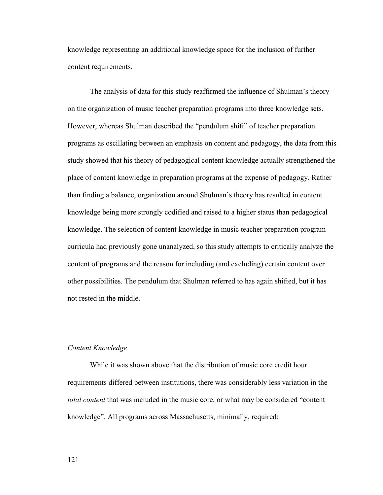knowledge representing an additional knowledge space for the inclusion of further content requirements.

 The analysis of data for this study reaffirmed the influence of Shulman's theory on the organization of music teacher preparation programs into three knowledge sets. However, whereas Shulman described the "pendulum shift" of teacher preparation programs as oscillating between an emphasis on content and pedagogy, the data from this study showed that his theory of pedagogical content knowledge actually strengthened the place of content knowledge in preparation programs at the expense of pedagogy. Rather than finding a balance, organization around Shulman's theory has resulted in content knowledge being more strongly codified and raised to a higher status than pedagogical knowledge. The selection of content knowledge in music teacher preparation program curricula had previously gone unanalyzed, so this study attempts to critically analyze the content of programs and the reason for including (and excluding) certain content over other possibilities. The pendulum that Shulman referred to has again shifted, but it has not rested in the middle.

#### *Content Knowledge*

 While it was shown above that the distribution of music core credit hour requirements differed between institutions, there was considerably less variation in the *total content* that was included in the music core, or what may be considered "content knowledge". All programs across Massachusetts, minimally, required: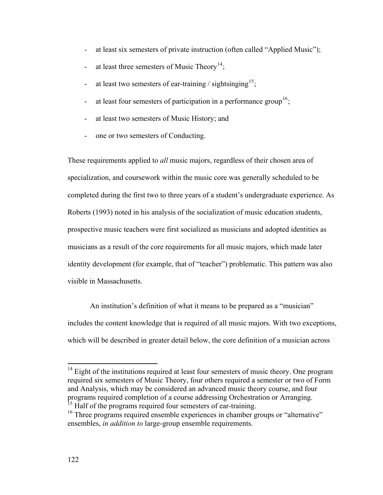- at least six semesters of private instruction (often called "Applied Music");
- at least three semesters of Music Theory<sup>[14](#page-128-0)</sup>;
- at least two semesters of ear-training / sightsinging<sup>[15](#page-128-1)</sup>;
- at least four semesters of participation in a performance group<sup>[16](#page-128-2)</sup>;
- at least two semesters of Music History; and
- one or two semesters of Conducting.

These requirements applied to *all* music majors, regardless of their chosen area of specialization, and coursework within the music core was generally scheduled to be completed during the first two to three years of a student's undergraduate experience. As Roberts (1993) noted in his analysis of the socialization of music education students, prospective music teachers were first socialized as musicians and adopted identities as musicians as a result of the core requirements for all music majors, which made later identity development (for example, that of "teacher") problematic. This pattern was also visible in Massachusetts.

An institution's definition of what it means to be prepared as a "musician" includes the content knowledge that is required of all music majors. With two exceptions, which will be described in greater detail below, the core definition of a musician across

<span id="page-128-0"></span> $14$  Eight of the institutions required at least four semesters of music theory. One program required six semesters of Music Theory, four others required a semester or two of Form and Analysis, which may be considered an advanced music theory course, and four programs required completion of a course addressing Orchestration or Arranging. Half of the programs required four semesters of ear-training.

<span id="page-128-2"></span><span id="page-128-1"></span><sup>&</sup>lt;sup>16</sup> Three programs required ensemble experiences in chamber groups or "alternative" ensembles, *in addition to* large-group ensemble requirements.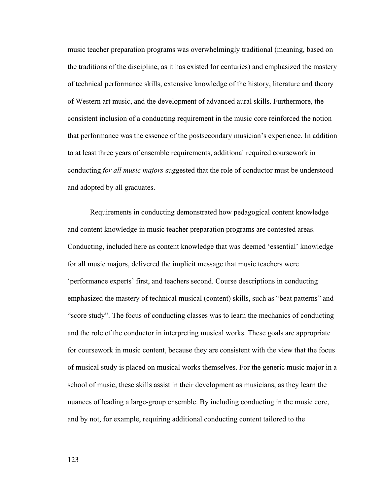music teacher preparation programs was overwhelmingly traditional (meaning, based on the traditions of the discipline, as it has existed for centuries) and emphasized the mastery of technical performance skills, extensive knowledge of the history, literature and theory of Western art music, and the development of advanced aural skills. Furthermore, the consistent inclusion of a conducting requirement in the music core reinforced the notion that performance was the essence of the postsecondary musician's experience. In addition to at least three years of ensemble requirements, additional required coursework in conducting *for all music majors* suggested that the role of conductor must be understood and adopted by all graduates.

 Requirements in conducting demonstrated how pedagogical content knowledge and content knowledge in music teacher preparation programs are contested areas. Conducting, included here as content knowledge that was deemed 'essential' knowledge for all music majors, delivered the implicit message that music teachers were 'performance experts' first, and teachers second. Course descriptions in conducting emphasized the mastery of technical musical (content) skills, such as "beat patterns" and "score study". The focus of conducting classes was to learn the mechanics of conducting and the role of the conductor in interpreting musical works. These goals are appropriate for coursework in music content, because they are consistent with the view that the focus of musical study is placed on musical works themselves. For the generic music major in a school of music, these skills assist in their development as musicians, as they learn the nuances of leading a large-group ensemble. By including conducting in the music core, and by not, for example, requiring additional conducting content tailored to the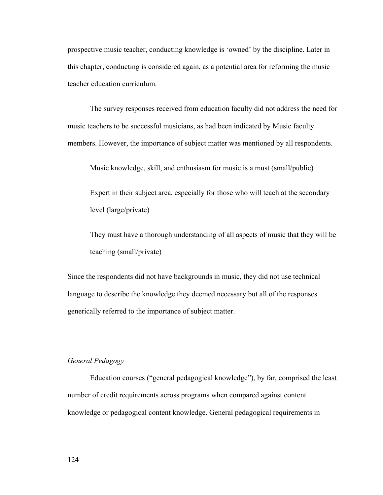prospective music teacher, conducting knowledge is 'owned' by the discipline. Later in this chapter, conducting is considered again, as a potential area for reforming the music teacher education curriculum.

The survey responses received from education faculty did not address the need for music teachers to be successful musicians, as had been indicated by Music faculty members. However, the importance of subject matter was mentioned by all respondents.

Music knowledge, skill, and enthusiasm for music is a must (small/public)

Expert in their subject area, especially for those who will teach at the secondary level (large/private)

They must have a thorough understanding of all aspects of music that they will be teaching (small/private)

Since the respondents did not have backgrounds in music, they did not use technical language to describe the knowledge they deemed necessary but all of the responses generically referred to the importance of subject matter.

# *General Pedagogy*

Education courses ("general pedagogical knowledge"), by far, comprised the least number of credit requirements across programs when compared against content knowledge or pedagogical content knowledge. General pedagogical requirements in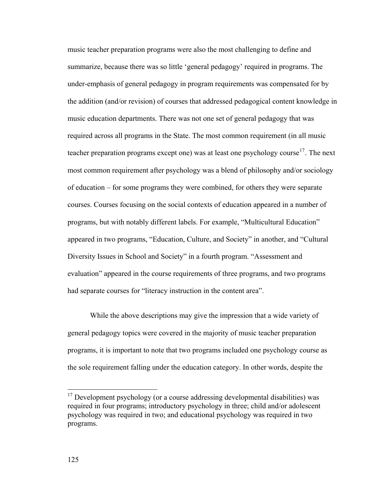music teacher preparation programs were also the most challenging to define and summarize, because there was so little 'general pedagogy' required in programs. The under-emphasis of general pedagogy in program requirements was compensated for by the addition (and/or revision) of courses that addressed pedagogical content knowledge in music education departments. There was not one set of general pedagogy that was required across all programs in the State. The most common requirement (in all music teacher preparation programs except one) was at least one psychology course<sup>[17](#page-131-0)</sup>. The next most common requirement after psychology was a blend of philosophy and/or sociology of education – for some programs they were combined, for others they were separate courses. Courses focusing on the social contexts of education appeared in a number of programs, but with notably different labels. For example, "Multicultural Education" appeared in two programs, "Education, Culture, and Society" in another, and "Cultural Diversity Issues in School and Society" in a fourth program. "Assessment and evaluation" appeared in the course requirements of three programs, and two programs had separate courses for "literacy instruction in the content area".

While the above descriptions may give the impression that a wide variety of general pedagogy topics were covered in the majority of music teacher preparation programs, it is important to note that two programs included one psychology course as the sole requirement falling under the education category. In other words, despite the

<span id="page-131-0"></span> $17$  Development psychology (or a course addressing developmental disabilities) was required in four programs; introductory psychology in three; child and/or adolescent psychology was required in two; and educational psychology was required in two programs.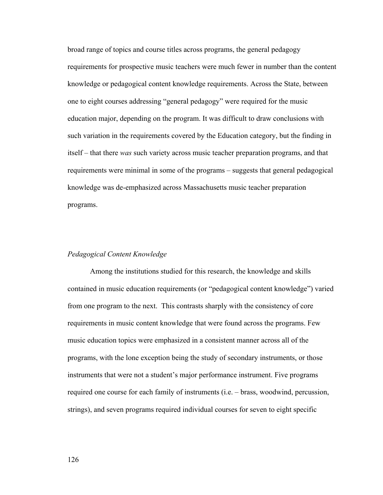broad range of topics and course titles across programs, the general pedagogy requirements for prospective music teachers were much fewer in number than the content knowledge or pedagogical content knowledge requirements. Across the State, between one to eight courses addressing "general pedagogy" were required for the music education major, depending on the program. It was difficult to draw conclusions with such variation in the requirements covered by the Education category, but the finding in itself – that there *was* such variety across music teacher preparation programs, and that requirements were minimal in some of the programs – suggests that general pedagogical knowledge was de-emphasized across Massachusetts music teacher preparation programs.

# *Pedagogical Content Knowledge*

Among the institutions studied for this research, the knowledge and skills contained in music education requirements (or "pedagogical content knowledge") varied from one program to the next. This contrasts sharply with the consistency of core requirements in music content knowledge that were found across the programs. Few music education topics were emphasized in a consistent manner across all of the programs, with the lone exception being the study of secondary instruments, or those instruments that were not a student's major performance instrument. Five programs required one course for each family of instruments (i.e. – brass, woodwind, percussion, strings), and seven programs required individual courses for seven to eight specific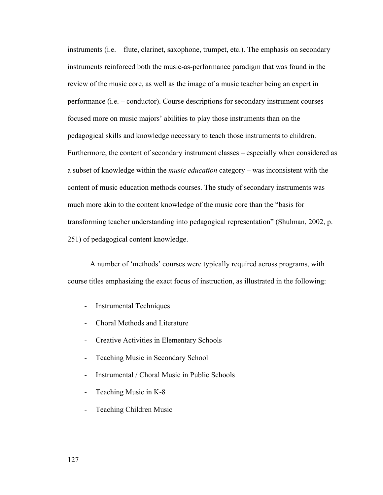instruments (i.e. – flute, clarinet, saxophone, trumpet, etc.). The emphasis on secondary instruments reinforced both the music-as-performance paradigm that was found in the review of the music core, as well as the image of a music teacher being an expert in performance (i.e. – conductor). Course descriptions for secondary instrument courses focused more on music majors' abilities to play those instruments than on the pedagogical skills and knowledge necessary to teach those instruments to children. Furthermore, the content of secondary instrument classes – especially when considered as a subset of knowledge within the *music education* category – was inconsistent with the content of music education methods courses. The study of secondary instruments was much more akin to the content knowledge of the music core than the "basis for transforming teacher understanding into pedagogical representation" (Shulman, 2002, p. 251) of pedagogical content knowledge.

A number of 'methods' courses were typically required across programs, with course titles emphasizing the exact focus of instruction, as illustrated in the following:

- Instrumental Techniques
- Choral Methods and Literature
- Creative Activities in Elementary Schools
- Teaching Music in Secondary School
- Instrumental / Choral Music in Public Schools
- Teaching Music in K-8
- Teaching Children Music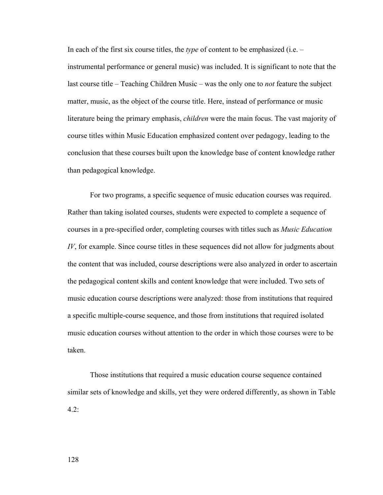In each of the first six course titles, the *type* of content to be emphasized (i.e. – instrumental performance or general music) was included. It is significant to note that the last course title – Teaching Children Music – was the only one to *not* feature the subject matter, music, as the object of the course title. Here, instead of performance or music literature being the primary emphasis, *children* were the main focus. The vast majority of course titles within Music Education emphasized content over pedagogy, leading to the conclusion that these courses built upon the knowledge base of content knowledge rather than pedagogical knowledge.

For two programs, a specific sequence of music education courses was required. Rather than taking isolated courses, students were expected to complete a sequence of courses in a pre-specified order, completing courses with titles such as *Music Education IV*, for example. Since course titles in these sequences did not allow for judgments about the content that was included, course descriptions were also analyzed in order to ascertain the pedagogical content skills and content knowledge that were included. Two sets of music education course descriptions were analyzed: those from institutions that required a specific multiple-course sequence, and those from institutions that required isolated music education courses without attention to the order in which those courses were to be taken.

Those institutions that required a music education course sequence contained similar sets of knowledge and skills, yet they were ordered differently, as shown in Table 4.2: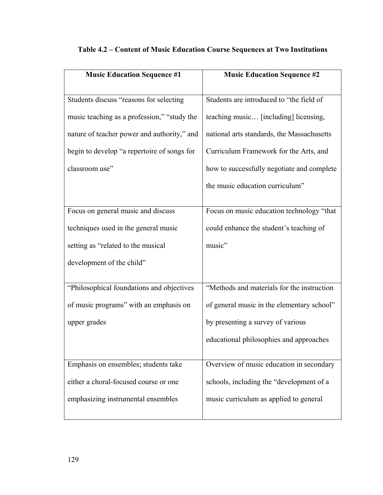| <b>Music Education Sequence #1</b>          | <b>Music Education Sequence #2</b>         |
|---------------------------------------------|--------------------------------------------|
|                                             |                                            |
| Students discuss "reasons for selecting     | Students are introduced to "the field of   |
| music teaching as a profession," "study the | teaching music [including] licensing,      |
| nature of teacher power and authority," and | national arts standards, the Massachusetts |
| begin to develop "a repertoire of songs for | Curriculum Framework for the Arts, and     |
| classroom use"                              | how to successfully negotiate and complete |
|                                             | the music education curriculum"            |
|                                             |                                            |
| Focus on general music and discuss          | Focus on music education technology "that  |
| techniques used in the general music        | could enhance the student's teaching of    |
| setting as "related to the musical          | music"                                     |
| development of the child"                   |                                            |
|                                             |                                            |
| "Philosophical foundations and objectives   | "Methods and materials for the instruction |
| of music programs" with an emphasis on      | of general music in the elementary school" |
| upper grades                                | by presenting a survey of various          |
|                                             | educational philosophies and approaches    |
|                                             |                                            |
| Emphasis on ensembles; students take        | Overview of music education in secondary   |
| either a choral-focused course or one       | schools, including the "development of a   |
| emphasizing instrumental ensembles          | music curriculum as applied to general     |
|                                             |                                            |

# **Table 4.2 – Content of Music Education Course Sequences at Two Institutions**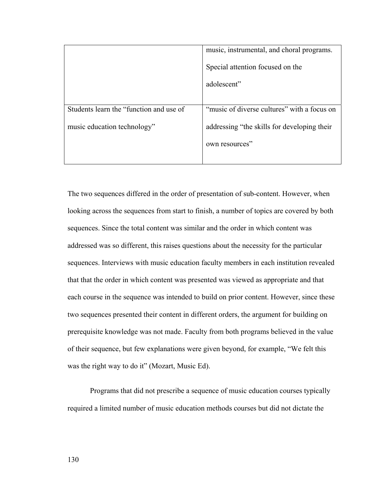|                                         | music, instrumental, and choral programs.   |
|-----------------------------------------|---------------------------------------------|
|                                         | Special attention focused on the            |
|                                         | adolescent"                                 |
|                                         |                                             |
| Students learn the "function and use of | "music of diverse cultures" with a focus on |
| music education technology"             | addressing "the skills for developing their |
|                                         | own resources"                              |
|                                         |                                             |

The two sequences differed in the order of presentation of sub-content. However, when looking across the sequences from start to finish, a number of topics are covered by both sequences. Since the total content was similar and the order in which content was addressed was so different, this raises questions about the necessity for the particular sequences. Interviews with music education faculty members in each institution revealed that that the order in which content was presented was viewed as appropriate and that each course in the sequence was intended to build on prior content. However, since these two sequences presented their content in different orders, the argument for building on prerequisite knowledge was not made. Faculty from both programs believed in the value of their sequence, but few explanations were given beyond, for example, "We felt this was the right way to do it" (Mozart, Music Ed).

 Programs that did not prescribe a sequence of music education courses typically required a limited number of music education methods courses but did not dictate the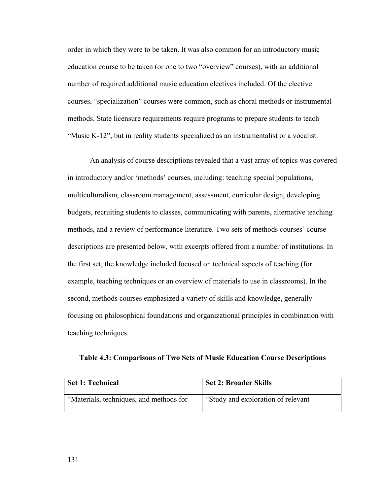order in which they were to be taken. It was also common for an introductory music education course to be taken (or one to two "overview" courses), with an additional number of required additional music education electives included. Of the elective courses, "specialization" courses were common, such as choral methods or instrumental methods. State licensure requirements require programs to prepare students to teach "Music K-12", but in reality students specialized as an instrumentalist or a vocalist.

 An analysis of course descriptions revealed that a vast array of topics was covered in introductory and/or 'methods' courses, including: teaching special populations, multiculturalism, classroom management, assessment, curricular design, developing budgets, recruiting students to classes, communicating with parents, alternative teaching methods, and a review of performance literature. Two sets of methods courses' course descriptions are presented below, with excerpts offered from a number of institutions. In the first set, the knowledge included focused on technical aspects of teaching (for example, teaching techniques or an overview of materials to use in classrooms). In the second, methods courses emphasized a variety of skills and knowledge, generally focusing on philosophical foundations and organizational principles in combination with teaching techniques.

**Table 4.3: Comparisons of Two Sets of Music Education Course Descriptions** 

| <b>Set 1: Technical</b>                 | <b>Set 2: Broader Skills</b>        |
|-----------------------------------------|-------------------------------------|
| "Materials, techniques, and methods for | "Study and exploration of relevant" |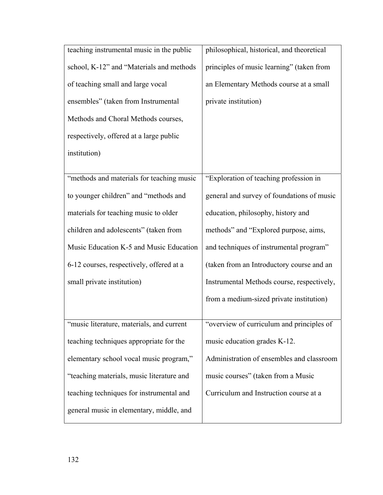| teaching instrumental music in the public | philosophical, historical, and theoretical |
|-------------------------------------------|--------------------------------------------|
| school, K-12" and "Materials and methods  | principles of music learning" (taken from  |
| of teaching small and large vocal         | an Elementary Methods course at a small    |
| ensembles" (taken from Instrumental       | private institution)                       |
| Methods and Choral Methods courses,       |                                            |
| respectively, offered at a large public   |                                            |
| institution)                              |                                            |
|                                           |                                            |
| "methods and materials for teaching music | "Exploration of teaching profession in     |
| to younger children" and "methods and     | general and survey of foundations of music |
| materials for teaching music to older     | education, philosophy, history and         |
| children and adolescents" (taken from     | methods" and "Explored purpose, aims,      |
| Music Education K-5 and Music Education   | and techniques of instrumental program"    |
| 6-12 courses, respectively, offered at a  | (taken from an Introductory course and an  |
| small private institution)                | Instrumental Methods course, respectively, |
|                                           | from a medium-sized private institution)   |
|                                           |                                            |
| "music literature, materials, and current | "overview of curriculum and principles of  |
| teaching techniques appropriate for the   | music education grades K-12.               |
| elementary school vocal music program,"   | Administration of ensembles and classroom  |
| "teaching materials, music literature and | music courses" (taken from a Music         |
| teaching techniques for instrumental and  | Curriculum and Instruction course at a     |
| general music in elementary, middle, and  |                                            |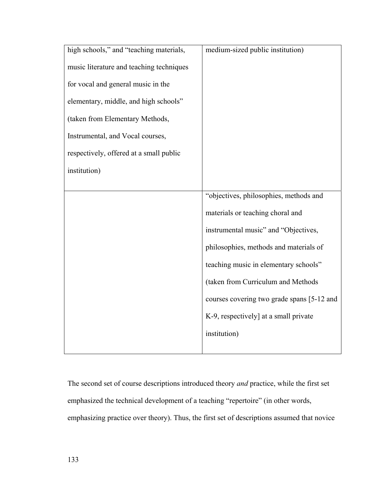| high schools," and "teaching materials,  | medium-sized public institution)           |
|------------------------------------------|--------------------------------------------|
| music literature and teaching techniques |                                            |
| for vocal and general music in the       |                                            |
| elementary, middle, and high schools"    |                                            |
| (taken from Elementary Methods,          |                                            |
| Instrumental, and Vocal courses,         |                                            |
| respectively, offered at a small public  |                                            |
| institution)                             |                                            |
|                                          |                                            |
|                                          | "objectives, philosophies, methods and     |
|                                          | materials or teaching choral and           |
|                                          | instrumental music" and "Objectives,       |
|                                          | philosophies, methods and materials of     |
|                                          | teaching music in elementary schools"      |
|                                          | (taken from Curriculum and Methods         |
|                                          | courses covering two grade spans [5-12 and |
|                                          | K-9, respectively] at a small private      |
|                                          | institution)                               |
|                                          |                                            |

The second set of course descriptions introduced theory *and* practice, while the first set emphasized the technical development of a teaching "repertoire" (in other words, emphasizing practice over theory). Thus, the first set of descriptions assumed that novice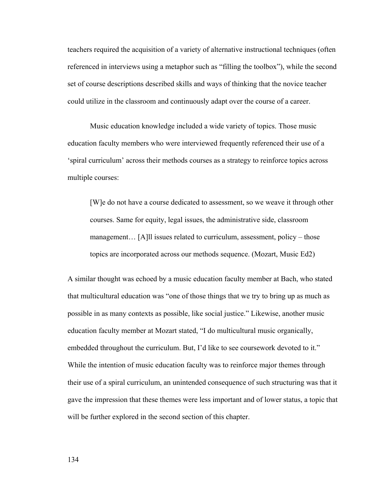teachers required the acquisition of a variety of alternative instructional techniques (often referenced in interviews using a metaphor such as "filling the toolbox"), while the second set of course descriptions described skills and ways of thinking that the novice teacher could utilize in the classroom and continuously adapt over the course of a career.

 Music education knowledge included a wide variety of topics. Those music education faculty members who were interviewed frequently referenced their use of a 'spiral curriculum' across their methods courses as a strategy to reinforce topics across multiple courses:

[W]e do not have a course dedicated to assessment, so we weave it through other courses. Same for equity, legal issues, the administrative side, classroom management... [A]ll issues related to curriculum, assessment, policy – those topics are incorporated across our methods sequence. (Mozart, Music Ed2)

A similar thought was echoed by a music education faculty member at Bach, who stated that multicultural education was "one of those things that we try to bring up as much as possible in as many contexts as possible, like social justice." Likewise, another music education faculty member at Mozart stated, "I do multicultural music organically, embedded throughout the curriculum. But, I'd like to see coursework devoted to it." While the intention of music education faculty was to reinforce major themes through their use of a spiral curriculum, an unintended consequence of such structuring was that it gave the impression that these themes were less important and of lower status, a topic that will be further explored in the second section of this chapter.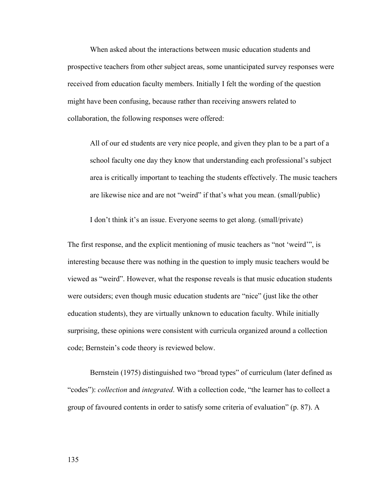When asked about the interactions between music education students and prospective teachers from other subject areas, some unanticipated survey responses were received from education faculty members. Initially I felt the wording of the question might have been confusing, because rather than receiving answers related to collaboration, the following responses were offered:

All of our ed students are very nice people, and given they plan to be a part of a school faculty one day they know that understanding each professional's subject area is critically important to teaching the students effectively. The music teachers are likewise nice and are not "weird" if that's what you mean. (small/public)

I don't think it's an issue. Everyone seems to get along. (small/private)

The first response, and the explicit mentioning of music teachers as "not 'weird'", is interesting because there was nothing in the question to imply music teachers would be viewed as "weird". However, what the response reveals is that music education students were outsiders; even though music education students are "nice" (just like the other education students), they are virtually unknown to education faculty. While initially surprising, these opinions were consistent with curricula organized around a collection code; Bernstein's code theory is reviewed below.

Bernstein (1975) distinguished two "broad types" of curriculum (later defined as "codes"): *collection* and *integrated*. With a collection code, "the learner has to collect a group of favoured contents in order to satisfy some criteria of evaluation" (p. 87). A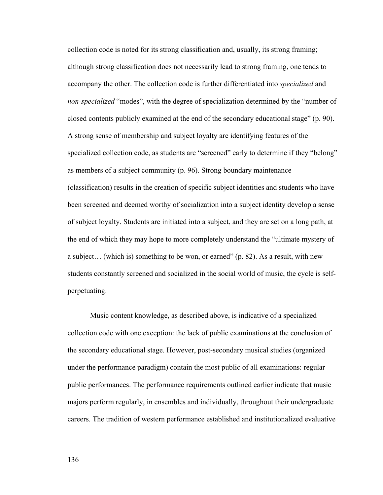collection code is noted for its strong classification and, usually, its strong framing; although strong classification does not necessarily lead to strong framing, one tends to accompany the other. The collection code is further differentiated into *specialized* and *non-specialized* "modes", with the degree of specialization determined by the "number of closed contents publicly examined at the end of the secondary educational stage" (p. 90). A strong sense of membership and subject loyalty are identifying features of the specialized collection code, as students are "screened" early to determine if they "belong" as members of a subject community (p. 96). Strong boundary maintenance (classification) results in the creation of specific subject identities and students who have been screened and deemed worthy of socialization into a subject identity develop a sense of subject loyalty. Students are initiated into a subject, and they are set on a long path, at the end of which they may hope to more completely understand the "ultimate mystery of a subject… (which is) something to be won, or earned" (p. 82). As a result, with new students constantly screened and socialized in the social world of music, the cycle is selfperpetuating.

Music content knowledge, as described above, is indicative of a specialized collection code with one exception: the lack of public examinations at the conclusion of the secondary educational stage. However, post-secondary musical studies (organized under the performance paradigm) contain the most public of all examinations: regular public performances. The performance requirements outlined earlier indicate that music majors perform regularly, in ensembles and individually, throughout their undergraduate careers. The tradition of western performance established and institutionalized evaluative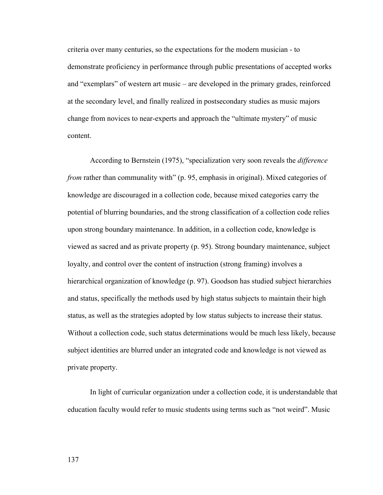criteria over many centuries, so the expectations for the modern musician - to demonstrate proficiency in performance through public presentations of accepted works and "exemplars" of western art music – are developed in the primary grades, reinforced at the secondary level, and finally realized in postsecondary studies as music majors change from novices to near-experts and approach the "ultimate mystery" of music content.

According to Bernstein (1975), "specialization very soon reveals the *difference from* rather than communality with" (p. 95, emphasis in original). Mixed categories of knowledge are discouraged in a collection code, because mixed categories carry the potential of blurring boundaries, and the strong classification of a collection code relies upon strong boundary maintenance. In addition, in a collection code, knowledge is viewed as sacred and as private property (p. 95). Strong boundary maintenance, subject loyalty, and control over the content of instruction (strong framing) involves a hierarchical organization of knowledge (p. 97). Goodson has studied subject hierarchies and status, specifically the methods used by high status subjects to maintain their high status, as well as the strategies adopted by low status subjects to increase their status. Without a collection code, such status determinations would be much less likely, because subject identities are blurred under an integrated code and knowledge is not viewed as private property.

In light of curricular organization under a collection code, it is understandable that education faculty would refer to music students using terms such as "not weird". Music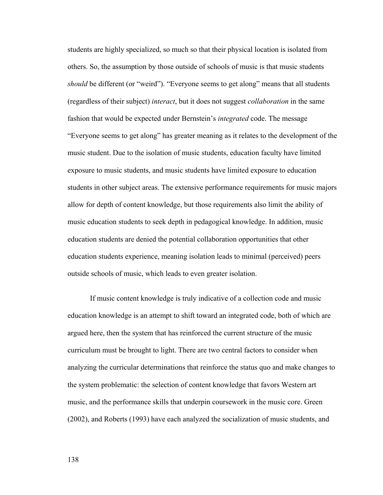students are highly specialized, so much so that their physical location is isolated from others. So, the assumption by those outside of schools of music is that music students *should* be different (or "weird"). "Everyone seems to get along" means that all students (regardless of their subject) *interact*, but it does not suggest *collaboration* in the same fashion that would be expected under Bernstein's *integrated* code. The message "Everyone seems to get along" has greater meaning as it relates to the development of the music student. Due to the isolation of music students, education faculty have limited exposure to music students, and music students have limited exposure to education students in other subject areas. The extensive performance requirements for music majors allow for depth of content knowledge, but those requirements also limit the ability of music education students to seek depth in pedagogical knowledge. In addition, music education students are denied the potential collaboration opportunities that other education students experience, meaning isolation leads to minimal (perceived) peers outside schools of music, which leads to even greater isolation.

 If music content knowledge is truly indicative of a collection code and music education knowledge is an attempt to shift toward an integrated code, both of which are argued here, then the system that has reinforced the current structure of the music curriculum must be brought to light. There are two central factors to consider when analyzing the curricular determinations that reinforce the status quo and make changes to the system problematic: the selection of content knowledge that favors Western art music, and the performance skills that underpin coursework in the music core. Green (2002), and Roberts (1993) have each analyzed the socialization of music students, and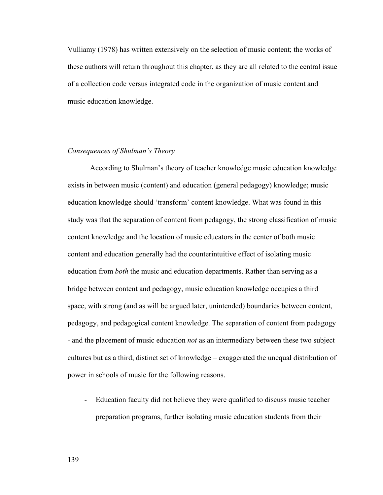Vulliamy (1978) has written extensively on the selection of music content; the works of these authors will return throughout this chapter, as they are all related to the central issue of a collection code versus integrated code in the organization of music content and music education knowledge.

## *Consequences of Shulman's Theory*

According to Shulman's theory of teacher knowledge music education knowledge exists in between music (content) and education (general pedagogy) knowledge; music education knowledge should 'transform' content knowledge. What was found in this study was that the separation of content from pedagogy, the strong classification of music content knowledge and the location of music educators in the center of both music content and education generally had the counterintuitive effect of isolating music education from *both* the music and education departments. Rather than serving as a bridge between content and pedagogy, music education knowledge occupies a third space, with strong (and as will be argued later, unintended) boundaries between content, pedagogy, and pedagogical content knowledge. The separation of content from pedagogy - and the placement of music education *not* as an intermediary between these two subject cultures but as a third, distinct set of knowledge – exaggerated the unequal distribution of power in schools of music for the following reasons.

- Education faculty did not believe they were qualified to discuss music teacher preparation programs, further isolating music education students from their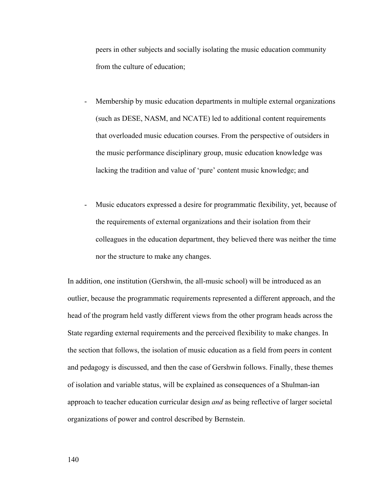peers in other subjects and socially isolating the music education community from the culture of education;

- Membership by music education departments in multiple external organizations (such as DESE, NASM, and NCATE) led to additional content requirements that overloaded music education courses. From the perspective of outsiders in the music performance disciplinary group, music education knowledge was lacking the tradition and value of 'pure' content music knowledge; and
- Music educators expressed a desire for programmatic flexibility, yet, because of the requirements of external organizations and their isolation from their colleagues in the education department, they believed there was neither the time nor the structure to make any changes.

In addition, one institution (Gershwin, the all-music school) will be introduced as an outlier, because the programmatic requirements represented a different approach, and the head of the program held vastly different views from the other program heads across the State regarding external requirements and the perceived flexibility to make changes. In the section that follows, the isolation of music education as a field from peers in content and pedagogy is discussed, and then the case of Gershwin follows. Finally, these themes of isolation and variable status, will be explained as consequences of a Shulman-ian approach to teacher education curricular design *and* as being reflective of larger societal organizations of power and control described by Bernstein.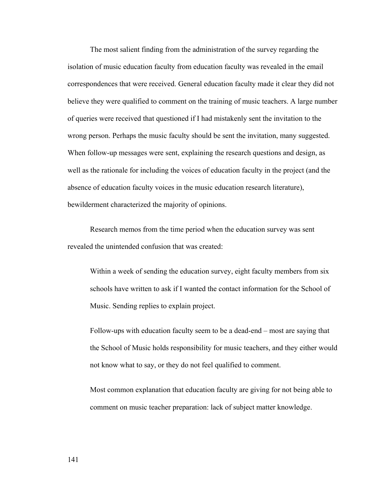The most salient finding from the administration of the survey regarding the isolation of music education faculty from education faculty was revealed in the email correspondences that were received. General education faculty made it clear they did not believe they were qualified to comment on the training of music teachers. A large number of queries were received that questioned if I had mistakenly sent the invitation to the wrong person. Perhaps the music faculty should be sent the invitation, many suggested. When follow-up messages were sent, explaining the research questions and design, as well as the rationale for including the voices of education faculty in the project (and the absence of education faculty voices in the music education research literature), bewilderment characterized the majority of opinions.

 Research memos from the time period when the education survey was sent revealed the unintended confusion that was created:

Within a week of sending the education survey, eight faculty members from six schools have written to ask if I wanted the contact information for the School of Music. Sending replies to explain project.

Follow-ups with education faculty seem to be a dead-end – most are saying that the School of Music holds responsibility for music teachers, and they either would not know what to say, or they do not feel qualified to comment.

Most common explanation that education faculty are giving for not being able to comment on music teacher preparation: lack of subject matter knowledge.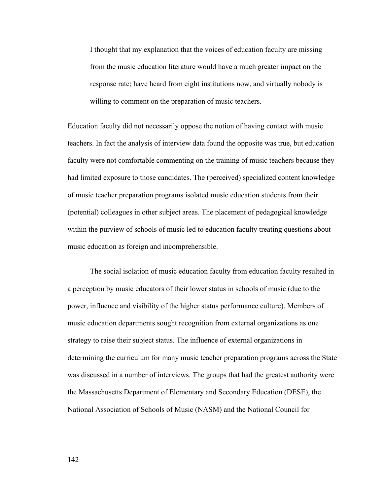I thought that my explanation that the voices of education faculty are missing from the music education literature would have a much greater impact on the response rate; have heard from eight institutions now, and virtually nobody is willing to comment on the preparation of music teachers.

Education faculty did not necessarily oppose the notion of having contact with music teachers. In fact the analysis of interview data found the opposite was true, but education faculty were not comfortable commenting on the training of music teachers because they had limited exposure to those candidates. The (perceived) specialized content knowledge of music teacher preparation programs isolated music education students from their (potential) colleagues in other subject areas. The placement of pedagogical knowledge within the purview of schools of music led to education faculty treating questions about music education as foreign and incomprehensible.

The social isolation of music education faculty from education faculty resulted in a perception by music educators of their lower status in schools of music (due to the power, influence and visibility of the higher status performance culture). Members of music education departments sought recognition from external organizations as one strategy to raise their subject status. The influence of external organizations in determining the curriculum for many music teacher preparation programs across the State was discussed in a number of interviews. The groups that had the greatest authority were the Massachusetts Department of Elementary and Secondary Education (DESE), the National Association of Schools of Music (NASM) and the National Council for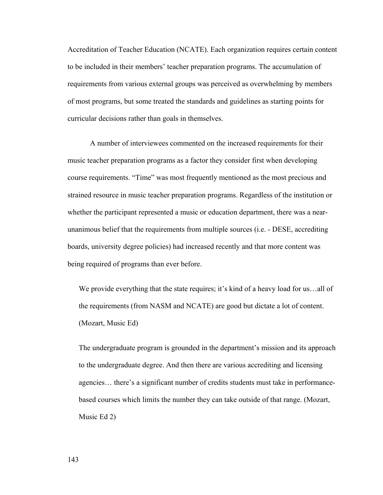Accreditation of Teacher Education (NCATE). Each organization requires certain content to be included in their members' teacher preparation programs. The accumulation of requirements from various external groups was perceived as overwhelming by members of most programs, but some treated the standards and guidelines as starting points for curricular decisions rather than goals in themselves.

 A number of interviewees commented on the increased requirements for their music teacher preparation programs as a factor they consider first when developing course requirements. "Time" was most frequently mentioned as the most precious and strained resource in music teacher preparation programs. Regardless of the institution or whether the participant represented a music or education department, there was a nearunanimous belief that the requirements from multiple sources (i.e. - DESE, accrediting boards, university degree policies) had increased recently and that more content was being required of programs than ever before.

We provide everything that the state requires; it's kind of a heavy load for us...all of the requirements (from NASM and NCATE) are good but dictate a lot of content. (Mozart, Music Ed)

The undergraduate program is grounded in the department's mission and its approach to the undergraduate degree. And then there are various accrediting and licensing agencies… there's a significant number of credits students must take in performancebased courses which limits the number they can take outside of that range. (Mozart, Music Ed 2)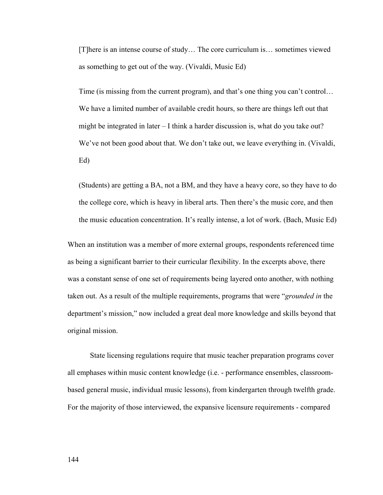[T]here is an intense course of study… The core curriculum is… sometimes viewed as something to get out of the way. (Vivaldi, Music Ed)

Time (is missing from the current program), and that's one thing you can't control… We have a limited number of available credit hours, so there are things left out that might be integrated in later – I think a harder discussion is, what do you take out? We've not been good about that. We don't take out, we leave everything in. (Vivaldi, Ed)

(Students) are getting a BA, not a BM, and they have a heavy core, so they have to do the college core, which is heavy in liberal arts. Then there's the music core, and then the music education concentration. It's really intense, a lot of work. (Bach, Music Ed)

When an institution was a member of more external groups, respondents referenced time as being a significant barrier to their curricular flexibility. In the excerpts above, there was a constant sense of one set of requirements being layered onto another, with nothing taken out. As a result of the multiple requirements, programs that were "*grounded in* the department's mission," now included a great deal more knowledge and skills beyond that original mission.

State licensing regulations require that music teacher preparation programs cover all emphases within music content knowledge (i.e. - performance ensembles, classroombased general music, individual music lessons), from kindergarten through twelfth grade. For the majority of those interviewed, the expansive licensure requirements - compared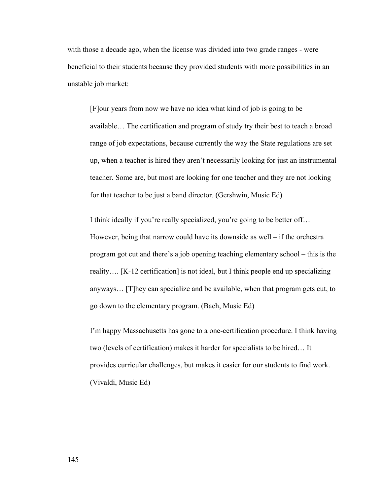with those a decade ago, when the license was divided into two grade ranges - were beneficial to their students because they provided students with more possibilities in an unstable job market:

[F]our years from now we have no idea what kind of job is going to be available… The certification and program of study try their best to teach a broad range of job expectations, because currently the way the State regulations are set up, when a teacher is hired they aren't necessarily looking for just an instrumental teacher. Some are, but most are looking for one teacher and they are not looking for that teacher to be just a band director. (Gershwin, Music Ed)

I think ideally if you're really specialized, you're going to be better off… However, being that narrow could have its downside as well – if the orchestra program got cut and there's a job opening teaching elementary school – this is the reality…. [K-12 certification] is not ideal, but I think people end up specializing anyways… [T]hey can specialize and be available, when that program gets cut, to go down to the elementary program. (Bach, Music Ed)

I'm happy Massachusetts has gone to a one-certification procedure. I think having two (levels of certification) makes it harder for specialists to be hired… It provides curricular challenges, but makes it easier for our students to find work. (Vivaldi, Music Ed)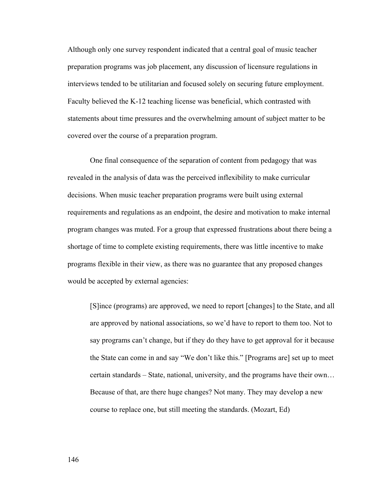Although only one survey respondent indicated that a central goal of music teacher preparation programs was job placement, any discussion of licensure regulations in interviews tended to be utilitarian and focused solely on securing future employment. Faculty believed the K-12 teaching license was beneficial, which contrasted with statements about time pressures and the overwhelming amount of subject matter to be covered over the course of a preparation program.

One final consequence of the separation of content from pedagogy that was revealed in the analysis of data was the perceived inflexibility to make curricular decisions. When music teacher preparation programs were built using external requirements and regulations as an endpoint, the desire and motivation to make internal program changes was muted. For a group that expressed frustrations about there being a shortage of time to complete existing requirements, there was little incentive to make programs flexible in their view, as there was no guarantee that any proposed changes would be accepted by external agencies:

[S]ince (programs) are approved, we need to report [changes] to the State, and all are approved by national associations, so we'd have to report to them too. Not to say programs can't change, but if they do they have to get approval for it because the State can come in and say "We don't like this." [Programs are] set up to meet certain standards – State, national, university, and the programs have their own… Because of that, are there huge changes? Not many. They may develop a new course to replace one, but still meeting the standards. (Mozart, Ed)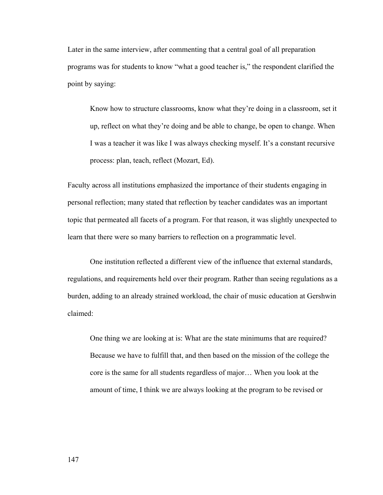Later in the same interview, after commenting that a central goal of all preparation programs was for students to know "what a good teacher is," the respondent clarified the point by saying:

Know how to structure classrooms, know what they're doing in a classroom, set it up, reflect on what they're doing and be able to change, be open to change. When I was a teacher it was like I was always checking myself. It's a constant recursive process: plan, teach, reflect (Mozart, Ed).

Faculty across all institutions emphasized the importance of their students engaging in personal reflection; many stated that reflection by teacher candidates was an important topic that permeated all facets of a program. For that reason, it was slightly unexpected to learn that there were so many barriers to reflection on a programmatic level.

One institution reflected a different view of the influence that external standards, regulations, and requirements held over their program. Rather than seeing regulations as a burden, adding to an already strained workload, the chair of music education at Gershwin claimed:

One thing we are looking at is: What are the state minimums that are required? Because we have to fulfill that, and then based on the mission of the college the core is the same for all students regardless of major… When you look at the amount of time, I think we are always looking at the program to be revised or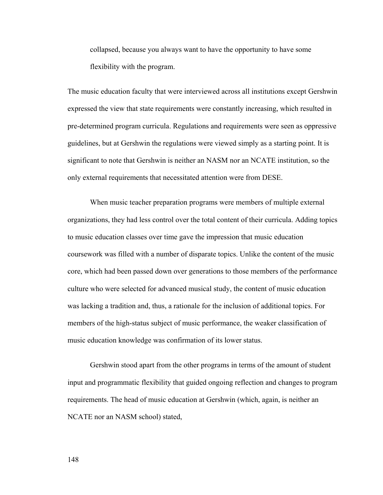collapsed, because you always want to have the opportunity to have some flexibility with the program.

The music education faculty that were interviewed across all institutions except Gershwin expressed the view that state requirements were constantly increasing, which resulted in pre-determined program curricula. Regulations and requirements were seen as oppressive guidelines, but at Gershwin the regulations were viewed simply as a starting point. It is significant to note that Gershwin is neither an NASM nor an NCATE institution, so the only external requirements that necessitated attention were from DESE.

 When music teacher preparation programs were members of multiple external organizations, they had less control over the total content of their curricula. Adding topics to music education classes over time gave the impression that music education coursework was filled with a number of disparate topics. Unlike the content of the music core, which had been passed down over generations to those members of the performance culture who were selected for advanced musical study, the content of music education was lacking a tradition and, thus, a rationale for the inclusion of additional topics. For members of the high-status subject of music performance, the weaker classification of music education knowledge was confirmation of its lower status.

Gershwin stood apart from the other programs in terms of the amount of student input and programmatic flexibility that guided ongoing reflection and changes to program requirements. The head of music education at Gershwin (which, again, is neither an NCATE nor an NASM school) stated,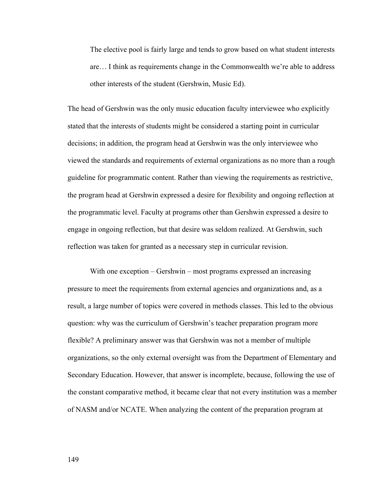The elective pool is fairly large and tends to grow based on what student interests are… I think as requirements change in the Commonwealth we're able to address other interests of the student (Gershwin, Music Ed).

The head of Gershwin was the only music education faculty interviewee who explicitly stated that the interests of students might be considered a starting point in curricular decisions; in addition, the program head at Gershwin was the only interviewee who viewed the standards and requirements of external organizations as no more than a rough guideline for programmatic content. Rather than viewing the requirements as restrictive, the program head at Gershwin expressed a desire for flexibility and ongoing reflection at the programmatic level. Faculty at programs other than Gershwin expressed a desire to engage in ongoing reflection, but that desire was seldom realized. At Gershwin, such reflection was taken for granted as a necessary step in curricular revision.

With one exception – Gershwin – most programs expressed an increasing pressure to meet the requirements from external agencies and organizations and, as a result, a large number of topics were covered in methods classes. This led to the obvious question: why was the curriculum of Gershwin's teacher preparation program more flexible? A preliminary answer was that Gershwin was not a member of multiple organizations, so the only external oversight was from the Department of Elementary and Secondary Education. However, that answer is incomplete, because, following the use of the constant comparative method, it became clear that not every institution was a member of NASM and/or NCATE. When analyzing the content of the preparation program at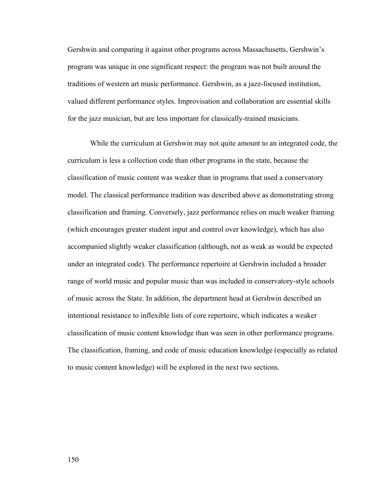Gershwin and comparing it against other programs across Massachusetts, Gershwin's program was unique in one significant respect: the program was not built around the traditions of western art music performance. Gershwin, as a jazz-focused institution, valued different performance styles. Improvisation and collaboration are essential skills for the jazz musician, but are less important for classically-trained musicians.

While the curriculum at Gershwin may not quite amount to an integrated code, the curriculum is less a collection code than other programs in the state, because the classification of music content was weaker than in programs that used a conservatory model. The classical performance tradition was described above as demonstrating strong classification and framing. Conversely, jazz performance relies on much weaker framing (which encourages greater student input and control over knowledge), which has also accompanied slightly weaker classification (although, not as weak as would be expected under an integrated code). The performance repertoire at Gershwin included a broader range of world music and popular music than was included in conservatory-style schools of music across the State. In addition, the department head at Gershwin described an intentional resistance to inflexible lists of core repertoire, which indicates a weaker classification of music content knowledge than was seen in other performance programs. The classification, framing, and code of music education knowledge (especially as related to music content knowledge) will be explored in the next two sections.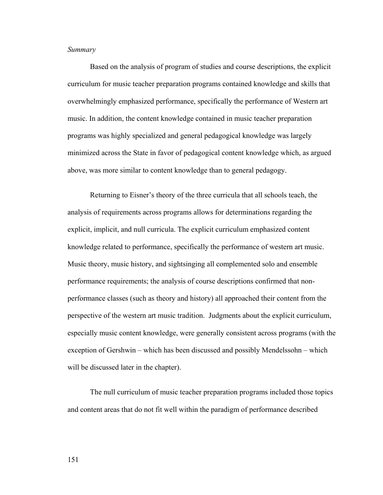## *Summary*

 Based on the analysis of program of studies and course descriptions, the explicit curriculum for music teacher preparation programs contained knowledge and skills that overwhelmingly emphasized performance, specifically the performance of Western art music. In addition, the content knowledge contained in music teacher preparation programs was highly specialized and general pedagogical knowledge was largely minimized across the State in favor of pedagogical content knowledge which, as argued above, was more similar to content knowledge than to general pedagogy.

 Returning to Eisner's theory of the three curricula that all schools teach, the analysis of requirements across programs allows for determinations regarding the explicit, implicit, and null curricula. The explicit curriculum emphasized content knowledge related to performance, specifically the performance of western art music. Music theory, music history, and sightsinging all complemented solo and ensemble performance requirements; the analysis of course descriptions confirmed that nonperformance classes (such as theory and history) all approached their content from the perspective of the western art music tradition. Judgments about the explicit curriculum, especially music content knowledge, were generally consistent across programs (with the exception of Gershwin – which has been discussed and possibly Mendelssohn – which will be discussed later in the chapter).

The null curriculum of music teacher preparation programs included those topics and content areas that do not fit well within the paradigm of performance described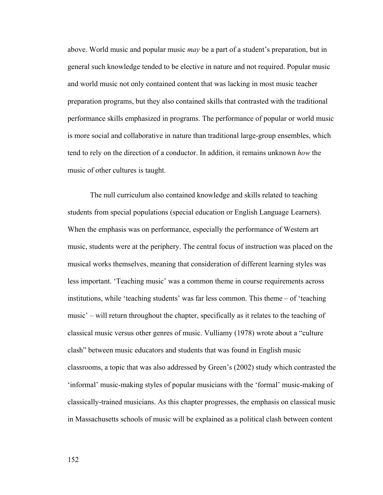above. World music and popular music *may* be a part of a student's preparation, but in general such knowledge tended to be elective in nature and not required. Popular music and world music not only contained content that was lacking in most music teacher preparation programs, but they also contained skills that contrasted with the traditional performance skills emphasized in programs. The performance of popular or world music is more social and collaborative in nature than traditional large-group ensembles, which tend to rely on the direction of a conductor. In addition, it remains unknown *how* the music of other cultures is taught.

The null curriculum also contained knowledge and skills related to teaching students from special populations (special education or English Language Learners). When the emphasis was on performance, especially the performance of Western art music, students were at the periphery. The central focus of instruction was placed on the musical works themselves, meaning that consideration of different learning styles was less important. 'Teaching music' was a common theme in course requirements across institutions, while 'teaching students' was far less common. This theme – of 'teaching music' – will return throughout the chapter, specifically as it relates to the teaching of classical music versus other genres of music. Vulliamy (1978) wrote about a "culture clash" between music educators and students that was found in English music classrooms, a topic that was also addressed by Green's (2002) study which contrasted the 'informal' music-making styles of popular musicians with the 'formal' music-making of classically-trained musicians. As this chapter progresses, the emphasis on classical music in Massachusetts schools of music will be explained as a political clash between content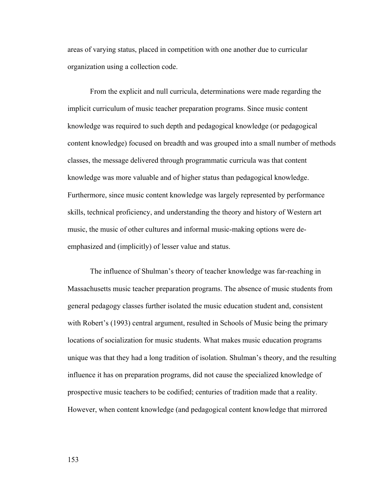areas of varying status, placed in competition with one another due to curricular organization using a collection code.

 From the explicit and null curricula, determinations were made regarding the implicit curriculum of music teacher preparation programs. Since music content knowledge was required to such depth and pedagogical knowledge (or pedagogical content knowledge) focused on breadth and was grouped into a small number of methods classes, the message delivered through programmatic curricula was that content knowledge was more valuable and of higher status than pedagogical knowledge. Furthermore, since music content knowledge was largely represented by performance skills, technical proficiency, and understanding the theory and history of Western art music, the music of other cultures and informal music-making options were deemphasized and (implicitly) of lesser value and status.

 The influence of Shulman's theory of teacher knowledge was far-reaching in Massachusetts music teacher preparation programs. The absence of music students from general pedagogy classes further isolated the music education student and, consistent with Robert's (1993) central argument, resulted in Schools of Music being the primary locations of socialization for music students. What makes music education programs unique was that they had a long tradition of isolation. Shulman's theory, and the resulting influence it has on preparation programs, did not cause the specialized knowledge of prospective music teachers to be codified; centuries of tradition made that a reality. However, when content knowledge (and pedagogical content knowledge that mirrored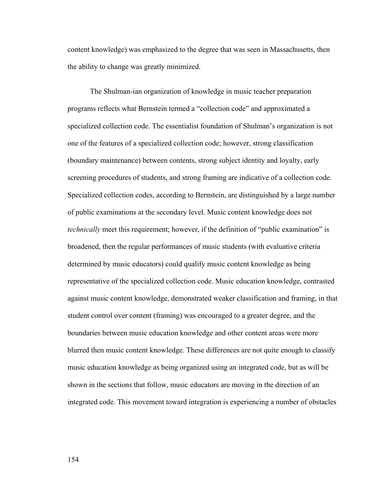content knowledge) was emphasized to the degree that was seen in Massachusetts, then the ability to change was greatly minimized.

 The Shulman-ian organization of knowledge in music teacher preparation programs reflects what Bernstein termed a "collection code" and approximated a specialized collection code. The essentialist foundation of Shulman's organization is not one of the features of a specialized collection code; however, strong classification (boundary maintenance) between contents, strong subject identity and loyalty, early screening procedures of students, and strong framing are indicative of a collection code. Specialized collection codes, according to Bernstein, are distinguished by a large number of public examinations at the secondary level. Music content knowledge does not *technically* meet this requirement; however, if the definition of "public examination" is broadened, then the regular performances of music students (with evaluative criteria determined by music educators) could qualify music content knowledge as being representative of the specialized collection code. Music education knowledge, contrasted against music content knowledge, demonstrated weaker classification and framing, in that student control over content (framing) was encouraged to a greater degree, and the boundaries between music education knowledge and other content areas were more blurred then music content knowledge. These differences are not quite enough to classify music education knowledge as being organized using an integrated code, but as will be shown in the sections that follow, music educators are moving in the direction of an integrated code. This movement toward integration is experiencing a number of obstacles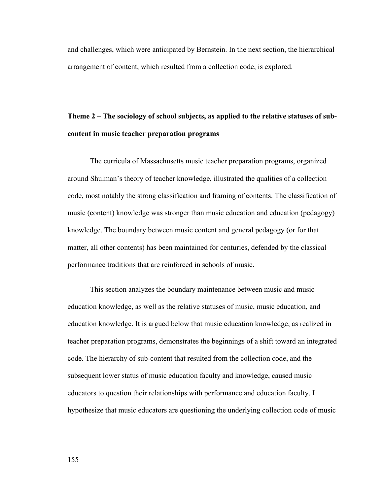and challenges, which were anticipated by Bernstein. In the next section, the hierarchical arrangement of content, which resulted from a collection code, is explored.

## **Theme 2 – The sociology of school subjects, as applied to the relative statuses of subcontent in music teacher preparation programs**

 The curricula of Massachusetts music teacher preparation programs, organized around Shulman's theory of teacher knowledge, illustrated the qualities of a collection code, most notably the strong classification and framing of contents. The classification of music (content) knowledge was stronger than music education and education (pedagogy) knowledge. The boundary between music content and general pedagogy (or for that matter, all other contents) has been maintained for centuries, defended by the classical performance traditions that are reinforced in schools of music.

This section analyzes the boundary maintenance between music and music education knowledge, as well as the relative statuses of music, music education, and education knowledge. It is argued below that music education knowledge, as realized in teacher preparation programs, demonstrates the beginnings of a shift toward an integrated code. The hierarchy of sub-content that resulted from the collection code, and the subsequent lower status of music education faculty and knowledge, caused music educators to question their relationships with performance and education faculty. I hypothesize that music educators are questioning the underlying collection code of music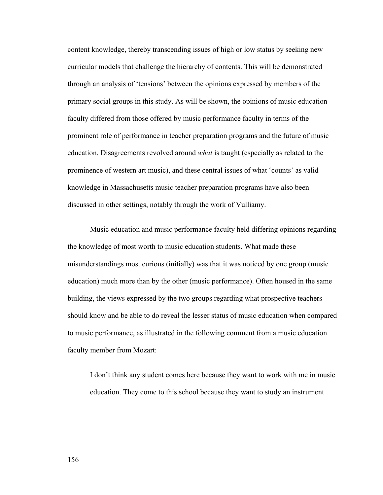content knowledge, thereby transcending issues of high or low status by seeking new curricular models that challenge the hierarchy of contents. This will be demonstrated through an analysis of 'tensions' between the opinions expressed by members of the primary social groups in this study. As will be shown, the opinions of music education faculty differed from those offered by music performance faculty in terms of the prominent role of performance in teacher preparation programs and the future of music education. Disagreements revolved around *what* is taught (especially as related to the prominence of western art music), and these central issues of what 'counts' as valid knowledge in Massachusetts music teacher preparation programs have also been discussed in other settings, notably through the work of Vulliamy.

 Music education and music performance faculty held differing opinions regarding the knowledge of most worth to music education students. What made these misunderstandings most curious (initially) was that it was noticed by one group (music education) much more than by the other (music performance). Often housed in the same building, the views expressed by the two groups regarding what prospective teachers should know and be able to do reveal the lesser status of music education when compared to music performance, as illustrated in the following comment from a music education faculty member from Mozart:

I don't think any student comes here because they want to work with me in music education. They come to this school because they want to study an instrument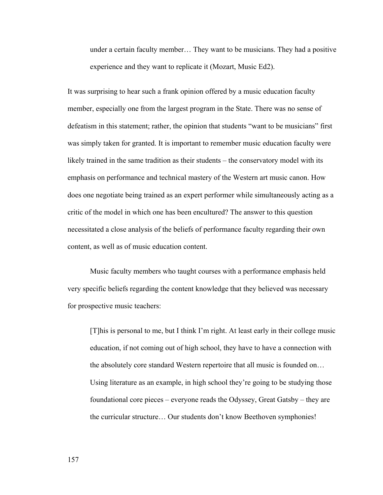under a certain faculty member… They want to be musicians. They had a positive experience and they want to replicate it (Mozart, Music Ed2).

It was surprising to hear such a frank opinion offered by a music education faculty member, especially one from the largest program in the State. There was no sense of defeatism in this statement; rather, the opinion that students "want to be musicians" first was simply taken for granted. It is important to remember music education faculty were likely trained in the same tradition as their students – the conservatory model with its emphasis on performance and technical mastery of the Western art music canon. How does one negotiate being trained as an expert performer while simultaneously acting as a critic of the model in which one has been encultured? The answer to this question necessitated a close analysis of the beliefs of performance faculty regarding their own content, as well as of music education content.

 Music faculty members who taught courses with a performance emphasis held very specific beliefs regarding the content knowledge that they believed was necessary for prospective music teachers:

[T]his is personal to me, but I think I'm right. At least early in their college music education, if not coming out of high school, they have to have a connection with the absolutely core standard Western repertoire that all music is founded on… Using literature as an example, in high school they're going to be studying those foundational core pieces – everyone reads the Odyssey, Great Gatsby – they are the curricular structure… Our students don't know Beethoven symphonies!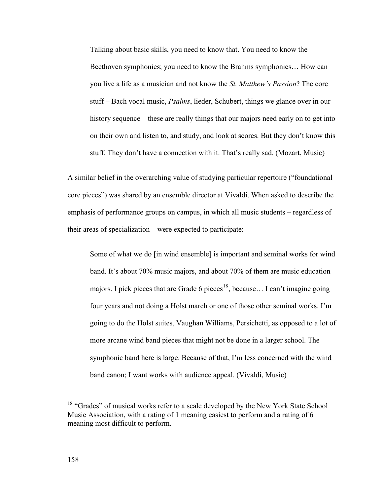Talking about basic skills, you need to know that. You need to know the Beethoven symphonies; you need to know the Brahms symphonies… How can you live a life as a musician and not know the *St. Matthew's Passion*? The core stuff – Bach vocal music, *Psalms*, lieder, Schubert, things we glance over in our history sequence – these are really things that our majors need early on to get into on their own and listen to, and study, and look at scores. But they don't know this stuff. They don't have a connection with it. That's really sad. (Mozart, Music)

A similar belief in the overarching value of studying particular repertoire ("foundational core pieces") was shared by an ensemble director at Vivaldi. When asked to describe the emphasis of performance groups on campus, in which all music students – regardless of their areas of specialization – were expected to participate:

Some of what we do [in wind ensemble] is important and seminal works for wind band. It's about 70% music majors, and about 70% of them are music education majors. I pick pieces that are Grade 6 pieces<sup>[18](#page-164-0)</sup>, because... I can't imagine going four years and not doing a Holst march or one of those other seminal works. I'm going to do the Holst suites, Vaughan Williams, Persichetti, as opposed to a lot of more arcane wind band pieces that might not be done in a larger school. The symphonic band here is large. Because of that, I'm less concerned with the wind band canon; I want works with audience appeal. (Vivaldi, Music)

 $\overline{a}$ 

<span id="page-164-0"></span><sup>&</sup>lt;sup>18</sup> "Grades" of musical works refer to a scale developed by the New York State School Music Association, with a rating of 1 meaning easiest to perform and a rating of 6 meaning most difficult to perform.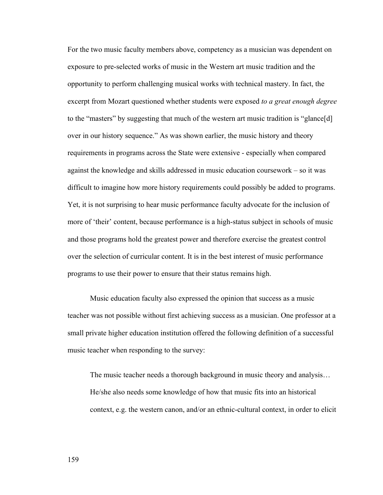For the two music faculty members above, competency as a musician was dependent on exposure to pre-selected works of music in the Western art music tradition and the opportunity to perform challenging musical works with technical mastery. In fact, the excerpt from Mozart questioned whether students were exposed *to a great enough degree* to the "masters" by suggesting that much of the western art music tradition is "glance[d] over in our history sequence." As was shown earlier, the music history and theory requirements in programs across the State were extensive - especially when compared against the knowledge and skills addressed in music education coursework – so it was difficult to imagine how more history requirements could possibly be added to programs. Yet, it is not surprising to hear music performance faculty advocate for the inclusion of more of 'their' content, because performance is a high-status subject in schools of music and those programs hold the greatest power and therefore exercise the greatest control over the selection of curricular content. It is in the best interest of music performance programs to use their power to ensure that their status remains high.

 Music education faculty also expressed the opinion that success as a music teacher was not possible without first achieving success as a musician. One professor at a small private higher education institution offered the following definition of a successful music teacher when responding to the survey:

The music teacher needs a thorough background in music theory and analysis… He/she also needs some knowledge of how that music fits into an historical context, e.g. the western canon, and/or an ethnic-cultural context, in order to elicit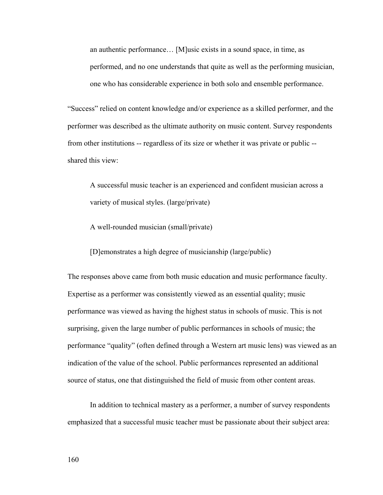an authentic performance… [M]usic exists in a sound space, in time, as performed, and no one understands that quite as well as the performing musician, one who has considerable experience in both solo and ensemble performance.

"Success" relied on content knowledge and/or experience as a skilled performer, and the performer was described as the ultimate authority on music content. Survey respondents from other institutions -- regardless of its size or whether it was private or public - shared this view:

A successful music teacher is an experienced and confident musician across a variety of musical styles. (large/private)

A well-rounded musician (small/private)

[D]emonstrates a high degree of musicianship (large/public)

The responses above came from both music education and music performance faculty. Expertise as a performer was consistently viewed as an essential quality; music performance was viewed as having the highest status in schools of music. This is not surprising, given the large number of public performances in schools of music; the performance "quality" (often defined through a Western art music lens) was viewed as an indication of the value of the school. Public performances represented an additional source of status, one that distinguished the field of music from other content areas.

In addition to technical mastery as a performer, a number of survey respondents emphasized that a successful music teacher must be passionate about their subject area: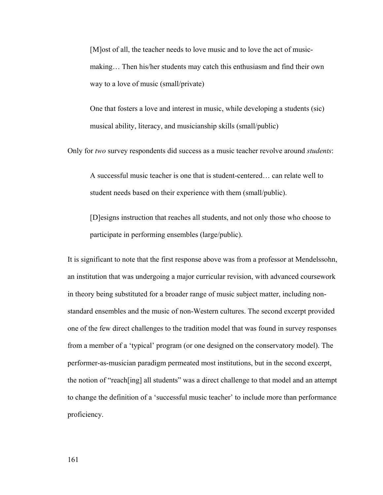[M]ost of all, the teacher needs to love music and to love the act of musicmaking… Then his/her students may catch this enthusiasm and find their own way to a love of music (small/private)

One that fosters a love and interest in music, while developing a students (sic) musical ability, literacy, and musicianship skills (small/public)

Only for *two* survey respondents did success as a music teacher revolve around *students*:

A successful music teacher is one that is student-centered… can relate well to student needs based on their experience with them (small/public).

[D]esigns instruction that reaches all students, and not only those who choose to participate in performing ensembles (large/public).

It is significant to note that the first response above was from a professor at Mendelssohn, an institution that was undergoing a major curricular revision, with advanced coursework in theory being substituted for a broader range of music subject matter, including nonstandard ensembles and the music of non-Western cultures. The second excerpt provided one of the few direct challenges to the tradition model that was found in survey responses from a member of a 'typical' program (or one designed on the conservatory model). The performer-as-musician paradigm permeated most institutions, but in the second excerpt, the notion of "reach[ing] all students" was a direct challenge to that model and an attempt to change the definition of a 'successful music teacher' to include more than performance proficiency.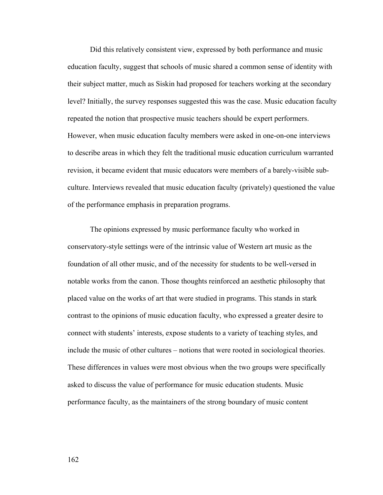Did this relatively consistent view, expressed by both performance and music education faculty, suggest that schools of music shared a common sense of identity with their subject matter, much as Siskin had proposed for teachers working at the secondary level? Initially, the survey responses suggested this was the case. Music education faculty repeated the notion that prospective music teachers should be expert performers. However, when music education faculty members were asked in one-on-one interviews to describe areas in which they felt the traditional music education curriculum warranted revision, it became evident that music educators were members of a barely-visible subculture. Interviews revealed that music education faculty (privately) questioned the value of the performance emphasis in preparation programs.

 The opinions expressed by music performance faculty who worked in conservatory-style settings were of the intrinsic value of Western art music as the foundation of all other music, and of the necessity for students to be well-versed in notable works from the canon. Those thoughts reinforced an aesthetic philosophy that placed value on the works of art that were studied in programs. This stands in stark contrast to the opinions of music education faculty, who expressed a greater desire to connect with students' interests, expose students to a variety of teaching styles, and include the music of other cultures – notions that were rooted in sociological theories. These differences in values were most obvious when the two groups were specifically asked to discuss the value of performance for music education students. Music performance faculty, as the maintainers of the strong boundary of music content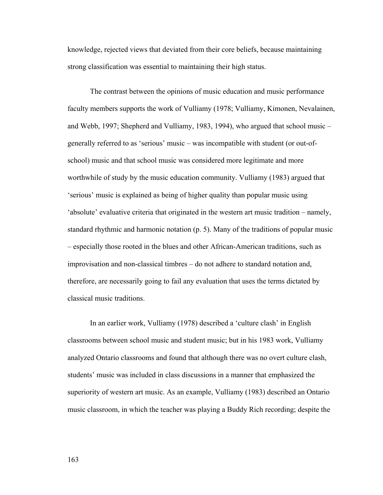knowledge, rejected views that deviated from their core beliefs, because maintaining strong classification was essential to maintaining their high status.

 The contrast between the opinions of music education and music performance faculty members supports the work of Vulliamy (1978; Vulliamy, Kimonen, Nevalainen, and Webb, 1997; Shepherd and Vulliamy, 1983, 1994), who argued that school music – generally referred to as 'serious' music – was incompatible with student (or out-ofschool) music and that school music was considered more legitimate and more worthwhile of study by the music education community. Vulliamy (1983) argued that 'serious' music is explained as being of higher quality than popular music using 'absolute' evaluative criteria that originated in the western art music tradition – namely, standard rhythmic and harmonic notation (p. 5). Many of the traditions of popular music – especially those rooted in the blues and other African-American traditions, such as improvisation and non-classical timbres – do not adhere to standard notation and, therefore, are necessarily going to fail any evaluation that uses the terms dictated by classical music traditions.

In an earlier work, Vulliamy (1978) described a 'culture clash' in English classrooms between school music and student music; but in his 1983 work, Vulliamy analyzed Ontario classrooms and found that although there was no overt culture clash, students' music was included in class discussions in a manner that emphasized the superiority of western art music. As an example, Vulliamy (1983) described an Ontario music classroom, in which the teacher was playing a Buddy Rich recording; despite the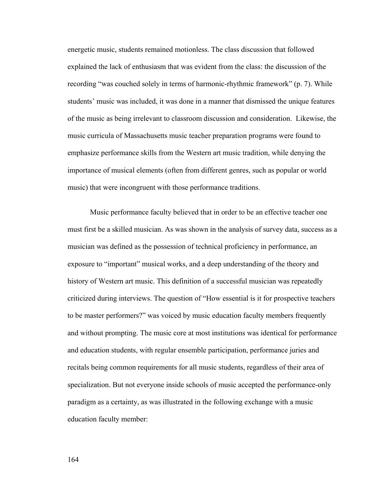energetic music, students remained motionless. The class discussion that followed explained the lack of enthusiasm that was evident from the class: the discussion of the recording "was couched solely in terms of harmonic-rhythmic framework" (p. 7). While students' music was included, it was done in a manner that dismissed the unique features of the music as being irrelevant to classroom discussion and consideration. Likewise, the music curricula of Massachusetts music teacher preparation programs were found to emphasize performance skills from the Western art music tradition, while denying the importance of musical elements (often from different genres, such as popular or world music) that were incongruent with those performance traditions.

 Music performance faculty believed that in order to be an effective teacher one must first be a skilled musician. As was shown in the analysis of survey data, success as a musician was defined as the possession of technical proficiency in performance, an exposure to "important" musical works, and a deep understanding of the theory and history of Western art music. This definition of a successful musician was repeatedly criticized during interviews. The question of "How essential is it for prospective teachers to be master performers?" was voiced by music education faculty members frequently and without prompting. The music core at most institutions was identical for performance and education students, with regular ensemble participation, performance juries and recitals being common requirements for all music students, regardless of their area of specialization. But not everyone inside schools of music accepted the performance-only paradigm as a certainty, as was illustrated in the following exchange with a music education faculty member: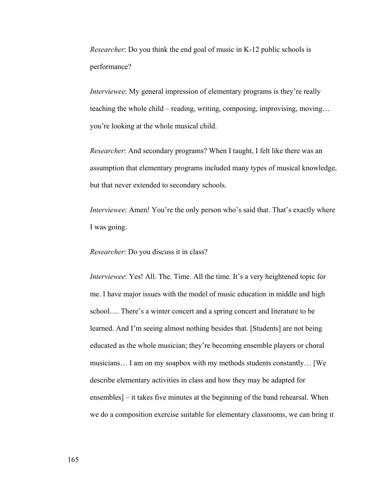*Researcher*: Do you think the end goal of music in K-12 public schools is performance?

*Interviewee*: My general impression of elementary programs is they're really teaching the whole child – reading, writing, composing, improvising, moving… you're looking at the whole musical child.

*Researcher*: And secondary programs? When I taught, I felt like there was an assumption that elementary programs included many types of musical knowledge, but that never extended to secondary schools.

*Interviewee*: Amen! You're the only person who's said that. That's exactly where I was going.

*Researcher*: Do you discuss it in class?

*Interviewee*: Yes! All. The. Time. All the time. It's a very heightened topic for me. I have major issues with the model of music education in middle and high school…. There's a winter concert and a spring concert and literature to be learned. And I'm seeing almost nothing besides that. [Students] are not being educated as the whole musician; they're becoming ensemble players or choral musicians… I am on my soapbox with my methods students constantly… [We describe elementary activities in class and how they may be adapted for ensembles] – it takes five minutes at the beginning of the band rehearsal. When we do a composition exercise suitable for elementary classrooms, we can bring it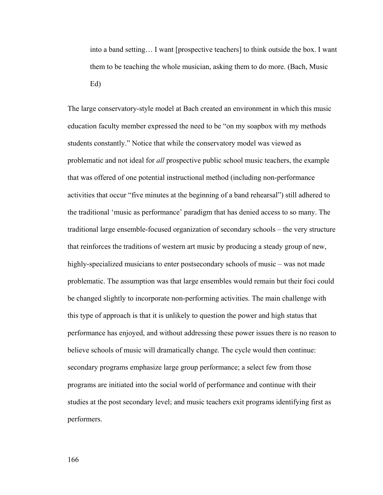into a band setting… I want [prospective teachers] to think outside the box. I want them to be teaching the whole musician, asking them to do more. (Bach, Music Ed)

The large conservatory-style model at Bach created an environment in which this music education faculty member expressed the need to be "on my soapbox with my methods students constantly." Notice that while the conservatory model was viewed as problematic and not ideal for *all* prospective public school music teachers, the example that was offered of one potential instructional method (including non-performance activities that occur "five minutes at the beginning of a band rehearsal") still adhered to the traditional 'music as performance' paradigm that has denied access to so many. The traditional large ensemble-focused organization of secondary schools – the very structure that reinforces the traditions of western art music by producing a steady group of new, highly-specialized musicians to enter postsecondary schools of music – was not made problematic. The assumption was that large ensembles would remain but their foci could be changed slightly to incorporate non-performing activities. The main challenge with this type of approach is that it is unlikely to question the power and high status that performance has enjoyed, and without addressing these power issues there is no reason to believe schools of music will dramatically change. The cycle would then continue: secondary programs emphasize large group performance; a select few from those programs are initiated into the social world of performance and continue with their studies at the post secondary level; and music teachers exit programs identifying first as performers.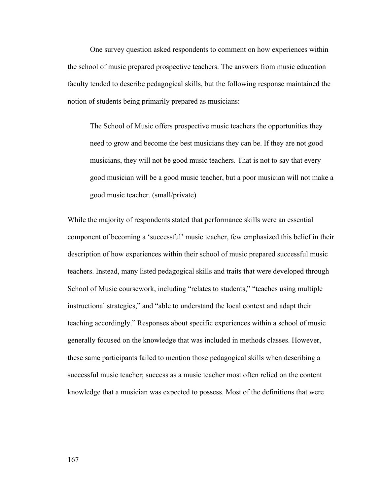One survey question asked respondents to comment on how experiences within the school of music prepared prospective teachers. The answers from music education faculty tended to describe pedagogical skills, but the following response maintained the notion of students being primarily prepared as musicians:

The School of Music offers prospective music teachers the opportunities they need to grow and become the best musicians they can be. If they are not good musicians, they will not be good music teachers. That is not to say that every good musician will be a good music teacher, but a poor musician will not make a good music teacher. (small/private)

While the majority of respondents stated that performance skills were an essential component of becoming a 'successful' music teacher, few emphasized this belief in their description of how experiences within their school of music prepared successful music teachers. Instead, many listed pedagogical skills and traits that were developed through School of Music coursework, including "relates to students," "teaches using multiple instructional strategies," and "able to understand the local context and adapt their teaching accordingly." Responses about specific experiences within a school of music generally focused on the knowledge that was included in methods classes. However, these same participants failed to mention those pedagogical skills when describing a successful music teacher; success as a music teacher most often relied on the content knowledge that a musician was expected to possess. Most of the definitions that were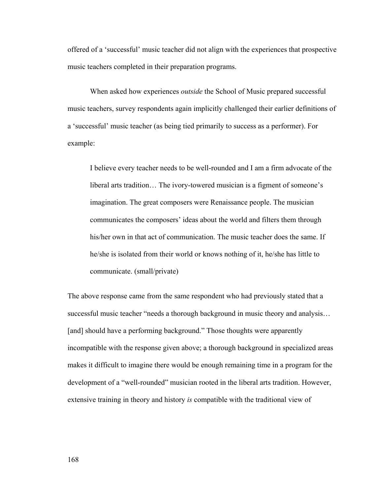offered of a 'successful' music teacher did not align with the experiences that prospective music teachers completed in their preparation programs.

 When asked how experiences *outside* the School of Music prepared successful music teachers, survey respondents again implicitly challenged their earlier definitions of a 'successful' music teacher (as being tied primarily to success as a performer). For example:

I believe every teacher needs to be well-rounded and I am a firm advocate of the liberal arts tradition… The ivory-towered musician is a figment of someone's imagination. The great composers were Renaissance people. The musician communicates the composers' ideas about the world and filters them through his/her own in that act of communication. The music teacher does the same. If he/she is isolated from their world or knows nothing of it, he/she has little to communicate. (small/private)

The above response came from the same respondent who had previously stated that a successful music teacher "needs a thorough background in music theory and analysis… [and] should have a performing background." Those thoughts were apparently incompatible with the response given above; a thorough background in specialized areas makes it difficult to imagine there would be enough remaining time in a program for the development of a "well-rounded" musician rooted in the liberal arts tradition. However, extensive training in theory and history *is* compatible with the traditional view of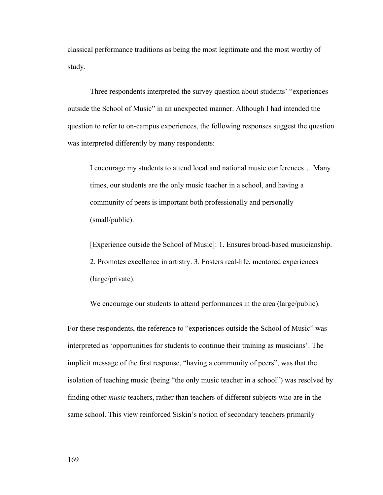classical performance traditions as being the most legitimate and the most worthy of study.

Three respondents interpreted the survey question about students' "experiences outside the School of Music" in an unexpected manner. Although I had intended the question to refer to on-campus experiences, the following responses suggest the question was interpreted differently by many respondents:

I encourage my students to attend local and national music conferences… Many times, our students are the only music teacher in a school, and having a community of peers is important both professionally and personally (small/public).

[Experience outside the School of Music]: 1. Ensures broad-based musicianship. 2. Promotes excellence in artistry. 3. Fosters real-life, mentored experiences (large/private).

We encourage our students to attend performances in the area (large/public).

For these respondents, the reference to "experiences outside the School of Music" was interpreted as 'opportunities for students to continue their training as musicians'. The implicit message of the first response, "having a community of peers", was that the isolation of teaching music (being "the only music teacher in a school") was resolved by finding other *music* teachers, rather than teachers of different subjects who are in the same school. This view reinforced Siskin's notion of secondary teachers primarily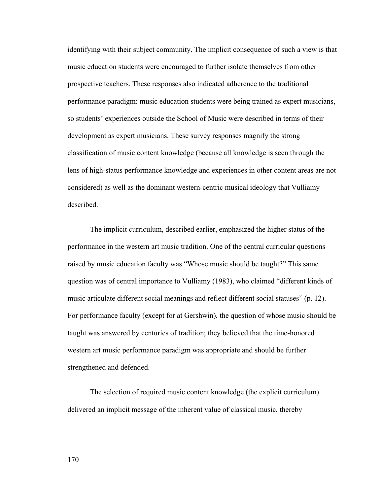identifying with their subject community. The implicit consequence of such a view is that music education students were encouraged to further isolate themselves from other prospective teachers. These responses also indicated adherence to the traditional performance paradigm: music education students were being trained as expert musicians, so students' experiences outside the School of Music were described in terms of their development as expert musicians. These survey responses magnify the strong classification of music content knowledge (because all knowledge is seen through the lens of high-status performance knowledge and experiences in other content areas are not considered) as well as the dominant western-centric musical ideology that Vulliamy described.

The implicit curriculum, described earlier, emphasized the higher status of the performance in the western art music tradition. One of the central curricular questions raised by music education faculty was "Whose music should be taught?" This same question was of central importance to Vulliamy (1983), who claimed "different kinds of music articulate different social meanings and reflect different social statuses" (p. 12). For performance faculty (except for at Gershwin), the question of whose music should be taught was answered by centuries of tradition; they believed that the time-honored western art music performance paradigm was appropriate and should be further strengthened and defended.

The selection of required music content knowledge (the explicit curriculum) delivered an implicit message of the inherent value of classical music, thereby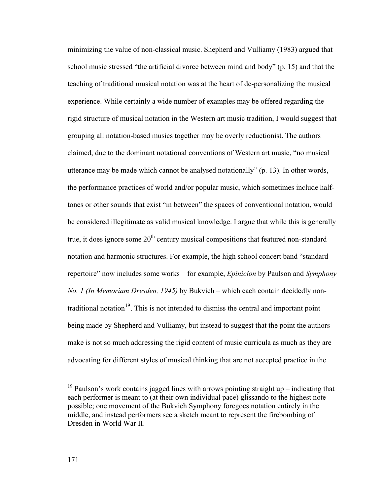minimizing the value of non-classical music. Shepherd and Vulliamy (1983) argued that school music stressed "the artificial divorce between mind and body" (p. 15) and that the teaching of traditional musical notation was at the heart of de-personalizing the musical experience. While certainly a wide number of examples may be offered regarding the rigid structure of musical notation in the Western art music tradition, I would suggest that grouping all notation-based musics together may be overly reductionist. The authors claimed, due to the dominant notational conventions of Western art music, "no musical utterance may be made which cannot be analysed notationally" (p. 13). In other words, the performance practices of world and/or popular music, which sometimes include halftones or other sounds that exist "in between" the spaces of conventional notation, would be considered illegitimate as valid musical knowledge. I argue that while this is generally true, it does ignore some  $20<sup>th</sup>$  century musical compositions that featured non-standard notation and harmonic structures. For example, the high school concert band "standard repertoire" now includes some works – for example, *Epinicion* by Paulson and *Symphony No. 1 (In Memoriam Dresden, 1945)* by Bukvich – which each contain decidedly nontraditional notation $19$ . This is not intended to dismiss the central and important point being made by Shepherd and Vulliamy, but instead to suggest that the point the authors make is not so much addressing the rigid content of music curricula as much as they are advocating for different styles of musical thinking that are not accepted practice in the

<span id="page-177-0"></span> $19$  Paulson's work contains jagged lines with arrows pointing straight up – indicating that each performer is meant to (at their own individual pace) glissando to the highest note possible; one movement of the Bukvich Symphony foregoes notation entirely in the middle, and instead performers see a sketch meant to represent the firebombing of Dresden in World War II.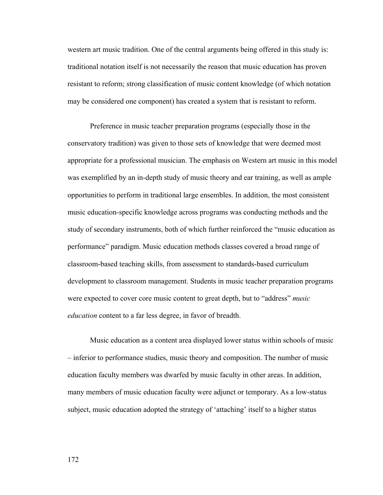western art music tradition. One of the central arguments being offered in this study is: traditional notation itself is not necessarily the reason that music education has proven resistant to reform; strong classification of music content knowledge (of which notation may be considered one component) has created a system that is resistant to reform.

 Preference in music teacher preparation programs (especially those in the conservatory tradition) was given to those sets of knowledge that were deemed most appropriate for a professional musician. The emphasis on Western art music in this model was exemplified by an in-depth study of music theory and ear training, as well as ample opportunities to perform in traditional large ensembles. In addition, the most consistent music education-specific knowledge across programs was conducting methods and the study of secondary instruments, both of which further reinforced the "music education as performance" paradigm. Music education methods classes covered a broad range of classroom-based teaching skills, from assessment to standards-based curriculum development to classroom management. Students in music teacher preparation programs were expected to cover core music content to great depth, but to "address" *music education* content to a far less degree, in favor of breadth.

Music education as a content area displayed lower status within schools of music – inferior to performance studies, music theory and composition. The number of music education faculty members was dwarfed by music faculty in other areas. In addition, many members of music education faculty were adjunct or temporary. As a low-status subject, music education adopted the strategy of 'attaching' itself to a higher status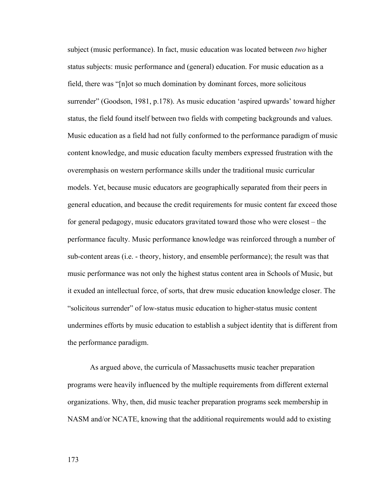subject (music performance). In fact, music education was located between *two* higher status subjects: music performance and (general) education. For music education as a field, there was "[n]ot so much domination by dominant forces, more solicitous surrender" (Goodson, 1981, p.178). As music education 'aspired upwards' toward higher status, the field found itself between two fields with competing backgrounds and values. Music education as a field had not fully conformed to the performance paradigm of music content knowledge, and music education faculty members expressed frustration with the overemphasis on western performance skills under the traditional music curricular models. Yet, because music educators are geographically separated from their peers in general education, and because the credit requirements for music content far exceed those for general pedagogy, music educators gravitated toward those who were closest – the performance faculty. Music performance knowledge was reinforced through a number of sub-content areas (i.e. - theory, history, and ensemble performance); the result was that music performance was not only the highest status content area in Schools of Music, but it exuded an intellectual force, of sorts, that drew music education knowledge closer. The "solicitous surrender" of low-status music education to higher-status music content undermines efforts by music education to establish a subject identity that is different from the performance paradigm.

As argued above, the curricula of Massachusetts music teacher preparation programs were heavily influenced by the multiple requirements from different external organizations. Why, then, did music teacher preparation programs seek membership in NASM and/or NCATE, knowing that the additional requirements would add to existing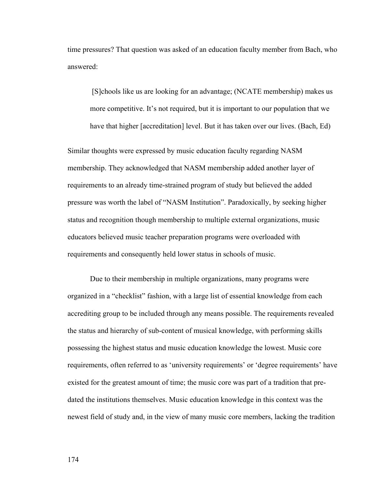time pressures? That question was asked of an education faculty member from Bach, who answered:

 [S]chools like us are looking for an advantage; (NCATE membership) makes us more competitive. It's not required, but it is important to our population that we have that higher [accreditation] level. But it has taken over our lives. (Bach, Ed)

Similar thoughts were expressed by music education faculty regarding NASM membership. They acknowledged that NASM membership added another layer of requirements to an already time-strained program of study but believed the added pressure was worth the label of "NASM Institution". Paradoxically, by seeking higher status and recognition though membership to multiple external organizations, music educators believed music teacher preparation programs were overloaded with requirements and consequently held lower status in schools of music.

 Due to their membership in multiple organizations, many programs were organized in a "checklist" fashion, with a large list of essential knowledge from each accrediting group to be included through any means possible. The requirements revealed the status and hierarchy of sub-content of musical knowledge, with performing skills possessing the highest status and music education knowledge the lowest. Music core requirements, often referred to as 'university requirements' or 'degree requirements' have existed for the greatest amount of time; the music core was part of a tradition that predated the institutions themselves. Music education knowledge in this context was the newest field of study and, in the view of many music core members, lacking the tradition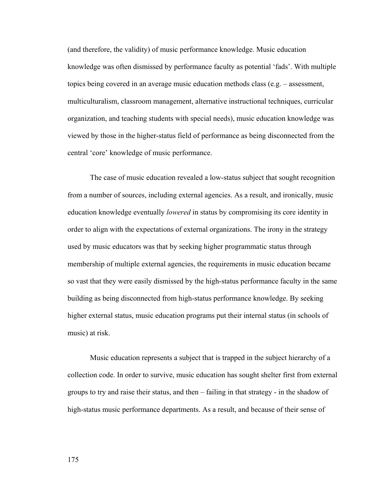(and therefore, the validity) of music performance knowledge. Music education knowledge was often dismissed by performance faculty as potential 'fads'. With multiple topics being covered in an average music education methods class (e.g. – assessment, multiculturalism, classroom management, alternative instructional techniques, curricular organization, and teaching students with special needs), music education knowledge was viewed by those in the higher-status field of performance as being disconnected from the central 'core' knowledge of music performance.

 The case of music education revealed a low-status subject that sought recognition from a number of sources, including external agencies. As a result, and ironically, music education knowledge eventually *lowered* in status by compromising its core identity in order to align with the expectations of external organizations. The irony in the strategy used by music educators was that by seeking higher programmatic status through membership of multiple external agencies, the requirements in music education became so vast that they were easily dismissed by the high-status performance faculty in the same building as being disconnected from high-status performance knowledge. By seeking higher external status, music education programs put their internal status (in schools of music) at risk.

 Music education represents a subject that is trapped in the subject hierarchy of a collection code. In order to survive, music education has sought shelter first from external groups to try and raise their status, and then – failing in that strategy - in the shadow of high-status music performance departments. As a result, and because of their sense of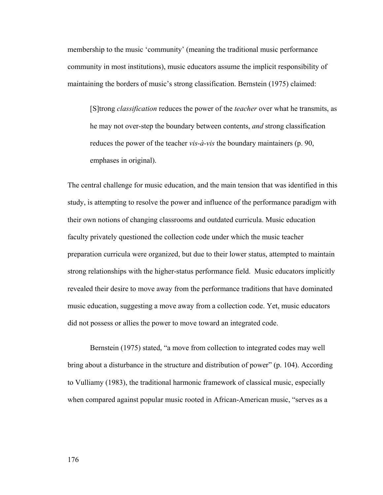membership to the music 'community' (meaning the traditional music performance community in most institutions), music educators assume the implicit responsibility of maintaining the borders of music's strong classification. Bernstein (1975) claimed:

[S]trong *classification* reduces the power of the *teacher* over what he transmits, as he may not over-step the boundary between contents, *and* strong classification reduces the power of the teacher *vis-à-vis* the boundary maintainers (p. 90, emphases in original).

The central challenge for music education, and the main tension that was identified in this study, is attempting to resolve the power and influence of the performance paradigm with their own notions of changing classrooms and outdated curricula. Music education faculty privately questioned the collection code under which the music teacher preparation curricula were organized, but due to their lower status, attempted to maintain strong relationships with the higher-status performance field. Music educators implicitly revealed their desire to move away from the performance traditions that have dominated music education, suggesting a move away from a collection code. Yet, music educators did not possess or allies the power to move toward an integrated code.

 Bernstein (1975) stated, "a move from collection to integrated codes may well bring about a disturbance in the structure and distribution of power" (p. 104). According to Vulliamy (1983), the traditional harmonic framework of classical music, especially when compared against popular music rooted in African-American music, "serves as a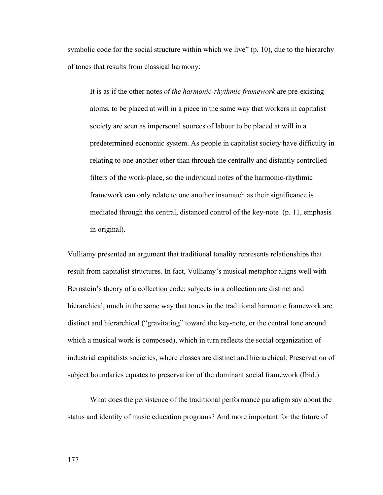symbolic code for the social structure within which we live" (p. 10), due to the hierarchy of tones that results from classical harmony:

It is as if the other notes *of the harmonic-rhythmic framework* are pre-existing atoms, to be placed at will in a piece in the same way that workers in capitalist society are seen as impersonal sources of labour to be placed at will in a predetermined economic system. As people in capitalist society have difficulty in relating to one another other than through the centrally and distantly controlled filters of the work-place, so the individual notes of the harmonic-rhythmic framework can only relate to one another insomuch as their significance is mediated through the central, distanced control of the key-note (p. 11, emphasis in original).

Vulliamy presented an argument that traditional tonality represents relationships that result from capitalist structures. In fact, Vulliamy's musical metaphor aligns well with Bernstein's theory of a collection code; subjects in a collection are distinct and hierarchical, much in the same way that tones in the traditional harmonic framework are distinct and hierarchical ("gravitating" toward the key-note, or the central tone around which a musical work is composed), which in turn reflects the social organization of industrial capitalists societies, where classes are distinct and hierarchical. Preservation of subject boundaries equates to preservation of the dominant social framework (Ibid.).

What does the persistence of the traditional performance paradigm say about the status and identity of music education programs? And more important for the future of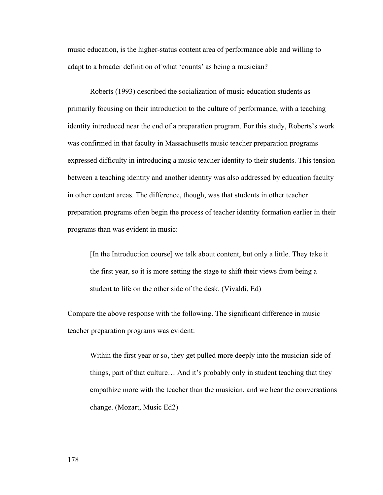music education, is the higher-status content area of performance able and willing to adapt to a broader definition of what 'counts' as being a musician?

 Roberts (1993) described the socialization of music education students as primarily focusing on their introduction to the culture of performance, with a teaching identity introduced near the end of a preparation program. For this study, Roberts's work was confirmed in that faculty in Massachusetts music teacher preparation programs expressed difficulty in introducing a music teacher identity to their students. This tension between a teaching identity and another identity was also addressed by education faculty in other content areas. The difference, though, was that students in other teacher preparation programs often begin the process of teacher identity formation earlier in their programs than was evident in music:

[In the Introduction course] we talk about content, but only a little. They take it the first year, so it is more setting the stage to shift their views from being a student to life on the other side of the desk. (Vivaldi, Ed)

Compare the above response with the following. The significant difference in music teacher preparation programs was evident:

Within the first year or so, they get pulled more deeply into the musician side of things, part of that culture… And it's probably only in student teaching that they empathize more with the teacher than the musician, and we hear the conversations change. (Mozart, Music Ed2)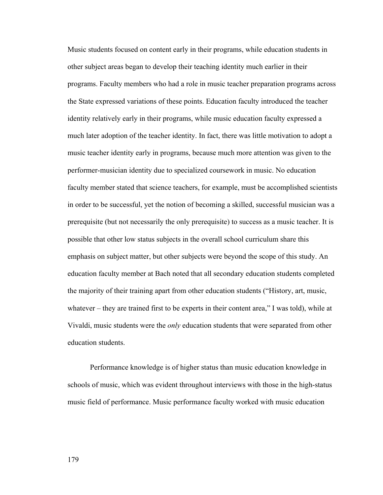Music students focused on content early in their programs, while education students in other subject areas began to develop their teaching identity much earlier in their programs. Faculty members who had a role in music teacher preparation programs across the State expressed variations of these points. Education faculty introduced the teacher identity relatively early in their programs, while music education faculty expressed a much later adoption of the teacher identity. In fact, there was little motivation to adopt a music teacher identity early in programs, because much more attention was given to the performer-musician identity due to specialized coursework in music. No education faculty member stated that science teachers, for example, must be accomplished scientists in order to be successful, yet the notion of becoming a skilled, successful musician was a prerequisite (but not necessarily the only prerequisite) to success as a music teacher. It is possible that other low status subjects in the overall school curriculum share this emphasis on subject matter, but other subjects were beyond the scope of this study. An education faculty member at Bach noted that all secondary education students completed the majority of their training apart from other education students ("History, art, music, whatever – they are trained first to be experts in their content area," I was told), while at Vivaldi, music students were the *only* education students that were separated from other education students.

 Performance knowledge is of higher status than music education knowledge in schools of music, which was evident throughout interviews with those in the high-status music field of performance. Music performance faculty worked with music education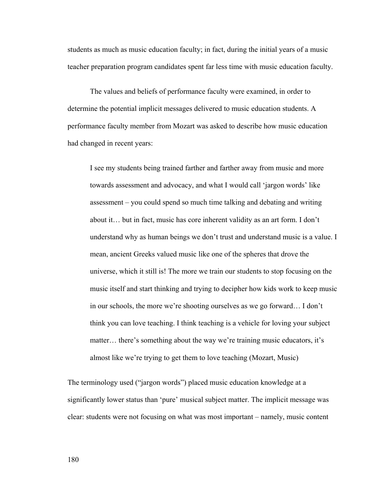students as much as music education faculty; in fact, during the initial years of a music teacher preparation program candidates spent far less time with music education faculty.

The values and beliefs of performance faculty were examined, in order to determine the potential implicit messages delivered to music education students. A performance faculty member from Mozart was asked to describe how music education had changed in recent years:

I see my students being trained farther and farther away from music and more towards assessment and advocacy, and what I would call 'jargon words' like assessment – you could spend so much time talking and debating and writing about it… but in fact, music has core inherent validity as an art form. I don't understand why as human beings we don't trust and understand music is a value. I mean, ancient Greeks valued music like one of the spheres that drove the universe, which it still is! The more we train our students to stop focusing on the music itself and start thinking and trying to decipher how kids work to keep music in our schools, the more we're shooting ourselves as we go forward… I don't think you can love teaching. I think teaching is a vehicle for loving your subject matter... there's something about the way we're training music educators, it's almost like we're trying to get them to love teaching (Mozart, Music)

The terminology used ("jargon words") placed music education knowledge at a significantly lower status than 'pure' musical subject matter. The implicit message was clear: students were not focusing on what was most important – namely, music content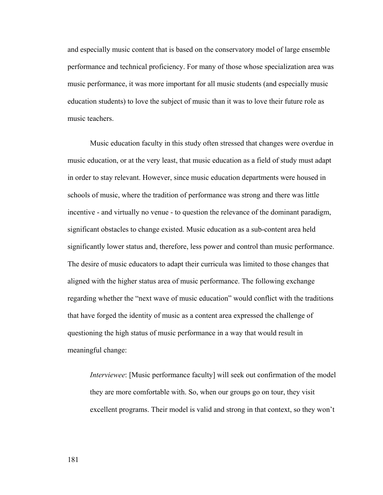and especially music content that is based on the conservatory model of large ensemble performance and technical proficiency. For many of those whose specialization area was music performance, it was more important for all music students (and especially music education students) to love the subject of music than it was to love their future role as music teachers.

 Music education faculty in this study often stressed that changes were overdue in music education, or at the very least, that music education as a field of study must adapt in order to stay relevant. However, since music education departments were housed in schools of music, where the tradition of performance was strong and there was little incentive - and virtually no venue - to question the relevance of the dominant paradigm, significant obstacles to change existed. Music education as a sub-content area held significantly lower status and, therefore, less power and control than music performance. The desire of music educators to adapt their curricula was limited to those changes that aligned with the higher status area of music performance. The following exchange regarding whether the "next wave of music education" would conflict with the traditions that have forged the identity of music as a content area expressed the challenge of questioning the high status of music performance in a way that would result in meaningful change:

*Interviewee*: [Music performance faculty] will seek out confirmation of the model they are more comfortable with. So, when our groups go on tour, they visit excellent programs. Their model is valid and strong in that context, so they won't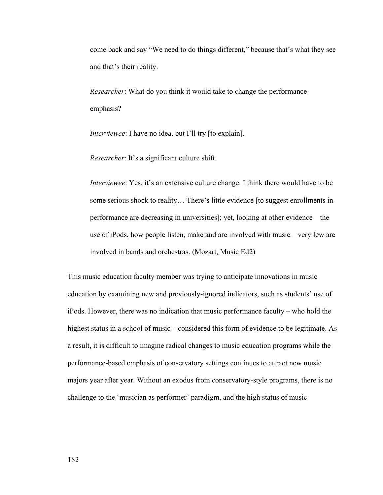come back and say "We need to do things different," because that's what they see and that's their reality.

*Researcher*: What do you think it would take to change the performance emphasis?

*Interviewee*: I have no idea, but I'll try [to explain].

*Researcher*: It's a significant culture shift.

*Interviewee*: Yes, it's an extensive culture change. I think there would have to be some serious shock to reality… There's little evidence [to suggest enrollments in performance are decreasing in universities]; yet, looking at other evidence – the use of iPods, how people listen, make and are involved with music – very few are involved in bands and orchestras. (Mozart, Music Ed2)

This music education faculty member was trying to anticipate innovations in music education by examining new and previously-ignored indicators, such as students' use of iPods. However, there was no indication that music performance faculty – who hold the highest status in a school of music – considered this form of evidence to be legitimate. As a result, it is difficult to imagine radical changes to music education programs while the performance-based emphasis of conservatory settings continues to attract new music majors year after year. Without an exodus from conservatory-style programs, there is no challenge to the 'musician as performer' paradigm, and the high status of music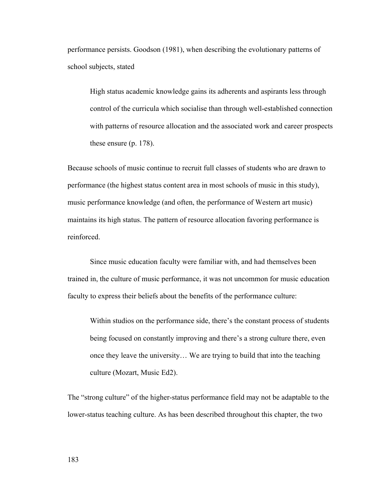performance persists. Goodson (1981), when describing the evolutionary patterns of school subjects, stated

High status academic knowledge gains its adherents and aspirants less through control of the curricula which socialise than through well-established connection with patterns of resource allocation and the associated work and career prospects these ensure (p. 178).

Because schools of music continue to recruit full classes of students who are drawn to performance (the highest status content area in most schools of music in this study), music performance knowledge (and often, the performance of Western art music) maintains its high status. The pattern of resource allocation favoring performance is reinforced.

Since music education faculty were familiar with, and had themselves been trained in, the culture of music performance, it was not uncommon for music education faculty to express their beliefs about the benefits of the performance culture:

Within studios on the performance side, there's the constant process of students being focused on constantly improving and there's a strong culture there, even once they leave the university… We are trying to build that into the teaching culture (Mozart, Music Ed2).

The "strong culture" of the higher-status performance field may not be adaptable to the lower-status teaching culture. As has been described throughout this chapter, the two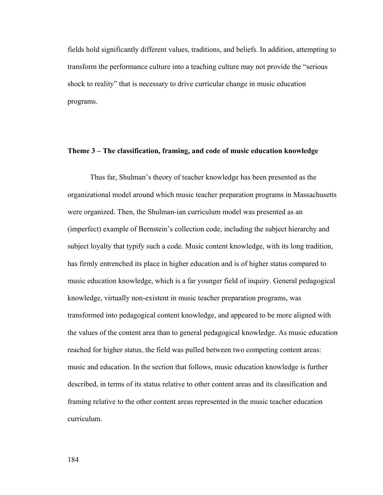fields hold significantly different values, traditions, and beliefs. In addition, attempting to transform the performance culture into a teaching culture may not provide the "serious shock to reality" that is necessary to drive curricular change in music education programs.

## **Theme 3 – The classification, framing, and code of music education knowledge**

 Thus far, Shulman's theory of teacher knowledge has been presented as the organizational model around which music teacher preparation programs in Massachusetts were organized. Then, the Shulman-ian curriculum model was presented as an (imperfect) example of Bernstein's collection code, including the subject hierarchy and subject loyalty that typify such a code. Music content knowledge, with its long tradition, has firmly entrenched its place in higher education and is of higher status compared to music education knowledge, which is a far younger field of inquiry. General pedagogical knowledge, virtually non-existent in music teacher preparation programs, was transformed into pedagogical content knowledge, and appeared to be more aligned with the values of the content area than to general pedagogical knowledge. As music education reached for higher status, the field was pulled between two competing content areas: music and education. In the section that follows, music education knowledge is further described, in terms of its status relative to other content areas and its classification and framing relative to the other content areas represented in the music teacher education curriculum.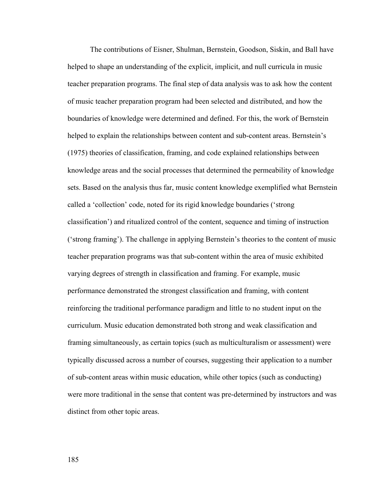The contributions of Eisner, Shulman, Bernstein, Goodson, Siskin, and Ball have helped to shape an understanding of the explicit, implicit, and null curricula in music teacher preparation programs. The final step of data analysis was to ask how the content of music teacher preparation program had been selected and distributed, and how the boundaries of knowledge were determined and defined. For this, the work of Bernstein helped to explain the relationships between content and sub-content areas. Bernstein's (1975) theories of classification, framing, and code explained relationships between knowledge areas and the social processes that determined the permeability of knowledge sets. Based on the analysis thus far, music content knowledge exemplified what Bernstein called a 'collection' code, noted for its rigid knowledge boundaries ('strong classification') and ritualized control of the content, sequence and timing of instruction ('strong framing'). The challenge in applying Bernstein's theories to the content of music teacher preparation programs was that sub-content within the area of music exhibited varying degrees of strength in classification and framing. For example, music performance demonstrated the strongest classification and framing, with content reinforcing the traditional performance paradigm and little to no student input on the curriculum. Music education demonstrated both strong and weak classification and framing simultaneously, as certain topics (such as multiculturalism or assessment) were typically discussed across a number of courses, suggesting their application to a number of sub-content areas within music education, while other topics (such as conducting) were more traditional in the sense that content was pre-determined by instructors and was distinct from other topic areas.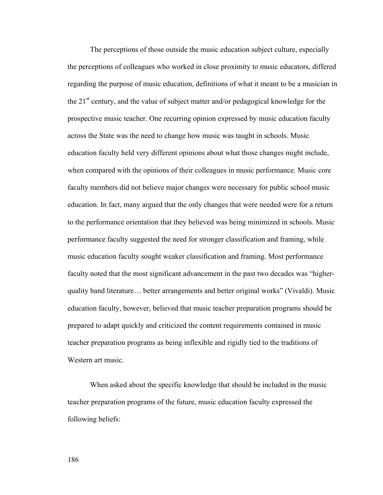The perceptions of those outside the music education subject culture, especially the perceptions of colleagues who worked in close proximity to music educators, differed regarding the purpose of music education, definitions of what it meant to be a musician in the  $21<sup>st</sup>$  century, and the value of subject matter and/or pedagogical knowledge for the prospective music teacher. One recurring opinion expressed by music education faculty across the State was the need to change how music was taught in schools. Music education faculty held very different opinions about what those changes might include, when compared with the opinions of their colleagues in music performance. Music core faculty members did not believe major changes were necessary for public school music education. In fact, many argued that the only changes that were needed were for a return to the performance orientation that they believed was being minimized in schools. Music performance faculty suggested the need for stronger classification and framing, while music education faculty sought weaker classification and framing. Most performance faculty noted that the most significant advancement in the past two decades was "higherquality band literature… better arrangements and better original works" (Vivaldi). Music education faculty, however, believed that music teacher preparation programs should be prepared to adapt quickly and criticized the content requirements contained in music teacher preparation programs as being inflexible and rigidly tied to the traditions of Western art music.

When asked about the specific knowledge that should be included in the music teacher preparation programs of the future, music education faculty expressed the following beliefs: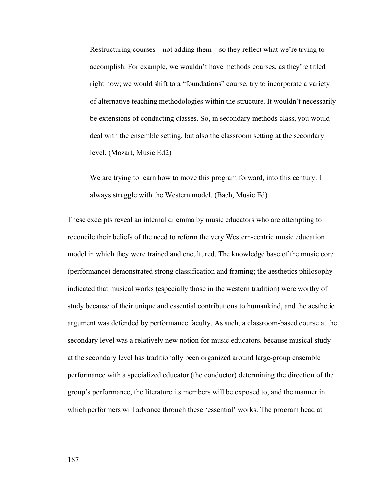Restructuring courses – not adding them – so they reflect what we're trying to accomplish. For example, we wouldn't have methods courses, as they're titled right now; we would shift to a "foundations" course, try to incorporate a variety of alternative teaching methodologies within the structure. It wouldn't necessarily be extensions of conducting classes. So, in secondary methods class, you would deal with the ensemble setting, but also the classroom setting at the secondary level. (Mozart, Music Ed2)

We are trying to learn how to move this program forward, into this century. I always struggle with the Western model. (Bach, Music Ed)

These excerpts reveal an internal dilemma by music educators who are attempting to reconcile their beliefs of the need to reform the very Western-centric music education model in which they were trained and encultured. The knowledge base of the music core (performance) demonstrated strong classification and framing; the aesthetics philosophy indicated that musical works (especially those in the western tradition) were worthy of study because of their unique and essential contributions to humankind, and the aesthetic argument was defended by performance faculty. As such, a classroom-based course at the secondary level was a relatively new notion for music educators, because musical study at the secondary level has traditionally been organized around large-group ensemble performance with a specialized educator (the conductor) determining the direction of the group's performance, the literature its members will be exposed to, and the manner in which performers will advance through these 'essential' works. The program head at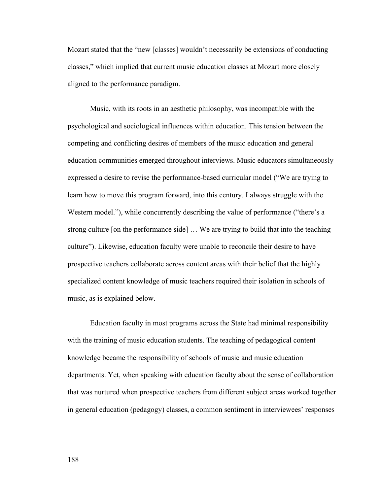Mozart stated that the "new [classes] wouldn't necessarily be extensions of conducting classes," which implied that current music education classes at Mozart more closely aligned to the performance paradigm.

Music, with its roots in an aesthetic philosophy, was incompatible with the psychological and sociological influences within education. This tension between the competing and conflicting desires of members of the music education and general education communities emerged throughout interviews. Music educators simultaneously expressed a desire to revise the performance-based curricular model ("We are trying to learn how to move this program forward, into this century. I always struggle with the Western model."), while concurrently describing the value of performance ("there's a strong culture [on the performance side] … We are trying to build that into the teaching culture"). Likewise, education faculty were unable to reconcile their desire to have prospective teachers collaborate across content areas with their belief that the highly specialized content knowledge of music teachers required their isolation in schools of music, as is explained below.

Education faculty in most programs across the State had minimal responsibility with the training of music education students. The teaching of pedagogical content knowledge became the responsibility of schools of music and music education departments. Yet, when speaking with education faculty about the sense of collaboration that was nurtured when prospective teachers from different subject areas worked together in general education (pedagogy) classes, a common sentiment in interviewees' responses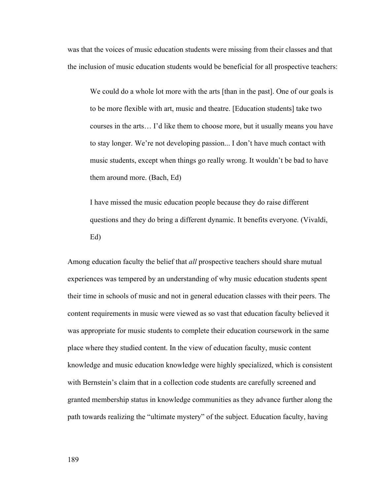was that the voices of music education students were missing from their classes and that the inclusion of music education students would be beneficial for all prospective teachers:

We could do a whole lot more with the arts [than in the past]. One of our goals is to be more flexible with art, music and theatre. [Education students] take two courses in the arts… I'd like them to choose more, but it usually means you have to stay longer. We're not developing passion... I don't have much contact with music students, except when things go really wrong. It wouldn't be bad to have them around more. (Bach, Ed)

I have missed the music education people because they do raise different questions and they do bring a different dynamic. It benefits everyone. (Vivaldi, Ed)

Among education faculty the belief that *all* prospective teachers should share mutual experiences was tempered by an understanding of why music education students spent their time in schools of music and not in general education classes with their peers. The content requirements in music were viewed as so vast that education faculty believed it was appropriate for music students to complete their education coursework in the same place where they studied content. In the view of education faculty, music content knowledge and music education knowledge were highly specialized, which is consistent with Bernstein's claim that in a collection code students are carefully screened and granted membership status in knowledge communities as they advance further along the path towards realizing the "ultimate mystery" of the subject. Education faculty, having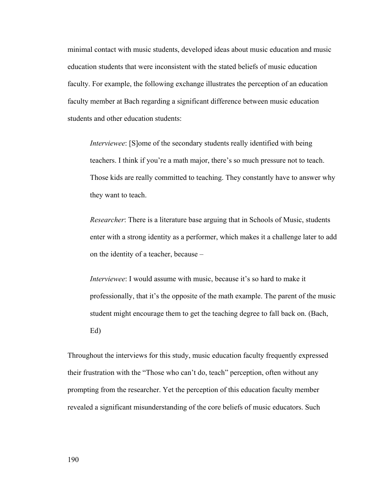minimal contact with music students, developed ideas about music education and music education students that were inconsistent with the stated beliefs of music education faculty. For example, the following exchange illustrates the perception of an education faculty member at Bach regarding a significant difference between music education students and other education students:

*Interviewee*: [S]ome of the secondary students really identified with being teachers. I think if you're a math major, there's so much pressure not to teach. Those kids are really committed to teaching. They constantly have to answer why they want to teach.

*Researcher*: There is a literature base arguing that in Schools of Music, students enter with a strong identity as a performer, which makes it a challenge later to add on the identity of a teacher, because –

*Interviewee*: I would assume with music, because it's so hard to make it professionally, that it's the opposite of the math example. The parent of the music student might encourage them to get the teaching degree to fall back on. (Bach, Ed)

Throughout the interviews for this study, music education faculty frequently expressed their frustration with the "Those who can't do, teach" perception, often without any prompting from the researcher. Yet the perception of this education faculty member revealed a significant misunderstanding of the core beliefs of music educators. Such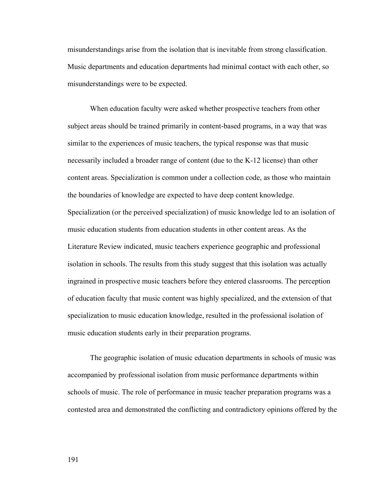misunderstandings arise from the isolation that is inevitable from strong classification. Music departments and education departments had minimal contact with each other, so misunderstandings were to be expected.

When education faculty were asked whether prospective teachers from other subject areas should be trained primarily in content-based programs, in a way that was similar to the experiences of music teachers, the typical response was that music necessarily included a broader range of content (due to the K-12 license) than other content areas. Specialization is common under a collection code, as those who maintain the boundaries of knowledge are expected to have deep content knowledge. Specialization (or the perceived specialization) of music knowledge led to an isolation of music education students from education students in other content areas. As the Literature Review indicated, music teachers experience geographic and professional isolation in schools. The results from this study suggest that this isolation was actually ingrained in prospective music teachers before they entered classrooms. The perception of education faculty that music content was highly specialized, and the extension of that specialization to music education knowledge, resulted in the professional isolation of music education students early in their preparation programs.

 The geographic isolation of music education departments in schools of music was accompanied by professional isolation from music performance departments within schools of music. The role of performance in music teacher preparation programs was a contested area and demonstrated the conflicting and contradictory opinions offered by the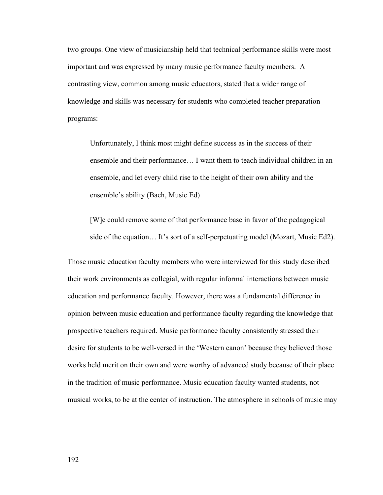two groups. One view of musicianship held that technical performance skills were most important and was expressed by many music performance faculty members. A contrasting view, common among music educators, stated that a wider range of knowledge and skills was necessary for students who completed teacher preparation programs:

Unfortunately, I think most might define success as in the success of their ensemble and their performance… I want them to teach individual children in an ensemble, and let every child rise to the height of their own ability and the ensemble's ability (Bach, Music Ed)

[W]e could remove some of that performance base in favor of the pedagogical side of the equation… It's sort of a self-perpetuating model (Mozart, Music Ed2).

Those music education faculty members who were interviewed for this study described their work environments as collegial, with regular informal interactions between music education and performance faculty. However, there was a fundamental difference in opinion between music education and performance faculty regarding the knowledge that prospective teachers required. Music performance faculty consistently stressed their desire for students to be well-versed in the 'Western canon' because they believed those works held merit on their own and were worthy of advanced study because of their place in the tradition of music performance. Music education faculty wanted students, not musical works, to be at the center of instruction. The atmosphere in schools of music may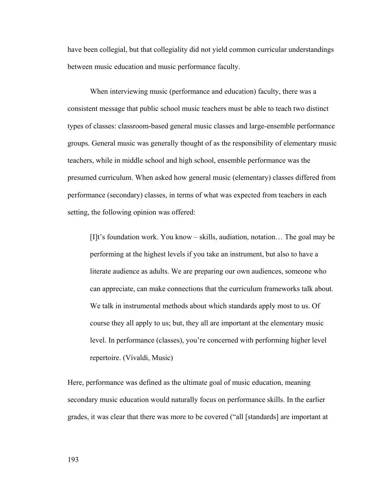have been collegial, but that collegiality did not yield common curricular understandings between music education and music performance faculty.

When interviewing music (performance and education) faculty, there was a consistent message that public school music teachers must be able to teach two distinct types of classes: classroom-based general music classes and large-ensemble performance groups. General music was generally thought of as the responsibility of elementary music teachers, while in middle school and high school, ensemble performance was the presumed curriculum. When asked how general music (elementary) classes differed from performance (secondary) classes, in terms of what was expected from teachers in each setting, the following opinion was offered:

[I]t's foundation work. You know – skills, audiation, notation… The goal may be performing at the highest levels if you take an instrument, but also to have a literate audience as adults. We are preparing our own audiences, someone who can appreciate, can make connections that the curriculum frameworks talk about. We talk in instrumental methods about which standards apply most to us. Of course they all apply to us; but, they all are important at the elementary music level. In performance (classes), you're concerned with performing higher level repertoire. (Vivaldi, Music)

Here, performance was defined as the ultimate goal of music education, meaning secondary music education would naturally focus on performance skills. In the earlier grades, it was clear that there was more to be covered ("all [standards] are important at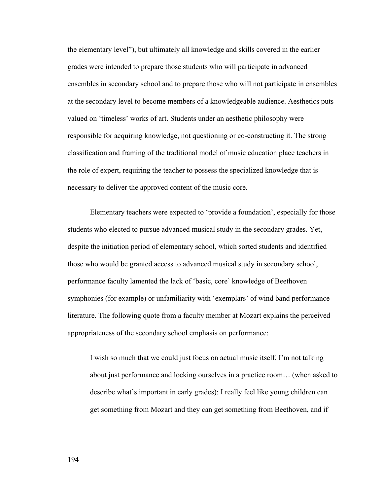the elementary level"), but ultimately all knowledge and skills covered in the earlier grades were intended to prepare those students who will participate in advanced ensembles in secondary school and to prepare those who will not participate in ensembles at the secondary level to become members of a knowledgeable audience. Aesthetics puts valued on 'timeless' works of art. Students under an aesthetic philosophy were responsible for acquiring knowledge, not questioning or co-constructing it. The strong classification and framing of the traditional model of music education place teachers in the role of expert, requiring the teacher to possess the specialized knowledge that is necessary to deliver the approved content of the music core.

Elementary teachers were expected to 'provide a foundation', especially for those students who elected to pursue advanced musical study in the secondary grades. Yet, despite the initiation period of elementary school, which sorted students and identified those who would be granted access to advanced musical study in secondary school, performance faculty lamented the lack of 'basic, core' knowledge of Beethoven symphonies (for example) or unfamiliarity with 'exemplars' of wind band performance literature. The following quote from a faculty member at Mozart explains the perceived appropriateness of the secondary school emphasis on performance:

I wish so much that we could just focus on actual music itself. I'm not talking about just performance and locking ourselves in a practice room… (when asked to describe what's important in early grades): I really feel like young children can get something from Mozart and they can get something from Beethoven, and if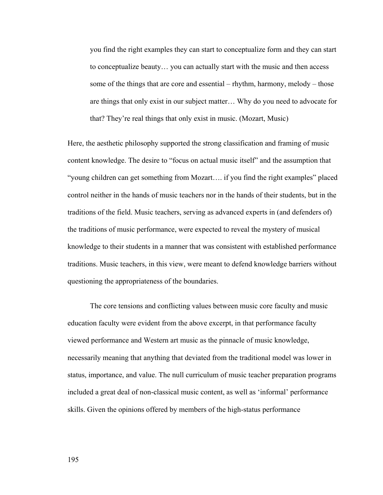you find the right examples they can start to conceptualize form and they can start to conceptualize beauty… you can actually start with the music and then access some of the things that are core and essential – rhythm, harmony, melody – those are things that only exist in our subject matter… Why do you need to advocate for that? They're real things that only exist in music. (Mozart, Music)

Here, the aesthetic philosophy supported the strong classification and framing of music content knowledge. The desire to "focus on actual music itself" and the assumption that "young children can get something from Mozart…. if you find the right examples" placed control neither in the hands of music teachers nor in the hands of their students, but in the traditions of the field. Music teachers, serving as advanced experts in (and defenders of) the traditions of music performance, were expected to reveal the mystery of musical knowledge to their students in a manner that was consistent with established performance traditions. Music teachers, in this view, were meant to defend knowledge barriers without questioning the appropriateness of the boundaries.

The core tensions and conflicting values between music core faculty and music education faculty were evident from the above excerpt, in that performance faculty viewed performance and Western art music as the pinnacle of music knowledge, necessarily meaning that anything that deviated from the traditional model was lower in status, importance, and value. The null curriculum of music teacher preparation programs included a great deal of non-classical music content, as well as 'informal' performance skills. Given the opinions offered by members of the high-status performance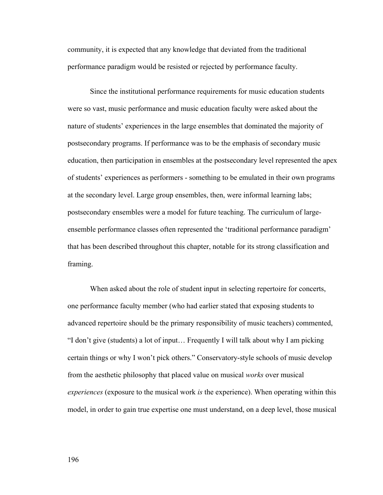community, it is expected that any knowledge that deviated from the traditional performance paradigm would be resisted or rejected by performance faculty.

 Since the institutional performance requirements for music education students were so vast, music performance and music education faculty were asked about the nature of students' experiences in the large ensembles that dominated the majority of postsecondary programs. If performance was to be the emphasis of secondary music education, then participation in ensembles at the postsecondary level represented the apex of students' experiences as performers - something to be emulated in their own programs at the secondary level. Large group ensembles, then, were informal learning labs; postsecondary ensembles were a model for future teaching. The curriculum of largeensemble performance classes often represented the 'traditional performance paradigm' that has been described throughout this chapter, notable for its strong classification and framing.

When asked about the role of student input in selecting repertoire for concerts, one performance faculty member (who had earlier stated that exposing students to advanced repertoire should be the primary responsibility of music teachers) commented, "I don't give (students) a lot of input… Frequently I will talk about why I am picking certain things or why I won't pick others." Conservatory-style schools of music develop from the aesthetic philosophy that placed value on musical *works* over musical *experiences* (exposure to the musical work *is* the experience). When operating within this model, in order to gain true expertise one must understand, on a deep level, those musical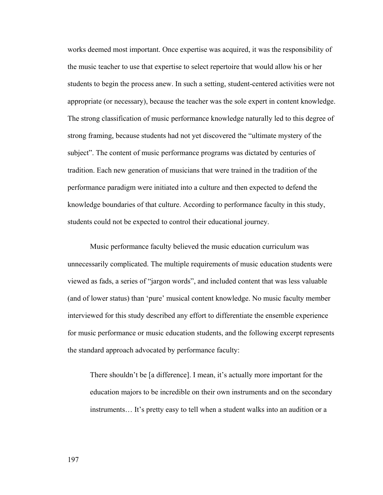works deemed most important. Once expertise was acquired, it was the responsibility of the music teacher to use that expertise to select repertoire that would allow his or her students to begin the process anew. In such a setting, student-centered activities were not appropriate (or necessary), because the teacher was the sole expert in content knowledge. The strong classification of music performance knowledge naturally led to this degree of strong framing, because students had not yet discovered the "ultimate mystery of the subject". The content of music performance programs was dictated by centuries of tradition. Each new generation of musicians that were trained in the tradition of the performance paradigm were initiated into a culture and then expected to defend the knowledge boundaries of that culture. According to performance faculty in this study, students could not be expected to control their educational journey.

 Music performance faculty believed the music education curriculum was unnecessarily complicated. The multiple requirements of music education students were viewed as fads, a series of "jargon words", and included content that was less valuable (and of lower status) than 'pure' musical content knowledge. No music faculty member interviewed for this study described any effort to differentiate the ensemble experience for music performance or music education students, and the following excerpt represents the standard approach advocated by performance faculty:

There shouldn't be [a difference]. I mean, it's actually more important for the education majors to be incredible on their own instruments and on the secondary instruments… It's pretty easy to tell when a student walks into an audition or a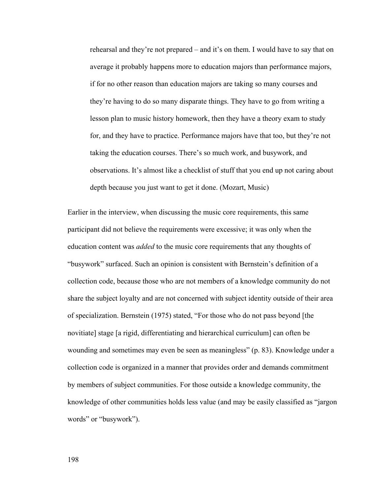rehearsal and they're not prepared – and it's on them. I would have to say that on average it probably happens more to education majors than performance majors, if for no other reason than education majors are taking so many courses and they're having to do so many disparate things. They have to go from writing a lesson plan to music history homework, then they have a theory exam to study for, and they have to practice. Performance majors have that too, but they're not taking the education courses. There's so much work, and busywork, and observations. It's almost like a checklist of stuff that you end up not caring about depth because you just want to get it done. (Mozart, Music)

Earlier in the interview, when discussing the music core requirements, this same participant did not believe the requirements were excessive; it was only when the education content was *added* to the music core requirements that any thoughts of "busywork" surfaced. Such an opinion is consistent with Bernstein's definition of a collection code, because those who are not members of a knowledge community do not share the subject loyalty and are not concerned with subject identity outside of their area of specialization. Bernstein (1975) stated, "For those who do not pass beyond [the novitiate] stage [a rigid, differentiating and hierarchical curriculum] can often be wounding and sometimes may even be seen as meaningless" (p. 83). Knowledge under a collection code is organized in a manner that provides order and demands commitment by members of subject communities. For those outside a knowledge community, the knowledge of other communities holds less value (and may be easily classified as "jargon words" or "busywork").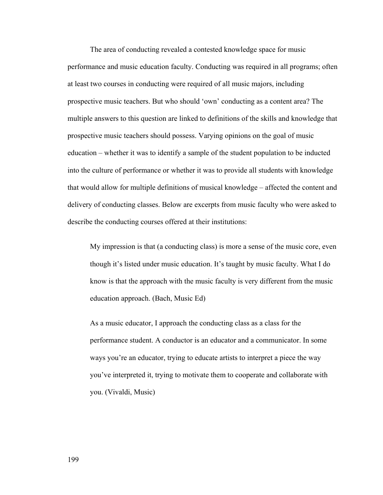The area of conducting revealed a contested knowledge space for music performance and music education faculty. Conducting was required in all programs; often at least two courses in conducting were required of all music majors, including prospective music teachers. But who should 'own' conducting as a content area? The multiple answers to this question are linked to definitions of the skills and knowledge that prospective music teachers should possess. Varying opinions on the goal of music education – whether it was to identify a sample of the student population to be inducted into the culture of performance or whether it was to provide all students with knowledge that would allow for multiple definitions of musical knowledge – affected the content and delivery of conducting classes. Below are excerpts from music faculty who were asked to describe the conducting courses offered at their institutions:

My impression is that (a conducting class) is more a sense of the music core, even though it's listed under music education. It's taught by music faculty. What I do know is that the approach with the music faculty is very different from the music education approach. (Bach, Music Ed)

As a music educator, I approach the conducting class as a class for the performance student. A conductor is an educator and a communicator. In some ways you're an educator, trying to educate artists to interpret a piece the way you've interpreted it, trying to motivate them to cooperate and collaborate with you. (Vivaldi, Music)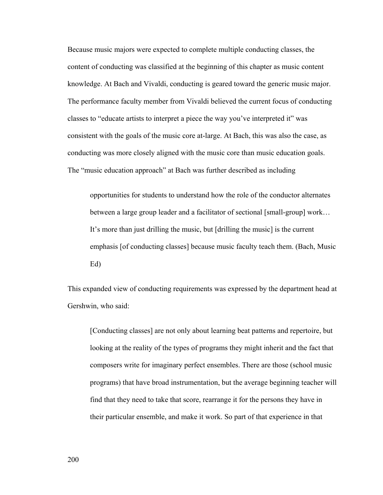Because music majors were expected to complete multiple conducting classes, the content of conducting was classified at the beginning of this chapter as music content knowledge. At Bach and Vivaldi, conducting is geared toward the generic music major. The performance faculty member from Vivaldi believed the current focus of conducting classes to "educate artists to interpret a piece the way you've interpreted it" was consistent with the goals of the music core at-large. At Bach, this was also the case, as conducting was more closely aligned with the music core than music education goals. The "music education approach" at Bach was further described as including

opportunities for students to understand how the role of the conductor alternates between a large group leader and a facilitator of sectional [small-group] work... It's more than just drilling the music, but [drilling the music] is the current emphasis [of conducting classes] because music faculty teach them. (Bach, Music Ed)

This expanded view of conducting requirements was expressed by the department head at Gershwin, who said:

[Conducting classes] are not only about learning beat patterns and repertoire, but looking at the reality of the types of programs they might inherit and the fact that composers write for imaginary perfect ensembles. There are those (school music programs) that have broad instrumentation, but the average beginning teacher will find that they need to take that score, rearrange it for the persons they have in their particular ensemble, and make it work. So part of that experience in that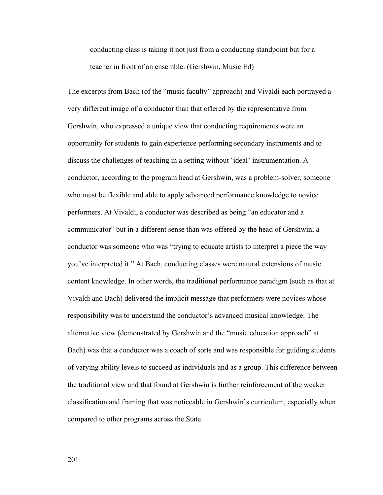conducting class is taking it not just from a conducting standpoint but for a teacher in front of an ensemble. (Gershwin, Music Ed)

The excerpts from Bach (of the "music faculty" approach) and Vivaldi each portrayed a very different image of a conductor than that offered by the representative from Gershwin, who expressed a unique view that conducting requirements were an opportunity for students to gain experience performing secondary instruments and to discuss the challenges of teaching in a setting without 'ideal' instrumentation. A conductor, according to the program head at Gershwin, was a problem-solver, someone who must be flexible and able to apply advanced performance knowledge to novice performers. At Vivaldi, a conductor was described as being "an educator and a communicator" but in a different sense than was offered by the head of Gershwin; a conductor was someone who was "trying to educate artists to interpret a piece the way you've interpreted it." At Bach, conducting classes were natural extensions of music content knowledge. In other words, the traditional performance paradigm (such as that at Vivaldi and Bach) delivered the implicit message that performers were novices whose responsibility was to understand the conductor's advanced musical knowledge. The alternative view (demonstrated by Gershwin and the "music education approach" at Bach) was that a conductor was a coach of sorts and was responsible for guiding students of varying ability levels to succeed as individuals and as a group. This difference between the traditional view and that found at Gershwin is further reinforcement of the weaker classification and framing that was noticeable in Gershwin's curriculum, especially when compared to other programs across the State.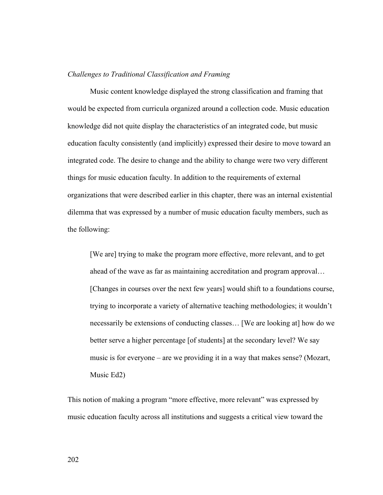## *Challenges to Traditional Classification and Framing*

 Music content knowledge displayed the strong classification and framing that would be expected from curricula organized around a collection code. Music education knowledge did not quite display the characteristics of an integrated code, but music education faculty consistently (and implicitly) expressed their desire to move toward an integrated code. The desire to change and the ability to change were two very different things for music education faculty. In addition to the requirements of external organizations that were described earlier in this chapter, there was an internal existential dilemma that was expressed by a number of music education faculty members, such as the following:

[We are] trying to make the program more effective, more relevant, and to get ahead of the wave as far as maintaining accreditation and program approval… [Changes in courses over the next few years] would shift to a foundations course, trying to incorporate a variety of alternative teaching methodologies; it wouldn't necessarily be extensions of conducting classes… [We are looking at] how do we better serve a higher percentage [of students] at the secondary level? We say music is for everyone – are we providing it in a way that makes sense? (Mozart, Music Ed2)

This notion of making a program "more effective, more relevant" was expressed by music education faculty across all institutions and suggests a critical view toward the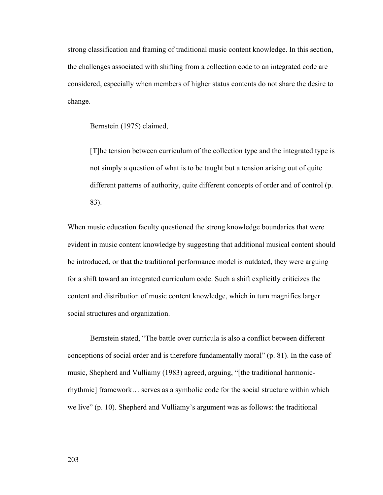strong classification and framing of traditional music content knowledge. In this section, the challenges associated with shifting from a collection code to an integrated code are considered, especially when members of higher status contents do not share the desire to change.

Bernstein (1975) claimed,

[T]he tension between curriculum of the collection type and the integrated type is not simply a question of what is to be taught but a tension arising out of quite different patterns of authority, quite different concepts of order and of control (p. 83).

When music education faculty questioned the strong knowledge boundaries that were evident in music content knowledge by suggesting that additional musical content should be introduced, or that the traditional performance model is outdated, they were arguing for a shift toward an integrated curriculum code. Such a shift explicitly criticizes the content and distribution of music content knowledge, which in turn magnifies larger social structures and organization.

Bernstein stated, "The battle over curricula is also a conflict between different conceptions of social order and is therefore fundamentally moral" (p. 81). In the case of music, Shepherd and Vulliamy (1983) agreed, arguing, "[the traditional harmonicrhythmic] framework… serves as a symbolic code for the social structure within which we live" (p. 10). Shepherd and Vulliamy's argument was as follows: the traditional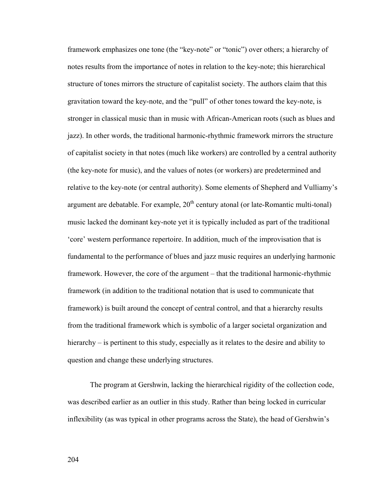framework emphasizes one tone (the "key-note" or "tonic") over others; a hierarchy of notes results from the importance of notes in relation to the key-note; this hierarchical structure of tones mirrors the structure of capitalist society. The authors claim that this gravitation toward the key-note, and the "pull" of other tones toward the key-note, is stronger in classical music than in music with African-American roots (such as blues and jazz). In other words, the traditional harmonic-rhythmic framework mirrors the structure of capitalist society in that notes (much like workers) are controlled by a central authority (the key-note for music), and the values of notes (or workers) are predetermined and relative to the key-note (or central authority). Some elements of Shepherd and Vulliamy's argument are debatable. For example,  $20<sup>th</sup>$  century atonal (or late-Romantic multi-tonal) music lacked the dominant key-note yet it is typically included as part of the traditional 'core' western performance repertoire. In addition, much of the improvisation that is fundamental to the performance of blues and jazz music requires an underlying harmonic framework. However, the core of the argument – that the traditional harmonic-rhythmic framework (in addition to the traditional notation that is used to communicate that framework) is built around the concept of central control, and that a hierarchy results from the traditional framework which is symbolic of a larger societal organization and hierarchy – is pertinent to this study, especially as it relates to the desire and ability to question and change these underlying structures.

The program at Gershwin, lacking the hierarchical rigidity of the collection code, was described earlier as an outlier in this study. Rather than being locked in curricular inflexibility (as was typical in other programs across the State), the head of Gershwin's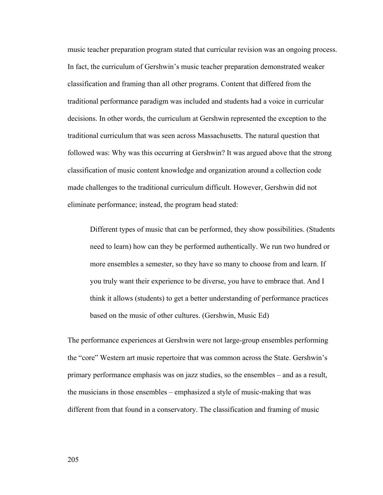music teacher preparation program stated that curricular revision was an ongoing process. In fact, the curriculum of Gershwin's music teacher preparation demonstrated weaker classification and framing than all other programs. Content that differed from the traditional performance paradigm was included and students had a voice in curricular decisions. In other words, the curriculum at Gershwin represented the exception to the traditional curriculum that was seen across Massachusetts. The natural question that followed was: Why was this occurring at Gershwin? It was argued above that the strong classification of music content knowledge and organization around a collection code made challenges to the traditional curriculum difficult. However, Gershwin did not eliminate performance; instead, the program head stated:

Different types of music that can be performed, they show possibilities. (Students need to learn) how can they be performed authentically. We run two hundred or more ensembles a semester, so they have so many to choose from and learn. If you truly want their experience to be diverse, you have to embrace that. And I think it allows (students) to get a better understanding of performance practices based on the music of other cultures. (Gershwin, Music Ed)

The performance experiences at Gershwin were not large-group ensembles performing the "core" Western art music repertoire that was common across the State. Gershwin's primary performance emphasis was on jazz studies, so the ensembles – and as a result, the musicians in those ensembles – emphasized a style of music-making that was different from that found in a conservatory. The classification and framing of music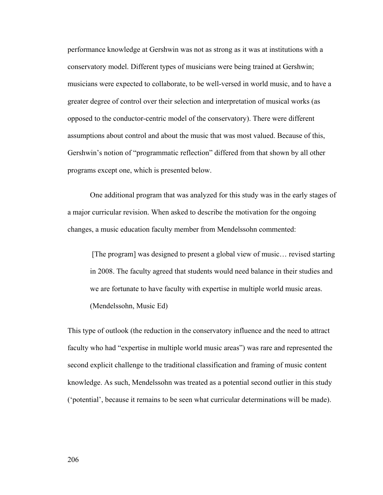performance knowledge at Gershwin was not as strong as it was at institutions with a conservatory model. Different types of musicians were being trained at Gershwin; musicians were expected to collaborate, to be well-versed in world music, and to have a greater degree of control over their selection and interpretation of musical works (as opposed to the conductor-centric model of the conservatory). There were different assumptions about control and about the music that was most valued. Because of this, Gershwin's notion of "programmatic reflection" differed from that shown by all other programs except one, which is presented below.

One additional program that was analyzed for this study was in the early stages of a major curricular revision. When asked to describe the motivation for the ongoing changes, a music education faculty member from Mendelssohn commented:

 [The program] was designed to present a global view of music… revised starting in 2008. The faculty agreed that students would need balance in their studies and we are fortunate to have faculty with expertise in multiple world music areas. (Mendelssohn, Music Ed)

This type of outlook (the reduction in the conservatory influence and the need to attract faculty who had "expertise in multiple world music areas") was rare and represented the second explicit challenge to the traditional classification and framing of music content knowledge. As such, Mendelssohn was treated as a potential second outlier in this study ('potential', because it remains to be seen what curricular determinations will be made).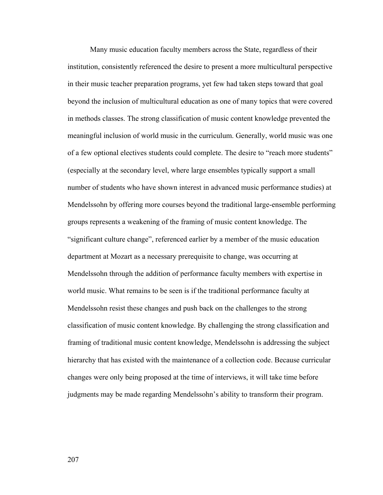Many music education faculty members across the State, regardless of their institution, consistently referenced the desire to present a more multicultural perspective in their music teacher preparation programs, yet few had taken steps toward that goal beyond the inclusion of multicultural education as one of many topics that were covered in methods classes. The strong classification of music content knowledge prevented the meaningful inclusion of world music in the curriculum. Generally, world music was one of a few optional electives students could complete. The desire to "reach more students" (especially at the secondary level, where large ensembles typically support a small number of students who have shown interest in advanced music performance studies) at Mendelssohn by offering more courses beyond the traditional large-ensemble performing groups represents a weakening of the framing of music content knowledge. The "significant culture change", referenced earlier by a member of the music education department at Mozart as a necessary prerequisite to change, was occurring at Mendelssohn through the addition of performance faculty members with expertise in world music. What remains to be seen is if the traditional performance faculty at Mendelssohn resist these changes and push back on the challenges to the strong classification of music content knowledge. By challenging the strong classification and framing of traditional music content knowledge, Mendelssohn is addressing the subject hierarchy that has existed with the maintenance of a collection code. Because curricular changes were only being proposed at the time of interviews, it will take time before judgments may be made regarding Mendelssohn's ability to transform their program.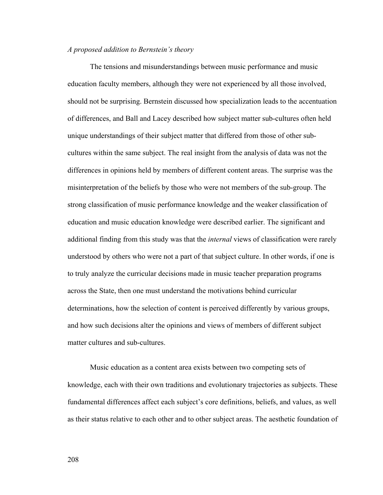## *A proposed addition to Bernstein's theory*

 The tensions and misunderstandings between music performance and music education faculty members, although they were not experienced by all those involved, should not be surprising. Bernstein discussed how specialization leads to the accentuation of differences, and Ball and Lacey described how subject matter sub-cultures often held unique understandings of their subject matter that differed from those of other subcultures within the same subject. The real insight from the analysis of data was not the differences in opinions held by members of different content areas. The surprise was the misinterpretation of the beliefs by those who were not members of the sub-group. The strong classification of music performance knowledge and the weaker classification of education and music education knowledge were described earlier. The significant and additional finding from this study was that the *internal* views of classification were rarely understood by others who were not a part of that subject culture. In other words, if one is to truly analyze the curricular decisions made in music teacher preparation programs across the State, then one must understand the motivations behind curricular determinations, how the selection of content is perceived differently by various groups, and how such decisions alter the opinions and views of members of different subject matter cultures and sub-cultures.

Music education as a content area exists between two competing sets of knowledge, each with their own traditions and evolutionary trajectories as subjects. These fundamental differences affect each subject's core definitions, beliefs, and values, as well as their status relative to each other and to other subject areas. The aesthetic foundation of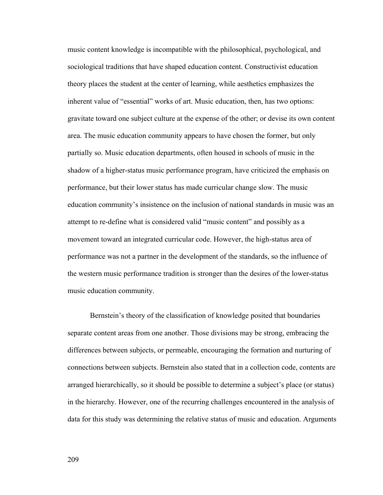music content knowledge is incompatible with the philosophical, psychological, and sociological traditions that have shaped education content. Constructivist education theory places the student at the center of learning, while aesthetics emphasizes the inherent value of "essential" works of art. Music education, then, has two options: gravitate toward one subject culture at the expense of the other; or devise its own content area. The music education community appears to have chosen the former, but only partially so. Music education departments, often housed in schools of music in the shadow of a higher-status music performance program, have criticized the emphasis on performance, but their lower status has made curricular change slow. The music education community's insistence on the inclusion of national standards in music was an attempt to re-define what is considered valid "music content" and possibly as a movement toward an integrated curricular code. However, the high-status area of performance was not a partner in the development of the standards, so the influence of the western music performance tradition is stronger than the desires of the lower-status music education community.

 Bernstein's theory of the classification of knowledge posited that boundaries separate content areas from one another. Those divisions may be strong, embracing the differences between subjects, or permeable, encouraging the formation and nurturing of connections between subjects. Bernstein also stated that in a collection code, contents are arranged hierarchically, so it should be possible to determine a subject's place (or status) in the hierarchy. However, one of the recurring challenges encountered in the analysis of data for this study was determining the relative status of music and education. Arguments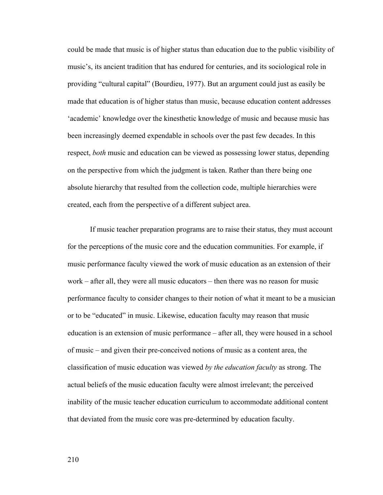could be made that music is of higher status than education due to the public visibility of music's, its ancient tradition that has endured for centuries, and its sociological role in providing "cultural capital" (Bourdieu, 1977). But an argument could just as easily be made that education is of higher status than music, because education content addresses 'academic' knowledge over the kinesthetic knowledge of music and because music has been increasingly deemed expendable in schools over the past few decades. In this respect, *both* music and education can be viewed as possessing lower status, depending on the perspective from which the judgment is taken. Rather than there being one absolute hierarchy that resulted from the collection code, multiple hierarchies were created, each from the perspective of a different subject area.

If music teacher preparation programs are to raise their status, they must account for the perceptions of the music core and the education communities. For example, if music performance faculty viewed the work of music education as an extension of their work – after all, they were all music educators – then there was no reason for music performance faculty to consider changes to their notion of what it meant to be a musician or to be "educated" in music. Likewise, education faculty may reason that music education is an extension of music performance – after all, they were housed in a school of music – and given their pre-conceived notions of music as a content area, the classification of music education was viewed *by the education faculty* as strong. The actual beliefs of the music education faculty were almost irrelevant; the perceived inability of the music teacher education curriculum to accommodate additional content that deviated from the music core was pre-determined by education faculty.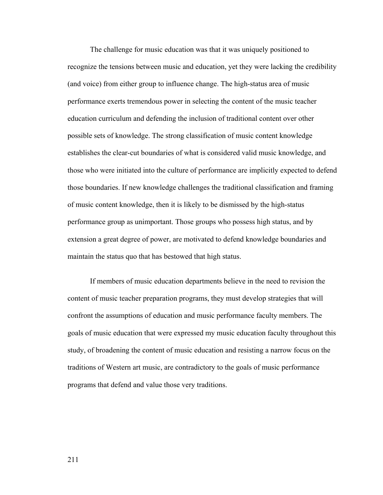The challenge for music education was that it was uniquely positioned to recognize the tensions between music and education, yet they were lacking the credibility (and voice) from either group to influence change. The high-status area of music performance exerts tremendous power in selecting the content of the music teacher education curriculum and defending the inclusion of traditional content over other possible sets of knowledge. The strong classification of music content knowledge establishes the clear-cut boundaries of what is considered valid music knowledge, and those who were initiated into the culture of performance are implicitly expected to defend those boundaries. If new knowledge challenges the traditional classification and framing of music content knowledge, then it is likely to be dismissed by the high-status performance group as unimportant. Those groups who possess high status, and by extension a great degree of power, are motivated to defend knowledge boundaries and maintain the status quo that has bestowed that high status.

If members of music education departments believe in the need to revision the content of music teacher preparation programs, they must develop strategies that will confront the assumptions of education and music performance faculty members. The goals of music education that were expressed my music education faculty throughout this study, of broadening the content of music education and resisting a narrow focus on the traditions of Western art music, are contradictory to the goals of music performance programs that defend and value those very traditions.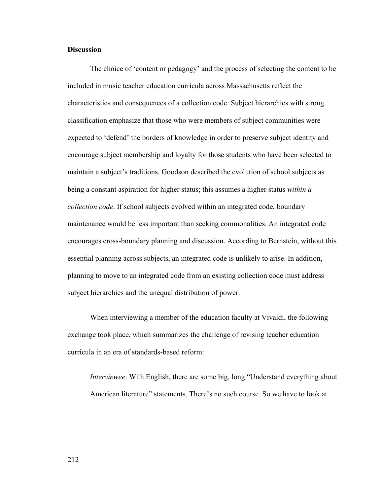## **Discussion**

 The choice of 'content or pedagogy' and the process of selecting the content to be included in music teacher education curricula across Massachusetts reflect the characteristics and consequences of a collection code. Subject hierarchies with strong classification emphasize that those who were members of subject communities were expected to 'defend' the borders of knowledge in order to preserve subject identity and encourage subject membership and loyalty for those students who have been selected to maintain a subject's traditions. Goodson described the evolution of school subjects as being a constant aspiration for higher status; this assumes a higher status *within a collection code*. If school subjects evolved within an integrated code, boundary maintenance would be less important than seeking commonalities. An integrated code encourages cross-boundary planning and discussion. According to Bernstein, without this essential planning across subjects, an integrated code is unlikely to arise. In addition, planning to move to an integrated code from an existing collection code must address subject hierarchies and the unequal distribution of power.

When interviewing a member of the education faculty at Vivaldi, the following exchange took place, which summarizes the challenge of revising teacher education curricula in an era of standards-based reform:

*Interviewee*: With English, there are some big, long "Understand everything about American literature" statements. There's no such course. So we have to look at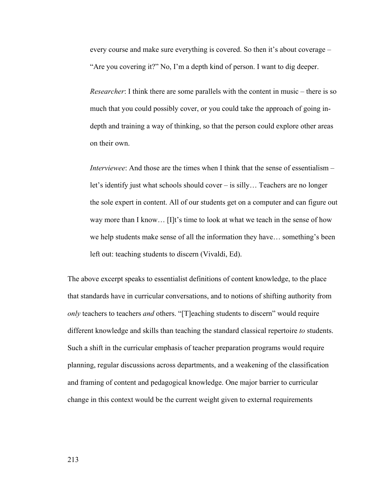every course and make sure everything is covered. So then it's about coverage – "Are you covering it?" No, I'm a depth kind of person. I want to dig deeper.

*Researcher*: I think there are some parallels with the content in music – there is so much that you could possibly cover, or you could take the approach of going indepth and training a way of thinking, so that the person could explore other areas on their own.

*Interviewee*: And those are the times when I think that the sense of essentialism – let's identify just what schools should cover – is silly… Teachers are no longer the sole expert in content. All of our students get on a computer and can figure out way more than I know… [I]t's time to look at what we teach in the sense of how we help students make sense of all the information they have… something's been left out: teaching students to discern (Vivaldi, Ed).

The above excerpt speaks to essentialist definitions of content knowledge, to the place that standards have in curricular conversations, and to notions of shifting authority from *only* teachers to teachers *and* others. "[T]eaching students to discern" would require different knowledge and skills than teaching the standard classical repertoire *to* students. Such a shift in the curricular emphasis of teacher preparation programs would require planning, regular discussions across departments, and a weakening of the classification and framing of content and pedagogical knowledge. One major barrier to curricular change in this context would be the current weight given to external requirements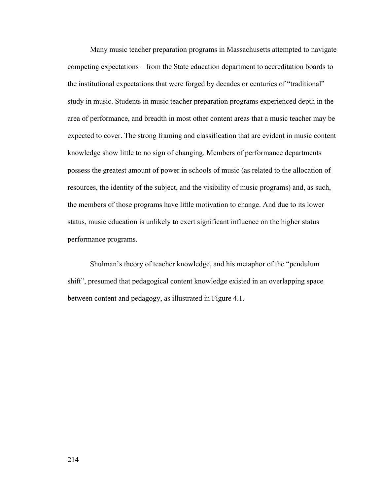Many music teacher preparation programs in Massachusetts attempted to navigate competing expectations – from the State education department to accreditation boards to the institutional expectations that were forged by decades or centuries of "traditional" study in music. Students in music teacher preparation programs experienced depth in the area of performance, and breadth in most other content areas that a music teacher may be expected to cover. The strong framing and classification that are evident in music content knowledge show little to no sign of changing. Members of performance departments possess the greatest amount of power in schools of music (as related to the allocation of resources, the identity of the subject, and the visibility of music programs) and, as such, the members of those programs have little motivation to change. And due to its lower status, music education is unlikely to exert significant influence on the higher status performance programs.

 Shulman's theory of teacher knowledge, and his metaphor of the "pendulum shift", presumed that pedagogical content knowledge existed in an overlapping space between content and pedagogy, as illustrated in Figure 4.1.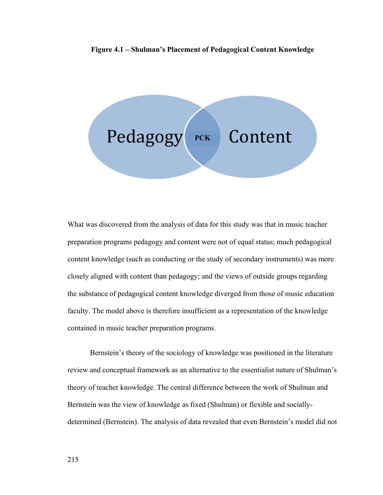### **Figure 4.1 – Shulman's Placement of Pedagogical Content Knowledge**



What was discovered from the analysis of data for this study was that in music teacher preparation programs pedagogy and content were not of equal status; much pedagogical content knowledge (such as conducting or the study of secondary instruments) was more closely aligned with content than pedagogy; and the views of outside groups regarding the substance of pedagogical content knowledge diverged from those of music education faculty. The model above is therefore insufficient as a representation of the knowledge contained in music teacher preparation programs.

Bernstein's theory of the sociology of knowledge was positioned in the literature review and conceptual framework as an alternative to the essentialist nature of Shulman's theory of teacher knowledge. The central difference between the work of Shulman and Bernstein was the view of knowledge as fixed (Shulman) or flexible and sociallydetermined (Bernstein). The analysis of data revealed that even Bernstein's model did not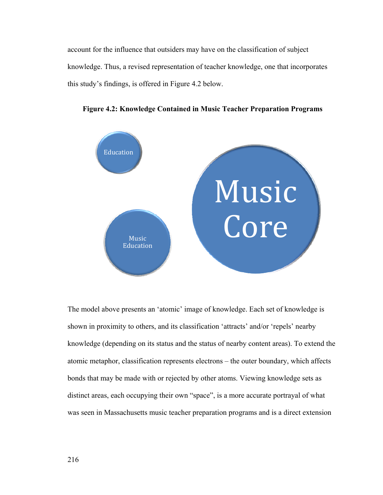account for the influence that outsiders may have on the classification of subject knowledge. Thus, a revised representation of teacher knowledge, one that incorporates this study's findings, is offered in Figure 4.2 below.



**Figure 4.2: Knowledge Contained in Music Teacher Preparation Programs** 

The model above presents an 'atomic' image of knowledge. Each set of knowledge is shown in proximity to others, and its classification 'attracts' and/or 'repels' nearby knowledge (depending on its status and the status of nearby content areas). To extend the atomic metaphor, classification represents electrons – the outer boundary, which affects bonds that may be made with or rejected by other atoms. Viewing knowledge sets as distinct areas, each occupying their own "space", is a more accurate portrayal of what was seen in Massachusetts music teacher preparation programs and is a direct extension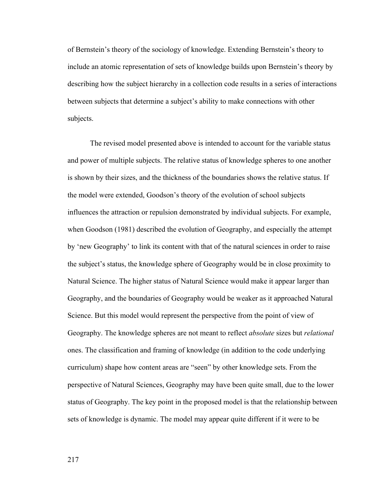of Bernstein's theory of the sociology of knowledge. Extending Bernstein's theory to include an atomic representation of sets of knowledge builds upon Bernstein's theory by describing how the subject hierarchy in a collection code results in a series of interactions between subjects that determine a subject's ability to make connections with other subjects.

The revised model presented above is intended to account for the variable status and power of multiple subjects. The relative status of knowledge spheres to one another is shown by their sizes, and the thickness of the boundaries shows the relative status. If the model were extended, Goodson's theory of the evolution of school subjects influences the attraction or repulsion demonstrated by individual subjects. For example, when Goodson (1981) described the evolution of Geography, and especially the attempt by 'new Geography' to link its content with that of the natural sciences in order to raise the subject's status, the knowledge sphere of Geography would be in close proximity to Natural Science. The higher status of Natural Science would make it appear larger than Geography, and the boundaries of Geography would be weaker as it approached Natural Science. But this model would represent the perspective from the point of view of Geography. The knowledge spheres are not meant to reflect *absolute* sizes but *relational* ones. The classification and framing of knowledge (in addition to the code underlying curriculum) shape how content areas are "seen" by other knowledge sets. From the perspective of Natural Sciences, Geography may have been quite small, due to the lower status of Geography. The key point in the proposed model is that the relationship between sets of knowledge is dynamic. The model may appear quite different if it were to be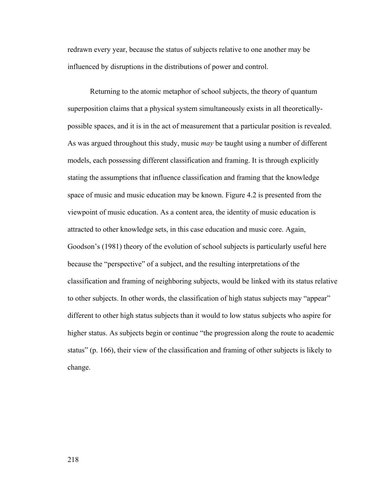redrawn every year, because the status of subjects relative to one another may be influenced by disruptions in the distributions of power and control.

Returning to the atomic metaphor of school subjects, the theory of quantum superposition claims that a physical system simultaneously exists in all theoreticallypossible spaces, and it is in the act of measurement that a particular position is revealed. As was argued throughout this study, music *may* be taught using a number of different models, each possessing different classification and framing. It is through explicitly stating the assumptions that influence classification and framing that the knowledge space of music and music education may be known. Figure 4.2 is presented from the viewpoint of music education. As a content area, the identity of music education is attracted to other knowledge sets, in this case education and music core. Again, Goodson's (1981) theory of the evolution of school subjects is particularly useful here because the "perspective" of a subject, and the resulting interpretations of the classification and framing of neighboring subjects, would be linked with its status relative to other subjects. In other words, the classification of high status subjects may "appear" different to other high status subjects than it would to low status subjects who aspire for higher status. As subjects begin or continue "the progression along the route to academic status" (p. 166), their view of the classification and framing of other subjects is likely to change.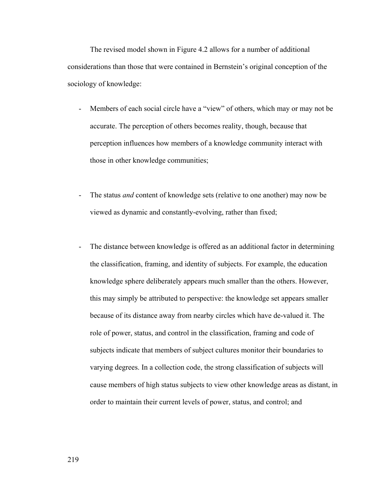The revised model shown in Figure 4.2 allows for a number of additional considerations than those that were contained in Bernstein's original conception of the sociology of knowledge:

- Members of each social circle have a "view" of others, which may or may not be accurate. The perception of others becomes reality, though, because that perception influences how members of a knowledge community interact with those in other knowledge communities;
- The status *and* content of knowledge sets (relative to one another) may now be viewed as dynamic and constantly-evolving, rather than fixed;
- The distance between knowledge is offered as an additional factor in determining the classification, framing, and identity of subjects. For example, the education knowledge sphere deliberately appears much smaller than the others. However, this may simply be attributed to perspective: the knowledge set appears smaller because of its distance away from nearby circles which have de-valued it. The role of power, status, and control in the classification, framing and code of subjects indicate that members of subject cultures monitor their boundaries to varying degrees. In a collection code, the strong classification of subjects will cause members of high status subjects to view other knowledge areas as distant, in order to maintain their current levels of power, status, and control; and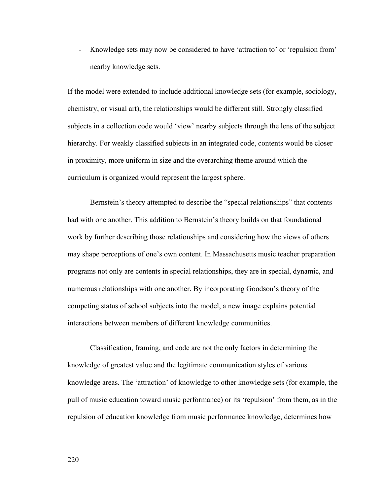- Knowledge sets may now be considered to have 'attraction to' or 'repulsion from' nearby knowledge sets.

If the model were extended to include additional knowledge sets (for example, sociology, chemistry, or visual art), the relationships would be different still. Strongly classified subjects in a collection code would 'view' nearby subjects through the lens of the subject hierarchy. For weakly classified subjects in an integrated code, contents would be closer in proximity, more uniform in size and the overarching theme around which the curriculum is organized would represent the largest sphere.

Bernstein's theory attempted to describe the "special relationships" that contents had with one another. This addition to Bernstein's theory builds on that foundational work by further describing those relationships and considering how the views of others may shape perceptions of one's own content. In Massachusetts music teacher preparation programs not only are contents in special relationships, they are in special, dynamic, and numerous relationships with one another. By incorporating Goodson's theory of the competing status of school subjects into the model, a new image explains potential interactions between members of different knowledge communities.

 Classification, framing, and code are not the only factors in determining the knowledge of greatest value and the legitimate communication styles of various knowledge areas. The 'attraction' of knowledge to other knowledge sets (for example, the pull of music education toward music performance) or its 'repulsion' from them, as in the repulsion of education knowledge from music performance knowledge, determines how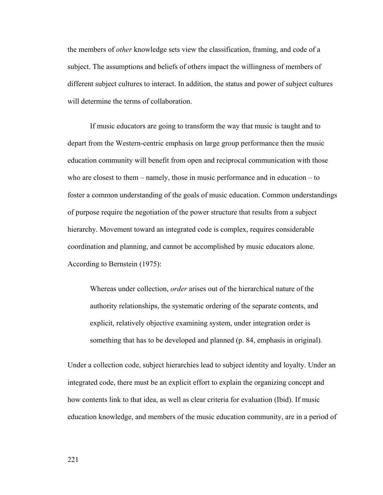the members of *other* knowledge sets view the classification, framing, and code of a subject. The assumptions and beliefs of others impact the willingness of members of different subject cultures to interact. In addition, the status and power of subject cultures will determine the terms of collaboration.

If music educators are going to transform the way that music is taught and to depart from the Western-centric emphasis on large group performance then the music education community will benefit from open and reciprocal communication with those who are closest to them – namely, those in music performance and in education – to foster a common understanding of the goals of music education. Common understandings of purpose require the negotiation of the power structure that results from a subject hierarchy. Movement toward an integrated code is complex, requires considerable coordination and planning, and cannot be accomplished by music educators alone. According to Bernstein (1975):

Whereas under collection, *order* arises out of the hierarchical nature of the authority relationships, the systematic ordering of the separate contents, and explicit, relatively objective examining system, under integration order is something that has to be developed and planned (p. 84, emphasis in original).

Under a collection code, subject hierarchies lead to subject identity and loyalty. Under an integrated code, there must be an explicit effort to explain the organizing concept and how contents link to that idea, as well as clear criteria for evaluation (Ibid). If music education knowledge, and members of the music education community, are in a period of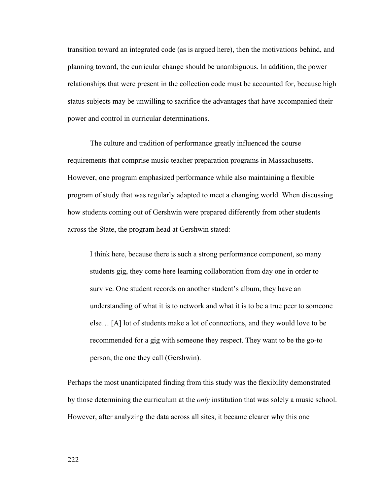transition toward an integrated code (as is argued here), then the motivations behind, and planning toward, the curricular change should be unambiguous. In addition, the power relationships that were present in the collection code must be accounted for, because high status subjects may be unwilling to sacrifice the advantages that have accompanied their power and control in curricular determinations.

The culture and tradition of performance greatly influenced the course requirements that comprise music teacher preparation programs in Massachusetts. However, one program emphasized performance while also maintaining a flexible program of study that was regularly adapted to meet a changing world. When discussing how students coming out of Gershwin were prepared differently from other students across the State, the program head at Gershwin stated:

I think here, because there is such a strong performance component, so many students gig, they come here learning collaboration from day one in order to survive. One student records on another student's album, they have an understanding of what it is to network and what it is to be a true peer to someone else… [A] lot of students make a lot of connections, and they would love to be recommended for a gig with someone they respect. They want to be the go-to person, the one they call (Gershwin).

Perhaps the most unanticipated finding from this study was the flexibility demonstrated by those determining the curriculum at the *only* institution that was solely a music school. However, after analyzing the data across all sites, it became clearer why this one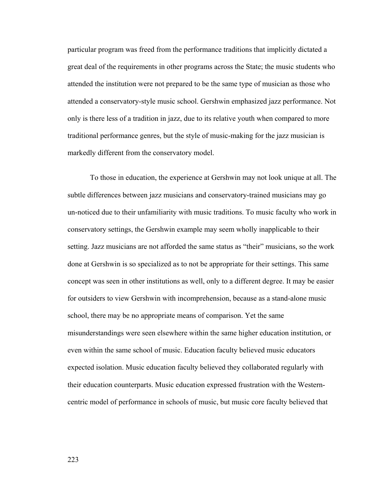particular program was freed from the performance traditions that implicitly dictated a great deal of the requirements in other programs across the State; the music students who attended the institution were not prepared to be the same type of musician as those who attended a conservatory-style music school. Gershwin emphasized jazz performance. Not only is there less of a tradition in jazz, due to its relative youth when compared to more traditional performance genres, but the style of music-making for the jazz musician is markedly different from the conservatory model.

 To those in education, the experience at Gershwin may not look unique at all. The subtle differences between jazz musicians and conservatory-trained musicians may go un-noticed due to their unfamiliarity with music traditions. To music faculty who work in conservatory settings, the Gershwin example may seem wholly inapplicable to their setting. Jazz musicians are not afforded the same status as "their" musicians, so the work done at Gershwin is so specialized as to not be appropriate for their settings. This same concept was seen in other institutions as well, only to a different degree. It may be easier for outsiders to view Gershwin with incomprehension, because as a stand-alone music school, there may be no appropriate means of comparison. Yet the same misunderstandings were seen elsewhere within the same higher education institution, or even within the same school of music. Education faculty believed music educators expected isolation. Music education faculty believed they collaborated regularly with their education counterparts. Music education expressed frustration with the Westerncentric model of performance in schools of music, but music core faculty believed that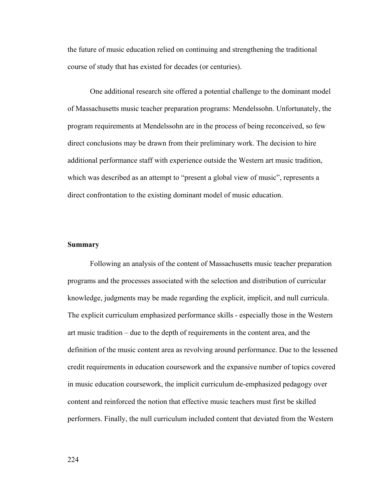the future of music education relied on continuing and strengthening the traditional course of study that has existed for decades (or centuries).

 One additional research site offered a potential challenge to the dominant model of Massachusetts music teacher preparation programs: Mendelssohn. Unfortunately, the program requirements at Mendelssohn are in the process of being reconceived, so few direct conclusions may be drawn from their preliminary work. The decision to hire additional performance staff with experience outside the Western art music tradition, which was described as an attempt to "present a global view of music", represents a direct confrontation to the existing dominant model of music education.

## **Summary**

 Following an analysis of the content of Massachusetts music teacher preparation programs and the processes associated with the selection and distribution of curricular knowledge, judgments may be made regarding the explicit, implicit, and null curricula. The explicit curriculum emphasized performance skills - especially those in the Western art music tradition – due to the depth of requirements in the content area, and the definition of the music content area as revolving around performance. Due to the lessened credit requirements in education coursework and the expansive number of topics covered in music education coursework, the implicit curriculum de-emphasized pedagogy over content and reinforced the notion that effective music teachers must first be skilled performers. Finally, the null curriculum included content that deviated from the Western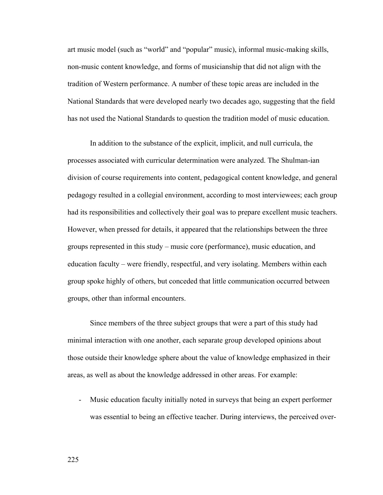art music model (such as "world" and "popular" music), informal music-making skills, non-music content knowledge, and forms of musicianship that did not align with the tradition of Western performance. A number of these topic areas are included in the National Standards that were developed nearly two decades ago, suggesting that the field has not used the National Standards to question the tradition model of music education.

 In addition to the substance of the explicit, implicit, and null curricula, the processes associated with curricular determination were analyzed. The Shulman-ian division of course requirements into content, pedagogical content knowledge, and general pedagogy resulted in a collegial environment, according to most interviewees; each group had its responsibilities and collectively their goal was to prepare excellent music teachers. However, when pressed for details, it appeared that the relationships between the three groups represented in this study – music core (performance), music education, and education faculty – were friendly, respectful, and very isolating. Members within each group spoke highly of others, but conceded that little communication occurred between groups, other than informal encounters.

 Since members of the three subject groups that were a part of this study had minimal interaction with one another, each separate group developed opinions about those outside their knowledge sphere about the value of knowledge emphasized in their areas, as well as about the knowledge addressed in other areas. For example:

- Music education faculty initially noted in surveys that being an expert performer was essential to being an effective teacher. During interviews, the perceived over-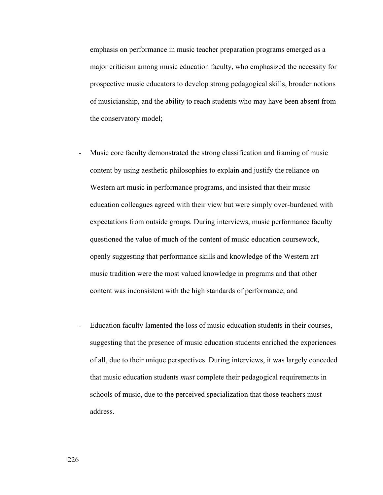emphasis on performance in music teacher preparation programs emerged as a major criticism among music education faculty, who emphasized the necessity for prospective music educators to develop strong pedagogical skills, broader notions of musicianship, and the ability to reach students who may have been absent from the conservatory model;

- Music core faculty demonstrated the strong classification and framing of music content by using aesthetic philosophies to explain and justify the reliance on Western art music in performance programs, and insisted that their music education colleagues agreed with their view but were simply over-burdened with expectations from outside groups. During interviews, music performance faculty questioned the value of much of the content of music education coursework, openly suggesting that performance skills and knowledge of the Western art music tradition were the most valued knowledge in programs and that other content was inconsistent with the high standards of performance; and
- Education faculty lamented the loss of music education students in their courses, suggesting that the presence of music education students enriched the experiences of all, due to their unique perspectives. During interviews, it was largely conceded that music education students *must* complete their pedagogical requirements in schools of music, due to the perceived specialization that those teachers must address.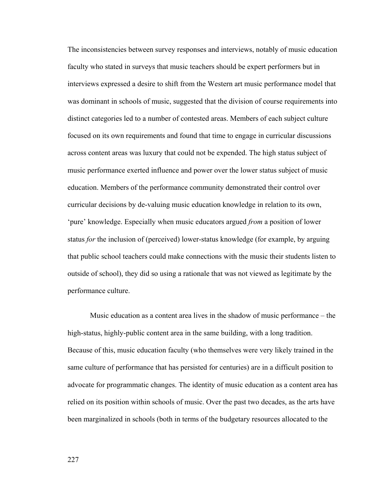The inconsistencies between survey responses and interviews, notably of music education faculty who stated in surveys that music teachers should be expert performers but in interviews expressed a desire to shift from the Western art music performance model that was dominant in schools of music, suggested that the division of course requirements into distinct categories led to a number of contested areas. Members of each subject culture focused on its own requirements and found that time to engage in curricular discussions across content areas was luxury that could not be expended. The high status subject of music performance exerted influence and power over the lower status subject of music education. Members of the performance community demonstrated their control over curricular decisions by de-valuing music education knowledge in relation to its own, 'pure' knowledge. Especially when music educators argued *from* a position of lower status *for* the inclusion of (perceived) lower-status knowledge (for example, by arguing that public school teachers could make connections with the music their students listen to outside of school), they did so using a rationale that was not viewed as legitimate by the performance culture.

 Music education as a content area lives in the shadow of music performance – the high-status, highly-public content area in the same building, with a long tradition. Because of this, music education faculty (who themselves were very likely trained in the same culture of performance that has persisted for centuries) are in a difficult position to advocate for programmatic changes. The identity of music education as a content area has relied on its position within schools of music. Over the past two decades, as the arts have been marginalized in schools (both in terms of the budgetary resources allocated to the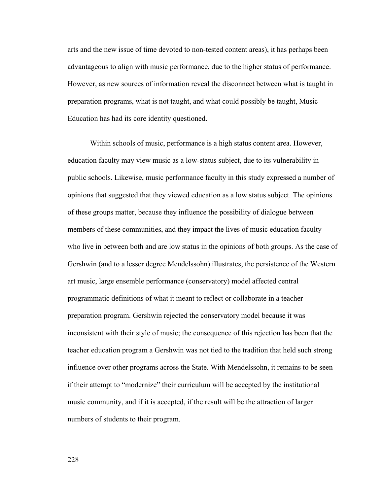arts and the new issue of time devoted to non-tested content areas), it has perhaps been advantageous to align with music performance, due to the higher status of performance. However, as new sources of information reveal the disconnect between what is taught in preparation programs, what is not taught, and what could possibly be taught, Music Education has had its core identity questioned.

 Within schools of music, performance is a high status content area. However, education faculty may view music as a low-status subject, due to its vulnerability in public schools. Likewise, music performance faculty in this study expressed a number of opinions that suggested that they viewed education as a low status subject. The opinions of these groups matter, because they influence the possibility of dialogue between members of these communities, and they impact the lives of music education faculty – who live in between both and are low status in the opinions of both groups. As the case of Gershwin (and to a lesser degree Mendelssohn) illustrates, the persistence of the Western art music, large ensemble performance (conservatory) model affected central programmatic definitions of what it meant to reflect or collaborate in a teacher preparation program. Gershwin rejected the conservatory model because it was inconsistent with their style of music; the consequence of this rejection has been that the teacher education program a Gershwin was not tied to the tradition that held such strong influence over other programs across the State. With Mendelssohn, it remains to be seen if their attempt to "modernize" their curriculum will be accepted by the institutional music community, and if it is accepted, if the result will be the attraction of larger numbers of students to their program.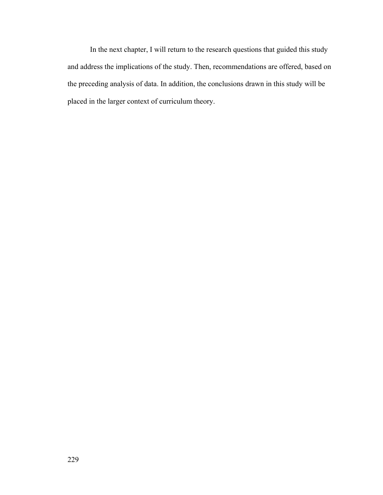In the next chapter, I will return to the research questions that guided this study and address the implications of the study. Then, recommendations are offered, based on the preceding analysis of data. In addition, the conclusions drawn in this study will be placed in the larger context of curriculum theory.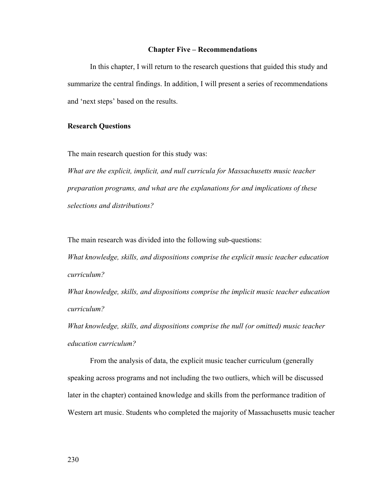#### **Chapter Five – Recommendations**

 In this chapter, I will return to the research questions that guided this study and summarize the central findings. In addition, I will present a series of recommendations and 'next steps' based on the results.

## **Research Questions**

The main research question for this study was:

*What are the explicit, implicit, and null curricula for Massachusetts music teacher preparation programs, and what are the explanations for and implications of these selections and distributions?*

The main research was divided into the following sub-questions:

*What knowledge, skills, and dispositions comprise the explicit music teacher education curriculum?* 

*What knowledge, skills, and dispositions comprise the implicit music teacher education curriculum?* 

*What knowledge, skills, and dispositions comprise the null (or omitted) music teacher education curriculum?* 

From the analysis of data, the explicit music teacher curriculum (generally speaking across programs and not including the two outliers, which will be discussed later in the chapter) contained knowledge and skills from the performance tradition of Western art music. Students who completed the majority of Massachusetts music teacher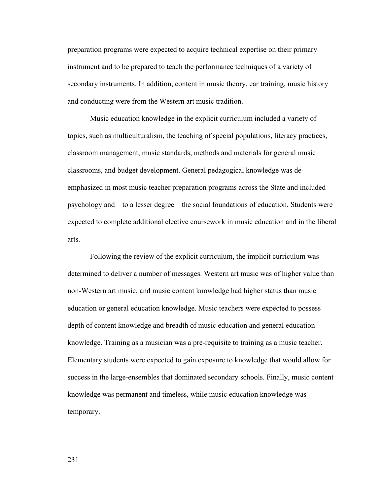preparation programs were expected to acquire technical expertise on their primary instrument and to be prepared to teach the performance techniques of a variety of secondary instruments. In addition, content in music theory, ear training, music history and conducting were from the Western art music tradition.

 Music education knowledge in the explicit curriculum included a variety of topics, such as multiculturalism, the teaching of special populations, literacy practices, classroom management, music standards, methods and materials for general music classrooms, and budget development. General pedagogical knowledge was deemphasized in most music teacher preparation programs across the State and included psychology and – to a lesser degree – the social foundations of education. Students were expected to complete additional elective coursework in music education and in the liberal arts.

 Following the review of the explicit curriculum, the implicit curriculum was determined to deliver a number of messages. Western art music was of higher value than non-Western art music, and music content knowledge had higher status than music education or general education knowledge. Music teachers were expected to possess depth of content knowledge and breadth of music education and general education knowledge. Training as a musician was a pre-requisite to training as a music teacher. Elementary students were expected to gain exposure to knowledge that would allow for success in the large-ensembles that dominated secondary schools. Finally, music content knowledge was permanent and timeless, while music education knowledge was temporary.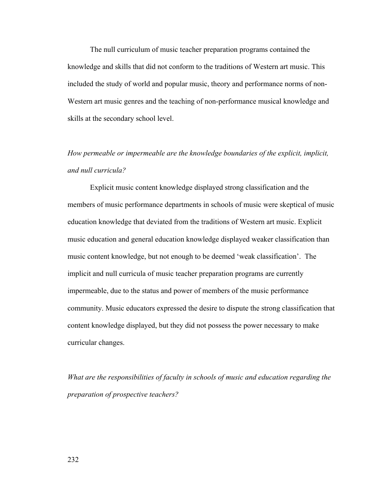The null curriculum of music teacher preparation programs contained the knowledge and skills that did not conform to the traditions of Western art music. This included the study of world and popular music, theory and performance norms of non-Western art music genres and the teaching of non-performance musical knowledge and skills at the secondary school level.

# *How permeable or impermeable are the knowledge boundaries of the explicit, implicit, and null curricula?*

 Explicit music content knowledge displayed strong classification and the members of music performance departments in schools of music were skeptical of music education knowledge that deviated from the traditions of Western art music. Explicit music education and general education knowledge displayed weaker classification than music content knowledge, but not enough to be deemed 'weak classification'. The implicit and null curricula of music teacher preparation programs are currently impermeable, due to the status and power of members of the music performance community. Music educators expressed the desire to dispute the strong classification that content knowledge displayed, but they did not possess the power necessary to make curricular changes.

*What are the responsibilities of faculty in schools of music and education regarding the preparation of prospective teachers?*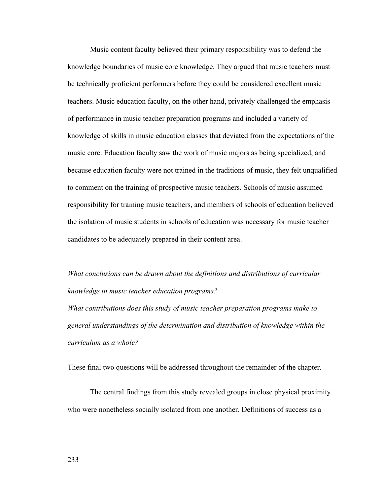Music content faculty believed their primary responsibility was to defend the knowledge boundaries of music core knowledge. They argued that music teachers must be technically proficient performers before they could be considered excellent music teachers. Music education faculty, on the other hand, privately challenged the emphasis of performance in music teacher preparation programs and included a variety of knowledge of skills in music education classes that deviated from the expectations of the music core. Education faculty saw the work of music majors as being specialized, and because education faculty were not trained in the traditions of music, they felt unqualified to comment on the training of prospective music teachers. Schools of music assumed responsibility for training music teachers, and members of schools of education believed the isolation of music students in schools of education was necessary for music teacher candidates to be adequately prepared in their content area.

*What conclusions can be drawn about the definitions and distributions of curricular knowledge in music teacher education programs?* 

*What contributions does this study of music teacher preparation programs make to general understandings of the determination and distribution of knowledge within the curriculum as a whole?* 

These final two questions will be addressed throughout the remainder of the chapter.

 The central findings from this study revealed groups in close physical proximity who were nonetheless socially isolated from one another. Definitions of success as a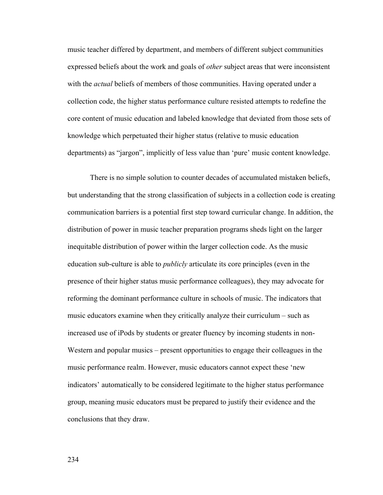music teacher differed by department, and members of different subject communities expressed beliefs about the work and goals of *other* subject areas that were inconsistent with the *actual* beliefs of members of those communities. Having operated under a collection code, the higher status performance culture resisted attempts to redefine the core content of music education and labeled knowledge that deviated from those sets of knowledge which perpetuated their higher status (relative to music education departments) as "jargon", implicitly of less value than 'pure' music content knowledge.

There is no simple solution to counter decades of accumulated mistaken beliefs, but understanding that the strong classification of subjects in a collection code is creating communication barriers is a potential first step toward curricular change. In addition, the distribution of power in music teacher preparation programs sheds light on the larger inequitable distribution of power within the larger collection code. As the music education sub-culture is able to *publicly* articulate its core principles (even in the presence of their higher status music performance colleagues), they may advocate for reforming the dominant performance culture in schools of music. The indicators that music educators examine when they critically analyze their curriculum – such as increased use of iPods by students or greater fluency by incoming students in non-Western and popular musics – present opportunities to engage their colleagues in the music performance realm. However, music educators cannot expect these 'new indicators' automatically to be considered legitimate to the higher status performance group, meaning music educators must be prepared to justify their evidence and the conclusions that they draw.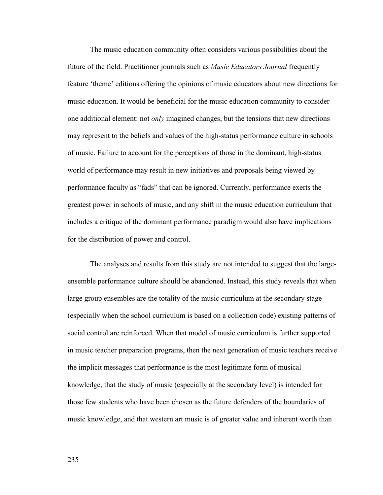The music education community often considers various possibilities about the future of the field. Practitioner journals such as *Music Educators Journal* frequently feature 'theme' editions offering the opinions of music educators about new directions for music education. It would be beneficial for the music education community to consider one additional element: not *only* imagined changes, but the tensions that new directions may represent to the beliefs and values of the high-status performance culture in schools of music. Failure to account for the perceptions of those in the dominant, high-status world of performance may result in new initiatives and proposals being viewed by performance faculty as "fads" that can be ignored. Currently, performance exerts the greatest power in schools of music, and any shift in the music education curriculum that includes a critique of the dominant performance paradigm would also have implications for the distribution of power and control.

 The analyses and results from this study are not intended to suggest that the largeensemble performance culture should be abandoned. Instead, this study reveals that when large group ensembles are the totality of the music curriculum at the secondary stage (especially when the school curriculum is based on a collection code) existing patterns of social control are reinforced. When that model of music curriculum is further supported in music teacher preparation programs, then the next generation of music teachers receive the implicit messages that performance is the most legitimate form of musical knowledge, that the study of music (especially at the secondary level) is intended for those few students who have been chosen as the future defenders of the boundaries of music knowledge, and that western art music is of greater value and inherent worth than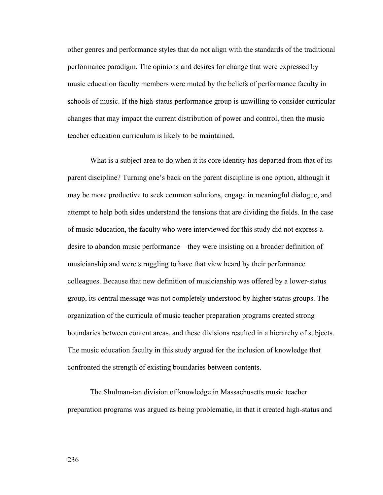other genres and performance styles that do not align with the standards of the traditional performance paradigm. The opinions and desires for change that were expressed by music education faculty members were muted by the beliefs of performance faculty in schools of music. If the high-status performance group is unwilling to consider curricular changes that may impact the current distribution of power and control, then the music teacher education curriculum is likely to be maintained.

What is a subject area to do when it its core identity has departed from that of its parent discipline? Turning one's back on the parent discipline is one option, although it may be more productive to seek common solutions, engage in meaningful dialogue, and attempt to help both sides understand the tensions that are dividing the fields. In the case of music education, the faculty who were interviewed for this study did not express a desire to abandon music performance – they were insisting on a broader definition of musicianship and were struggling to have that view heard by their performance colleagues. Because that new definition of musicianship was offered by a lower-status group, its central message was not completely understood by higher-status groups. The organization of the curricula of music teacher preparation programs created strong boundaries between content areas, and these divisions resulted in a hierarchy of subjects. The music education faculty in this study argued for the inclusion of knowledge that confronted the strength of existing boundaries between contents.

 The Shulman-ian division of knowledge in Massachusetts music teacher preparation programs was argued as being problematic, in that it created high-status and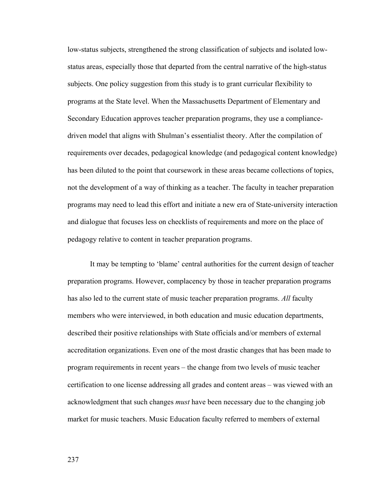low-status subjects, strengthened the strong classification of subjects and isolated lowstatus areas, especially those that departed from the central narrative of the high-status subjects. One policy suggestion from this study is to grant curricular flexibility to programs at the State level. When the Massachusetts Department of Elementary and Secondary Education approves teacher preparation programs, they use a compliancedriven model that aligns with Shulman's essentialist theory. After the compilation of requirements over decades, pedagogical knowledge (and pedagogical content knowledge) has been diluted to the point that coursework in these areas became collections of topics, not the development of a way of thinking as a teacher. The faculty in teacher preparation programs may need to lead this effort and initiate a new era of State-university interaction and dialogue that focuses less on checklists of requirements and more on the place of pedagogy relative to content in teacher preparation programs.

 It may be tempting to 'blame' central authorities for the current design of teacher preparation programs. However, complacency by those in teacher preparation programs has also led to the current state of music teacher preparation programs. *All* faculty members who were interviewed, in both education and music education departments, described their positive relationships with State officials and/or members of external accreditation organizations. Even one of the most drastic changes that has been made to program requirements in recent years – the change from two levels of music teacher certification to one license addressing all grades and content areas – was viewed with an acknowledgment that such changes *must* have been necessary due to the changing job market for music teachers. Music Education faculty referred to members of external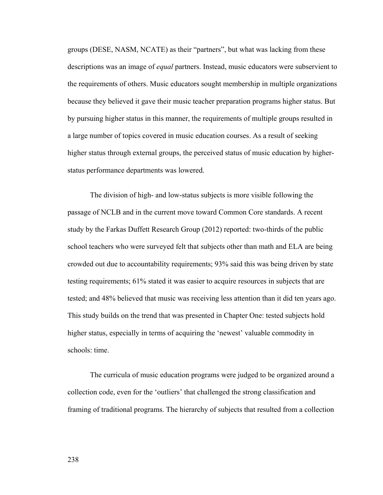groups (DESE, NASM, NCATE) as their "partners", but what was lacking from these descriptions was an image of *equal* partners. Instead, music educators were subservient to the requirements of others. Music educators sought membership in multiple organizations because they believed it gave their music teacher preparation programs higher status. But by pursuing higher status in this manner, the requirements of multiple groups resulted in a large number of topics covered in music education courses. As a result of seeking higher status through external groups, the perceived status of music education by higherstatus performance departments was lowered.

 The division of high- and low-status subjects is more visible following the passage of NCLB and in the current move toward Common Core standards. A recent study by the Farkas Duffett Research Group (2012) reported: two-thirds of the public school teachers who were surveyed felt that subjects other than math and ELA are being crowded out due to accountability requirements; 93% said this was being driven by state testing requirements; 61% stated it was easier to acquire resources in subjects that are tested; and 48% believed that music was receiving less attention than it did ten years ago. This study builds on the trend that was presented in Chapter One: tested subjects hold higher status, especially in terms of acquiring the 'newest' valuable commodity in schools: time.

 The curricula of music education programs were judged to be organized around a collection code, even for the 'outliers' that challenged the strong classification and framing of traditional programs. The hierarchy of subjects that resulted from a collection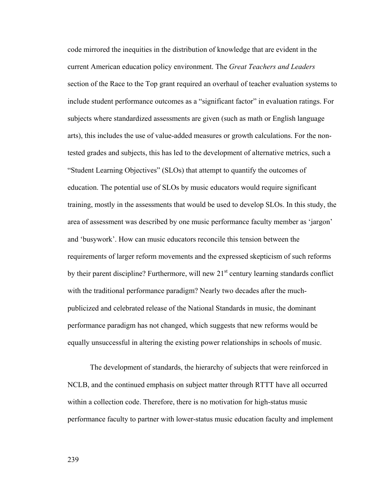code mirrored the inequities in the distribution of knowledge that are evident in the current American education policy environment. The *Great Teachers and Leaders* section of the Race to the Top grant required an overhaul of teacher evaluation systems to include student performance outcomes as a "significant factor" in evaluation ratings. For subjects where standardized assessments are given (such as math or English language arts), this includes the use of value-added measures or growth calculations. For the nontested grades and subjects, this has led to the development of alternative metrics, such a "Student Learning Objectives" (SLOs) that attempt to quantify the outcomes of education. The potential use of SLOs by music educators would require significant training, mostly in the assessments that would be used to develop SLOs. In this study, the area of assessment was described by one music performance faculty member as 'jargon' and 'busywork'. How can music educators reconcile this tension between the requirements of larger reform movements and the expressed skepticism of such reforms by their parent discipline? Furthermore, will new  $21<sup>st</sup>$  century learning standards conflict with the traditional performance paradigm? Nearly two decades after the muchpublicized and celebrated release of the National Standards in music, the dominant performance paradigm has not changed, which suggests that new reforms would be equally unsuccessful in altering the existing power relationships in schools of music.

 The development of standards, the hierarchy of subjects that were reinforced in NCLB, and the continued emphasis on subject matter through RTTT have all occurred within a collection code. Therefore, there is no motivation for high-status music performance faculty to partner with lower-status music education faculty and implement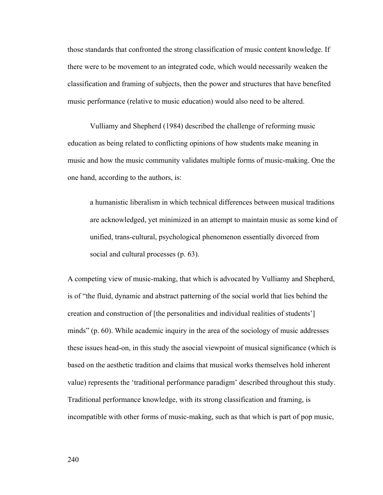those standards that confronted the strong classification of music content knowledge. If there were to be movement to an integrated code, which would necessarily weaken the classification and framing of subjects, then the power and structures that have benefited music performance (relative to music education) would also need to be altered.

 Vulliamy and Shepherd (1984) described the challenge of reforming music education as being related to conflicting opinions of how students make meaning in music and how the music community validates multiple forms of music-making. One the one hand, according to the authors, is:

a humanistic liberalism in which technical differences between musical traditions are acknowledged, yet minimized in an attempt to maintain music as some kind of unified, trans-cultural, psychological phenomenon essentially divorced from social and cultural processes (p. 63).

A competing view of music-making, that which is advocated by Vulliamy and Shepherd, is of "the fluid, dynamic and abstract patterning of the social world that lies behind the creation and construction of [the personalities and individual realities of students'] minds" (p. 60). While academic inquiry in the area of the sociology of music addresses these issues head-on, in this study the asocial viewpoint of musical significance (which is based on the aesthetic tradition and claims that musical works themselves hold inherent value) represents the 'traditional performance paradigm' described throughout this study. Traditional performance knowledge, with its strong classification and framing, is incompatible with other forms of music-making, such as that which is part of pop music,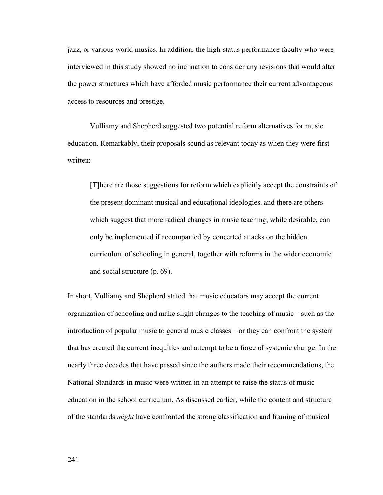jazz, or various world musics. In addition, the high-status performance faculty who were interviewed in this study showed no inclination to consider any revisions that would alter the power structures which have afforded music performance their current advantageous access to resources and prestige.

 Vulliamy and Shepherd suggested two potential reform alternatives for music education. Remarkably, their proposals sound as relevant today as when they were first written:

[T]here are those suggestions for reform which explicitly accept the constraints of the present dominant musical and educational ideologies, and there are others which suggest that more radical changes in music teaching, while desirable, can only be implemented if accompanied by concerted attacks on the hidden curriculum of schooling in general, together with reforms in the wider economic and social structure (p. 69).

In short, Vulliamy and Shepherd stated that music educators may accept the current organization of schooling and make slight changes to the teaching of music – such as the introduction of popular music to general music classes – or they can confront the system that has created the current inequities and attempt to be a force of systemic change. In the nearly three decades that have passed since the authors made their recommendations, the National Standards in music were written in an attempt to raise the status of music education in the school curriculum. As discussed earlier, while the content and structure of the standards *might* have confronted the strong classification and framing of musical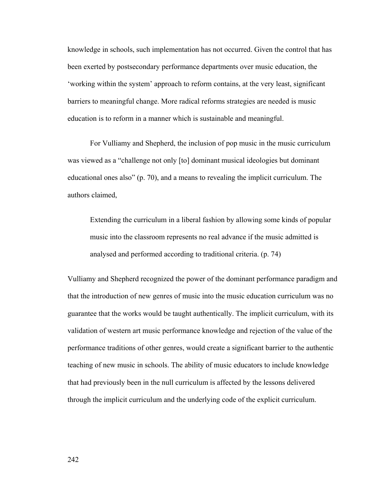knowledge in schools, such implementation has not occurred. Given the control that has been exerted by postsecondary performance departments over music education, the 'working within the system' approach to reform contains, at the very least, significant barriers to meaningful change. More radical reforms strategies are needed is music education is to reform in a manner which is sustainable and meaningful.

For Vulliamy and Shepherd, the inclusion of pop music in the music curriculum was viewed as a "challenge not only [to] dominant musical ideologies but dominant educational ones also" (p. 70), and a means to revealing the implicit curriculum. The authors claimed,

Extending the curriculum in a liberal fashion by allowing some kinds of popular music into the classroom represents no real advance if the music admitted is analysed and performed according to traditional criteria. (p. 74)

Vulliamy and Shepherd recognized the power of the dominant performance paradigm and that the introduction of new genres of music into the music education curriculum was no guarantee that the works would be taught authentically. The implicit curriculum, with its validation of western art music performance knowledge and rejection of the value of the performance traditions of other genres, would create a significant barrier to the authentic teaching of new music in schools. The ability of music educators to include knowledge that had previously been in the null curriculum is affected by the lessons delivered through the implicit curriculum and the underlying code of the explicit curriculum.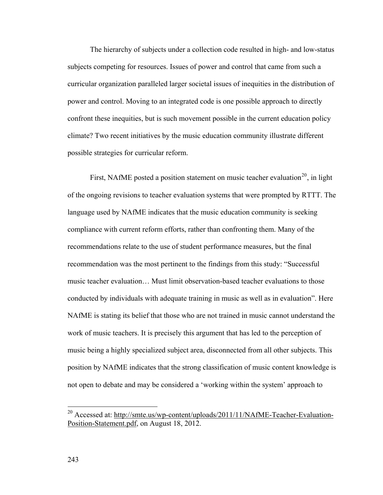The hierarchy of subjects under a collection code resulted in high- and low-status subjects competing for resources. Issues of power and control that came from such a curricular organization paralleled larger societal issues of inequities in the distribution of power and control. Moving to an integrated code is one possible approach to directly confront these inequities, but is such movement possible in the current education policy climate? Two recent initiatives by the music education community illustrate different possible strategies for curricular reform.

First, NAfME posted a position statement on music teacher evaluation<sup>[20](#page-249-0)</sup>, in light of the ongoing revisions to teacher evaluation systems that were prompted by RTTT. The language used by NAfME indicates that the music education community is seeking compliance with current reform efforts, rather than confronting them. Many of the recommendations relate to the use of student performance measures, but the final recommendation was the most pertinent to the findings from this study: "Successful music teacher evaluation… Must limit observation-based teacher evaluations to those conducted by individuals with adequate training in music as well as in evaluation". Here NAfME is stating its belief that those who are not trained in music cannot understand the work of music teachers. It is precisely this argument that has led to the perception of music being a highly specialized subject area, disconnected from all other subjects. This position by NAfME indicates that the strong classification of music content knowledge is not open to debate and may be considered a 'working within the system' approach to

 $\overline{a}$ 

<span id="page-249-0"></span><sup>&</sup>lt;sup>20</sup> Accessed at: [http://smte.us/wp-content/uploads/2011/11/NAfME-Teacher-Evaluation-](http://smte.us/wp-content/uploads/2011/11/NAfME-Teacher-Evaluation-Position-Statement.pdf)[Position-Statement.pdf](http://smte.us/wp-content/uploads/2011/11/NAfME-Teacher-Evaluation-Position-Statement.pdf), on August 18, 2012.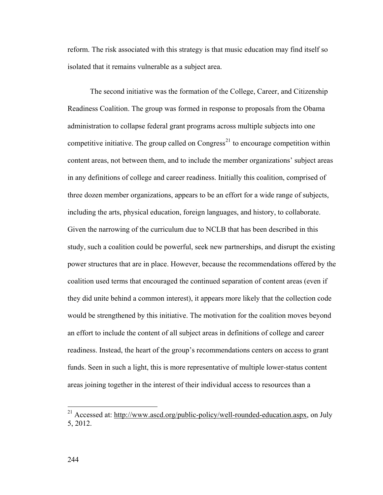reform. The risk associated with this strategy is that music education may find itself so isolated that it remains vulnerable as a subject area.

 The second initiative was the formation of the College, Career, and Citizenship Readiness Coalition. The group was formed in response to proposals from the Obama administration to collapse federal grant programs across multiple subjects into one competitive initiative. The group called on  $Congress<sup>21</sup>$  $Congress<sup>21</sup>$  $Congress<sup>21</sup>$  to encourage competition within content areas, not between them, and to include the member organizations' subject areas in any definitions of college and career readiness. Initially this coalition, comprised of three dozen member organizations, appears to be an effort for a wide range of subjects, including the arts, physical education, foreign languages, and history, to collaborate. Given the narrowing of the curriculum due to NCLB that has been described in this study, such a coalition could be powerful, seek new partnerships, and disrupt the existing power structures that are in place. However, because the recommendations offered by the coalition used terms that encouraged the continued separation of content areas (even if they did unite behind a common interest), it appears more likely that the collection code would be strengthened by this initiative. The motivation for the coalition moves beyond an effort to include the content of all subject areas in definitions of college and career readiness. Instead, the heart of the group's recommendations centers on access to grant funds. Seen in such a light, this is more representative of multiple lower-status content areas joining together in the interest of their individual access to resources than a

 $\overline{a}$ 

<span id="page-250-0"></span><sup>&</sup>lt;sup>21</sup> Accessed at: [http://www.ascd.org/public-policy/well-rounded-education.aspx,](http://www.ascd.org/public-policy/well-rounded-education.aspx) on July 5, 2012.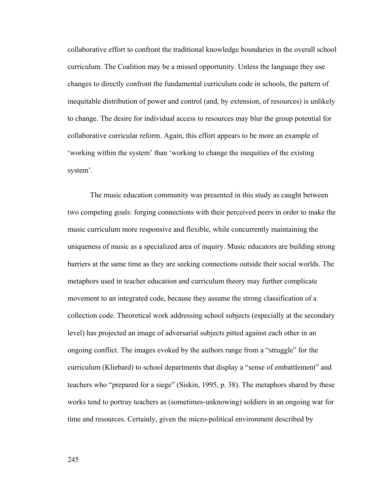collaborative effort to confront the traditional knowledge boundaries in the overall school curriculum. The Coalition may be a missed opportunity. Unless the language they use changes to directly confront the fundamental curriculum code in schools, the pattern of inequitable distribution of power and control (and, by extension, of resources) is unlikely to change. The desire for individual access to resources may blur the group potential for collaborative curricular reform. Again, this effort appears to be more an example of 'working within the system' than 'working to change the inequities of the existing system'.

 The music education community was presented in this study as caught between two competing goals: forging connections with their perceived peers in order to make the music curriculum more responsive and flexible, while concurrently maintaining the uniqueness of music as a specialized area of inquiry. Music educators are building strong barriers at the same time as they are seeking connections outside their social worlds. The metaphors used in teacher education and curriculum theory may further complicate movement to an integrated code, because they assume the strong classification of a collection code. Theoretical work addressing school subjects (especially at the secondary level) has projected an image of adversarial subjects pitted against each other in an ongoing conflict. The images evoked by the authors range from a "struggle" for the curriculum (Kliebard) to school departments that display a "sense of embattlement" and teachers who "prepared for a siege" (Siskin, 1995, p. 38). The metaphors shared by these works tend to portray teachers as (sometimes-unknowing) soldiers in an ongoing war for time and resources. Certainly, given the micro-political environment described by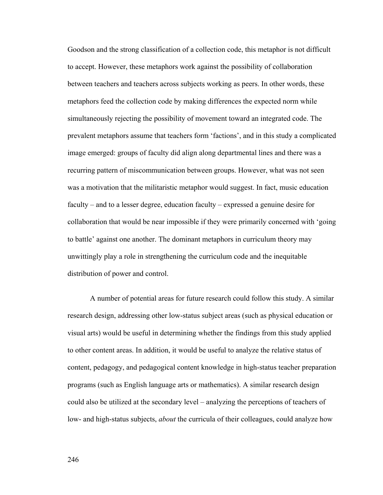Goodson and the strong classification of a collection code, this metaphor is not difficult to accept. However, these metaphors work against the possibility of collaboration between teachers and teachers across subjects working as peers. In other words, these metaphors feed the collection code by making differences the expected norm while simultaneously rejecting the possibility of movement toward an integrated code. The prevalent metaphors assume that teachers form 'factions', and in this study a complicated image emerged: groups of faculty did align along departmental lines and there was a recurring pattern of miscommunication between groups. However, what was not seen was a motivation that the militaristic metaphor would suggest. In fact, music education faculty – and to a lesser degree, education faculty – expressed a genuine desire for collaboration that would be near impossible if they were primarily concerned with 'going to battle' against one another. The dominant metaphors in curriculum theory may unwittingly play a role in strengthening the curriculum code and the inequitable distribution of power and control.

 A number of potential areas for future research could follow this study. A similar research design, addressing other low-status subject areas (such as physical education or visual arts) would be useful in determining whether the findings from this study applied to other content areas. In addition, it would be useful to analyze the relative status of content, pedagogy, and pedagogical content knowledge in high-status teacher preparation programs (such as English language arts or mathematics). A similar research design could also be utilized at the secondary level – analyzing the perceptions of teachers of low- and high-status subjects, *about* the curricula of their colleagues, could analyze how

246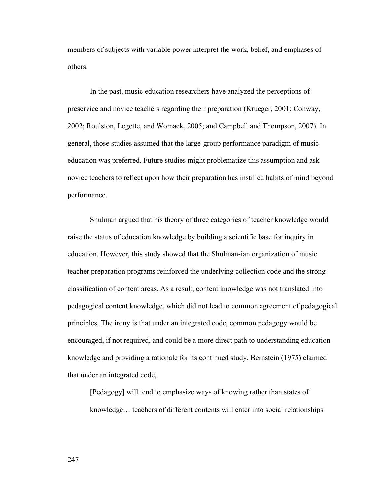members of subjects with variable power interpret the work, belief, and emphases of others.

 In the past, music education researchers have analyzed the perceptions of preservice and novice teachers regarding their preparation (Krueger, 2001; Conway, 2002; Roulston, Legette, and Womack, 2005; and Campbell and Thompson, 2007). In general, those studies assumed that the large-group performance paradigm of music education was preferred. Future studies might problematize this assumption and ask novice teachers to reflect upon how their preparation has instilled habits of mind beyond performance.

Shulman argued that his theory of three categories of teacher knowledge would raise the status of education knowledge by building a scientific base for inquiry in education. However, this study showed that the Shulman-ian organization of music teacher preparation programs reinforced the underlying collection code and the strong classification of content areas. As a result, content knowledge was not translated into pedagogical content knowledge, which did not lead to common agreement of pedagogical principles. The irony is that under an integrated code, common pedagogy would be encouraged, if not required, and could be a more direct path to understanding education knowledge and providing a rationale for its continued study. Bernstein (1975) claimed that under an integrated code,

[Pedagogy] will tend to emphasize ways of knowing rather than states of knowledge… teachers of different contents will enter into social relationships

247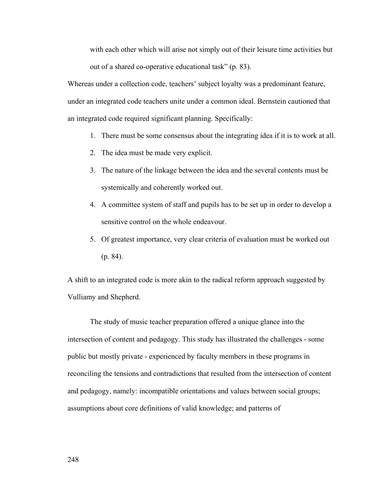with each other which will arise not simply out of their leisure time activities but out of a shared co-operative educational task" (p. 83).

Whereas under a collection code, teachers' subject loyalty was a predominant feature, under an integrated code teachers unite under a common ideal. Bernstein cautioned that an integrated code required significant planning. Specifically:

- 1. There must be some consensus about the integrating idea if it is to work at all.
- 2. The idea must be made very explicit.
- 3. The nature of the linkage between the idea and the several contents must be systemically and coherently worked out.
- 4. A committee system of staff and pupils has to be set up in order to develop a sensitive control on the whole endeavour.
- 5. Of greatest importance, very clear criteria of evaluation must be worked out (p. 84).

A shift to an integrated code is more akin to the radical reform approach suggested by Vulliamy and Shepherd.

 The study of music teacher preparation offered a unique glance into the intersection of content and pedagogy. This study has illustrated the challenges - some public but mostly private - experienced by faculty members in these programs in reconciling the tensions and contradictions that resulted from the intersection of content and pedagogy, namely: incompatible orientations and values between social groups; assumptions about core definitions of valid knowledge; and patterns of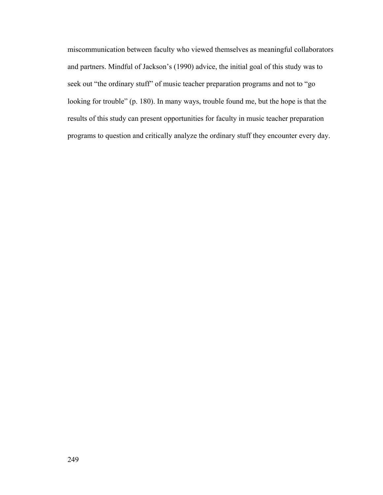miscommunication between faculty who viewed themselves as meaningful collaborators and partners. Mindful of Jackson's (1990) advice, the initial goal of this study was to seek out "the ordinary stuff" of music teacher preparation programs and not to "go looking for trouble" (p. 180). In many ways, trouble found me, but the hope is that the results of this study can present opportunities for faculty in music teacher preparation programs to question and critically analyze the ordinary stuff they encounter every day.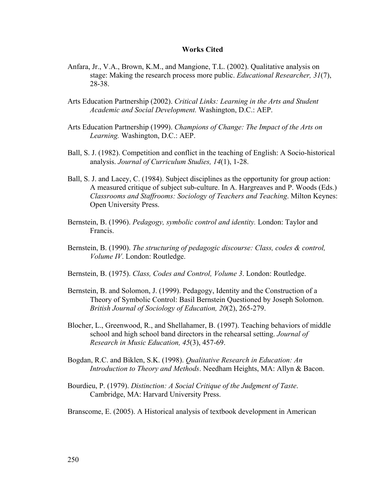#### **Works Cited**

- Anfara, Jr., V.A., Brown, K.M., and Mangione, T.L. (2002). Qualitative analysis on stage: Making the research process more public. *Educational Researcher, 31*(7), 28-38.
- Arts Education Partnership (2002). *Critical Links: Learning in the Arts and Student Academic and Social Development.* Washington, D.C.: AEP.
- Arts Education Partnership (1999). *Champions of Change: The Impact of the Arts on Learning.* Washington, D.C.: AEP.
- [Ball, S. J.](http://csaweb106v.csa.com/ids70/p_search_form.php?field=au&query=ball+stephen+j&log=literal&SID=hmvq37e63qra6brf3pbov3md03) (1982). Competition and conflict in the teaching of English: A Socio-historical analysis. *Journal of Curriculum Studies, 14*(1), 1-28.
- Ball, S. J. and Lacey, C. (1984). Subject disciplines as the opportunity for group action: A measured critique of subject sub-culture. In A. Hargreaves and P. Woods (Eds.) *Classrooms and Staffrooms: Sociology of Teachers and Teaching*. Milton Keynes: Open University Press.
- Bernstein, B. (1996). *Pedagogy, symbolic control and identity.* London: Taylor and Francis.
- Bernstein, B. (1990). *The structuring of pedagogic discourse: Class, codes & control, Volume IV*. London: Routledge.
- Bernstein, B. (1975). *Class, Codes and Control, Volume 3*. London: Routledge.
- Bernstein, B. and Solomon, J. (1999). Pedagogy, Identity and the Construction of a Theory of Symbolic Control: Basil Bernstein Questioned by Joseph Solomon. *British Journal of Sociology of Education, 20*(2), 265-279.
- [Blocher, L.](http://csaweb106v.csa.com/ids70/p_search_form.php?field=au&query=blocher+larry&log=literal&SID=hmvq37e63qra6brf3pbov3md03), [Greenwood, R.](http://csaweb106v.csa.com/ids70/p_search_form.php?field=au&query=greenwood+richard&log=literal&SID=hmvq37e63qra6brf3pbov3md03), and [Shellahamer, B.](http://csaweb106v.csa.com/ids70/p_search_form.php?field=au&query=shellahamer+bentley&log=literal&SID=hmvq37e63qra6brf3pbov3md03) (1997). Teaching behaviors of middle school and high school band directors in the rehearsal setting. *Journal of Research in Music Education, 45*(3), 457-69.
- Bogdan, R.C. and Biklen, S.K. (1998). *Qualitative Research in Education: An Introduction to Theory and Methods*. Needham Heights, MA: Allyn & Bacon.
- Bourdieu, P. (1979). *Distinction: A Social Critique of the Judgment of Taste*. Cambridge, MA: Harvard University Press.
- [Branscome, E.](http://csaweb106v.csa.com/ids70/p_search_form.php?field=au&query=branscome+eric&log=literal&SID=hmvq37e63qra6brf3pbov3md03) (2005). A Historical analysis of textbook development in American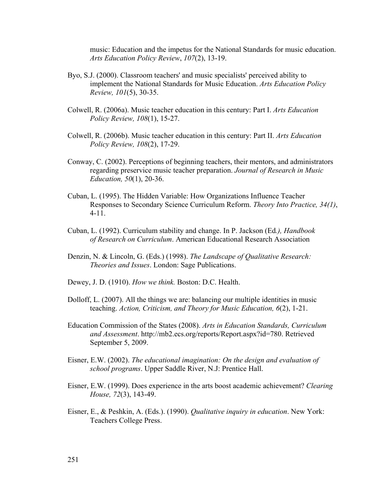music: Education and the impetus for the National Standards for music education. *Arts Education Policy Review*, *107*(2), 13-19.

- Byo, S.J. (2000). Classroom teachers' and music specialists' perceived ability to implement the National Standards for Music Education. *Arts Education Policy Review, 101*(5), 30-35.
- Colwell, R. (2006a). Music teacher education in this century: Part I. *Arts Education Policy Review, 108*(1), 15-27.
- Colwell, R. (2006b). Music teacher education in this century: Part II. *Arts Education Policy Review, 108*(2), 17-29.
- [Conway, C.](http://csaweb106v.csa.com/ids70/p_search_form.php?field=au&query=conway+colleen&log=literal&SID=hmvq37e63qra6brf3pbov3md03) (2002). Perceptions of beginning teachers, their mentors, and administrators regarding preservice music teacher preparation. *Journal of Research in Music Education, 50*(1), 20-36.
- Cuban, L. (1995). The Hidden Variable: How Organizations Influence Teacher Responses to Secondary Science Curriculum Reform. *Theory Into Practice, 34(1)*, 4-11.
- Cuban, L. (1992). Curriculum stability and change. In P. Jackson (Ed*.), Handbook of Research on Curriculum*. American Educational Research Association
- Denzin, N. & Lincoln, G. (Eds.) (1998). *The Landscape of Qualitative Research: Theories and Issues*. London: Sage Publications.
- Dewey, J. D. (1910). *How we think.* Boston: D.C. Health.
- Dolloff, L. (2007). All the things we are: balancing our multiple identities in music teaching. *Action, Criticism, and Theory for Music Education, 6*(2), 1-21.
- Education Commission of the States (2008). *Arts in Education Standards, Curriculum and Assessment*. <http://mb2.ecs.org/reports/Report.aspx?id=780>. Retrieved September 5, 2009.
- Eisner, E.W. (2002). *The educational imagination: On the design and evaluation of school programs*. Upper Saddle River, N.J: Prentice Hall.
- Eisner, E.W. (1999). Does experience in the arts boost academic achievement? *Clearing House, 72*(3), 143-49.
- Eisner, E., & Peshkin, A. (Eds.). (1990). *Qualitative inquiry in education*. New York: Teachers College Press.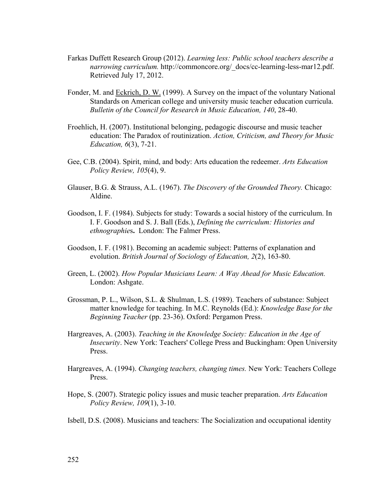- Farkas Duffett Research Group (2012). *Learning less: Public school teachers describe a narrowing curriculum.* [http://commoncore.org/\\_docs/cc-learning-less-mar12.pdf.](http://commoncore.org/_docs/cc-learning-less-mar12.pdf.%20Retrieved%20July%2017)  [Retrieved July 17,](http://commoncore.org/_docs/cc-learning-less-mar12.pdf.%20Retrieved%20July%2017) 2012.
- Fonder, M. and [Eckrich, D. W.](http://csaweb106v.csa.com/ids70/p_search_form.php?field=au&query=eckrich+donald+w&log=literal&SID=hmvq37e63qra6brf3pbov3md03) (1999). A Survey on the impact of the voluntary National Standards on American college and university music teacher education curricula. *Bulletin of the Council for Research in Music Education, 140*, 28-40.
- Froehlich, H. (2007). Institutional belonging, pedagogic discourse and music teacher education: The Paradox of routinization. *Action, Criticism, and Theory for Music Education, 6*(3), 7-21.
- Gee, C.B. (2004). Spirit, mind, and body: Arts education the redeemer. *Arts Education Policy Review, 105*(4), 9.
- Glauser, B.G. & Strauss, A.L. (1967). *The Discovery of the Grounded Theory.* Chicago: Aldine.
- Goodson, I. F. (1984). Subjects for study: Towards a social history of the curriculum. In I. F. Goodson and S. J. Ball (Eds.), *Defining the curriculum: Histories and ethnographie*s**.** London: The Falmer Press.
- Goodson, I. F. (1981). Becoming an academic subject: Patterns of explanation and evolution. *British Journal of Sociology of Education, 2*(2), 163-80.
- Green, L. (2002). *How Popular Musicians Learn: A Way Ahead for Music Education.* London: Ashgate.
- Grossman, P. L., Wilson, S.L. & Shulman, L.S. (1989). Teachers of substance: Subject matter knowledge for teaching. In M.C. Reynolds (Ed.): *Knowledge Base for the Beginning Teacher* (pp. 23-36). Oxford: Pergamon Press.
- Hargreaves, A. (2003). *Teaching in the Knowledge Society: Education in the Age of Insecurity*. New York: Teachers' College Press and Buckingham: Open University Press.
- Hargreaves, A. (1994). *Changing teachers, changing times.* New York: Teachers College Press.
- Hope, S. (2007). Strategic policy issues and music teacher preparation. *Arts Education Policy Review, 109*(1), 3-10.
- Isbell, D.S. (2008). Musicians and teachers: The Socialization and occupational identity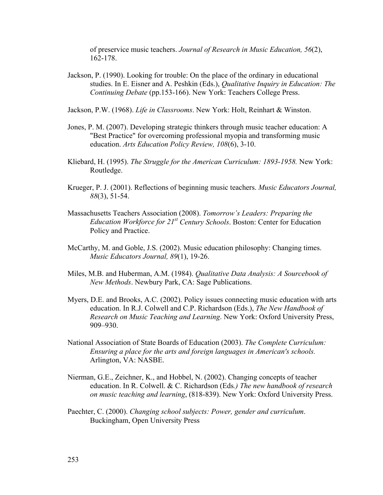of preservice music teachers. *Journal of Research in Music Education, 56*(2), 162-178.

Jackson, P. (1990). Looking for trouble: On the place of the ordinary in educational studies. In E. Eisner and A. Peshkin (Eds.), *Qualitative Inquiry in Education: The Continuing Debate* (pp.153-166). New York: Teachers College Press.

Jackson, P.W. (1968). *Life in Classrooms*. New York: Holt, Reinhart & Winston.

- [Jones, P. M.](http://csaweb106v.csa.com/ids70/p_search_form.php?field=au&query=jones+patrick+m&log=literal&SID=hmvq37e63qra6brf3pbov3md03) (2007). Developing strategic thinkers through music teacher education: A "Best Practice" for overcoming professional myopia and transforming music education. *Arts Education Policy Review, 108*(6), 3-10.
- Kliebard, H. (1995). *The Struggle for the American Curriculum: 1893-1958.* New York: Routledge.
- [Krueger, P. J.](http://csaweb106v.csa.com/ids70/p_search_form.php?field=au&query=krueger+patti+j&log=literal&SID=hmvq37e63qra6brf3pbov3md03) (2001). Reflections of beginning music teachers. *Music Educators Journal, 88*(3), 51-54.
- Massachusetts Teachers Association (2008). *Tomorrow's Leaders: Preparing the Education Workforce for 21st Century Schools*. Boston: Center for Education Policy and Practice.
- McCarthy, M. and Goble, J.S. (2002). Music education philosophy: Changing times. *Music Educators Journal, 89*(1), 19-26.
- Miles, M.B. and Huberman, A.M. (1984). *Qualitative Data Analysis: A Sourcebook of New Methods*. Newbury Park, CA: Sage Publications.
- Myers, D.E. and Brooks, A.C. (2002). Policy issues connecting music education with arts education. In R.J. Colwell and C.P. Richardson (Eds.), *The New Handbook of Research on Music Teaching and Learning*. New York: Oxford University Press, 909–930.
- National Association of State Boards of Education (2003). *The Complete Curriculum: Ensuring a place for the arts and foreign languages in American's schools.*  Arlington, VA: NASBE.
- Nierman, G.E., Zeichner, K., and Hobbel, N. (2002). Changing concepts of teacher education. In R. Colwell. & C. Richardson (Eds*.) The new handbook of research on music teaching and learning*, (818-839). New York: Oxford University Press.
- Paechter, C. (2000). *[Changing school subjects: Power, gender and curriculum](http://www.amazon.co.uk/Changing-School-Subjects-Curriculum-Education/dp/0335201199/ref=sr_1_2?s=books&ie=UTF8&qid=1312398861&sr=1-2)*. Buckingham, Open University Press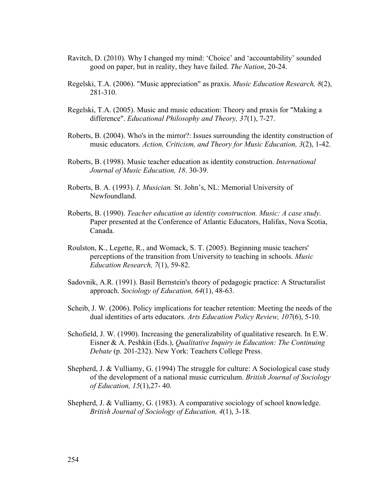- Ravitch, D. (2010). Why I changed my mind: 'Choice' and 'accountability' sounded good on paper, but in reality, they have failed. *The Nation*, 20-24.
- Regelski, T.A. (2006). "Music appreciation" as praxis. *Music Education Research, 8*(2), 281-310.
- Regelski, T.A. (2005). Music and music education: Theory and praxis for "Making a difference". *Educational Philosophy and Theory, 37*(1), 7-27.
- [Roberts, B.](http://csaweb106v.csa.com/ids70/p_search_form.php?field=au&query=roberts+brian&log=literal&SID=hmvq37e63qra6brf3pbov3md03) (2004). Who's in the mirror?: Issues surrounding the identity construction of music educators. *Action, Criticism, and Theory for Music Education, 3*(2), 1-42.
- Roberts, B. (1998). Music teacher education as identity construction. *International Journal of Music Education, 18*. 30-39.
- Roberts, B. A. (1993). *I, Musician.* St. John's, NL: Memorial University of Newfoundland.
- Roberts, B. (1990). *Teacher education as identity construction. Music: A case study.*  Paper presented at the Conference of Atlantic Educators, Halifax, Nova Scotia, Canada.
- Roulston, K., Legette, R., and Womack, S. T. (2005). Beginning music teachers' perceptions of the transition from University to teaching in schools. *Music Education Research, 7*(1), 59-82.
- Sadovnik, A.R. (1991). Basil Bernstein's theory of pedagogic practice: A Structuralist approach. *Sociology of Education, 64*(1), 48-63.
- [Scheib, J. W.](http://csaweb106v.csa.com/ids70/p_search_form.php?field=au&query=scheib+john+w&log=literal&SID=hmvq37e63qra6brf3pbov3md03) (2006). Policy implications for teacher retention: Meeting the needs of the dual identities of arts educators. *Arts Education Policy Review, 107*(6), 5-10.
- Schofield, J. W. (1990). Increasing the generalizability of qualitative research. In E.W. Eisner & A. Peshkin (Eds.), *Qualitative Inquiry in Education: The Continuing Debate* (p. 201-232). New York: Teachers College Press.
- Shepherd, J. & Vulliamy, G. (1994) The struggle for culture: A Sociological case study of the development of a national music curriculum. *British Journal of Sociology of Education, 15*(1),27- 40.
- Shepherd, J. & Vulliamy, G. (1983). A comparative sociology of school knowledge. *British Journal of Sociology of Education, 4*(1), 3-18.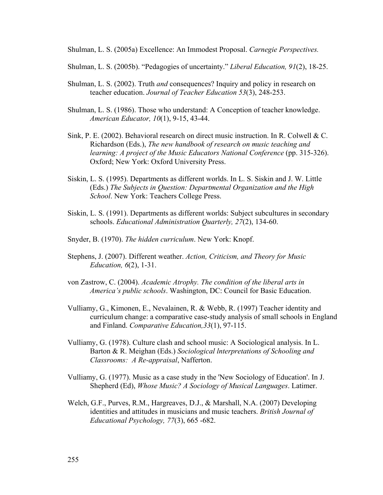Shulman, L. S. (2005a) Excellence: An Immodest Proposal. *Carnegie Perspectives.* 

- Shulman, L. S. (2005b). "Pedagogies of uncertainty." *Liberal Education, 91*(2), 18-25.
- Shulman, L. S. (2002). Truth *and* consequences? Inquiry and policy in research on teacher education. *Journal of Teacher Education 53*(3), 248-253.
- [Shulman, L. S.](http://csaweb106v.csa.com/ids70/p_search_form.php?field=au&query=shulman+lee+s&log=literal&SID=hmvq37e63qra6brf3pbov3md03) (1986). Those who understand: A Conception of teacher knowledge. *American Educator, 10*(1), 9-15, 43-44.
- Sink, P. E. (2002). Behavioral research on direct music instruction. In R. Colwell & C. Richardson (Eds.), *The new handbook of research on music teaching and learning: A project of the Music Educators National Conference* (pp. 315-326). Oxford; New York: Oxford University Press.
- Siskin, L. S. (1995). Departments as different worlds. In L. S. Siskin and J. W. Little (Eds.) *The Subjects in Question: Departmental Organization and the High School*. New York: Teachers College Press.
- Siskin, L. S. (1991). Departments as different worlds: Subject subcultures in secondary schools. *Educational Administration Quarterly, 27*(2), 134-60.
- Snyder, B. (1970). *The hidden curriculum*. New York: Knopf.
- Stephens, J. (2007). Different weather. *Action, Criticism, and Theory for Music Education, 6*(2), 1-31.
- von Zastrow, C. (2004). *Academic Atrophy. The condition of the liberal arts in America's public schools*. Washington, DC: Council for Basic Education.
- Vulliamy, G., Kimonen, E., Nevalainen, R. & Webb, R. (1997) Teacher identity and curriculum change: a comparative case-study analysis of small schools in England and Finland. *Comparative Education,33*(1), 97-115.
- Vulliamy, G. (1978). Culture clash and school music: A Sociological analysis. In L. Barton & R. Meighan (Eds.) *Sociological lnterpretations of Schooling and Classrooms: A Re-appraisal*, Nafferton.
- Vulliamy, G. (1977). Music as a case study in the 'New Sociology of Education'. In J. Shepherd (Ed), *Whose Music? A Sociology of Musical Languages*. Latimer.
- Welch, G.F., Purves, R.M., Hargreaves, D.J., & Marshall, N.A. (2007) Developing identities and attitudes in musicians and music teachers. *British Journal of Educational Psychology, 77*(3), 665 -682.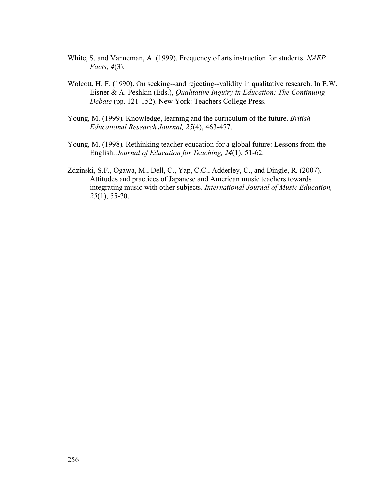- White, S. and Vanneman, A. (1999). Frequency of arts instruction for students. *NAEP Facts, 4*(3).
- Wolcott, H. F. (1990). On seeking--and rejecting--validity in qualitative research. In E.W. Eisner & A. Peshkin (Eds.), *Qualitative Inquiry in Education: The Continuing Debate* (pp. 121-152). New York: Teachers College Press.
- Young, M. (1999). Knowledge, learning and the curriculum of the future. *British Educational Research Journal, 25*(4), 463-477.
- Young, M. (1998). Rethinking teacher education for a global future: Lessons from the English. *Journal of Education for Teaching, 24*(1), 51-62.
- Zdzinski, S.F., Ogawa, M., Dell, C., Yap, C.C., Adderley, C., and Dingle, R. (2007). Attitudes and practices of Japanese and American music teachers towards integrating music with other subjects. *International Journal of Music Education, 25*(1), 55-70.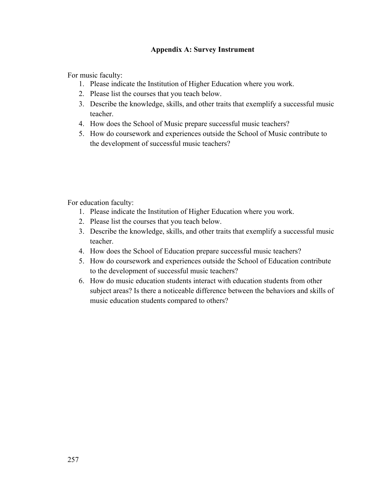## **Appendix A: Survey Instrument**

For music faculty:

- 1. Please indicate the Institution of Higher Education where you work.
- 2. Please list the courses that you teach below.
- 3. Describe the knowledge, skills, and other traits that exemplify a successful music teacher.
- 4. How does the School of Music prepare successful music teachers?
- 5. How do coursework and experiences outside the School of Music contribute to the development of successful music teachers?

For education faculty:

- 1. Please indicate the Institution of Higher Education where you work.
- 2. Please list the courses that you teach below.
- 3. Describe the knowledge, skills, and other traits that exemplify a successful music teacher.
- 4. How does the School of Education prepare successful music teachers?
- 5. How do coursework and experiences outside the School of Education contribute to the development of successful music teachers?
- 6. How do music education students interact with education students from other subject areas? Is there a noticeable difference between the behaviors and skills of music education students compared to others?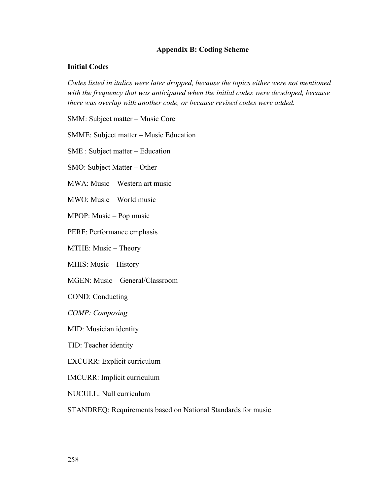### **Appendix B: Coding Scheme**

### **Initial Codes**

*Codes listed in italics were later dropped, because the topics either were not mentioned with the frequency that was anticipated when the initial codes were developed, because there was overlap with another code, or because revised codes were added.* 

SMM: Subject matter – Music Core

SMME: Subject matter – Music Education

SME : Subject matter – Education

SMO: Subject Matter – Other

MWA: Music – Western art music

MWO: Music – World music

MPOP: Music – Pop music

PERF: Performance emphasis

MTHE: Music – Theory

MHIS: Music – History

MGEN: Music – General/Classroom

COND: Conducting

*COMP: Composing* 

MID: Musician identity

TID: Teacher identity

EXCURR: Explicit curriculum

IMCURR: Implicit curriculum

NUCULL: Null curriculum

STANDREQ: Requirements based on National Standards for music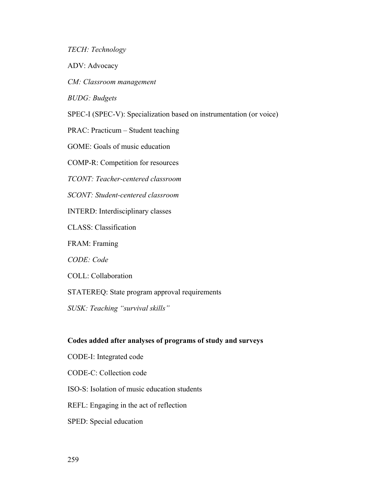*TECH: Technology* 

ADV: Advocacy

*CM: Classroom management* 

*BUDG: Budgets* 

SPEC-I (SPEC-V): Specialization based on instrumentation (or voice)

PRAC: Practicum – Student teaching

GOME: Goals of music education

COMP-R: Competition for resources

*TCONT: Teacher-centered classroom* 

*SCONT: Student-centered classroom* 

INTERD: Interdisciplinary classes

CLASS: Classification

FRAM: Framing

*CODE: Code* 

COLL: Collaboration

STATEREQ: State program approval requirements

*SUSK: Teaching "survival skills"* 

### **Codes added after analyses of programs of study and surveys**

- CODE-I: Integrated code
- CODE-C: Collection code
- ISO-S: Isolation of music education students
- REFL: Engaging in the act of reflection
- SPED: Special education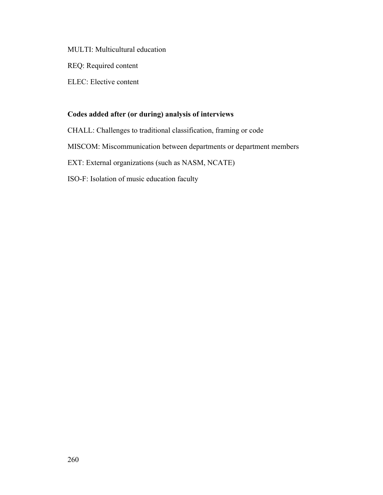MULTI: Multicultural education

REQ: Required content

ELEC: Elective content

# **Codes added after (or during) analysis of interviews**

CHALL: Challenges to traditional classification, framing or code

MISCOM: Miscommunication between departments or department members

EXT: External organizations (such as NASM, NCATE)

ISO-F: Isolation of music education faculty